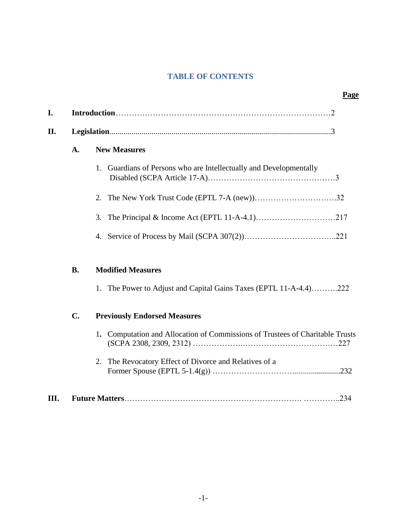# **TABLE OF CONTENTS**

| A.        | <b>New Measures</b>                                                              |
|-----------|----------------------------------------------------------------------------------|
|           | Guardians of Persons who are Intellectually and Developmentally<br>1.            |
|           | 2.                                                                               |
|           | 3.                                                                               |
|           |                                                                                  |
| <b>B.</b> | <b>Modified Measures</b>                                                         |
|           | The Power to Adjust and Capital Gains Taxes (EPTL 11-A-4.4)222<br>1.             |
| C.        | <b>Previously Endorsed Measures</b>                                              |
|           | Computation and Allocation of Commissions of Trustees of Charitable Trusts<br>1. |
|           | The Revocatory Effect of Divorce and Relatives of a<br>2.                        |
|           |                                                                                  |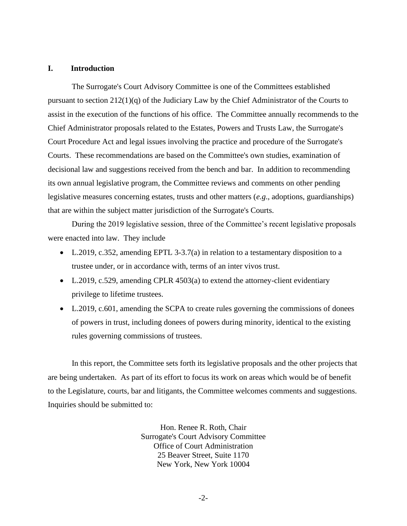### **I. Introduction**

The Surrogate's Court Advisory Committee is one of the Committees established pursuant to section 212(1)(q) of the Judiciary Law by the Chief Administrator of the Courts to assist in the execution of the functions of his office. The Committee annually recommends to the Chief Administrator proposals related to the Estates, Powers and Trusts Law, the Surrogate's Court Procedure Act and legal issues involving the practice and procedure of the Surrogate's Courts. These recommendations are based on the Committee's own studies, examination of decisional law and suggestions received from the bench and bar. In addition to recommending its own annual legislative program, the Committee reviews and comments on other pending legislative measures concerning estates, trusts and other matters (*e.g*., adoptions, guardianships) that are within the subject matter jurisdiction of the Surrogate's Courts.

During the 2019 legislative session, three of the Committee's recent legislative proposals were enacted into law. They include

- L.2019, c.352, amending EPTL 3-3.7(a) in relation to a testamentary disposition to a trustee under, or in accordance with, terms of an inter vivos trust.
- L.2019, c.529, amending CPLR 4503(a) to extend the attorney-client evidentiary privilege to lifetime trustees.
- L.2019, c.601, amending the SCPA to create rules governing the commissions of donees of powers in trust, including donees of powers during minority, identical to the existing rules governing commissions of trustees.

In this report, the Committee sets forth its legislative proposals and the other projects that are being undertaken. As part of its effort to focus its work on areas which would be of benefit to the Legislature, courts, bar and litigants, the Committee welcomes comments and suggestions. Inquiries should be submitted to:

> Hon. Renee R. Roth, Chair Surrogate's Court Advisory Committee Office of Court Administration 25 Beaver Street, Suite 1170 New York, New York 10004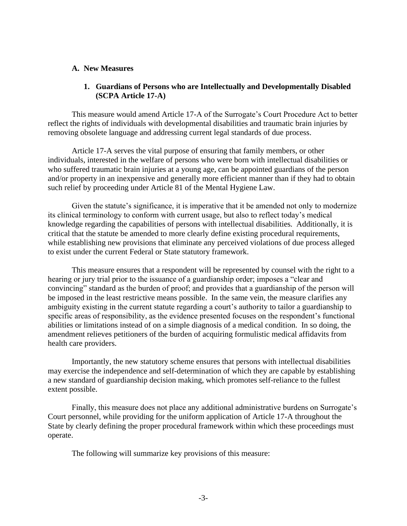## **A. New Measures**

# **1. Guardians of Persons who are Intellectually and Developmentally Disabled (SCPA Article 17-A)**

This measure would amend Article 17-A of the Surrogate's Court Procedure Act to better reflect the rights of individuals with developmental disabilities and traumatic brain injuries by removing obsolete language and addressing current legal standards of due process.

Article 17-A serves the vital purpose of ensuring that family members, or other individuals, interested in the welfare of persons who were born with intellectual disabilities or who suffered traumatic brain injuries at a young age, can be appointed guardians of the person and/or property in an inexpensive and generally more efficient manner than if they had to obtain such relief by proceeding under Article 81 of the Mental Hygiene Law.

Given the statute's significance, it is imperative that it be amended not only to modernize its clinical terminology to conform with current usage, but also to reflect today's medical knowledge regarding the capabilities of persons with intellectual disabilities. Additionally, it is critical that the statute be amended to more clearly define existing procedural requirements, while establishing new provisions that eliminate any perceived violations of due process alleged to exist under the current Federal or State statutory framework.

This measure ensures that a respondent will be represented by counsel with the right to a hearing or jury trial prior to the issuance of a guardianship order; imposes a "clear and convincing" standard as the burden of proof; and provides that a guardianship of the person will be imposed in the least restrictive means possible. In the same vein, the measure clarifies any ambiguity existing in the current statute regarding a court's authority to tailor a guardianship to specific areas of responsibility, as the evidence presented focuses on the respondent's functional abilities or limitations instead of on a simple diagnosis of a medical condition. In so doing, the amendment relieves petitioners of the burden of acquiring formulistic medical affidavits from health care providers.

Importantly, the new statutory scheme ensures that persons with intellectual disabilities may exercise the independence and self-determination of which they are capable by establishing a new standard of guardianship decision making, which promotes self-reliance to the fullest extent possible.

Finally, this measure does not place any additional administrative burdens on Surrogate's Court personnel, while providing for the uniform application of Article 17-A throughout the State by clearly defining the proper procedural framework within which these proceedings must operate.

The following will summarize key provisions of this measure: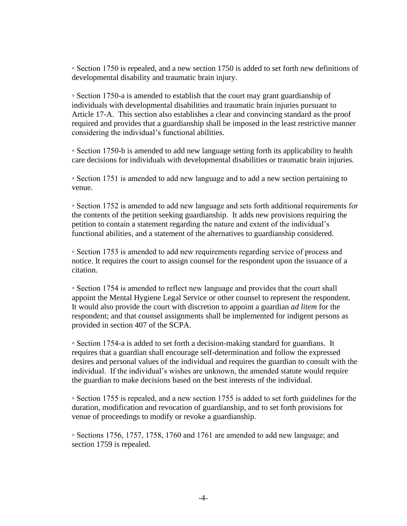◦ Section 1750 is repealed, and a new section 1750 is added to set forth new definitions of developmental disability and traumatic brain injury.

◦ Section 1750-a is amended to establish that the court may grant guardianship of individuals with developmental disabilities and traumatic brain injuries pursuant to Article 17-A. This section also establishes a clear and convincing standard as the proof required and provides that a guardianship shall be imposed in the least restrictive manner considering the individual's functional abilities.

◦ Section 1750-b is amended to add new language setting forth its applicability to health care decisions for individuals with developmental disabilities or traumatic brain injuries.

◦ Section 1751 is amended to add new language and to add a new section pertaining to venue.

◦ Section 1752 is amended to add new language and sets forth additional requirements for the contents of the petition seeking guardianship. It adds new provisions requiring the petition to contain a statement regarding the nature and extent of the individual's functional abilities, and a statement of the alternatives to guardianship considered.

◦ Section 1753 is amended to add new requirements regarding service of process and notice. It requires the court to assign counsel for the respondent upon the issuance of a citation.

◦ Section 1754 is amended to reflect new language and provides that the court shall appoint the Mental Hygiene Legal Service or other counsel to represent the respondent. It would also provide the court with discretion to appoint a guardian *ad litem* for the respondent; and that counsel assignments shall be implemented for indigent persons as provided in section 407 of the SCPA.

◦ Section 1754-a is added to set forth a decision-making standard for guardians. It requires that a guardian shall encourage self-determination and follow the expressed desires and personal values of the individual and requires the guardian to consult with the individual. If the individual's wishes are unknown, the amended statute would require the guardian to make decisions based on the best interests of the individual.

◦ Section 1755 is repealed, and a new section 1755 is added to set forth guidelines for the duration, modification and revocation of guardianship, and to set forth provisions for venue of proceedings to modify or revoke a guardianship.

◦ Sections 1756, 1757, 1758, 1760 and 1761 are amended to add new language; and section 1759 is repealed.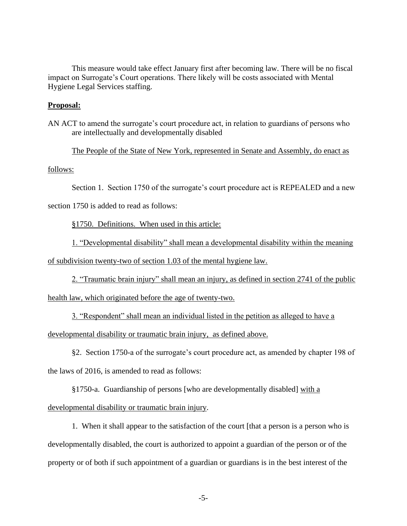This measure would take effect January first after becoming law. There will be no fiscal impact on Surrogate's Court operations. There likely will be costs associated with Mental Hygiene Legal Services staffing.

### **Proposal:**

AN ACT to amend the surrogate's court procedure act, in relation to guardians of persons who are intellectually and developmentally disabled

The People of the State of New York, represented in Senate and Assembly, do enact as follows:

Section 1. Section 1750 of the surrogate's court procedure act is REPEALED and a new

section 1750 is added to read as follows:

§1750. Definitions. When used in this article:

1. "Developmental disability" shall mean a developmental disability within the meaning

of subdivision twenty-two of section 1.03 of the mental hygiene law.

2. "Traumatic brain injury" shall mean an injury, as defined in section 2741 of the public

health law, which originated before the age of twenty-two.

3. "Respondent" shall mean an individual listed in the petition as alleged to have a

developmental disability or traumatic brain injury, as defined above.

§2. Section 1750-a of the surrogate's court procedure act, as amended by chapter 198 of the laws of 2016, is amended to read as follows:

§1750-a. Guardianship of persons [who are developmentally disabled] with a developmental disability or traumatic brain injury.

1. When it shall appear to the satisfaction of the court [that a person is a person who is developmentally disabled, the court is authorized to appoint a guardian of the person or of the property or of both if such appointment of a guardian or guardians is in the best interest of the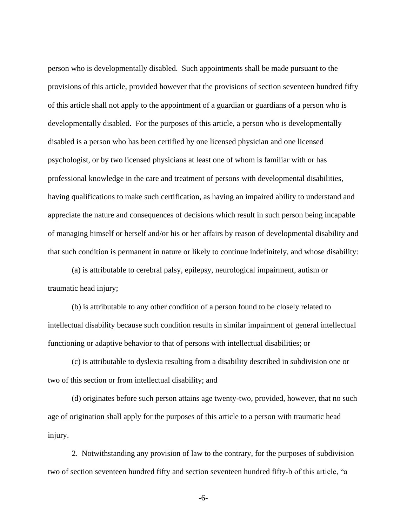person who is developmentally disabled. Such appointments shall be made pursuant to the provisions of this article, provided however that the provisions of [section seventeen hundred fifty](https://1.next.westlaw.com/Link/Document/FullText?findType=L&pubNum=1000142&cite=) of this article shall not apply to the appointment of a guardian or guardians of a person who is developmentally disabled. For the purposes of this article, a person who is developmentally disabled is a person who has been certified by one licensed physician and one licensed psychologist, or by two licensed physicians at least one of whom is familiar with or has professional knowledge in the care and treatment of persons with developmental disabilities, having qualifications to make such certification, as having an impaired ability to understand and appreciate the nature and consequences of decisions which result in such person being incapable of managing himself or herself and/or his or her affairs by reason of developmental disability and that such condition is permanent in nature or likely to continue indefinitely, and whose disability:

(a) is attributable to cerebral palsy, epilepsy, neurological impairment, autism or traumatic head injury;

(b) is attributable to any other condition of a person found to be closely related to intellectual disability because such condition results in similar impairment of general intellectual functioning or adaptive behavior to that of persons with intellectual disabilities; or

(c) is attributable to dyslexia resulting from a disability described in subdivision one or two of this section or from intellectual disability; and

(d) originates before such person attains age twenty-two, provided, however, that no such age of origination shall apply for the purposes of this article to a person with traumatic head injury.

2. Notwithstanding any provision of law to the contrary, for the purposes of [subdivision](https://1.next.westlaw.com/Link/Document/FullText?findType=L&pubNum=1000142&cite=)  [two of section seventeen hundred fifty](https://1.next.westlaw.com/Link/Document/FullText?findType=L&pubNum=1000142&cite=) and [section seventeen hundred fifty-b](https://1.next.westlaw.com/Link/Document/FullText?findType=L&pubNum=1000142&cite=) of this article, "a

-6-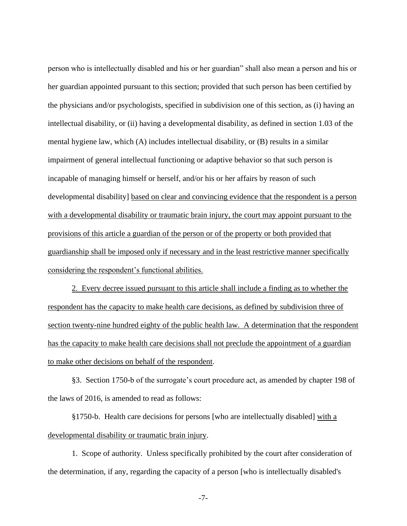person who is intellectually disabled and his or her guardian" shall also mean a person and his or her guardian appointed pursuant to this section; provided that such person has been certified by the physicians and/or psychologists, specified in subdivision one of this section, as (i) having an intellectual disability, or (ii) having a developmental disability, as defined in [section 1.03 of the](https://1.next.westlaw.com/Link/Document/FullText?findType=L&pubNum=1000105&cite=)  [mental hygiene law,](https://1.next.westlaw.com/Link/Document/FullText?findType=L&pubNum=1000105&cite=) which (A) includes intellectual disability, or (B) results in a similar impairment of general intellectual functioning or adaptive behavior so that such person is incapable of managing himself or herself, and/or his or her affairs by reason of such developmental disability] based on clear and convincing evidence that the respondent is a person with a developmental disability or traumatic brain injury, the court may appoint pursuant to the provisions of this article a guardian of the person or of the property or both provided that guardianship shall be imposed only if necessary and in the least restrictive manner specifically considering the respondent's functional abilities.

2. Every decree issued pursuant to this article shall include a finding as to whether the respondent has the capacity to make health care decisions, as defined by subdivision three of section twenty-nine hundred eighty of the public health law. A determination that the respondent has the capacity to make health care decisions shall not preclude the appointment of a guardian to make other decisions on behalf of the respondent.

§3. Section 1750-b of the surrogate's court procedure act, as amended by chapter 198 of the laws of 2016, is amended to read as follows:

§1750-b. Health care decisions for persons [who are intellectually disabled] with a developmental disability or traumatic brain injury.

1. Scope of authority. Unless specifically prohibited by the court after consideration of the determination, if any, regarding the capacity of a person [who is intellectually disabled's

-7-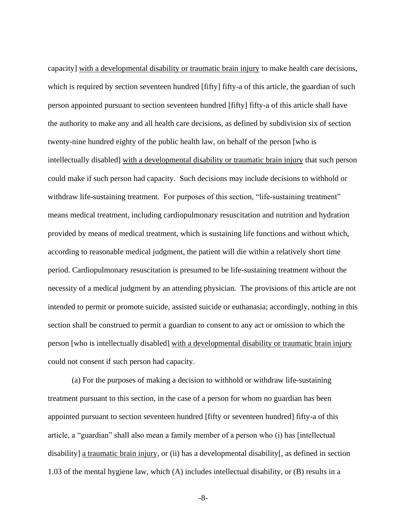capacity] with a developmental disability or traumatic brain injury to make health care decisions, which is required by section seventeen hundred [fifty] fifty-a of this article, the guardian of such person appointed pursuant to section seventeen hundred [fifty] fifty-a of this article shall have the authority to make any and all health care decisions, as defined by subdivision six of section twenty-nine hundred eighty of the public health law, on behalf of the person [who is intellectually disabled] with a developmental disability or traumatic brain injury that such person could make if such person had capacity. Such decisions may include decisions to withhold or withdraw life-sustaining treatment. For purposes of this section, "life-sustaining treatment" means medical treatment, including cardiopulmonary resuscitation and nutrition and hydration provided by means of medical treatment, which is sustaining life functions and without which, according to reasonable medical judgment, the patient will die within a relatively short time period. Cardiopulmonary resuscitation is presumed to be life-sustaining treatment without the necessity of a medical judgment by an attending physician. The provisions of this article are not intended to permit or promote suicide, assisted suicide or euthanasia; accordingly, nothing in this section shall be construed to permit a guardian to consent to any act or omission to which the person [who is intellectually disabled] with a developmental disability or traumatic brain injury could not consent if such person had capacity.

(a) For the purposes of making a decision to withhold or withdraw life-sustaining treatment pursuant to this section, in the case of a person for whom no guardian has been appointed pursuant to section seventeen hundred [fifty or seventeen hundred] fifty-a of this article, a "guardian" shall also mean a family member of a person who (i) has [intellectual disability] a traumatic brain injury, or (ii) has a developmental disability[, as defined in section 1.03 of the mental hygiene law, which (A) includes intellectual disability, or (B) results in a

-8-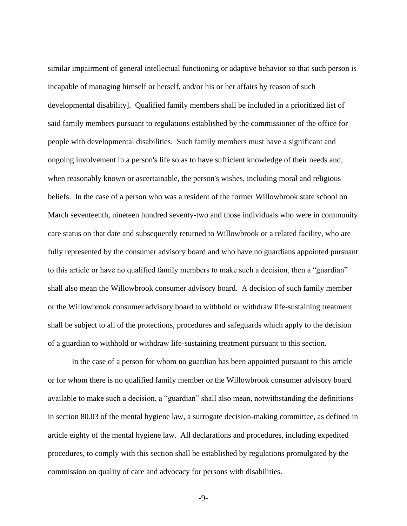similar impairment of general intellectual functioning or adaptive behavior so that such person is incapable of managing himself or herself, and/or his or her affairs by reason of such developmental disability]. Qualified family members shall be included in a prioritized list of said family members pursuant to regulations established by the commissioner of the office for people with developmental disabilities. Such family members must have a significant and ongoing involvement in a person's life so as to have sufficient knowledge of their needs and, when reasonably known or ascertainable, the person's wishes, including moral and religious beliefs. In the case of a person who was a resident of the former Willowbrook state school on March seventeenth, nineteen hundred seventy-two and those individuals who were in community care status on that date and subsequently returned to Willowbrook or a related facility, who are fully represented by the consumer advisory board and who have no guardians appointed pursuant to this article or have no qualified family members to make such a decision, then a "guardian" shall also mean the Willowbrook consumer advisory board. A decision of such family member or the Willowbrook consumer advisory board to withhold or withdraw life-sustaining treatment shall be subject to all of the protections, procedures and safeguards which apply to the decision of a guardian to withhold or withdraw life-sustaining treatment pursuant to this section.

In the case of a person for whom no guardian has been appointed pursuant to this article or for whom there is no qualified family member or the Willowbrook consumer advisory board available to make such a decision, a "guardian" shall also mean, notwithstanding the definitions in section 80.03 of the mental hygiene law, a surrogate decision-making committee, as defined in article eighty of the mental hygiene law. All declarations and procedures, including expedited procedures, to comply with this section shall be established by regulations promulgated by the commission on quality of care and advocacy for persons with disabilities.

-9-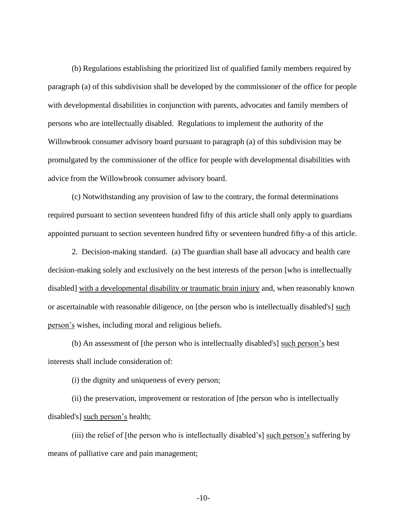(b) Regulations establishing the prioritized list of qualified family members required by paragraph (a) of this subdivision shall be developed by the commissioner of the office for people with developmental disabilities in conjunction with parents, advocates and family members of persons who are intellectually disabled. Regulations to implement the authority of the Willowbrook consumer advisory board pursuant to paragraph (a) of this subdivision may be promulgated by the commissioner of the office for people with developmental disabilities with advice from the Willowbrook consumer advisory board.

(c) Notwithstanding any provision of law to the contrary, the formal determinations required pursuant to section seventeen hundred fifty of this article shall only apply to guardians appointed pursuant to section seventeen hundred fifty or seventeen hundred fifty-a of this article.

2. Decision-making standard. (a) The guardian shall base all advocacy and health care decision-making solely and exclusively on the best interests of the person [who is intellectually disabled] with a developmental disability or traumatic brain injury and, when reasonably known or ascertainable with reasonable diligence, on [the person who is intellectually disabled's] such person's wishes, including moral and religious beliefs.

(b) An assessment of [the person who is intellectually disabled's] such person's best interests shall include consideration of:

(i) the dignity and uniqueness of every person;

(ii) the preservation, improvement or restoration of [the person who is intellectually disabled's] such person's health;

(iii) the relief of [the person who is intellectually disabled's] such person's suffering by means of palliative care and pain management;

-10-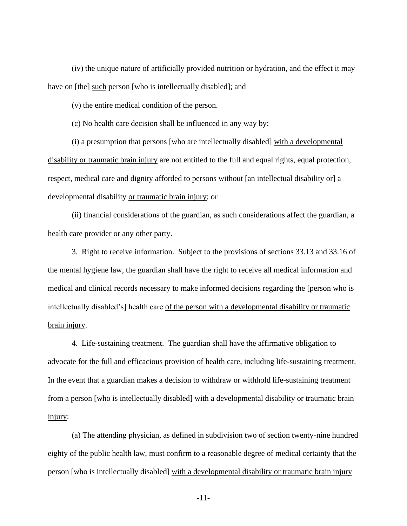(iv) the unique nature of artificially provided nutrition or hydration, and the effect it may have on [the] such person [who is intellectually disabled]; and

(v) the entire medical condition of the person.

(c) No health care decision shall be influenced in any way by:

(i) a presumption that persons [who are intellectually disabled] with a developmental disability or traumatic brain injury are not entitled to the full and equal rights, equal protection, respect, medical care and dignity afforded to persons without [an intellectual disability or] a developmental disability or traumatic brain injury; or

(ii) financial considerations of the guardian, as such considerations affect the guardian, a health care provider or any other party.

3. Right to receive information. Subject to the provisions of sections 33.13 and 33.16 of the mental hygiene law, the guardian shall have the right to receive all medical information and medical and clinical records necessary to make informed decisions regarding the [person who is intellectually disabled's] health care of the person with a developmental disability or traumatic brain injury.

4. Life-sustaining treatment. The guardian shall have the affirmative obligation to advocate for the full and efficacious provision of health care, including life-sustaining treatment. In the event that a guardian makes a decision to withdraw or withhold life-sustaining treatment from a person [who is intellectually disabled] with a developmental disability or traumatic brain injury:

(a) The attending physician, as defined in subdivision two of section twenty-nine hundred eighty of the public health law, must confirm to a reasonable degree of medical certainty that the person [who is intellectually disabled] with a developmental disability or traumatic brain injury

-11-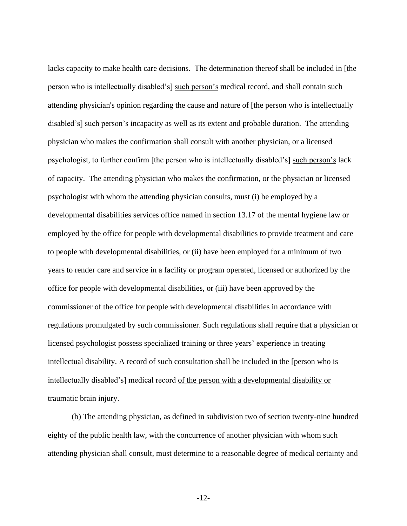lacks capacity to make health care decisions. The determination thereof shall be included in [the person who is intellectually disabled's] such person's medical record, and shall contain such attending physician's opinion regarding the cause and nature of [the person who is intellectually disabled's] such person's incapacity as well as its extent and probable duration. The attending physician who makes the confirmation shall consult with another physician, or a licensed psychologist, to further confirm [the person who is intellectually disabled's] such person's lack of capacity. The attending physician who makes the confirmation, or the physician or licensed psychologist with whom the attending physician consults, must (i) be employed by a developmental disabilities services office named in section 13.17 of the mental hygiene law or employed by the office for people with developmental disabilities to provide treatment and care to people with developmental disabilities, or (ii) have been employed for a minimum of two years to render care and service in a facility or program operated, licensed or authorized by the office for people with developmental disabilities, or (iii) have been approved by the commissioner of the office for people with developmental disabilities in accordance with regulations promulgated by such commissioner. Such regulations shall require that a physician or licensed psychologist possess specialized training or three years' experience in treating intellectual disability. A record of such consultation shall be included in the [person who is intellectually disabled's] medical record of the person with a developmental disability or traumatic brain injury.

(b) The attending physician, as defined in subdivision two of section twenty-nine hundred eighty of the public health law, with the concurrence of another physician with whom such attending physician shall consult, must determine to a reasonable degree of medical certainty and

-12-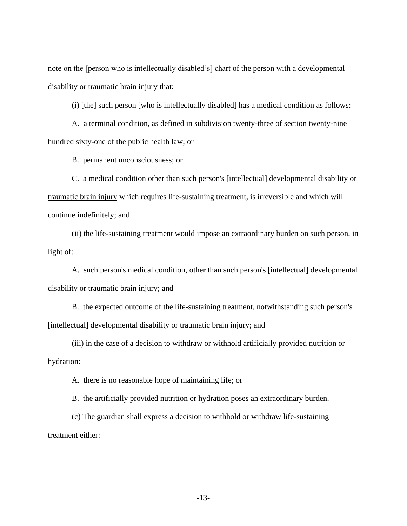note on the [person who is intellectually disabled's] chart <u>of the person with a developmental</u> disability or traumatic brain injury that:

(i) [the] such person [who is intellectually disabled] has a medical condition as follows:

A. a terminal condition, as defined in subdivision twenty-three of section twenty-nine hundred sixty-one of the public health law; or

B. permanent unconsciousness; or

C. a medical condition other than such person's [intellectual] developmental disability or traumatic brain injury which requires life-sustaining treatment, is irreversible and which will continue indefinitely; and

(ii) the life-sustaining treatment would impose an extraordinary burden on such person, in light of:

A. such person's medical condition, other than such person's [intellectual] developmental disability or traumatic brain injury; and

B. the expected outcome of the life-sustaining treatment, notwithstanding such person's [intellectual] developmental disability or traumatic brain injury; and

(iii) in the case of a decision to withdraw or withhold artificially provided nutrition or hydration:

A. there is no reasonable hope of maintaining life; or

B. the artificially provided nutrition or hydration poses an extraordinary burden.

(c) The guardian shall express a decision to withhold or withdraw life-sustaining treatment either: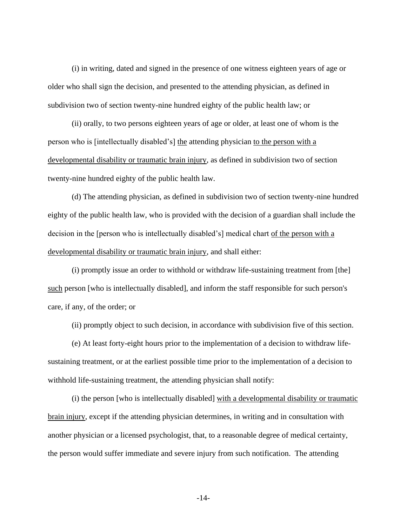(i) in writing, dated and signed in the presence of one witness eighteen years of age or older who shall sign the decision, and presented to the attending physician, as defined in subdivision two of section twenty-nine hundred eighty of the public health law; or

(ii) orally, to two persons eighteen years of age or older, at least one of whom is the person who is [intellectually disabled's] the attending physician to the person with a developmental disability or traumatic brain injury, as defined in subdivision two of section twenty-nine hundred eighty of the public health law.

(d) The attending physician, as defined in subdivision two of section twenty-nine hundred eighty of the public health law, who is provided with the decision of a guardian shall include the decision in the [person who is intellectually disabled's] medical chart of the person with a developmental disability or traumatic brain injury, and shall either:

(i) promptly issue an order to withhold or withdraw life-sustaining treatment from [the] such person [who is intellectually disabled], and inform the staff responsible for such person's care, if any, of the order; or

(ii) promptly object to such decision, in accordance with subdivision five of this section.

(e) At least forty-eight hours prior to the implementation of a decision to withdraw lifesustaining treatment, or at the earliest possible time prior to the implementation of a decision to withhold life-sustaining treatment, the attending physician shall notify:

(i) the person [who is intellectually disabled] with a developmental disability or traumatic brain injury, except if the attending physician determines, in writing and in consultation with another physician or a licensed psychologist, that, to a reasonable degree of medical certainty, the person would suffer immediate and severe injury from such notification. The attending

-14-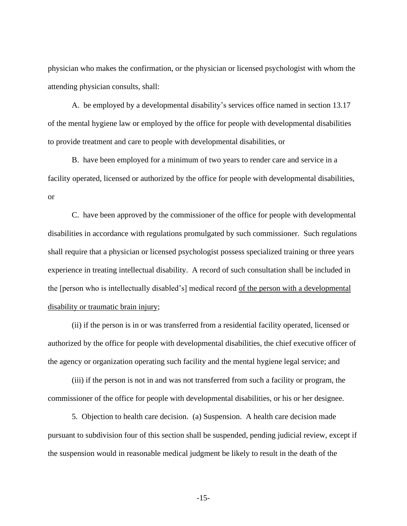physician who makes the confirmation, or the physician or licensed psychologist with whom the attending physician consults, shall:

A. be employed by a developmental disability's services office named in section 13.17 of the mental hygiene law or employed by the office for people with developmental disabilities to provide treatment and care to people with developmental disabilities, or

B. have been employed for a minimum of two years to render care and service in a facility operated, licensed or authorized by the office for people with developmental disabilities, or

C. have been approved by the commissioner of the office for people with developmental disabilities in accordance with regulations promulgated by such commissioner. Such regulations shall require that a physician or licensed psychologist possess specialized training or three years experience in treating intellectual disability. A record of such consultation shall be included in the [person who is intellectually disabled's] medical record of the person with a developmental disability or traumatic brain injury;

(ii) if the person is in or was transferred from a residential facility operated, licensed or authorized by the office for people with developmental disabilities, the chief executive officer of the agency or organization operating such facility and the mental hygiene legal service; and

(iii) if the person is not in and was not transferred from such a facility or program, the commissioner of the office for people with developmental disabilities, or his or her designee.

5. Objection to health care decision. (a) Suspension. A health care decision made pursuant to subdivision four of this section shall be suspended, pending judicial review, except if the suspension would in reasonable medical judgment be likely to result in the death of the

-15-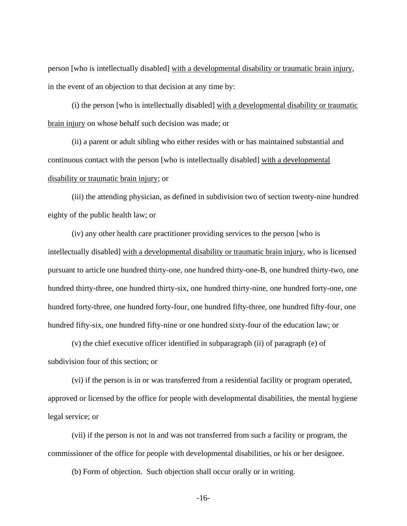person [who is intellectually disabled] with a developmental disability or traumatic brain injury, in the event of an objection to that decision at any time by:

(i) the person [who is intellectually disabled] with a developmental disability or traumatic brain injury on whose behalf such decision was made; or

(ii) a parent or adult sibling who either resides with or has maintained substantial and continuous contact with the person [who is intellectually disabled] with a developmental disability or traumatic brain injury; or

(iii) the attending physician, as defined in subdivision two of section twenty-nine hundred eighty of the public health law; or

(iv) any other health care practitioner providing services to the person [who is intellectually disabled] with a developmental disability or traumatic brain injury, who is licensed pursuant to article one hundred thirty-one, one hundred thirty-one-B, one hundred thirty-two, one hundred thirty-three, one hundred thirty-six, one hundred thirty-nine, one hundred forty-one, one hundred forty-three, one hundred forty-four, one hundred fifty-three, one hundred fifty-four, one hundred fifty-six, one hundred fifty-nine or one hundred sixty-four of the education law; or

(v) the chief executive officer identified in subparagraph (ii) of paragraph (e) of subdivision four of this section; or

(vi) if the person is in or was transferred from a residential facility or program operated, approved or licensed by the office for people with developmental disabilities, the mental hygiene legal service; or

(vii) if the person is not in and was not transferred from such a facility or program, the commissioner of the office for people with developmental disabilities, or his or her designee.

(b) Form of objection. Such objection shall occur orally or in writing.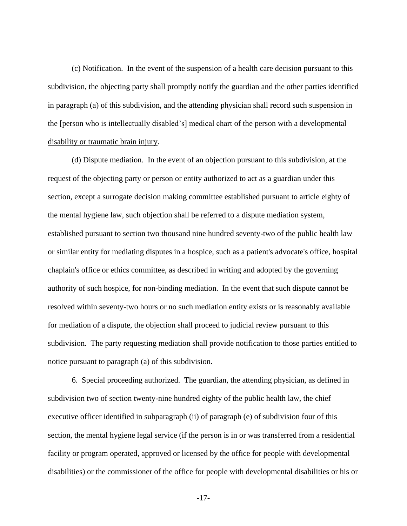(c) Notification. In the event of the suspension of a health care decision pursuant to this subdivision, the objecting party shall promptly notify the guardian and the other parties identified in paragraph (a) of this subdivision, and the attending physician shall record such suspension in the [person who is intellectually disabled's] medical chart of the person with a developmental disability or traumatic brain injury.

(d) Dispute mediation. In the event of an objection pursuant to this subdivision, at the request of the objecting party or person or entity authorized to act as a guardian under this section, except a surrogate decision making committee established pursuant to article eighty of the mental hygiene law, such objection shall be referred to a dispute mediation system, established pursuant to section two thousand nine hundred seventy-two of the public health law or similar entity for mediating disputes in a hospice, such as a patient's advocate's office, hospital chaplain's office or ethics committee, as described in writing and adopted by the governing authority of such hospice, for non-binding mediation. In the event that such dispute cannot be resolved within seventy-two hours or no such mediation entity exists or is reasonably available for mediation of a dispute, the objection shall proceed to judicial review pursuant to this subdivision. The party requesting mediation shall provide notification to those parties entitled to notice pursuant to paragraph (a) of this subdivision.

6. Special proceeding authorized. The guardian, the attending physician, as defined in subdivision two of section twenty-nine hundred eighty of the public health law, the chief executive officer identified in subparagraph (ii) of paragraph (e) of subdivision four of this section, the mental hygiene legal service (if the person is in or was transferred from a residential facility or program operated, approved or licensed by the office for people with developmental disabilities) or the commissioner of the office for people with developmental disabilities or his or

-17-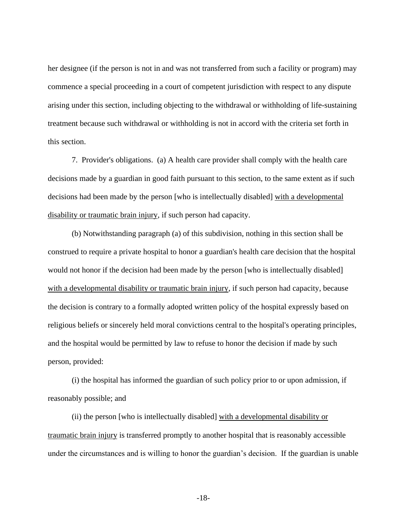her designee (if the person is not in and was not transferred from such a facility or program) may commence a special proceeding in a court of competent jurisdiction with respect to any dispute arising under this section, including objecting to the withdrawal or withholding of life-sustaining treatment because such withdrawal or withholding is not in accord with the criteria set forth in this section.

7. Provider's obligations. (a) A health care provider shall comply with the health care decisions made by a guardian in good faith pursuant to this section, to the same extent as if such decisions had been made by the person [who is intellectually disabled] with a developmental disability or traumatic brain injury, if such person had capacity.

(b) Notwithstanding paragraph (a) of this subdivision, nothing in this section shall be construed to require a private hospital to honor a guardian's health care decision that the hospital would not honor if the decision had been made by the person [who is intellectually disabled] with a developmental disability or traumatic brain injury, if such person had capacity, because the decision is contrary to a formally adopted written policy of the hospital expressly based on religious beliefs or sincerely held moral convictions central to the hospital's operating principles, and the hospital would be permitted by law to refuse to honor the decision if made by such person, provided:

(i) the hospital has informed the guardian of such policy prior to or upon admission, if reasonably possible; and

(ii) the person [who is intellectually disabled] with a developmental disability or traumatic brain injury is transferred promptly to another hospital that is reasonably accessible under the circumstances and is willing to honor the guardian's decision. If the guardian is unable

-18-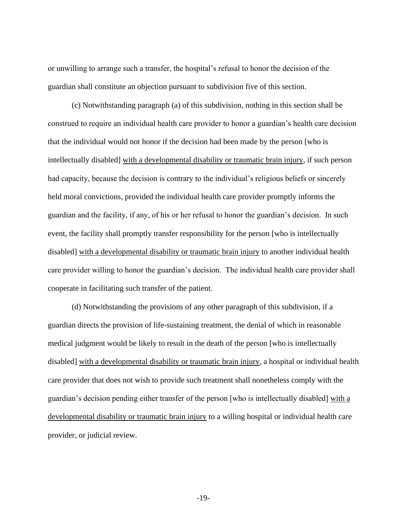or unwilling to arrange such a transfer, the hospital's refusal to honor the decision of the guardian shall constitute an objection pursuant to subdivision five of this section.

(c) Notwithstanding paragraph (a) of this subdivision, nothing in this section shall be construed to require an individual health care provider to honor a guardian's health care decision that the individual would not honor if the decision had been made by the person [who is intellectually disabled] with a developmental disability or traumatic brain injury, if such person had capacity, because the decision is contrary to the individual's religious beliefs or sincerely held moral convictions, provided the individual health care provider promptly informs the guardian and the facility, if any, of his or her refusal to honor the guardian's decision. In such event, the facility shall promptly transfer responsibility for the person [who is intellectually disabled] with a developmental disability or traumatic brain injury to another individual health care provider willing to honor the guardian's decision. The individual health care provider shall cooperate in facilitating such transfer of the patient.

(d) Notwithstanding the provisions of any other paragraph of this subdivision, if a guardian directs the provision of life-sustaining treatment, the denial of which in reasonable medical judgment would be likely to result in the death of the person [who is intellectually disabled] with a developmental disability or traumatic brain injury, a hospital or individual health care provider that does not wish to provide such treatment shall nonetheless comply with the guardian's decision pending either transfer of the person [who is intellectually disabled] with a developmental disability or traumatic brain injury to a willing hospital or individual health care provider, or judicial review.

-19-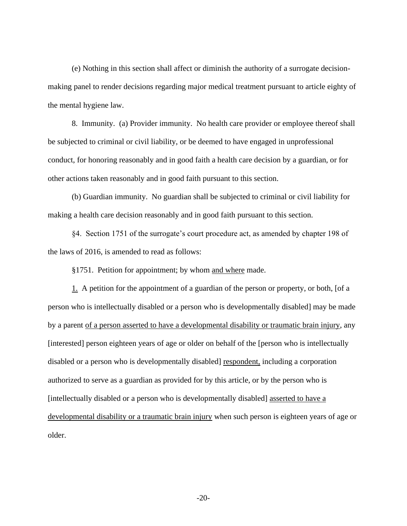(e) Nothing in this section shall affect or diminish the authority of a surrogate decisionmaking panel to render decisions regarding major medical treatment pursuant to article eighty of the mental hygiene law.

8. Immunity. (a) Provider immunity. No health care provider or employee thereof shall be subjected to criminal or civil liability, or be deemed to have engaged in unprofessional conduct, for honoring reasonably and in good faith a health care decision by a guardian, or for other actions taken reasonably and in good faith pursuant to this section.

(b) Guardian immunity. No guardian shall be subjected to criminal or civil liability for making a health care decision reasonably and in good faith pursuant to this section.

§4. Section 1751 of the surrogate's court procedure act, as amended by chapter 198 of the laws of 2016, is amended to read as follows:

§1751. Petition for appointment; by whom and where made.

1. A petition for the appointment of a guardian of the person or property, or both, [of a person who is intellectually disabled or a person who is developmentally disabled] may be made by a parent of a person asserted to have a developmental disability or traumatic brain injury, any [interested] person eighteen years of age or older on behalf of the [person who is intellectually disabled or a person who is developmentally disabled] respondent, including a corporation authorized to serve as a guardian as provided for by this article, or by the person who is [intellectually disabled or a person who is developmentally disabled] asserted to have a developmental disability or a traumatic brain injury when such person is eighteen years of age or older.

-20-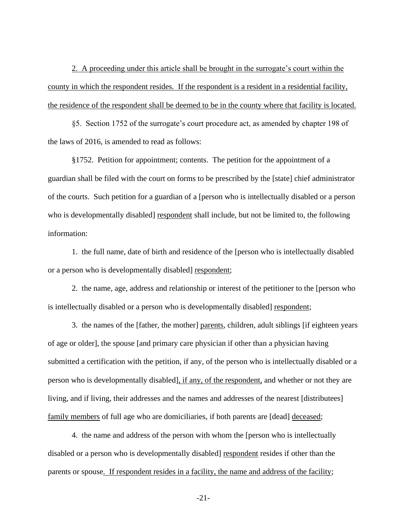2. A proceeding under this article shall be brought in the surrogate's court within the county in which the respondent resides. If the respondent is a resident in a residential facility, the residence of the respondent shall be deemed to be in the county where that facility is located.

§5. Section 1752 of the surrogate's court procedure act, as amended by chapter 198 of the laws of 2016, is amended to read as follows:

§1752. Petition for appointment; contents. The petition for the appointment of a guardian shall be filed with the court on forms to be prescribed by the [state] chief administrator of the courts. Such petition for a guardian of a [person who is intellectually disabled or a person who is developmentally disabled] respondent shall include, but not be limited to, the following information:

1. the full name, date of birth and residence of the [person who is intellectually disabled or a person who is developmentally disabled] respondent;

2. the name, age, address and relationship or interest of the petitioner to the [person who is intellectually disabled or a person who is developmentally disabled] respondent;

3. the names of the [father, the mother] parents, children, adult siblings [if eighteen years of age or older], the spouse [and primary care physician if other than a physician having submitted a certification with the petition, if any, of the person who is intellectually disabled or a person who is developmentally disabled], if any, of the respondent, and whether or not they are living, and if living, their addresses and the names and addresses of the nearest [distributees] family members of full age who are domiciliaries, if both parents are [dead] deceased;

4. the name and address of the person with whom the [person who is intellectually disabled or a person who is developmentally disabled] respondent resides if other than the parents or spouse. If respondent resides in a facility, the name and address of the facility;

-21-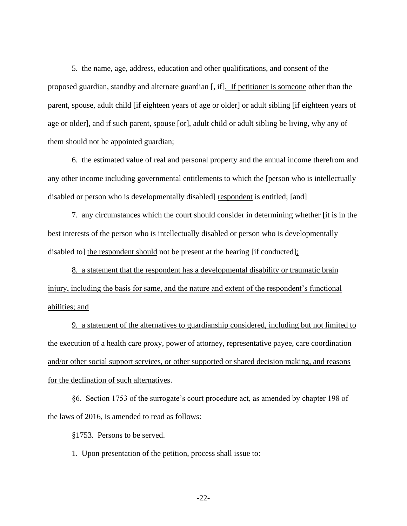5. the name, age, address, education and other qualifications, and consent of the proposed guardian, standby and alternate guardian [, if]. If petitioner is someone other than the parent, spouse, adult child [if eighteen years of age or older] or adult sibling [if eighteen years of age or older], and if such parent, spouse [or], adult child <u>or adult sibling</u> be living, why any of them should not be appointed guardian;

6. the estimated value of real and personal property and the annual income therefrom and any other income including governmental entitlements to which the [person who is intellectually disabled or person who is developmentally disabled] respondent is entitled; [and]

7. any circumstances which the court should consider in determining whether [it is in the best interests of the person who is intellectually disabled or person who is developmentally disabled to] the respondent should not be present at the hearing [if conducted];

8. a statement that the respondent has a developmental disability or traumatic brain injury, including the basis for same, and the nature and extent of the respondent's functional abilities; and

9. a statement of the alternatives to guardianship considered, including but not limited to the execution of a health care proxy, power of attorney, representative payee, care coordination and/or other social support services, or other supported or shared decision making, and reasons for the declination of such alternatives.

§6. Section 1753 of the surrogate's court procedure act, as amended by chapter 198 of the laws of 2016, is amended to read as follows:

§1753. Persons to be served.

1. Upon presentation of the petition, process shall issue to: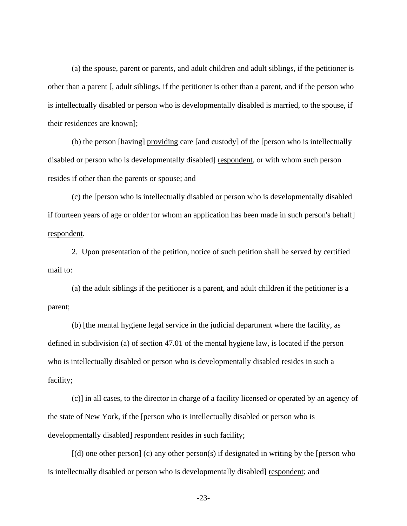(a) the spouse, parent or parents, and adult children and adult siblings, if the petitioner is other than a parent [, adult siblings, if the petitioner is other than a parent, and if the person who is intellectually disabled or person who is developmentally disabled is married, to the spouse, if their residences are known];

(b) the person [having] providing care [and custody] of the [person who is intellectually disabled or person who is developmentally disabled] respondent, or with whom such person resides if other than the parents or spouse; and

(c) the [person who is intellectually disabled or person who is developmentally disabled if fourteen years of age or older for whom an application has been made in such person's behalf] respondent.

2. Upon presentation of the petition, notice of such petition shall be served by certified mail to:

(a) the adult siblings if the petitioner is a parent, and adult children if the petitioner is a parent;

(b) [the mental hygiene legal service in the judicial department where the facility, as defined in subdivision (a) of section 47.01 of the mental hygiene law, is located if the person who is intellectually disabled or person who is developmentally disabled resides in such a facility;

(c)] in all cases, to the director in charge of a facility licensed or operated by an agency of the state of New York, if the [person who is intellectually disabled or person who is developmentally disabled] respondent resides in such facility;

 $[(d)$  one other person $](c)$  any other person $(s)$  if designated in writing by the [person who is intellectually disabled or person who is developmentally disabled] respondent; and

-23-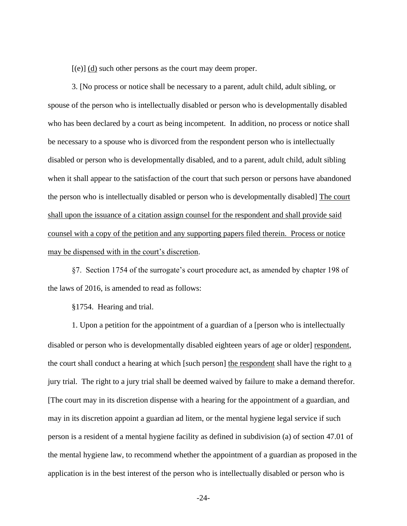$[(e)]$  (d) such other persons as the court may deem proper.

3. [No process or notice shall be necessary to a parent, adult child, adult sibling, or spouse of the person who is intellectually disabled or person who is developmentally disabled who has been declared by a court as being incompetent. In addition, no process or notice shall be necessary to a spouse who is divorced from the respondent person who is intellectually disabled or person who is developmentally disabled, and to a parent, adult child, adult sibling when it shall appear to the satisfaction of the court that such person or persons have abandoned the person who is intellectually disabled or person who is developmentally disabled] The court shall upon the issuance of a citation assign counsel for the respondent and shall provide said counsel with a copy of the petition and any supporting papers filed therein. Process or notice may be dispensed with in the court's discretion.

§7. Section 1754 of the surrogate's court procedure act, as amended by chapter 198 of the laws of 2016, is amended to read as follows:

§1754. Hearing and trial.

1. Upon a petition for the appointment of a guardian of a [person who is intellectually disabled or person who is developmentally disabled eighteen years of age or older] respondent, the court shall conduct a hearing at which [such person] the respondent shall have the right to a jury trial. The right to a jury trial shall be deemed waived by failure to make a demand therefor. [The court may in its discretion dispense with a hearing for the appointment of a guardian, and may in its discretion appoint a guardian ad litem, or the mental hygiene legal service if such person is a resident of a mental hygiene facility as defined in subdivision (a) of section 47.01 of the mental hygiene law, to recommend whether the appointment of a guardian as proposed in the application is in the best interest of the person who is intellectually disabled or person who is

-24-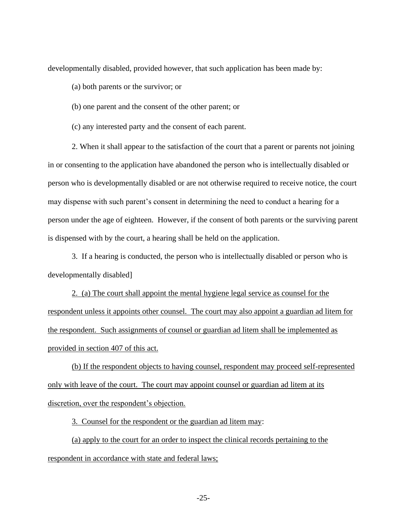developmentally disabled, provided however, that such application has been made by:

(a) both parents or the survivor; or

(b) one parent and the consent of the other parent; or

(c) any interested party and the consent of each parent.

2. When it shall appear to the satisfaction of the court that a parent or parents not joining in or consenting to the application have abandoned the person who is intellectually disabled or person who is developmentally disabled or are not otherwise required to receive notice, the court may dispense with such parent's consent in determining the need to conduct a hearing for a person under the age of eighteen. However, if the consent of both parents or the surviving parent is dispensed with by the court, a hearing shall be held on the application.

3. If a hearing is conducted, the person who is intellectually disabled or person who is developmentally disabled]

2. (a) The court shall appoint the mental hygiene legal service as counsel for the respondent unless it appoints other counsel. The court may also appoint a guardian ad litem for the respondent. Such assignments of counsel or guardian ad litem shall be implemented as provided in section 407 of this act.

(b) If the respondent objects to having counsel, respondent may proceed self-represented only with leave of the court. The court may appoint counsel or guardian ad litem at its discretion, over the respondent's objection.

3. Counsel for the respondent or the guardian ad litem may:

(a) apply to the court for an order to inspect the clinical records pertaining to the respondent in accordance with state and federal laws;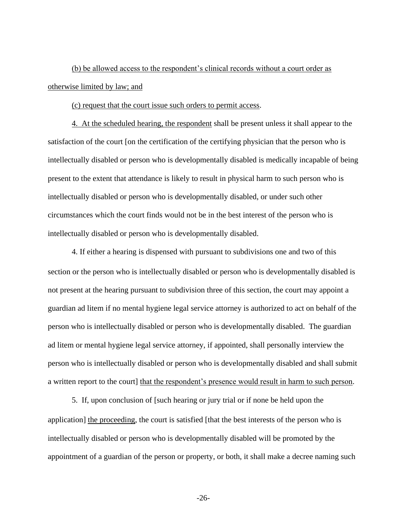(b) be allowed access to the respondent's clinical records without a court order as otherwise limited by law; and

(c) request that the court issue such orders to permit access.

4. At the scheduled hearing, the respondent shall be present unless it shall appear to the satisfaction of the court [on the certification of the certifying physician that the person who is intellectually disabled or person who is developmentally disabled is medically incapable of being present to the extent that attendance is likely to result in physical harm to such person who is intellectually disabled or person who is developmentally disabled, or under such other circumstances which the court finds would not be in the best interest of the person who is intellectually disabled or person who is developmentally disabled.

4. If either a hearing is dispensed with pursuant to subdivisions one and two of this section or the person who is intellectually disabled or person who is developmentally disabled is not present at the hearing pursuant to subdivision three of this section, the court may appoint a guardian ad litem if no mental hygiene legal service attorney is authorized to act on behalf of the person who is intellectually disabled or person who is developmentally disabled. The guardian ad litem or mental hygiene legal service attorney, if appointed, shall personally interview the person who is intellectually disabled or person who is developmentally disabled and shall submit a written report to the court] that the respondent's presence would result in harm to such person.

5. If, upon conclusion of [such hearing or jury trial or if none be held upon the application] the proceeding, the court is satisfied [that the best interests of the person who is intellectually disabled or person who is developmentally disabled will be promoted by the appointment of a guardian of the person or property, or both, it shall make a decree naming such

-26-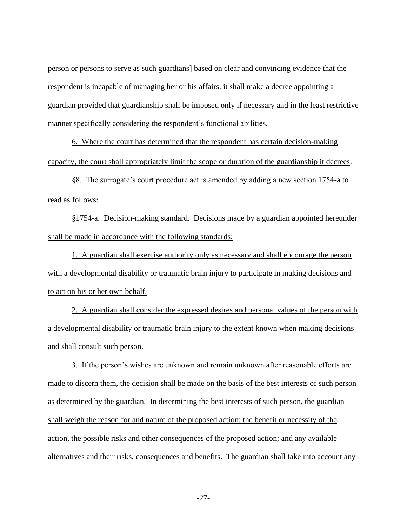person or persons to serve as such guardians] based on clear and convincing evidence that the respondent is incapable of managing her or his affairs, it shall make a decree appointing a guardian provided that guardianship shall be imposed only if necessary and in the least restrictive manner specifically considering the respondent's functional abilities.

6. Where the court has determined that the respondent has certain decision-making capacity, the court shall appropriately limit the scope or duration of the guardianship it decrees.

§8. The surrogate's court procedure act is amended by adding a new section 1754-a to read as follows:

§1754-a. Decision-making standard. Decisions made by a guardian appointed hereunder shall be made in accordance with the following standards:

1. A guardian shall exercise authority only as necessary and shall encourage the person with a developmental disability or traumatic brain injury to participate in making decisions and to act on his or her own behalf.

2. A guardian shall consider the expressed desires and personal values of the person with a developmental disability or traumatic brain injury to the extent known when making decisions and shall consult such person.

3. If the person's wishes are unknown and remain unknown after reasonable efforts are made to discern them, the decision shall be made on the basis of the best interests of such person as determined by the guardian. In determining the best interests of such person, the guardian shall weigh the reason for and nature of the proposed action; the benefit or necessity of the action, the possible risks and other consequences of the proposed action; and any available alternatives and their risks, consequences and benefits. The guardian shall take into account any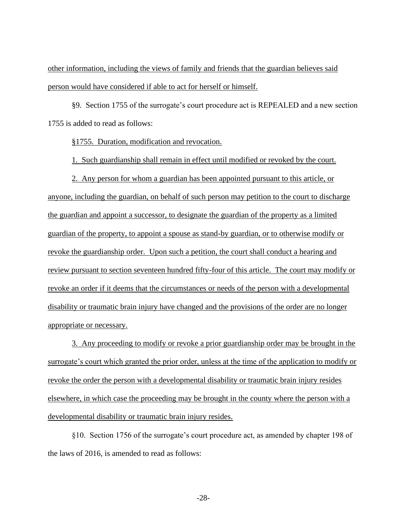other information, including the views of family and friends that the guardian believes said person would have considered if able to act for herself or himself.

§9. Section 1755 of the surrogate's court procedure act is REPEALED and a new section 1755 is added to read as follows:

§1755. Duration, modification and revocation.

1. Such guardianship shall remain in effect until modified or revoked by the court.

2. Any person for whom a guardian has been appointed pursuant to this article, or anyone, including the guardian, on behalf of such person may petition to the court to discharge the guardian and appoint a successor, to designate the guardian of the property as a limited guardian of the property, to appoint a spouse as stand-by guardian, or to otherwise modify or revoke the guardianship order. Upon such a petition, the court shall conduct a hearing and review pursuant to section seventeen hundred fifty-four of this article. The court may modify or revoke an order if it deems that the circumstances or needs of the person with a developmental disability or traumatic brain injury have changed and the provisions of the order are no longer appropriate or necessary.

3. Any proceeding to modify or revoke a prior guardianship order may be brought in the surrogate's court which granted the prior order, unless at the time of the application to modify or revoke the order the person with a developmental disability or traumatic brain injury resides elsewhere, in which case the proceeding may be brought in the county where the person with a developmental disability or traumatic brain injury resides.

§10. Section 1756 of the surrogate's court procedure act, as amended by chapter 198 of the laws of 2016, is amended to read as follows:

-28-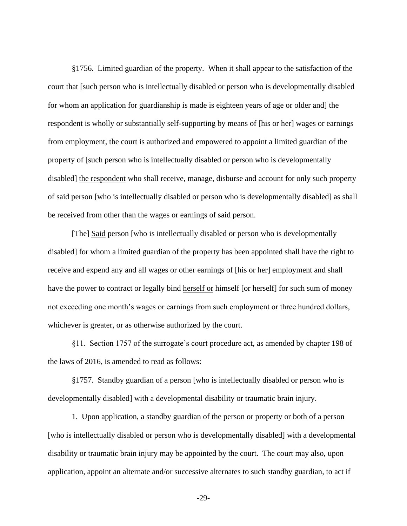§1756. Limited guardian of the property. When it shall appear to the satisfaction of the court that [such person who is intellectually disabled or person who is developmentally disabled for whom an application for guardianship is made is eighteen years of age or older and] the respondent is wholly or substantially self-supporting by means of [his or her] wages or earnings from employment, the court is authorized and empowered to appoint a limited guardian of the property of [such person who is intellectually disabled or person who is developmentally disabled] the respondent who shall receive, manage, disburse and account for only such property of said person [who is intellectually disabled or person who is developmentally disabled] as shall be received from other than the wages or earnings of said person.

[The] Said person [who is intellectually disabled or person who is developmentally disabled] for whom a limited guardian of the property has been appointed shall have the right to receive and expend any and all wages or other earnings of [his or her] employment and shall have the power to contract or legally bind herself or himself [or herself] for such sum of money not exceeding one month's wages or earnings from such employment or three hundred dollars, whichever is greater, or as otherwise authorized by the court.

§11. Section 1757 of the surrogate's court procedure act, as amended by chapter 198 of the laws of 2016, is amended to read as follows:

§1757. Standby guardian of a person [who is intellectually disabled or person who is developmentally disabled] with a developmental disability or traumatic brain injury.

1. Upon application, a standby guardian of the person or property or both of a person [who is intellectually disabled or person who is developmentally disabled] with a developmental disability or traumatic brain injury may be appointed by the court. The court may also, upon application, appoint an alternate and/or successive alternates to such standby guardian, to act if

-29-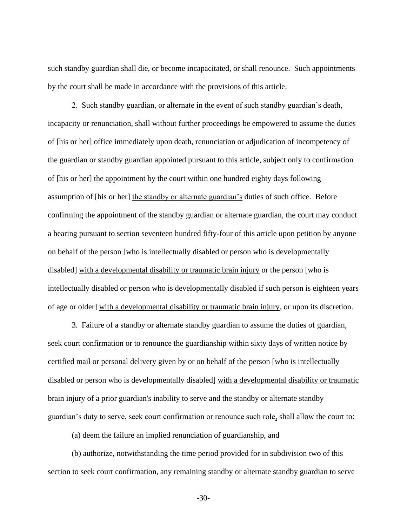such standby guardian shall die, or become incapacitated, or shall renounce. Such appointments by the court shall be made in accordance with the provisions of this article.

2. Such standby guardian, or alternate in the event of such standby guardian's death, incapacity or renunciation, shall without further proceedings be empowered to assume the duties of [his or her] office immediately upon death, renunciation or adjudication of incompetency of the guardian or standby guardian appointed pursuant to this article, subject only to confirmation of [his or her] the appointment by the court within one hundred eighty days following assumption of [his or her] the standby or alternate guardian's duties of such office. Before confirming the appointment of the standby guardian or alternate guardian, the court may conduct a hearing pursuant to section seventeen hundred fifty-four of this article upon petition by anyone on behalf of the person [who is intellectually disabled or person who is developmentally disabled] with a developmental disability or traumatic brain injury or the person [who is intellectually disabled or person who is developmentally disabled if such person is eighteen years of age or older] with a developmental disability or traumatic brain injury, or upon its discretion.

3. Failure of a standby or alternate standby guardian to assume the duties of guardian, seek court confirmation or to renounce the guardianship within sixty days of written notice by certified mail or personal delivery given by or on behalf of the person [who is intellectually disabled or person who is developmentally disabled] with a developmental disability or traumatic brain injury of a prior guardian's inability to serve and the standby or alternate standby guardian's duty to serve, seek court confirmation or renounce such role, shall allow the court to:

(a) deem the failure an implied renunciation of guardianship, and

(b) authorize, notwithstanding the time period provided for in subdivision two of this section to seek court confirmation, any remaining standby or alternate standby guardian to serve

-30-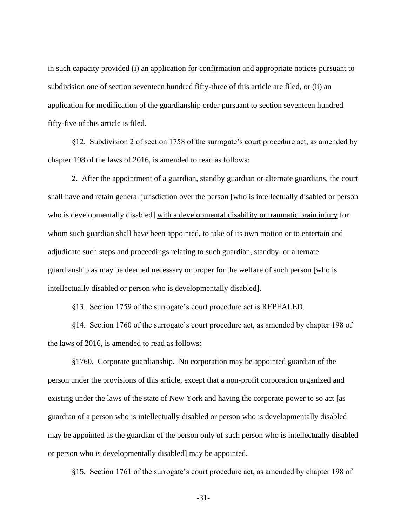in such capacity provided (i) an application for confirmation and appropriate notices pursuant to subdivision one of section seventeen hundred fifty-three of this article are filed, or (ii) an application for modification of the guardianship order pursuant to section seventeen hundred fifty-five of this article is filed.

§12. Subdivision 2 of section 1758 of the surrogate's court procedure act, as amended by chapter 198 of the laws of 2016, is amended to read as follows:

2. After the appointment of a guardian, standby guardian or alternate guardians, the court shall have and retain general jurisdiction over the person [who is intellectually disabled or person who is developmentally disabled] with a developmental disability or traumatic brain injury for whom such guardian shall have been appointed, to take of its own motion or to entertain and adjudicate such steps and proceedings relating to such guardian, standby, or alternate guardianship as may be deemed necessary or proper for the welfare of such person [who is intellectually disabled or person who is developmentally disabled].

§13. Section 1759 of the surrogate's court procedure act is REPEALED.

§14. Section 1760 of the surrogate's court procedure act, as amended by chapter 198 of the laws of 2016, is amended to read as follows:

§1760. Corporate guardianship. No corporation may be appointed guardian of the person under the provisions of this article, except that a non-profit corporation organized and existing under the laws of the state of New York and having the corporate power to  $\overline{so}$  act [as guardian of a person who is intellectually disabled or person who is developmentally disabled may be appointed as the guardian of the person only of such person who is intellectually disabled or person who is developmentally disabled] may be appointed.

§15. Section 1761 of the surrogate's court procedure act, as amended by chapter 198 of

-31-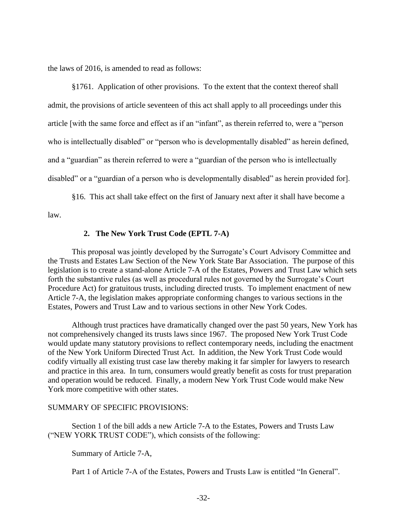the laws of 2016, is amended to read as follows:

§1761. Application of other provisions. To the extent that the context thereof shall admit, the provisions of article seventeen of this act shall apply to all proceedings under this article [with the same force and effect as if an "infant", as therein referred to, were a "person who is intellectually disabled" or "person who is developmentally disabled" as herein defined, and a "guardian" as therein referred to were a "guardian of the person who is intellectually disabled" or a "guardian of a person who is developmentally disabled" as herein provided for.

§16. This act shall take effect on the first of January next after it shall have become a law.

### **2. The New York Trust Code (EPTL 7-A)**

This proposal was jointly developed by the Surrogate's Court Advisory Committee and the Trusts and Estates Law Section of the New York State Bar Association. The purpose of this legislation is to create a stand-alone Article 7-A of the Estates, Powers and Trust Law which sets forth the substantive rules (as well as procedural rules not governed by the Surrogate's Court Procedure Act) for gratuitous trusts, including directed trusts. To implement enactment of new Article 7-A, the legislation makes appropriate conforming changes to various sections in the Estates, Powers and Trust Law and to various sections in other New York Codes.

Although trust practices have dramatically changed over the past 50 years, New York has not comprehensively changed its trusts laws since 1967. The proposed New York Trust Code would update many statutory provisions to reflect contemporary needs, including the enactment of the New York Uniform Directed Trust Act. In addition, the New York Trust Code would codify virtually all existing trust case law thereby making it far simpler for lawyers to research and practice in this area. In turn, consumers would greatly benefit as costs for trust preparation and operation would be reduced. Finally, a modern New York Trust Code would make New York more competitive with other states.

### SUMMARY OF SPECIFIC PROVISIONS:

Section 1 of the bill adds a new Article 7-A to the Estates, Powers and Trusts Law ("NEW YORK TRUST CODE"), which consists of the following:

Summary of Article 7-A,

Part 1 of Article 7-A of the Estates, Powers and Trusts Law is entitled "In General".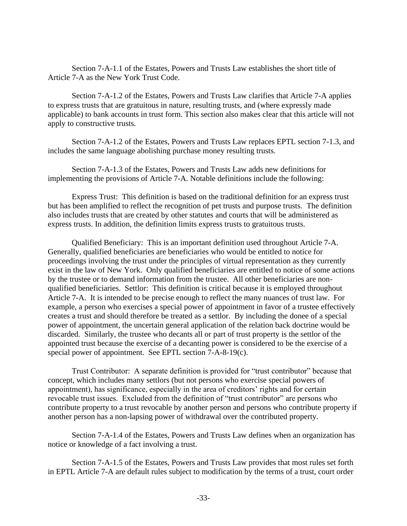Section 7-A-1.1 of the Estates, Powers and Trusts Law establishes the short title of Article 7-A as the New York Trust Code.

Section 7-A-1.2 of the Estates, Powers and Trusts Law clarifies that Article 7-A applies to express trusts that are gratuitous in nature, resulting trusts, and (where expressly made applicable) to bank accounts in trust form. This section also makes clear that this article will not apply to constructive trusts.

Section 7-A-1.2 of the Estates, Powers and Trusts Law replaces EPTL section 7-1.3, and includes the same language abolishing purchase money resulting trusts.

Section 7-A-1.3 of the Estates, Powers and Trusts Law adds new definitions for implementing the provisions of Article 7-A. Notable definitions include the following:

Express Trust: This definition is based on the traditional definition for an express trust but has been amplified to reflect the recognition of pet trusts and purpose trusts. The definition also includes trusts that are created by other statutes and courts that will be administered as express trusts. In addition, the definition limits express trusts to gratuitous trusts.

Qualified Beneficiary: This is an important definition used throughout Article 7-A. Generally, qualified beneficiaries are beneficiaries who would be entitled to notice for proceedings involving the trust under the principles of virtual representation as they currently exist in the law of New York. Only qualified beneficiaries are entitled to notice of some actions by the trustee or to demand information from the trustee. All other beneficiaries are nonqualified beneficiaries. Settlor: This definition is critical because it is employed throughout Article 7-A. It is intended to be precise enough to reflect the many nuances of trust law. For example, a person who exercises a special power of appointment in favor of a trustee effectively creates a trust and should therefore be treated as a settlor. By including the donee of a special power of appointment, the uncertain general application of the relation back doctrine would be discarded. Similarly, the trustee who decants all or part of trust property is the settlor of the appointed trust because the exercise of a decanting power is considered to be the exercise of a special power of appointment. See EPTL section 7-A-8-19(c).

Trust Contributor: A separate definition is provided for "trust contributor" because that concept, which includes many settlors (but not persons who exercise special powers of appointment), has significance, especially in the area of creditors' rights and for certain revocable trust issues. Excluded from the definition of "trust contributor" are persons who contribute property to a trust revocable by another person and persons who contribute property if another person has a non-lapsing power of withdrawal over the contributed property.

Section 7-A-1.4 of the Estates, Powers and Trusts Law defines when an organization has notice or knowledge of a fact involving a trust.

Section 7-A-1.5 of the Estates, Powers and Trusts Law provides that most rules set forth in EPTL Article 7-A are default rules subject to modification by the terms of a trust, court order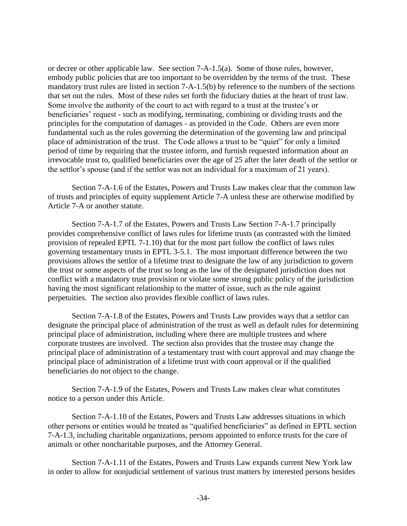or decree or other applicable law. See section 7-A-1.5(a). Some of those rules, however, embody public policies that are too important to be overridden by the terms of the trust. These mandatory trust rules are listed in section 7-A-1.5(b) by reference to the numbers of the sections that set out the rules. Most of these rules set forth the fiduciary duties at the heart of trust law. Some involve the authority of the court to act with regard to a trust at the trustee's or beneficiaries' request - such as modifying, terminating, combining or dividing trusts and the principles for the computation of damages - as provided in the Code. Others are even more fundamental such as the rules governing the determination of the governing law and principal place of administration of the trust. The Code allows a trust to be "quiet" for only a limited period of time by requiring that the trustee inform, and furnish requested information about an irrevocable trust to, qualified beneficiaries over the age of 25 after the later death of the settlor or the settlor's spouse (and if the settlor was not an individual for a maximum of 21 years).

Section 7-A-1.6 of the Estates, Powers and Trusts Law makes clear that the common law of trusts and principles of equity supplement Article 7-A unless these are otherwise modified by Article 7-A or another statute.

Section 7-A-1.7 of the Estates, Powers and Trusts Law Section 7-A-1.7 principally provides comprehensive conflict of laws rules for lifetime trusts (as contrasted with the limited provision of repealed EPTL 7-1.10) that for the most part follow the conflict of laws rules governing testamentary trusts in EPTL 3-5.1. The most important difference between the two provisions allows the settlor of a lifetime trust to designate the law of any jurisdiction to govern the trust or some aspects of the trust so long as the law of the designated jurisdiction does not conflict with a mandatory trust provision or violate some strong public policy of the jurisdiction having the most significant relationship to the matter of issue, such as the rule against perpetuities. The section also provides flexible conflict of laws rules.

Section 7-A-1.8 of the Estates, Powers and Trusts Law provides ways that a settlor can designate the principal place of administration of the trust as well as default rules for determining principal place of administration, including where there are multiple trustees and where corporate trustees are involved. The section also provides that the trustee may change the principal place of administration of a testamentary trust with court approval and may change the principal place of administration of a lifetime trust with court approval or if the qualified beneficiaries do not object to the change.

Section 7-A-1.9 of the Estates, Powers and Trusts Law makes clear what constitutes notice to a person under this Article.

Section 7-A-1.10 of the Estates, Powers and Trusts Law addresses situations in which other persons or entities would be treated as "qualified beneficiaries" as defined in EPTL section 7-A-1.3, including charitable organizations, persons appointed to enforce trusts for the care of animals or other noncharitable purposes, and the Attorney General.

Section 7-A-1.11 of the Estates, Powers and Trusts Law expands current New York law in order to allow for nonjudicial settlement of various trust matters by interested persons besides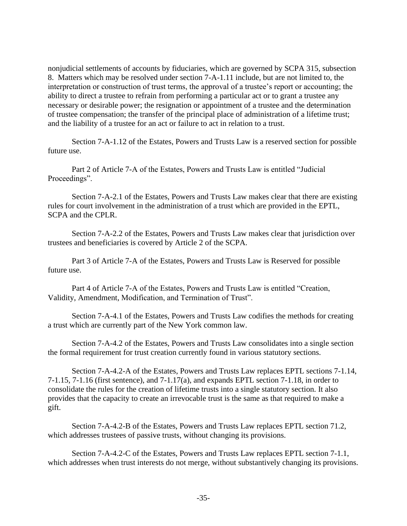nonjudicial settlements of accounts by fiduciaries, which are governed by SCPA 315, subsection 8. Matters which may be resolved under section 7-A-1.11 include, but are not limited to, the interpretation or construction of trust terms, the approval of a trustee's report or accounting; the ability to direct a trustee to refrain from performing a particular act or to grant a trustee any necessary or desirable power; the resignation or appointment of a trustee and the determination of trustee compensation; the transfer of the principal place of administration of a lifetime trust; and the liability of a trustee for an act or failure to act in relation to a trust.

Section 7-A-1.12 of the Estates, Powers and Trusts Law is a reserved section for possible future use.

Part 2 of Article 7-A of the Estates, Powers and Trusts Law is entitled "Judicial Proceedings".

Section 7-A-2.1 of the Estates, Powers and Trusts Law makes clear that there are existing rules for court involvement in the administration of a trust which are provided in the EPTL, SCPA and the CPLR.

Section 7-A-2.2 of the Estates, Powers and Trusts Law makes clear that jurisdiction over trustees and beneficiaries is covered by Article 2 of the SCPA.

Part 3 of Article 7-A of the Estates, Powers and Trusts Law is Reserved for possible future use.

Part 4 of Article 7-A of the Estates, Powers and Trusts Law is entitled "Creation, Validity, Amendment, Modification, and Termination of Trust".

Section 7-A-4.1 of the Estates, Powers and Trusts Law codifies the methods for creating a trust which are currently part of the New York common law.

Section 7-A-4.2 of the Estates, Powers and Trusts Law consolidates into a single section the formal requirement for trust creation currently found in various statutory sections.

Section 7-A-4.2-A of the Estates, Powers and Trusts Law replaces EPTL sections 7-1.14, 7-1.15, 7-1.16 (first sentence), and 7-1.17(a), and expands EPTL section 7-1.18, in order to consolidate the rules for the creation of lifetime trusts into a single statutory section. It also provides that the capacity to create an irrevocable trust is the same as that required to make a gift.

Section 7-A-4.2-B of the Estates, Powers and Trusts Law replaces EPTL section 71.2, which addresses trustees of passive trusts, without changing its provisions.

Section 7-A-4.2-C of the Estates, Powers and Trusts Law replaces EPTL section 7-1.1, which addresses when trust interests do not merge, without substantively changing its provisions.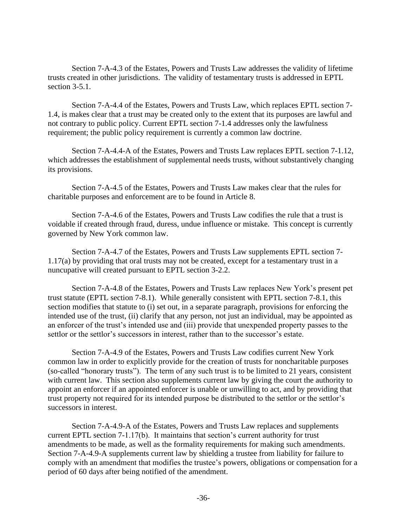Section 7-A-4.3 of the Estates, Powers and Trusts Law addresses the validity of lifetime trusts created in other jurisdictions. The validity of testamentary trusts is addressed in EPTL section 3-5.1.

Section 7-A-4.4 of the Estates, Powers and Trusts Law, which replaces EPTL section 7- 1.4, is makes clear that a trust may be created only to the extent that its purposes are lawful and not contrary to public policy. Current EPTL section 7-1.4 addresses only the lawfulness requirement; the public policy requirement is currently a common law doctrine.

Section 7-A-4.4-A of the Estates, Powers and Trusts Law replaces EPTL section 7-1.12, which addresses the establishment of supplemental needs trusts, without substantively changing its provisions.

Section 7-A-4.5 of the Estates, Powers and Trusts Law makes clear that the rules for charitable purposes and enforcement are to be found in Article 8.

Section 7-A-4.6 of the Estates, Powers and Trusts Law codifies the rule that a trust is voidable if created through fraud, duress, undue influence or mistake. This concept is currently governed by New York common law.

Section 7-A-4.7 of the Estates, Powers and Trusts Law supplements EPTL section 7- 1.17(a) by providing that oral trusts may not be created, except for a testamentary trust in a nuncupative will created pursuant to EPTL section 3-2.2.

Section 7-A-4.8 of the Estates, Powers and Trusts Law replaces New York's present pet trust statute (EPTL section 7-8.1). While generally consistent with EPTL section 7-8.1, this section modifies that statute to (i) set out, in a separate paragraph, provisions for enforcing the intended use of the trust, (ii) clarify that any person, not just an individual, may be appointed as an enforcer of the trust's intended use and (iii) provide that unexpended property passes to the settlor or the settlor's successors in interest, rather than to the successor's estate.

Section 7-A-4.9 of the Estates, Powers and Trusts Law codifies current New York common law in order to explicitly provide for the creation of trusts for noncharitable purposes (so-called "honorary trusts"). The term of any such trust is to be limited to 21 years, consistent with current law. This section also supplements current law by giving the court the authority to appoint an enforcer if an appointed enforcer is unable or unwilling to act, and by providing that trust property not required for its intended purpose be distributed to the settlor or the settlor's successors in interest.

Section 7-A-4.9-A of the Estates, Powers and Trusts Law replaces and supplements current EPTL section 7-1.17(b). It maintains that section's current authority for trust amendments to be made, as well as the formality requirements for making such amendments. Section 7-A-4.9-A supplements current law by shielding a trustee from liability for failure to comply with an amendment that modifies the trustee's powers, obligations or compensation for a period of 60 days after being notified of the amendment.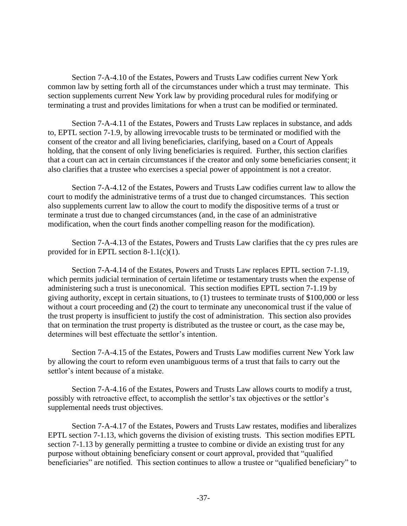Section 7-A-4.10 of the Estates, Powers and Trusts Law codifies current New York common law by setting forth all of the circumstances under which a trust may terminate. This section supplements current New York law by providing procedural rules for modifying or terminating a trust and provides limitations for when a trust can be modified or terminated.

Section 7-A-4.11 of the Estates, Powers and Trusts Law replaces in substance, and adds to, EPTL section 7-1.9, by allowing irrevocable trusts to be terminated or modified with the consent of the creator and all living beneficiaries, clarifying, based on a Court of Appeals holding, that the consent of only living beneficiaries is required. Further, this section clarifies that a court can act in certain circumstances if the creator and only some beneficiaries consent; it also clarifies that a trustee who exercises a special power of appointment is not a creator.

Section 7-A-4.12 of the Estates, Powers and Trusts Law codifies current law to allow the court to modify the administrative terms of a trust due to changed circumstances. This section also supplements current law to allow the court to modify the dispositive terms of a trust or terminate a trust due to changed circumstances (and, in the case of an administrative modification, when the court finds another compelling reason for the modification).

Section 7-A-4.13 of the Estates, Powers and Trusts Law clarifies that the cy pres rules are provided for in EPTL section 8-1.1(c)(1).

Section 7-A-4.14 of the Estates, Powers and Trusts Law replaces EPTL section 7-1.19, which permits judicial termination of certain lifetime or testamentary trusts when the expense of administering such a trust is uneconomical. This section modifies EPTL section 7-1.19 by giving authority, except in certain situations, to (1) trustees to terminate trusts of \$100,000 or less without a court proceeding and (2) the court to terminate any uneconomical trust if the value of the trust property is insufficient to justify the cost of administration. This section also provides that on termination the trust property is distributed as the trustee or court, as the case may be, determines will best effectuate the settlor's intention.

Section 7-A-4.15 of the Estates, Powers and Trusts Law modifies current New York law by allowing the court to reform even unambiguous terms of a trust that fails to carry out the settlor's intent because of a mistake.

Section 7-A-4.16 of the Estates, Powers and Trusts Law allows courts to modify a trust, possibly with retroactive effect, to accomplish the settlor's tax objectives or the settlor's supplemental needs trust objectives.

Section 7-A-4.17 of the Estates, Powers and Trusts Law restates, modifies and liberalizes EPTL section 7-1.13, which governs the division of existing trusts. This section modifies EPTL section 7-1.13 by generally permitting a trustee to combine or divide an existing trust for any purpose without obtaining beneficiary consent or court approval, provided that "qualified beneficiaries" are notified. This section continues to allow a trustee or "qualified beneficiary" to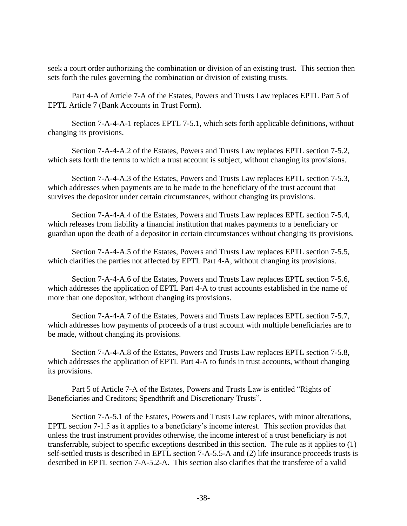seek a court order authorizing the combination or division of an existing trust. This section then sets forth the rules governing the combination or division of existing trusts.

Part 4-A of Article 7-A of the Estates, Powers and Trusts Law replaces EPTL Part 5 of EPTL Article 7 (Bank Accounts in Trust Form).

Section 7-A-4-A-1 replaces EPTL 7-5.1, which sets forth applicable definitions, without changing its provisions.

Section 7-A-4-A.2 of the Estates, Powers and Trusts Law replaces EPTL section 7-5.2, which sets forth the terms to which a trust account is subject, without changing its provisions.

Section 7-A-4-A.3 of the Estates, Powers and Trusts Law replaces EPTL section 7-5.3, which addresses when payments are to be made to the beneficiary of the trust account that survives the depositor under certain circumstances, without changing its provisions.

Section 7-A-4-A.4 of the Estates, Powers and Trusts Law replaces EPTL section 7-5.4, which releases from liability a financial institution that makes payments to a beneficiary or guardian upon the death of a depositor in certain circumstances without changing its provisions.

Section 7-A-4-A.5 of the Estates, Powers and Trusts Law replaces EPTL section 7-5.5, which clarifies the parties not affected by EPTL Part 4-A, without changing its provisions.

Section 7-A-4-A.6 of the Estates, Powers and Trusts Law replaces EPTL section 7-5.6, which addresses the application of EPTL Part 4-A to trust accounts established in the name of more than one depositor, without changing its provisions.

Section 7-A-4-A.7 of the Estates, Powers and Trusts Law replaces EPTL section 7-5.7, which addresses how payments of proceeds of a trust account with multiple beneficiaries are to be made, without changing its provisions.

Section 7-A-4-A.8 of the Estates, Powers and Trusts Law replaces EPTL section 7-5.8, which addresses the application of EPTL Part 4-A to funds in trust accounts, without changing its provisions.

Part 5 of Article 7-A of the Estates, Powers and Trusts Law is entitled "Rights of Beneficiaries and Creditors; Spendthrift and Discretionary Trusts".

Section 7-A-5.1 of the Estates, Powers and Trusts Law replaces, with minor alterations, EPTL section 7-1.5 as it applies to a beneficiary's income interest. This section provides that unless the trust instrument provides otherwise, the income interest of a trust beneficiary is not transferrable, subject to specific exceptions described in this section. The rule as it applies to (1) self-settled trusts is described in EPTL section 7-A-5.5-A and (2) life insurance proceeds trusts is described in EPTL section 7-A-5.2-A. This section also clarifies that the transferee of a valid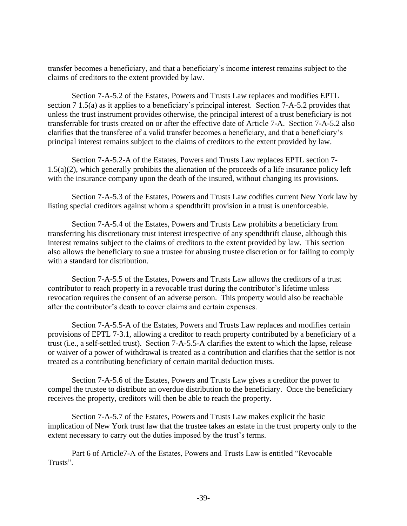transfer becomes a beneficiary, and that a beneficiary's income interest remains subject to the claims of creditors to the extent provided by law.

Section 7-A-5.2 of the Estates, Powers and Trusts Law replaces and modifies EPTL section 7 1.5(a) as it applies to a beneficiary's principal interest. Section 7-A-5.2 provides that unless the trust instrument provides otherwise, the principal interest of a trust beneficiary is not transferrable for trusts created on or after the effective date of Article 7-A. Section 7-A-5.2 also clarifies that the transferee of a valid transfer becomes a beneficiary, and that a beneficiary's principal interest remains subject to the claims of creditors to the extent provided by law.

Section 7-A-5.2-A of the Estates, Powers and Trusts Law replaces EPTL section 7- 1.5(a)(2), which generally prohibits the alienation of the proceeds of a life insurance policy left with the insurance company upon the death of the insured, without changing its provisions.

Section 7-A-5.3 of the Estates, Powers and Trusts Law codifies current New York law by listing special creditors against whom a spendthrift provision in a trust is unenforceable.

Section 7-A-5.4 of the Estates, Powers and Trusts Law prohibits a beneficiary from transferring his discretionary trust interest irrespective of any spendthrift clause, although this interest remains subject to the claims of creditors to the extent provided by law. This section also allows the beneficiary to sue a trustee for abusing trustee discretion or for failing to comply with a standard for distribution.

Section 7-A-5.5 of the Estates, Powers and Trusts Law allows the creditors of a trust contributor to reach property in a revocable trust during the contributor's lifetime unless revocation requires the consent of an adverse person. This property would also be reachable after the contributor's death to cover claims and certain expenses.

Section 7-A-5.5-A of the Estates, Powers and Trusts Law replaces and modifies certain provisions of EPTL 7-3.1, allowing a creditor to reach property contributed by a beneficiary of a trust (i.e., a self-settled trust). Section 7-A-5.5-A clarifies the extent to which the lapse, release or waiver of a power of withdrawal is treated as a contribution and clarifies that the settlor is not treated as a contributing beneficiary of certain marital deduction trusts.

Section 7-A-5.6 of the Estates, Powers and Trusts Law gives a creditor the power to compel the trustee to distribute an overdue distribution to the beneficiary. Once the beneficiary receives the property, creditors will then be able to reach the property.

Section 7-A-5.7 of the Estates, Powers and Trusts Law makes explicit the basic implication of New York trust law that the trustee takes an estate in the trust property only to the extent necessary to carry out the duties imposed by the trust's terms.

Part 6 of Article7-A of the Estates, Powers and Trusts Law is entitled "Revocable Trusts".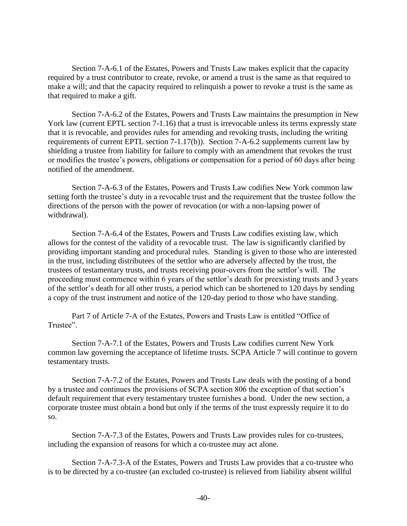Section 7-A-6.1 of the Estates, Powers and Trusts Law makes explicit that the capacity required by a trust contributor to create, revoke, or amend a trust is the same as that required to make a will; and that the capacity required to relinquish a power to revoke a trust is the same as that required to make a gift.

Section 7-A-6.2 of the Estates, Powers and Trusts Law maintains the presumption in New York law (current EPTL section 7-1.16) that a trust is irrevocable unless its terms expressly state that it is revocable, and provides rules for amending and revoking trusts, including the writing requirements of current EPTL section 7-1.17(b)). Section 7-A-6.2 supplements current law by shielding a trustee from liability for failure to comply with an amendment that revokes the trust or modifies the trustee's powers, obligations or compensation for a period of 60 days after being notified of the amendment.

Section 7-A-6.3 of the Estates, Powers and Trusts Law codifies New York common law setting forth the trustee's duty in a revocable trust and the requirement that the trustee follow the directions of the person with the power of revocation (or with a non-lapsing power of withdrawal).

Section 7-A-6.4 of the Estates, Powers and Trusts Law codifies existing law, which allows for the contest of the validity of a revocable trust. The law is significantly clarified by providing important standing and procedural rules. Standing is given to those who are interested in the trust, including distributees of the settlor who are adversely affected by the trust, the trustees of testamentary trusts, and trusts receiving pour-overs from the settlor's will. The proceeding must commence within 6 years of the settlor's death for preexisting trusts and 3 years of the settlor's death for all other trusts, a period which can be shortened to 120 days by sending a copy of the trust instrument and notice of the 120-day period to those who have standing.

Part 7 of Article 7-A of the Estates, Powers and Trusts Law is entitled "Office of Trustee".

Section 7-A-7.1 of the Estates, Powers and Trusts Law codifies current New York common law governing the acceptance of lifetime trusts. SCPA Article 7 will continue to govern testamentary trusts.

Section 7-A-7.2 of the Estates, Powers and Trusts Law deals with the posting of a bond by a trustee and continues the provisions of SCPA section 806 the exception of that section's default requirement that every testamentary trustee furnishes a bond. Under the new section, a corporate trustee must obtain a bond but only if the terms of the trust expressly require it to do so.

Section 7-A-7.3 of the Estates, Powers and Trusts Law provides rules for co-trustees, including the expansion of reasons for which a co-trustee may act alone.

Section 7-A-7.3-A of the Estates, Powers and Trusts Law provides that a co-trustee who is to be directed by a co-trustee (an excluded co-trustee) is relieved from liability absent willful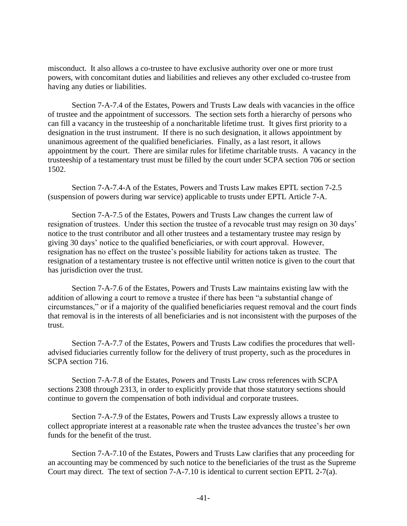misconduct. It also allows a co-trustee to have exclusive authority over one or more trust powers, with concomitant duties and liabilities and relieves any other excluded co-trustee from having any duties or liabilities.

Section 7-A-7.4 of the Estates, Powers and Trusts Law deals with vacancies in the office of trustee and the appointment of successors. The section sets forth a hierarchy of persons who can fill a vacancy in the trusteeship of a noncharitable lifetime trust. It gives first priority to a designation in the trust instrument. If there is no such designation, it allows appointment by unanimous agreement of the qualified beneficiaries. Finally, as a last resort, it allows appointment by the court. There are similar rules for lifetime charitable trusts. A vacancy in the trusteeship of a testamentary trust must be filled by the court under SCPA section 706 or section 1502.

Section 7-A-7.4-A of the Estates, Powers and Trusts Law makes EPTL section 7-2.5 (suspension of powers during war service) applicable to trusts under EPTL Article 7-A.

Section 7-A-7.5 of the Estates, Powers and Trusts Law changes the current law of resignation of trustees. Under this section the trustee of a revocable trust may resign on 30 days' notice to the trust contributor and all other trustees and a testamentary trustee may resign by giving 30 days' notice to the qualified beneficiaries, or with court approval. However, resignation has no effect on the trustee's possible liability for actions taken as trustee. The resignation of a testamentary trustee is not effective until written notice is given to the court that has jurisdiction over the trust.

Section 7-A-7.6 of the Estates, Powers and Trusts Law maintains existing law with the addition of allowing a court to remove a trustee if there has been "a substantial change of circumstances," or if a majority of the qualified beneficiaries request removal and the court finds that removal is in the interests of all beneficiaries and is not inconsistent with the purposes of the trust.

Section 7-A-7.7 of the Estates, Powers and Trusts Law codifies the procedures that welladvised fiduciaries currently follow for the delivery of trust property, such as the procedures in SCPA section 716.

Section 7-A-7.8 of the Estates, Powers and Trusts Law cross references with SCPA sections 2308 through 2313, in order to explicitly provide that those statutory sections should continue to govern the compensation of both individual and corporate trustees.

Section 7-A-7.9 of the Estates, Powers and Trusts Law expressly allows a trustee to collect appropriate interest at a reasonable rate when the trustee advances the trustee's her own funds for the benefit of the trust.

Section 7-A-7.10 of the Estates, Powers and Trusts Law clarifies that any proceeding for an accounting may be commenced by such notice to the beneficiaries of the trust as the Supreme Court may direct. The text of section 7-A-7.10 is identical to current section EPTL 2-7(a).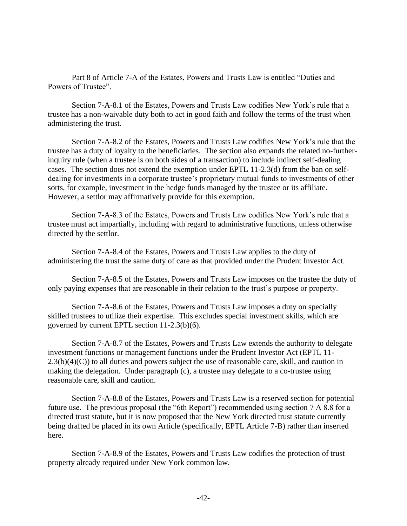Part 8 of Article 7-A of the Estates, Powers and Trusts Law is entitled "Duties and Powers of Trustee".

Section 7-A-8.1 of the Estates, Powers and Trusts Law codifies New York's rule that a trustee has a non-waivable duty both to act in good faith and follow the terms of the trust when administering the trust.

Section 7-A-8.2 of the Estates, Powers and Trusts Law codifies New York's rule that the trustee has a duty of loyalty to the beneficiaries. The section also expands the related no-furtherinquiry rule (when a trustee is on both sides of a transaction) to include indirect self-dealing cases. The section does not extend the exemption under EPTL 11-2.3(d) from the ban on selfdealing for investments in a corporate trustee's proprietary mutual funds to investments of other sorts, for example, investment in the hedge funds managed by the trustee or its affiliate. However, a settlor may affirmatively provide for this exemption.

Section 7-A-8.3 of the Estates, Powers and Trusts Law codifies New York's rule that a trustee must act impartially, including with regard to administrative functions, unless otherwise directed by the settlor.

Section 7-A-8.4 of the Estates, Powers and Trusts Law applies to the duty of administering the trust the same duty of care as that provided under the Prudent Investor Act.

Section 7-A-8.5 of the Estates, Powers and Trusts Law imposes on the trustee the duty of only paying expenses that are reasonable in their relation to the trust's purpose or property.

Section 7-A-8.6 of the Estates, Powers and Trusts Law imposes a duty on specially skilled trustees to utilize their expertise. This excludes special investment skills, which are governed by current EPTL section 11-2.3(b)(6).

Section 7-A-8.7 of the Estates, Powers and Trusts Law extends the authority to delegate investment functions or management functions under the Prudent Investor Act (EPTL 11-  $2.3(b)(4)(C)$ ) to all duties and powers subject the use of reasonable care, skill, and caution in making the delegation. Under paragraph (c), a trustee may delegate to a co-trustee using reasonable care, skill and caution.

Section 7-A-8.8 of the Estates, Powers and Trusts Law is a reserved section for potential future use. The previous proposal (the "6th Report") recommended using section 7 A 8.8 for a directed trust statute, but it is now proposed that the New York directed trust statute currently being drafted be placed in its own Article (specifically, EPTL Article 7-B) rather than inserted here.

Section 7-A-8.9 of the Estates, Powers and Trusts Law codifies the protection of trust property already required under New York common law.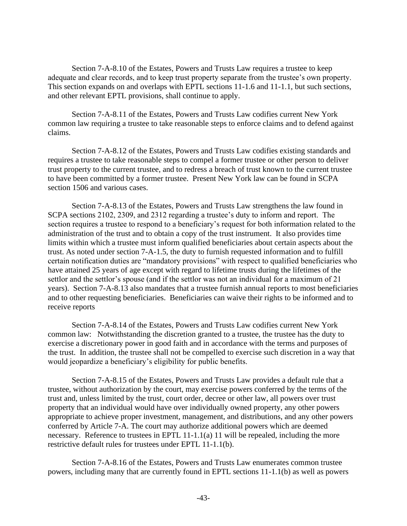Section 7-A-8.10 of the Estates, Powers and Trusts Law requires a trustee to keep adequate and clear records, and to keep trust property separate from the trustee's own property. This section expands on and overlaps with EPTL sections 11-1.6 and 11-1.1, but such sections, and other relevant EPTL provisions, shall continue to apply.

Section 7-A-8.11 of the Estates, Powers and Trusts Law codifies current New York common law requiring a trustee to take reasonable steps to enforce claims and to defend against claims.

Section 7-A-8.12 of the Estates, Powers and Trusts Law codifies existing standards and requires a trustee to take reasonable steps to compel a former trustee or other person to deliver trust property to the current trustee, and to redress a breach of trust known to the current trustee to have been committed by a former trustee. Present New York law can be found in SCPA section 1506 and various cases.

Section 7-A-8.13 of the Estates, Powers and Trusts Law strengthens the law found in SCPA sections 2102, 2309, and 2312 regarding a trustee's duty to inform and report. The section requires a trustee to respond to a beneficiary's request for both information related to the administration of the trust and to obtain a copy of the trust instrument. It also provides time limits within which a trustee must inform qualified beneficiaries about certain aspects about the trust. As noted under section 7-A-1.5, the duty to furnish requested information and to fulfill certain notification duties are "mandatory provisions" with respect to qualified beneficiaries who have attained 25 years of age except with regard to lifetime trusts during the lifetimes of the settlor and the settlor's spouse (and if the settlor was not an individual for a maximum of 21 years). Section 7-A-8.13 also mandates that a trustee furnish annual reports to most beneficiaries and to other requesting beneficiaries. Beneficiaries can waive their rights to be informed and to receive reports

Section 7-A-8.14 of the Estates, Powers and Trusts Law codifies current New York common law: Notwithstanding the discretion granted to a trustee, the trustee has the duty to exercise a discretionary power in good faith and in accordance with the terms and purposes of the trust. In addition, the trustee shall not be compelled to exercise such discretion in a way that would jeopardize a beneficiary's eligibility for public benefits.

Section 7-A-8.15 of the Estates, Powers and Trusts Law provides a default rule that a trustee, without authorization by the court, may exercise powers conferred by the terms of the trust and, unless limited by the trust, court order, decree or other law, all powers over trust property that an individual would have over individually owned property, any other powers appropriate to achieve proper investment, management, and distributions, and any other powers conferred by Article 7-A. The court may authorize additional powers which are deemed necessary. Reference to trustees in EPTL 11-1.1(a) 11 will be repealed, including the more restrictive default rules for trustees under EPTL 11-1.1(b).

Section 7-A-8.16 of the Estates, Powers and Trusts Law enumerates common trustee powers, including many that are currently found in EPTL sections 11-1.1(b) as well as powers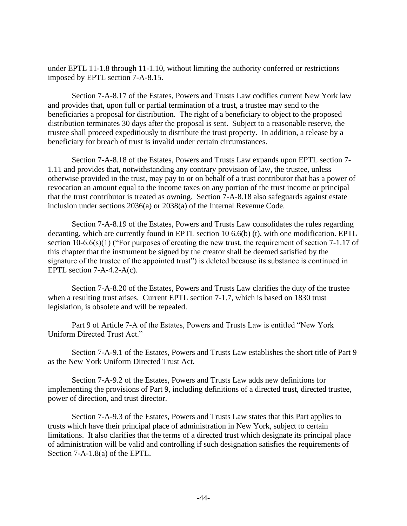under EPTL 11-1.8 through 11-1.10, without limiting the authority conferred or restrictions imposed by EPTL section 7-A-8.15.

Section 7-A-8.17 of the Estates, Powers and Trusts Law codifies current New York law and provides that, upon full or partial termination of a trust, a trustee may send to the beneficiaries a proposal for distribution. The right of a beneficiary to object to the proposed distribution terminates 30 days after the proposal is sent. Subject to a reasonable reserve, the trustee shall proceed expeditiously to distribute the trust property. In addition, a release by a beneficiary for breach of trust is invalid under certain circumstances.

Section 7-A-8.18 of the Estates, Powers and Trusts Law expands upon EPTL section 7- 1.11 and provides that, notwithstanding any contrary provision of law, the trustee, unless otherwise provided in the trust, may pay to or on behalf of a trust contributor that has a power of revocation an amount equal to the income taxes on any portion of the trust income or principal that the trust contributor is treated as owning. Section 7-A-8.18 also safeguards against estate inclusion under sections 2036(a) or 2038(a) of the Internal Revenue Code.

Section 7-A-8.19 of the Estates, Powers and Trusts Law consolidates the rules regarding decanting, which are currently found in EPTL section 10 6.6(b) (t), with one modification. EPTL section 10-6.6(s)(1) ("For purposes of creating the new trust, the requirement of section 7-1.17 of this chapter that the instrument be signed by the creator shall be deemed satisfied by the signature of the trustee of the appointed trust") is deleted because its substance is continued in EPTL section  $7-A-4.2-A(c)$ .

Section 7-A-8.20 of the Estates, Powers and Trusts Law clarifies the duty of the trustee when a resulting trust arises. Current EPTL section 7-1.7, which is based on 1830 trust legislation, is obsolete and will be repealed.

Part 9 of Article 7-A of the Estates, Powers and Trusts Law is entitled "New York Uniform Directed Trust Act."

Section 7-A-9.1 of the Estates, Powers and Trusts Law establishes the short title of Part 9 as the New York Uniform Directed Trust Act.

Section 7-A-9.2 of the Estates, Powers and Trusts Law adds new definitions for implementing the provisions of Part 9, including definitions of a directed trust, directed trustee, power of direction, and trust director.

Section 7-A-9.3 of the Estates, Powers and Trusts Law states that this Part applies to trusts which have their principal place of administration in New York, subject to certain limitations. It also clarifies that the terms of a directed trust which designate its principal place of administration will be valid and controlling if such designation satisfies the requirements of Section 7-A-1.8(a) of the EPTL.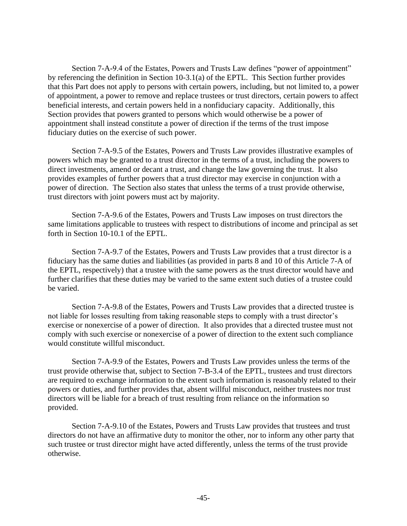Section 7-A-9.4 of the Estates, Powers and Trusts Law defines "power of appointment" by referencing the definition in Section 10-3.1(a) of the EPTL. This Section further provides that this Part does not apply to persons with certain powers, including, but not limited to, a power of appointment, a power to remove and replace trustees or trust directors, certain powers to affect beneficial interests, and certain powers held in a nonfiduciary capacity. Additionally, this Section provides that powers granted to persons which would otherwise be a power of appointment shall instead constitute a power of direction if the terms of the trust impose fiduciary duties on the exercise of such power.

Section 7-A-9.5 of the Estates, Powers and Trusts Law provides illustrative examples of powers which may be granted to a trust director in the terms of a trust, including the powers to direct investments, amend or decant a trust, and change the law governing the trust. It also provides examples of further powers that a trust director may exercise in conjunction with a power of direction. The Section also states that unless the terms of a trust provide otherwise, trust directors with joint powers must act by majority.

Section 7-A-9.6 of the Estates, Powers and Trusts Law imposes on trust directors the same limitations applicable to trustees with respect to distributions of income and principal as set forth in Section 10-10.1 of the EPTL.

Section 7-A-9.7 of the Estates, Powers and Trusts Law provides that a trust director is a fiduciary has the same duties and liabilities (as provided in parts 8 and 10 of this Article 7-A of the EPTL, respectively) that a trustee with the same powers as the trust director would have and further clarifies that these duties may be varied to the same extent such duties of a trustee could be varied.

Section 7-A-9.8 of the Estates, Powers and Trusts Law provides that a directed trustee is not liable for losses resulting from taking reasonable steps to comply with a trust director's exercise or nonexercise of a power of direction. It also provides that a directed trustee must not comply with such exercise or nonexercise of a power of direction to the extent such compliance would constitute willful misconduct.

Section 7-A-9.9 of the Estates, Powers and Trusts Law provides unless the terms of the trust provide otherwise that, subject to Section 7-B-3.4 of the EPTL, trustees and trust directors are required to exchange information to the extent such information is reasonably related to their powers or duties, and further provides that, absent willful misconduct, neither trustees nor trust directors will be liable for a breach of trust resulting from reliance on the information so provided.

Section 7-A-9.10 of the Estates, Powers and Trusts Law provides that trustees and trust directors do not have an affirmative duty to monitor the other, nor to inform any other party that such trustee or trust director might have acted differently, unless the terms of the trust provide otherwise.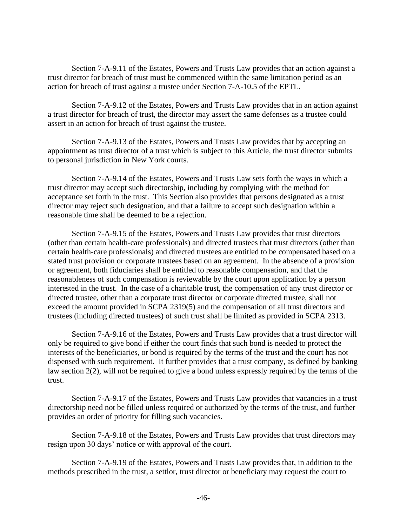Section 7-A-9.11 of the Estates, Powers and Trusts Law provides that an action against a trust director for breach of trust must be commenced within the same limitation period as an action for breach of trust against a trustee under Section 7-A-10.5 of the EPTL.

Section 7-A-9.12 of the Estates, Powers and Trusts Law provides that in an action against a trust director for breach of trust, the director may assert the same defenses as a trustee could assert in an action for breach of trust against the trustee.

Section 7-A-9.13 of the Estates, Powers and Trusts Law provides that by accepting an appointment as trust director of a trust which is subject to this Article, the trust director submits to personal jurisdiction in New York courts.

Section 7-A-9.14 of the Estates, Powers and Trusts Law sets forth the ways in which a trust director may accept such directorship, including by complying with the method for acceptance set forth in the trust. This Section also provides that persons designated as a trust director may reject such designation, and that a failure to accept such designation within a reasonable time shall be deemed to be a rejection.

Section 7-A-9.15 of the Estates, Powers and Trusts Law provides that trust directors (other than certain health-care professionals) and directed trustees that trust directors (other than certain health-care professionals) and directed trustees are entitled to be compensated based on a stated trust provision or corporate trustees based on an agreement. In the absence of a provision or agreement, both fiduciaries shall be entitled to reasonable compensation, and that the reasonableness of such compensation is reviewable by the court upon application by a person interested in the trust. In the case of a charitable trust, the compensation of any trust director or directed trustee, other than a corporate trust director or corporate directed trustee, shall not exceed the amount provided in SCPA 2319(5) and the compensation of all trust directors and trustees (including directed trustees) of such trust shall be limited as provided in SCPA 2313.

Section 7-A-9.16 of the Estates, Powers and Trusts Law provides that a trust director will only be required to give bond if either the court finds that such bond is needed to protect the interests of the beneficiaries, or bond is required by the terms of the trust and the court has not dispensed with such requirement. It further provides that a trust company, as defined by banking law section 2(2), will not be required to give a bond unless expressly required by the terms of the trust.

Section 7-A-9.17 of the Estates, Powers and Trusts Law provides that vacancies in a trust directorship need not be filled unless required or authorized by the terms of the trust, and further provides an order of priority for filling such vacancies.

Section 7-A-9.18 of the Estates, Powers and Trusts Law provides that trust directors may resign upon 30 days' notice or with approval of the court.

Section 7-A-9.19 of the Estates, Powers and Trusts Law provides that, in addition to the methods prescribed in the trust, a settlor, trust director or beneficiary may request the court to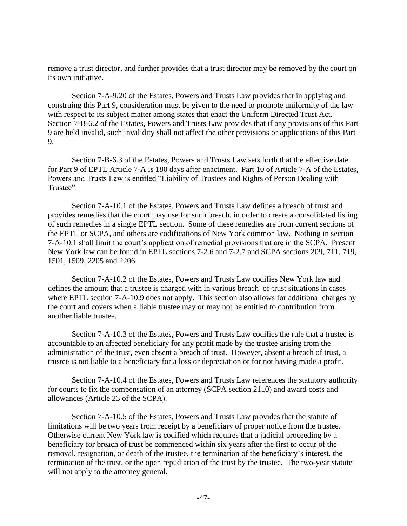remove a trust director, and further provides that a trust director may be removed by the court on its own initiative.

Section 7-A-9.20 of the Estates, Powers and Trusts Law provides that in applying and construing this Part 9, consideration must be given to the need to promote uniformity of the law with respect to its subject matter among states that enact the Uniform Directed Trust Act. Section 7-B-6.2 of the Estates, Powers and Trusts Law provides that if any provisions of this Part 9 are held invalid, such invalidity shall not affect the other provisions or applications of this Part 9.

Section 7-B-6.3 of the Estates, Powers and Trusts Law sets forth that the effective date for Part 9 of EPTL Article 7-A is 180 days after enactment. Part 10 of Article 7-A of the Estates, Powers and Trusts Law is entitled "Liability of Trustees and Rights of Person Dealing with Trustee".

Section 7-A-10.1 of the Estates, Powers and Trusts Law defines a breach of trust and provides remedies that the court may use for such breach, in order to create a consolidated listing of such remedies in a single EPTL section. Some of these remedies are from current sections of the EPTL or SCPA, and others are codifications of New York common law. Nothing in section 7-A-10.1 shall limit the court's application of remedial provisions that are in the SCPA. Present New York law can be found in EPTL sections 7-2.6 and 7-2.7 and SCPA sections 209, 711, 719, 1501, 1509, 2205 and 2206.

Section 7-A-10.2 of the Estates, Powers and Trusts Law codifies New York law and defines the amount that a trustee is charged with in various breach–of-trust situations in cases where EPTL section 7-A-10.9 does not apply. This section also allows for additional charges by the court and covers when a liable trustee may or may not be entitled to contribution from another liable trustee.

Section 7-A-10.3 of the Estates, Powers and Trusts Law codifies the rule that a trustee is accountable to an affected beneficiary for any profit made by the trustee arising from the administration of the trust, even absent a breach of trust. However, absent a breach of trust, a trustee is not liable to a beneficiary for a loss or depreciation or for not having made a profit.

Section 7-A-10.4 of the Estates, Powers and Trusts Law references the statutory authority for courts to fix the compensation of an attorney (SCPA section 2110) and award costs and allowances (Article 23 of the SCPA).

Section 7-A-10.5 of the Estates, Powers and Trusts Law provides that the statute of limitations will be two years from receipt by a beneficiary of proper notice from the trustee. Otherwise current New York law is codified which requires that a judicial proceeding by a beneficiary for breach of trust be commenced within six years after the first to occur of the removal, resignation, or death of the trustee, the termination of the beneficiary's interest, the termination of the trust, or the open repudiation of the trust by the trustee. The two-year statute will not apply to the attorney general.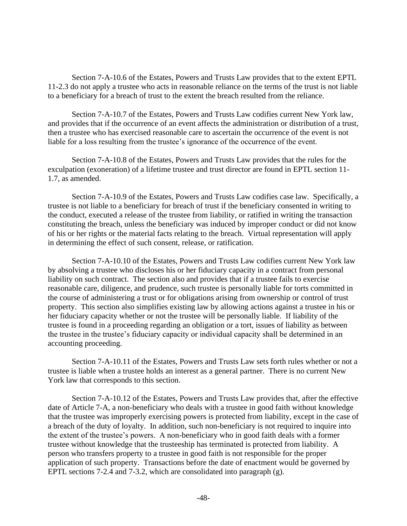Section 7-A-10.6 of the Estates, Powers and Trusts Law provides that to the extent EPTL 11-2.3 do not apply a trustee who acts in reasonable reliance on the terms of the trust is not liable to a beneficiary for a breach of trust to the extent the breach resulted from the reliance.

Section 7-A-10.7 of the Estates, Powers and Trusts Law codifies current New York law, and provides that if the occurrence of an event affects the administration or distribution of a trust, then a trustee who has exercised reasonable care to ascertain the occurrence of the event is not liable for a loss resulting from the trustee's ignorance of the occurrence of the event.

Section 7-A-10.8 of the Estates, Powers and Trusts Law provides that the rules for the exculpation (exoneration) of a lifetime trustee and trust director are found in EPTL section 11- 1.7, as amended.

Section 7-A-10.9 of the Estates, Powers and Trusts Law codifies case law. Specifically, a trustee is not liable to a beneficiary for breach of trust if the beneficiary consented in writing to the conduct, executed a release of the trustee from liability, or ratified in writing the transaction constituting the breach, unless the beneficiary was induced by improper conduct or did not know of his or her rights or the material facts relating to the breach. Virtual representation will apply in determining the effect of such consent, release, or ratification.

Section 7-A-10.10 of the Estates, Powers and Trusts Law codifies current New York law by absolving a trustee who discloses his or her fiduciary capacity in a contract from personal liability on such contract. The section also and provides that if a trustee fails to exercise reasonable care, diligence, and prudence, such trustee is personally liable for torts committed in the course of administering a trust or for obligations arising from ownership or control of trust property. This section also simplifies existing law by allowing actions against a trustee in his or her fiduciary capacity whether or not the trustee will be personally liable. If liability of the trustee is found in a proceeding regarding an obligation or a tort, issues of liability as between the trustee in the trustee's fiduciary capacity or individual capacity shall be determined in an accounting proceeding.

Section 7-A-10.11 of the Estates, Powers and Trusts Law sets forth rules whether or not a trustee is liable when a trustee holds an interest as a general partner. There is no current New York law that corresponds to this section.

Section 7-A-10.12 of the Estates, Powers and Trusts Law provides that, after the effective date of Article 7-A, a non-beneficiary who deals with a trustee in good faith without knowledge that the trustee was improperly exercising powers is protected from liability, except in the case of a breach of the duty of loyalty. In addition, such non-beneficiary is not required to inquire into the extent of the trustee's powers. A non-beneficiary who in good faith deals with a former trustee without knowledge that the trusteeship has terminated is protected from liability. A person who transfers property to a trustee in good faith is not responsible for the proper application of such property. Transactions before the date of enactment would be governed by EPTL sections 7-2.4 and 7-3.2, which are consolidated into paragraph (g).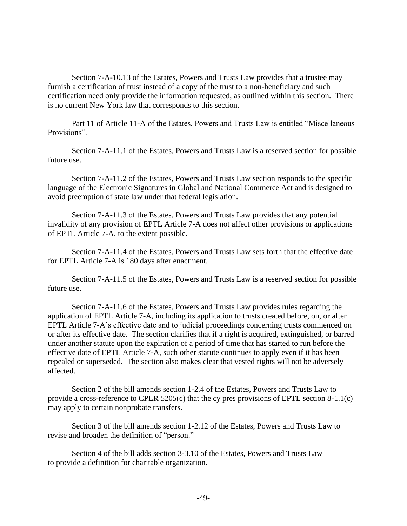Section 7-A-10.13 of the Estates, Powers and Trusts Law provides that a trustee may furnish a certification of trust instead of a copy of the trust to a non-beneficiary and such certification need only provide the information requested, as outlined within this section. There is no current New York law that corresponds to this section.

Part 11 of Article 11-A of the Estates, Powers and Trusts Law is entitled "Miscellaneous Provisions".

Section 7-A-11.1 of the Estates, Powers and Trusts Law is a reserved section for possible future use.

Section 7-A-11.2 of the Estates, Powers and Trusts Law section responds to the specific language of the Electronic Signatures in Global and National Commerce Act and is designed to avoid preemption of state law under that federal legislation.

Section 7-A-11.3 of the Estates, Powers and Trusts Law provides that any potential invalidity of any provision of EPTL Article 7-A does not affect other provisions or applications of EPTL Article 7-A, to the extent possible.

Section 7-A-11.4 of the Estates, Powers and Trusts Law sets forth that the effective date for EPTL Article 7-A is 180 days after enactment.

Section 7-A-11.5 of the Estates, Powers and Trusts Law is a reserved section for possible future use.

Section 7-A-11.6 of the Estates, Powers and Trusts Law provides rules regarding the application of EPTL Article 7-A, including its application to trusts created before, on, or after EPTL Article 7-A's effective date and to judicial proceedings concerning trusts commenced on or after its effective date. The section clarifies that if a right is acquired, extinguished, or barred under another statute upon the expiration of a period of time that has started to run before the effective date of EPTL Article 7-A, such other statute continues to apply even if it has been repealed or superseded. The section also makes clear that vested rights will not be adversely affected.

Section 2 of the bill amends section 1-2.4 of the Estates, Powers and Trusts Law to provide a cross-reference to CPLR 5205(c) that the cy pres provisions of EPTL section 8-1.1(c) may apply to certain nonprobate transfers.

Section 3 of the bill amends section 1-2.12 of the Estates, Powers and Trusts Law to revise and broaden the definition of "person."

Section 4 of the bill adds section 3-3.10 of the Estates, Powers and Trusts Law to provide a definition for charitable organization.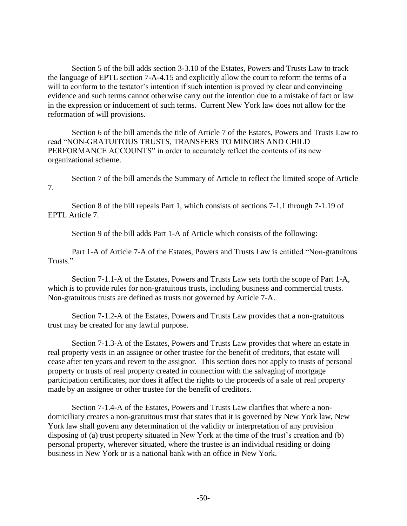Section 5 of the bill adds section 3-3.10 of the Estates, Powers and Trusts Law to track the language of EPTL section 7-A-4.15 and explicitly allow the court to reform the terms of a will to conform to the testator's intention if such intention is proved by clear and convincing evidence and such terms cannot otherwise carry out the intention due to a mistake of fact or law in the expression or inducement of such terms. Current New York law does not allow for the reformation of will provisions.

Section 6 of the bill amends the title of Article 7 of the Estates, Powers and Trusts Law to read "NON-GRATUITOUS TRUSTS, TRANSFERS TO MINORS AND CHILD PERFORMANCE ACCOUNTS" in order to accurately reflect the contents of its new organizational scheme.

Section 7 of the bill amends the Summary of Article to reflect the limited scope of Article 7.

Section 8 of the bill repeals Part 1, which consists of sections 7-1.1 through 7-1.19 of EPTL Article 7.

Section 9 of the bill adds Part 1-A of Article which consists of the following:

Part 1-A of Article 7-A of the Estates, Powers and Trusts Law is entitled "Non-gratuitous Trusts."

Section 7-1.1-A of the Estates, Powers and Trusts Law sets forth the scope of Part 1-A, which is to provide rules for non-gratuitous trusts, including business and commercial trusts. Non-gratuitous trusts are defined as trusts not governed by Article 7-A.

Section 7-1.2-A of the Estates, Powers and Trusts Law provides that a non-gratuitous trust may be created for any lawful purpose.

Section 7-1.3-A of the Estates, Powers and Trusts Law provides that where an estate in real property vests in an assignee or other trustee for the benefit of creditors, that estate will cease after ten years and revert to the assignor. This section does not apply to trusts of personal property or trusts of real property created in connection with the salvaging of mortgage participation certificates, nor does it affect the rights to the proceeds of a sale of real property made by an assignee or other trustee for the benefit of creditors.

Section 7-1.4-A of the Estates, Powers and Trusts Law clarifies that where a nondomiciliary creates a non-gratuitous trust that states that it is governed by New York law, New York law shall govern any determination of the validity or interpretation of any provision disposing of (a) trust property situated in New York at the time of the trust's creation and (b) personal property, wherever situated, where the trustee is an individual residing or doing business in New York or is a national bank with an office in New York.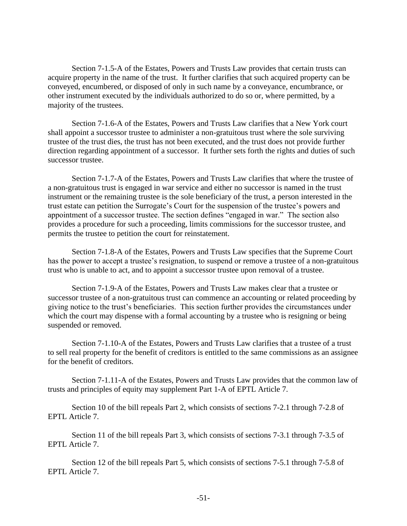Section 7-1.5-A of the Estates, Powers and Trusts Law provides that certain trusts can acquire property in the name of the trust. It further clarifies that such acquired property can be conveyed, encumbered, or disposed of only in such name by a conveyance, encumbrance, or other instrument executed by the individuals authorized to do so or, where permitted, by a majority of the trustees.

Section 7-1.6-A of the Estates, Powers and Trusts Law clarifies that a New York court shall appoint a successor trustee to administer a non-gratuitous trust where the sole surviving trustee of the trust dies, the trust has not been executed, and the trust does not provide further direction regarding appointment of a successor. It further sets forth the rights and duties of such successor trustee.

Section 7-1.7-A of the Estates, Powers and Trusts Law clarifies that where the trustee of a non-gratuitous trust is engaged in war service and either no successor is named in the trust instrument or the remaining trustee is the sole beneficiary of the trust, a person interested in the trust estate can petition the Surrogate's Court for the suspension of the trustee's powers and appointment of a successor trustee. The section defines "engaged in war." The section also provides a procedure for such a proceeding, limits commissions for the successor trustee, and permits the trustee to petition the court for reinstatement.

Section 7-1.8-A of the Estates, Powers and Trusts Law specifies that the Supreme Court has the power to accept a trustee's resignation, to suspend or remove a trustee of a non-gratuitous trust who is unable to act, and to appoint a successor trustee upon removal of a trustee.

Section 7-1.9-A of the Estates, Powers and Trusts Law makes clear that a trustee or successor trustee of a non-gratuitous trust can commence an accounting or related proceeding by giving notice to the trust's beneficiaries. This section further provides the circumstances under which the court may dispense with a formal accounting by a trustee who is resigning or being suspended or removed.

Section 7-1.10-A of the Estates, Powers and Trusts Law clarifies that a trustee of a trust to sell real property for the benefit of creditors is entitled to the same commissions as an assignee for the benefit of creditors.

Section 7-1.11-A of the Estates, Powers and Trusts Law provides that the common law of trusts and principles of equity may supplement Part 1-A of EPTL Article 7.

Section 10 of the bill repeals Part 2, which consists of sections 7-2.1 through 7-2.8 of EPTL Article 7.

Section 11 of the bill repeals Part 3, which consists of sections 7-3.1 through 7-3.5 of EPTL Article 7.

Section 12 of the bill repeals Part 5, which consists of sections 7-5.1 through 7-5.8 of EPTL Article 7.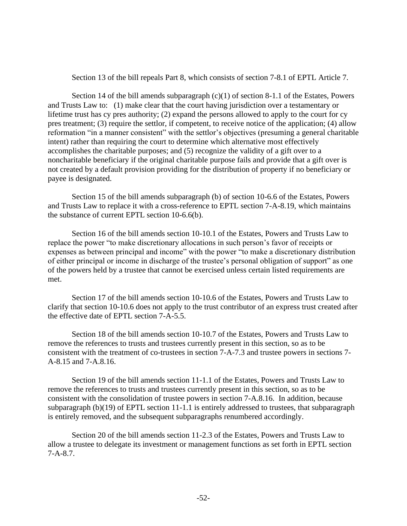Section 13 of the bill repeals Part 8, which consists of section 7-8.1 of EPTL Article 7.

Section 14 of the bill amends subparagraph  $(c)(1)$  of section 8-1.1 of the Estates, Powers and Trusts Law to: (1) make clear that the court having jurisdiction over a testamentary or lifetime trust has cy pres authority; (2) expand the persons allowed to apply to the court for cy pres treatment; (3) require the settlor, if competent, to receive notice of the application; (4) allow reformation "in a manner consistent" with the settlor's objectives (presuming a general charitable intent) rather than requiring the court to determine which alternative most effectively accomplishes the charitable purposes; and (5) recognize the validity of a gift over to a noncharitable beneficiary if the original charitable purpose fails and provide that a gift over is not created by a default provision providing for the distribution of property if no beneficiary or payee is designated.

Section 15 of the bill amends subparagraph (b) of section 10-6.6 of the Estates, Powers and Trusts Law to replace it with a cross-reference to EPTL section 7-A-8.19, which maintains the substance of current EPTL section 10-6.6(b).

Section 16 of the bill amends section 10-10.1 of the Estates, Powers and Trusts Law to replace the power "to make discretionary allocations in such person's favor of receipts or expenses as between principal and income" with the power "to make a discretionary distribution of either principal or income in discharge of the trustee's personal obligation of support" as one of the powers held by a trustee that cannot be exercised unless certain listed requirements are met.

Section 17 of the bill amends section 10-10.6 of the Estates, Powers and Trusts Law to clarify that section 10-10.6 does not apply to the trust contributor of an express trust created after the effective date of EPTL section 7-A-5.5.

Section 18 of the bill amends section 10-10.7 of the Estates, Powers and Trusts Law to remove the references to trusts and trustees currently present in this section, so as to be consistent with the treatment of co-trustees in section 7-A-7.3 and trustee powers in sections 7- A-8.15 and 7-A.8.16.

Section 19 of the bill amends section 11-1.1 of the Estates, Powers and Trusts Law to remove the references to trusts and trustees currently present in this section, so as to be consistent with the consolidation of trustee powers in section 7-A.8.16. In addition, because subparagraph (b)(19) of EPTL section 11-1.1 is entirely addressed to trustees, that subparagraph is entirely removed, and the subsequent subparagraphs renumbered accordingly.

Section 20 of the bill amends section 11-2.3 of the Estates, Powers and Trusts Law to allow a trustee to delegate its investment or management functions as set forth in EPTL section 7-A-8.7.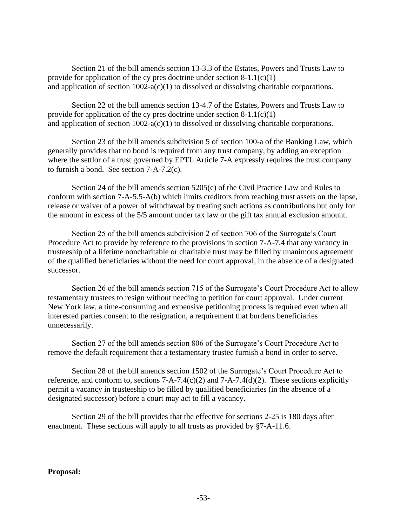Section 21 of the bill amends section 13-3.3 of the Estates, Powers and Trusts Law to provide for application of the cy pres doctrine under section  $8-1.1(c)(1)$ and application of section 1002-a(c)(1) to dissolved or dissolving charitable corporations.

Section 22 of the bill amends section 13-4.7 of the Estates, Powers and Trusts Law to provide for application of the cy pres doctrine under section  $8-1.1(c)(1)$ and application of section 1002-a(c)(1) to dissolved or dissolving charitable corporations.

Section 23 of the bill amends subdivision 5 of section 100-a of the Banking Law, which generally provides that no bond is required from any trust company, by adding an exception where the settlor of a trust governed by EPTL Article 7-A expressly requires the trust company to furnish a bond. See section 7-A-7.2(c).

Section 24 of the bill amends section 5205(c) of the Civil Practice Law and Rules to conform with section 7-A-5.5-A(b) which limits creditors from reaching trust assets on the lapse, release or waiver of a power of withdrawal by treating such actions as contributions but only for the amount in excess of the 5/5 amount under tax law or the gift tax annual exclusion amount.

Section 25 of the bill amends subdivision 2 of section 706 of the Surrogate's Court Procedure Act to provide by reference to the provisions in section 7-A-7.4 that any vacancy in trusteeship of a lifetime noncharitable or charitable trust may be filled by unanimous agreement of the qualified beneficiaries without the need for court approval, in the absence of a designated successor.

Section 26 of the bill amends section 715 of the Surrogate's Court Procedure Act to allow testamentary trustees to resign without needing to petition for court approval. Under current New York law, a time-consuming and expensive petitioning process is required even when all interested parties consent to the resignation, a requirement that burdens beneficiaries unnecessarily.

Section 27 of the bill amends section 806 of the Surrogate's Court Procedure Act to remove the default requirement that a testamentary trustee furnish a bond in order to serve.

Section 28 of the bill amends section 1502 of the Surrogate's Court Procedure Act to reference, and conform to, sections  $7-A-7.4(c)(2)$  and  $7-A-7.4(d)(2)$ . These sections explicitly permit a vacancy in trusteeship to be filled by qualified beneficiaries (in the absence of a designated successor) before a court may act to fill a vacancy.

Section 29 of the bill provides that the effective for sections 2-25 is 180 days after enactment. These sections will apply to all trusts as provided by §7-A-11.6.

#### **Proposal:**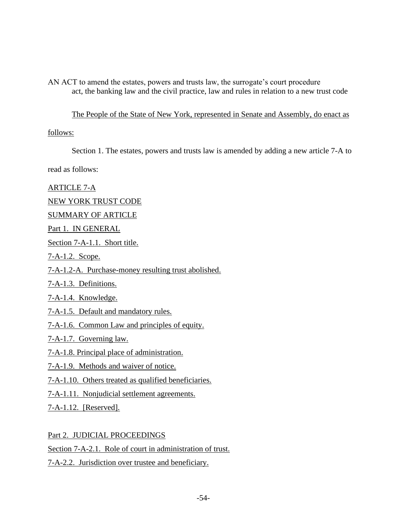AN ACT to amend the estates, powers and trusts law, the surrogate's court procedure act, the banking law and the civil practice, law and rules in relation to a new trust code

The People of the State of New York, represented in Senate and Assembly, do enact as

follows:

Section 1. The estates, powers and trusts law is amended by adding a new article 7-A to

read as follows:

- ARTICLE 7-A NEW YORK TRUST CODE SUMMARY OF ARTICLE Part 1. IN GENERAL Section 7-A-1.1. Short title. 7-A-1.2. Scope. 7-A-1.2-A. Purchase-money resulting trust abolished. 7-A-1.3. Definitions. 7-A-1.4. Knowledge. 7-A-1.5. Default and mandatory rules. 7-A-1.6. Common Law and principles of equity. 7-A-1.7. Governing law. 7-A-1.8. Principal place of administration. 7-A-1.9. Methods and waiver of notice.
	- 7-A-1.10. Others treated as qualified beneficiaries.
	- 7-A-1.11. Nonjudicial settlement agreements.

7-A-1.12. [Reserved].

Part 2. JUDICIAL PROCEEDINGS

Section 7-A-2.1. Role of court in administration of trust.

7-A-2.2. Jurisdiction over trustee and beneficiary.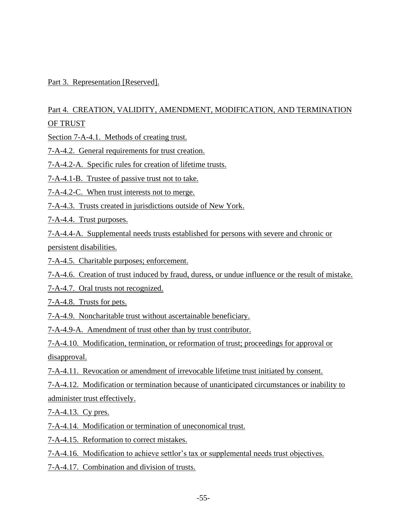### Part 3. Representation [Reserved].

# Part 4. CREATION, VALIDITY, AMENDMENT, MODIFICATION, AND TERMINATION OF TRUST

Section 7-A-4.1. Methods of creating trust.

7-A-4.2. General requirements for trust creation.

7-A-4.2-A. Specific rules for creation of lifetime trusts.

7-A-4.1-B. Trustee of passive trust not to take.

7-A-4.2-C. When trust interests not to merge.

7-A-4.3. Trusts created in jurisdictions outside of New York.

7-A-4.4. Trust purposes.

7-A-4.4-A. Supplemental needs trusts established for persons with severe and chronic or persistent disabilities.

7-A-4.5. Charitable purposes; enforcement.

7-A-4.6. Creation of trust induced by fraud, duress, or undue influence or the result of mistake.

7-A-4.7. Oral trusts not recognized.

7-A-4.8. Trusts for pets.

7-A-4.9. Noncharitable trust without ascertainable beneficiary.

7-A-4.9-A. Amendment of trust other than by trust contributor.

7-A-4.10. Modification, termination, or reformation of trust; proceedings for approval or disapproval.

7-A-4.11. Revocation or amendment of irrevocable lifetime trust initiated by consent.

7-A-4.12. Modification or termination because of unanticipated circumstances or inability to administer trust effectively.

7-A-4.13. Cy pres.

7-A-4.14. Modification or termination of uneconomical trust.

7-A-4.15. Reformation to correct mistakes.

7-A-4.16. Modification to achieve settlor's tax or supplemental needs trust objectives.

7-A-4.17. Combination and division of trusts.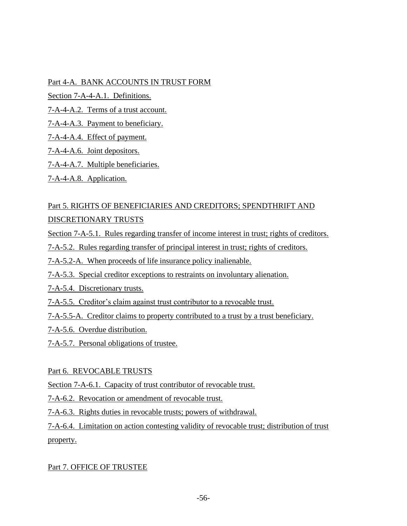Part 4-A. BANK ACCOUNTS IN TRUST FORM

Section 7-A-4-A.1. Definitions.

7-A-4-A.2. Terms of a trust account.

7-A-4-A.3. Payment to beneficiary.

7-A-4-A.4. Effect of payment.

7-A-4-A.6. Joint depositors.

7-A-4-A.7. Multiple beneficiaries.

7-A-4-A.8. Application.

# Part 5. RIGHTS OF BENEFICIARIES AND CREDITORS; SPENDTHRIFT AND DISCRETIONARY TRUSTS

Section 7-A-5.1. Rules regarding transfer of income interest in trust; rights of creditors.

7-A-5.2. Rules regarding transfer of principal interest in trust; rights of creditors.

7-A-5.2-A. When proceeds of life insurance policy inalienable.

7-A-5.3. Special creditor exceptions to restraints on involuntary alienation.

7-A-5.4. Discretionary trusts.

7-A-5.5. Creditor's claim against trust contributor to a revocable trust.

7-A-5.5-A. Creditor claims to property contributed to a trust by a trust beneficiary.

7-A-5.6. Overdue distribution.

7-A-5.7. Personal obligations of trustee.

Part 6. REVOCABLE TRUSTS

Section 7-A-6.1. Capacity of trust contributor of revocable trust.

7-A-6.2. Revocation or amendment of revocable trust.

7-A-6.3. Rights duties in revocable trusts; powers of withdrawal.

7-A-6.4. Limitation on action contesting validity of revocable trust; distribution of trust property.

Part 7. OFFICE OF TRUSTEE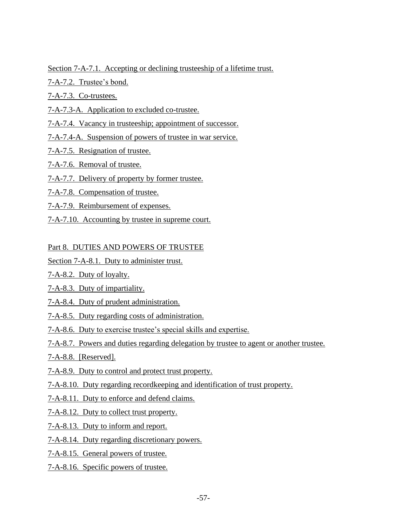Section 7-A-7.1. Accepting or declining trusteeship of a lifetime trust.

- 7-A-7.2. Trustee's bond.
- 7-A-7.3. Co-trustees.
- 7-A-7.3-A. Application to excluded co-trustee.
- 7-A-7.4. Vacancy in trusteeship; appointment of successor.
- 7-A-7.4-A. Suspension of powers of trustee in war service.
- 7-A-7.5. Resignation of trustee.
- 7-A-7.6. Removal of trustee.
- 7-A-7.7. Delivery of property by former trustee.
- 7-A-7.8. Compensation of trustee.
- 7-A-7.9. Reimbursement of expenses.
- 7-A-7.10. Accounting by trustee in supreme court.

#### Part 8. DUTIES AND POWERS OF TRUSTEE

- Section 7-A-8.1. Duty to administer trust.
- 7-A-8.2. Duty of loyalty.
- 7-A-8.3. Duty of impartiality.
- 7-A-8.4. Duty of prudent administration.
- 7-A-8.5. Duty regarding costs of administration.
- 7-A-8.6. Duty to exercise trustee's special skills and expertise.
- 7-A-8.7. Powers and duties regarding delegation by trustee to agent or another trustee.

7-A-8.8. [Reserved].

- 7-A-8.9. Duty to control and protect trust property.
- 7-A-8.10. Duty regarding recordkeeping and identification of trust property.
- 7-A-8.11. Duty to enforce and defend claims.
- 7-A-8.12. Duty to collect trust property.
- 7-A-8.13. Duty to inform and report.
- 7-A-8.14. Duty regarding discretionary powers.
- 7-A-8.15. General powers of trustee.
- 7-A-8.16. Specific powers of trustee.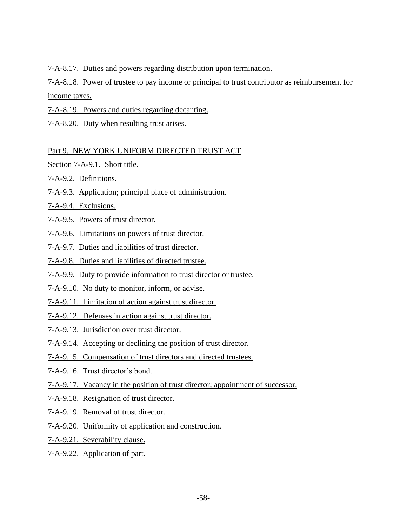#### 7-A-8.17. Duties and powers regarding distribution upon termination.

7-A-8.18. Power of trustee to pay income or principal to trust contributor as reimbursement for

income taxes.

- 7-A-8.19. Powers and duties regarding decanting.
- 7-A-8.20. Duty when resulting trust arises.

### Part 9. NEW YORK UNIFORM DIRECTED TRUST ACT

- Section 7-A-9.1. Short title.
- 7-A-9.2. Definitions.
- 7-A-9.3. Application; principal place of administration.
- 7-A-9.4. Exclusions.
- 7-A-9.5. Powers of trust director.
- 7-A-9.6. Limitations on powers of trust director.
- 7-A-9.7. Duties and liabilities of trust director.
- 7-A-9.8. Duties and liabilities of directed trustee.
- 7-A-9.9. Duty to provide information to trust director or trustee.
- 7-A-9.10. No duty to monitor, inform, or advise.
- 7-A-9.11. Limitation of action against trust director.
- 7-A-9.12. Defenses in action against trust director.
- 7-A-9.13. Jurisdiction over trust director.
- 7-A-9.14. Accepting or declining the position of trust director.
- 7-A-9.15. Compensation of trust directors and directed trustees.
- 7-A-9.16. Trust director's bond.
- 7-A-9.17. Vacancy in the position of trust director; appointment of successor.
- 7-A-9.18. Resignation of trust director.
- 7-A-9.19. Removal of trust director.
- 7-A-9.20. Uniformity of application and construction.
- 7-A-9.21. Severability clause.
- 7-A-9.22. Application of part.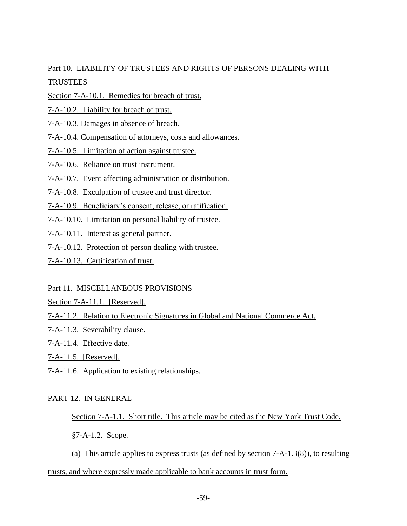# Part 10. LIABILITY OF TRUSTEES AND RIGHTS OF PERSONS DEALING WITH TRUSTEES

Section 7-A-10.1. Remedies for breach of trust.

7-A-10.2. Liability for breach of trust.

7-A-10.3. Damages in absence of breach.

7-A-10.4. Compensation of attorneys, costs and allowances.

7-A-10.5. Limitation of action against trustee.

7-A-10.6. Reliance on trust instrument.

7-A-10.7. Event affecting administration or distribution.

7-A-10.8. Exculpation of trustee and trust director.

7-A-10.9. Beneficiary's consent, release, or ratification.

7-A-10.10. Limitation on personal liability of trustee.

7-A-10.11. Interest as general partner.

7-A-10.12. Protection of person dealing with trustee.

7-A-10.13. Certification of trust.

### Part 11. MISCELLANEOUS PROVISIONS

Section 7-A-11.1. [Reserved].

7-A-11.2. Relation to Electronic Signatures in Global and National Commerce Act.

7-A-11.3. Severability clause.

7-A-11.4. Effective date.

7-A-11.5. [Reserved].

7-A-11.6. Application to existing relationships.

### PART 12. IN GENERAL

Section 7-A-1.1. Short title. This article may be cited as the New York Trust Code.

§7-A-1.2. Scope.

(a) This article applies to express trusts (as defined by section 7-A-1.3(8)), to resulting

trusts, and where expressly made applicable to bank accounts in trust form.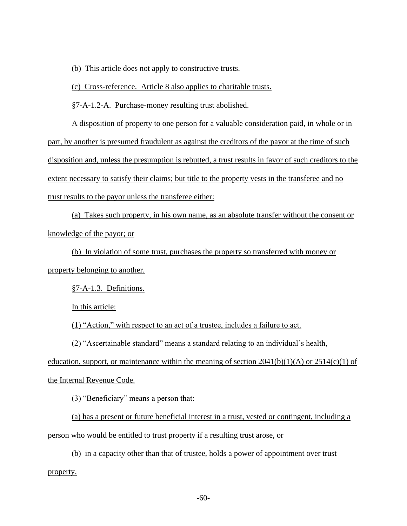(b) This article does not apply to constructive trusts.

(c) Cross-reference. Article 8 also applies to charitable trusts.

§7-A-1.2-A. Purchase-money resulting trust abolished.

A disposition of property to one person for a valuable consideration paid, in whole or in part, by another is presumed fraudulent as against the creditors of the payor at the time of such disposition and, unless the presumption is rebutted, a trust results in favor of such creditors to the extent necessary to satisfy their claims; but title to the property vests in the transferee and no trust results to the payor unless the transferee either:

(a) Takes such property, in his own name, as an absolute transfer without the consent or knowledge of the payor; or

(b) In violation of some trust, purchases the property so transferred with money or property belonging to another.

§7-A-1.3. Definitions.

In this article:

(1) "Action," with respect to an act of a trustee, includes a failure to act.

(2) "Ascertainable standard" means a standard relating to an individual's health,

education, support, or maintenance within the meaning of section  $2041(b)(1)(A)$  or  $2514(c)(1)$  of the Internal Revenue Code.

(3) "Beneficiary" means a person that:

(a) has a present or future beneficial interest in a trust, vested or contingent, including a person who would be entitled to trust property if a resulting trust arose, or

(b) in a capacity other than that of trustee, holds a power of appointment over trust property.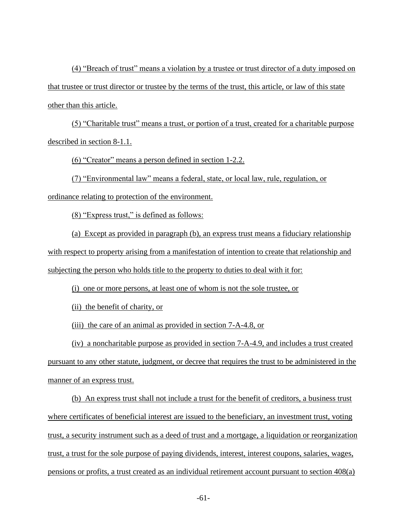(4) "Breach of trust" means a violation by a trustee or trust director of a duty imposed on that trustee or trust director or trustee by the terms of the trust, this article, or law of this state other than this article.

(5) "Charitable trust" means a trust, or portion of a trust, created for a charitable purpose described in section 8-1.1.

(6) "Creator" means a person defined in section 1-2.2.

(7) "Environmental law" means a federal, state, or local law, rule, regulation, or ordinance relating to protection of the environment.

(8) "Express trust," is defined as follows:

(a) Except as provided in paragraph (b), an express trust means a fiduciary relationship with respect to property arising from a manifestation of intention to create that relationship and subjecting the person who holds title to the property to duties to deal with it for:

(i) one or more persons, at least one of whom is not the sole trustee, or

(ii) the benefit of charity, or

(iii) the care of an animal as provided in section 7-A-4.8, or

(iv) a noncharitable purpose as provided in section 7-A-4.9, and includes a trust created pursuant to any other statute, judgment, or decree that requires the trust to be administered in the manner of an express trust.

(b) An express trust shall not include a trust for the benefit of creditors, a business trust where certificates of beneficial interest are issued to the beneficiary, an investment trust, voting trust, a security instrument such as a deed of trust and a mortgage, a liquidation or reorganization trust, a trust for the sole purpose of paying dividends, interest, interest coupons, salaries, wages, pensions or profits, a trust created as an individual retirement account pursuant to section 408(a)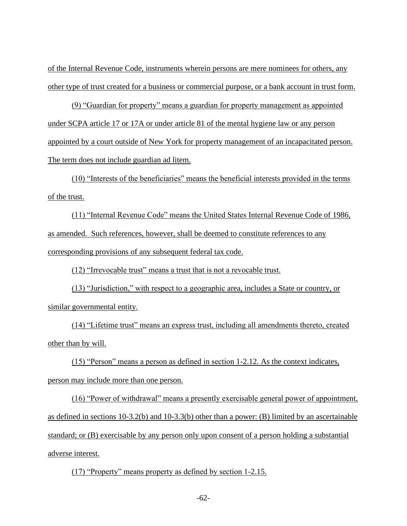of the Internal Revenue Code, instruments wherein persons are mere nominees for others, any other type of trust created for a business or commercial purpose, or a bank account in trust form.

(9) "Guardian for property" means a guardian for property management as appointed under SCPA article 17 or 17A or under article 81 of the mental hygiene law or any person appointed by a court outside of New York for property management of an incapacitated person. The term does not include guardian ad litem.

(10) "Interests of the beneficiaries" means the beneficial interests provided in the terms of the trust.

(11) "Internal Revenue Code" means the United States Internal Revenue Code of 1986, as amended. Such references, however, shall be deemed to constitute references to any corresponding provisions of any subsequent federal tax code.

(12) "Irrevocable trust" means a trust that is not a revocable trust.

(13) "Jurisdiction," with respect to a geographic area, includes a State or country, or similar governmental entity*.*

(14) "Lifetime trust" means an express trust, including all amendments thereto, created other than by will.

(15) "Person" means a person as defined in section 1-2.12. As the context indicates, person may include more than one person.

(16) "Power of withdrawal" means a presently exercisable general power of appointment, as defined in sections 10-3.2(b) and 10-3.3(b) other than a power: (B) limited by an ascertainable standard; or (B) exercisable by any person only upon consent of a person holding a substantial adverse interest.

(17) "Property" means property as defined by section 1-2.15.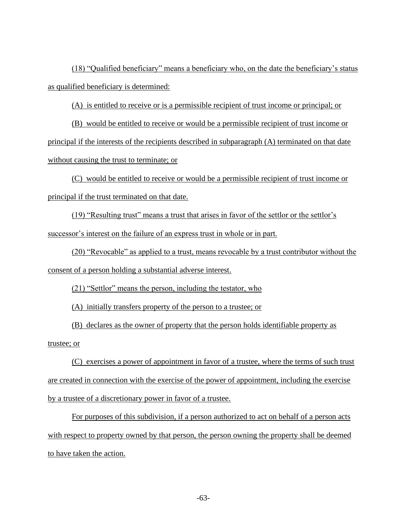(18) "Qualified beneficiary" means a beneficiary who, on the date the beneficiary's status as qualified beneficiary is determined:

(A) is entitled to receive or is a permissible recipient of trust income or principal; or

(B) would be entitled to receive or would be a permissible recipient of trust income or principal if the interests of the recipients described in subparagraph (A) terminated on that date without causing the trust to terminate; or

(C) would be entitled to receive or would be a permissible recipient of trust income or principal if the trust terminated on that date.

(19) "Resulting trust" means a trust that arises in favor of the settlor or the settlor's successor's interest on the failure of an express trust in whole or in part.

(20) "Revocable" as applied to a trust, means revocable by a trust contributor without the consent of a person holding a substantial adverse interest.

(21) "Settlor" means the person, including the testator, who

(A) initially transfers property of the person to a trustee; or

(B) declares as the owner of property that the person holds identifiable property as

trustee; or

(C) exercises a power of appointment in favor of a trustee, where the terms of such trust are created in connection with the exercise of the power of appointment, including the exercise by a trustee of a discretionary power in favor of a trustee.

For purposes of this subdivision, if a person authorized to act on behalf of a person acts with respect to property owned by that person, the person owning the property shall be deemed to have taken the action.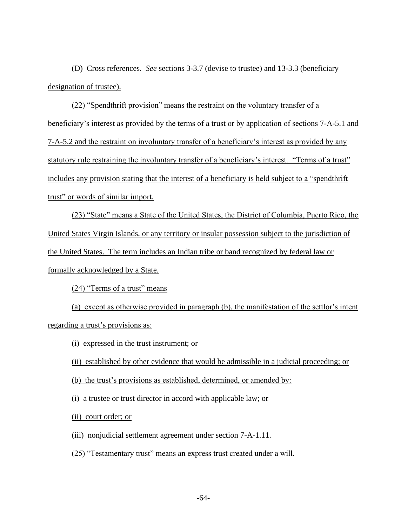(D) Cross references. *See* sections 3-3.7 (devise to trustee) and 13-3.3 (beneficiary designation of trustee).

(22) "Spendthrift provision" means the restraint on the voluntary transfer of a beneficiary's interest as provided by the terms of a trust or by application of sections 7-A-5.1 and 7-A-5.2 and the restraint on involuntary transfer of a beneficiary's interest as provided by any statutory rule restraining the involuntary transfer of a beneficiary's interest. "Terms of a trust" includes any provision stating that the interest of a beneficiary is held subject to a "spendthrift trust" or words of similar import.

(23) "State" means a State of the United States, the District of Columbia, Puerto Rico, the United States Virgin Islands, or any territory or insular possession subject to the jurisdiction of the United States. The term includes an Indian tribe or band recognized by federal law or formally acknowledged by a State.

(24) "Terms of a trust" means

(a) except as otherwise provided in paragraph (b), the manifestation of the settlor's intent regarding a trust's provisions as:

(i) expressed in the trust instrument; or

(ii) established by other evidence that would be admissible in a judicial proceeding; or

(b) the trust's provisions as established, determined, or amended by:

(i) a trustee or trust director in accord with applicable law; or

(ii) court order; or

(iii) nonjudicial settlement agreement under section 7-A-1.11.

(25) "Testamentary trust" means an express trust created under a will.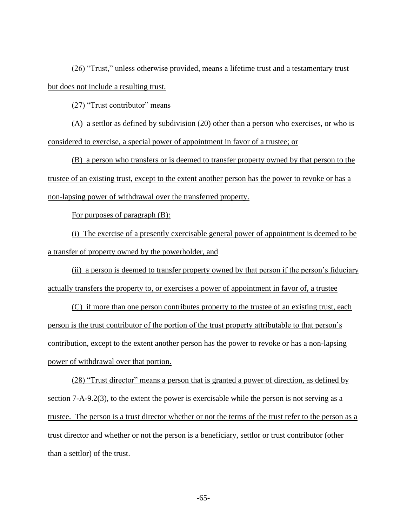(26) "Trust," unless otherwise provided, means a lifetime trust and a testamentary trust but does not include a resulting trust.

(27) "Trust contributor" means

(A) a settlor as defined by subdivision (20) other than a person who exercises, or who is considered to exercise, a special power of appointment in favor of a trustee; or

(B) a person who transfers or is deemed to transfer property owned by that person to the trustee of an existing trust, except to the extent another person has the power to revoke or has a non-lapsing power of withdrawal over the transferred property.

For purposes of paragraph (B):

(i) The exercise of a presently exercisable general power of appointment is deemed to be a transfer of property owned by the powerholder, and

(ii) a person is deemed to transfer property owned by that person if the person's fiduciary actually transfers the property to, or exercises a power of appointment in favor of, a trustee

(C) if more than one person contributes property to the trustee of an existing trust, each person is the trust contributor of the portion of the trust property attributable to that person's contribution, except to the extent another person has the power to revoke or has a non-lapsing power of withdrawal over that portion.

(28) "Trust director" means a person that is granted a power of direction, as defined by section 7-A-9.2(3), to the extent the power is exercisable while the person is not serving as a trustee. The person is a trust director whether or not the terms of the trust refer to the person as a trust director and whether or not the person is a beneficiary, settlor or trust contributor (other than a settlor) of the trust.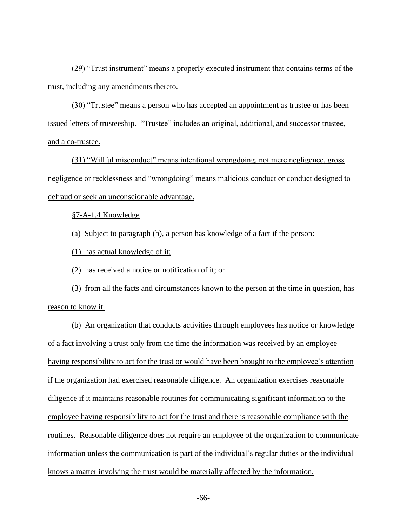(29) "Trust instrument" means a properly executed instrument that contains terms of the trust, including any amendments thereto.

(30) "Trustee" means a person who has accepted an appointment as trustee or has been issued letters of trusteeship. "Trustee" includes an original, additional, and successor trustee, and a co-trustee.

(31) "Willful misconduct" means intentional wrongdoing, not mere negligence, gross negligence or recklessness and "wrongdoing" means malicious conduct or conduct designed to defraud or seek an unconscionable advantage.

§7-A-1.4 Knowledge

(a) Subject to paragraph (b), a person has knowledge of a fact if the person:

(1) has actual knowledge of it;

(2) has received a notice or notification of it; or

(3) from all the facts and circumstances known to the person at the time in question, has reason to know it.

(b) An organization that conducts activities through employees has notice or knowledge of a fact involving a trust only from the time the information was received by an employee having responsibility to act for the trust or would have been brought to the employee's attention if the organization had exercised reasonable diligence. An organization exercises reasonable diligence if it maintains reasonable routines for communicating significant information to the employee having responsibility to act for the trust and there is reasonable compliance with the routines. Reasonable diligence does not require an employee of the organization to communicate information unless the communication is part of the individual's regular duties or the individual knows a matter involving the trust would be materially affected by the information.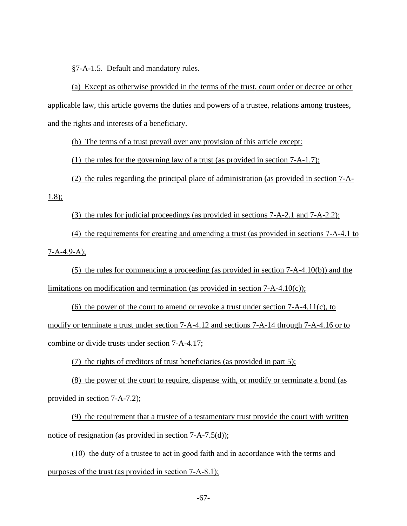§7-A-1.5. Default and mandatory rules.

(a) Except as otherwise provided in the terms of the trust, court order or decree or other applicable law, this article governs the duties and powers of a trustee, relations among trustees, and the rights and interests of a beneficiary.

(b) The terms of a trust prevail over any provision of this article except:

(1) the rules for the governing law of a trust (as provided in section 7-A-1.7);

(2) the rules regarding the principal place of administration (as provided in section 7-A-

1.8);

(3) the rules for judicial proceedings (as provided in sections 7-A-2.1 and 7-A-2.2);

(4) the requirements for creating and amending a trust (as provided in sections 7-A-4.1 to  $7-A-4.9-A);$ 

(5) the rules for commencing a proceeding (as provided in section 7-A-4.10(b)) and the limitations on modification and termination (as provided in section 7-A-4.10(c));

(6) the power of the court to amend or revoke a trust under section 7-A-4.11(c), to modify or terminate a trust under section 7-A-4.12 and sections 7-A-14 through 7-A-4.16 or to combine or divide trusts under section 7-A-4.17;

(7) the rights of creditors of trust beneficiaries (as provided in part 5);

(8) the power of the court to require, dispense with, or modify or terminate a bond (as provided in section 7-A-7.2);

(9) the requirement that a trustee of a testamentary trust provide the court with written notice of resignation (as provided in section 7-A-7.5(d));

(10) the duty of a trustee to act in good faith and in accordance with the terms and purposes of the trust (as provided in section 7-A-8.1);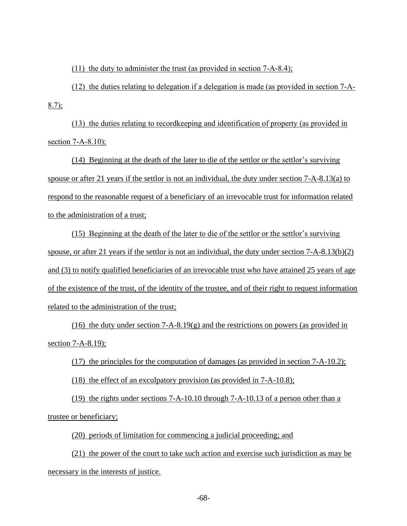(11) the duty to administer the trust (as provided in section 7-A-8.4);

(12) the duties relating to delegation if a delegation is made (as provided in section 7-A-8.7);

(13) the duties relating to recordkeeping and identification of property (as provided in section 7-A-8.10);

(14) Beginning at the death of the later to die of the settlor or the settlor's surviving spouse or after 21 years if the settlor is not an individual, the duty under section 7-A-8.13(a) to respond to the reasonable request of a beneficiary of an irrevocable trust for information related to the administration of a trust;

(15) Beginning at the death of the later to die of the settlor or the settlor's surviving spouse, or after 21 years if the settlor is not an individual, the duty under section 7-A-8.13(b)(2) and (3) to notify qualified beneficiaries of an irrevocable trust who have attained 25 years of age of the existence of the trust, of the identity of the trustee, and of their right to request information related to the administration of the trust;

(16) the duty under section 7-A-8.19(g) and the restrictions on powers (as provided in section 7-A-8.19);

(17) the principles for the computation of damages (as provided in section 7-A-10.2);

(18) the effect of an exculpatory provision (as provided in 7-A-10.8);

(19) the rights under sections 7-A-10.10 through 7-A-10.13 of a person other than a trustee or beneficiary;

(20) periods of limitation for commencing a judicial proceeding; and

(21) the power of the court to take such action and exercise such jurisdiction as may be necessary in the interests of justice.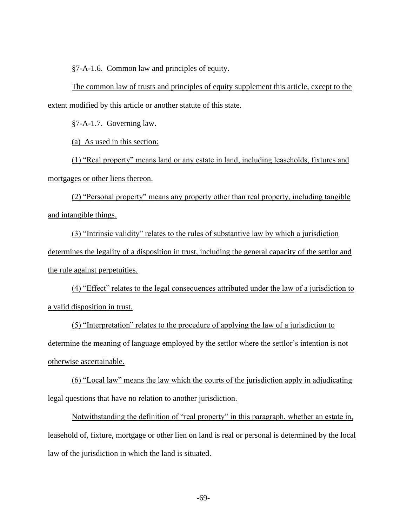§7-A-1.6. Common law and principles of equity.

The common law of trusts and principles of equity supplement this article, except to the extent modified by this article or another statute of this state.

§7-A-1.7. Governing law.

(a) As used in this section:

(1) "Real property" means land or any estate in land, including leaseholds, fixtures and mortgages or other liens thereon.

(2) "Personal property" means any property other than real property, including tangible and intangible things.

(3) "Intrinsic validity" relates to the rules of substantive law by which a jurisdiction determines the legality of a disposition in trust, including the general capacity of the settlor and the rule against perpetuities.

(4) "Effect" relates to the legal consequences attributed under the law of a jurisdiction to a valid disposition in trust.

(5) "Interpretation" relates to the procedure of applying the law of a jurisdiction to determine the meaning of language employed by the settlor where the settlor's intention is not otherwise ascertainable.

(6) "Local law" means the law which the courts of the jurisdiction apply in adjudicating legal questions that have no relation to another jurisdiction.

Notwithstanding the definition of "real property" in this paragraph, whether an estate in, leasehold of, fixture, mortgage or other lien on land is real or personal is determined by the local law of the jurisdiction in which the land is situated.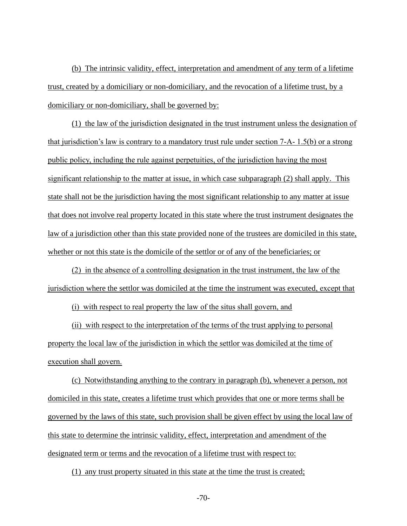(b) The intrinsic validity, effect, interpretation and amendment of any term of a lifetime trust, created by a domiciliary or non-domiciliary, and the revocation of a lifetime trust, by a domiciliary or non-domiciliary, shall be governed by:

(1) the law of the jurisdiction designated in the trust instrument unless the designation of that jurisdiction's law is contrary to a mandatory trust rule under section 7-A- 1.5(b) or a strong public policy, including the rule against perpetuities, of the jurisdiction having the most significant relationship to the matter at issue, in which case subparagraph (2) shall apply. This state shall not be the jurisdiction having the most significant relationship to any matter at issue that does not involve real property located in this state where the trust instrument designates the law of a jurisdiction other than this state provided none of the trustees are domiciled in this state, whether or not this state is the domicile of the settlor or of any of the beneficiaries; or

(2) in the absence of a controlling designation in the trust instrument, the law of the jurisdiction where the settlor was domiciled at the time the instrument was executed, except that

(i) with respect to real property the law of the situs shall govern, and

(ii) with respect to the interpretation of the terms of the trust applying to personal property the local law of the jurisdiction in which the settlor was domiciled at the time of execution shall govern.

(c) Notwithstanding anything to the contrary in paragraph (b), whenever a person, not domiciled in this state, creates a lifetime trust which provides that one or more terms shall be governed by the laws of this state, such provision shall be given effect by using the local law of this state to determine the intrinsic validity, effect, interpretation and amendment of the designated term or terms and the revocation of a lifetime trust with respect to:

(1) any trust property situated in this state at the time the trust is created;

-70-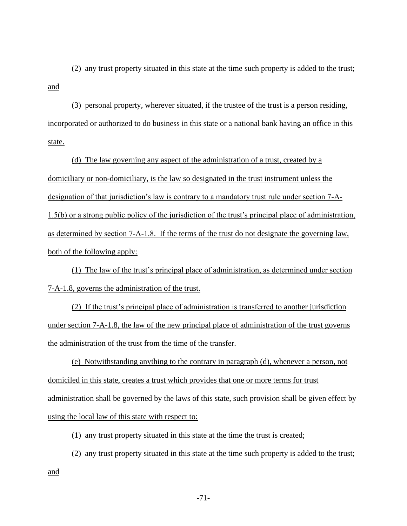(2) any trust property situated in this state at the time such property is added to the trust; and

(3) personal property, wherever situated, if the trustee of the trust is a person residing, incorporated or authorized to do business in this state or a national bank having an office in this state.

(d) The law governing any aspect of the administration of a trust, created by a domiciliary or non-domiciliary, is the law so designated in the trust instrument unless the designation of that jurisdiction's law is contrary to a mandatory trust rule under section 7-A-1.5(b) or a strong public policy of the jurisdiction of the trust's principal place of administration, as determined by section 7-A-1.8. If the terms of the trust do not designate the governing law, both of the following apply:

(1) The law of the trust's principal place of administration, as determined under section 7-A-1.8, governs the administration of the trust.

(2) If the trust's principal place of administration is transferred to another jurisdiction under section 7-A-1.8, the law of the new principal place of administration of the trust governs the administration of the trust from the time of the transfer.

(e) Notwithstanding anything to the contrary in paragraph (d), whenever a person, not domiciled in this state, creates a trust which provides that one or more terms for trust administration shall be governed by the laws of this state, such provision shall be given effect by using the local law of this state with respect to:

(1) any trust property situated in this state at the time the trust is created;

(2) any trust property situated in this state at the time such property is added to the trust; and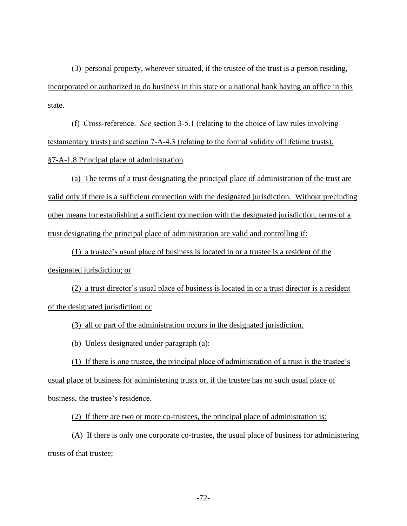(3) personal property, wherever situated, if the trustee of the trust is a person residing, incorporated or authorized to do business in this state or a national bank having an office in this state.

(f) Cross-reference. *See* section 3-5.1 (relating to the choice of law rules involving testamentary trusts) and section 7-A-4.3 (relating to the formal validity of lifetime trusts). §7-A-1.8 Principal place of administration

(a) The terms of a trust designating the principal place of administration of the trust are valid only if there is a sufficient connection with the designated jurisdiction. Without precluding other means for establishing a sufficient connection with the designated jurisdiction, terms of a trust designating the principal place of administration are valid and controlling if:

(1) a trustee's usual place of business is located in or a trustee is a resident of the designated jurisdiction; or

(2) a trust director's usual place of business is located in or a trust director is a resident of the designated jurisdiction; or

(3) all or part of the administration occurs in the designated jurisdiction.

(b) Unless designated under paragraph (a):

(1) If there is one trustee, the principal place of administration of a trust is the trustee's usual place of business for administering trusts or, if the trustee has no such usual place of business, the trustee's residence.

(2) If there are two or more co-trustees, the principal place of administration is:

(A) If there is only one corporate co-trustee, the usual place of business for administering trusts of that trustee;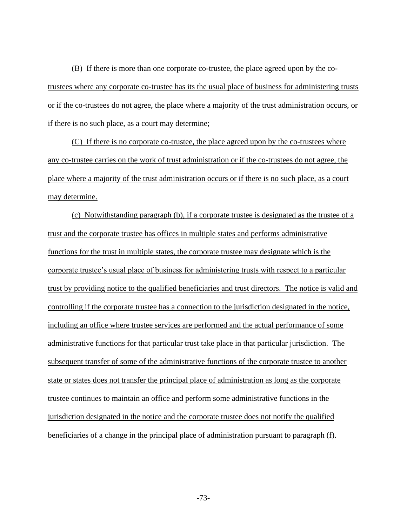(B) If there is more than one corporate co-trustee, the place agreed upon by the cotrustees where any corporate co-trustee has its the usual place of business for administering trusts or if the co-trustees do not agree, the place where a majority of the trust administration occurs, or if there is no such place, as a court may determine;

(C) If there is no corporate co-trustee, the place agreed upon by the co-trustees where any co-trustee carries on the work of trust administration or if the co-trustees do not agree, the place where a majority of the trust administration occurs or if there is no such place, as a court may determine.

(c) Notwithstanding paragraph (b), if a corporate trustee is designated as the trustee of a trust and the corporate trustee has offices in multiple states and performs administrative functions for the trust in multiple states, the corporate trustee may designate which is the corporate trustee's usual place of business for administering trusts with respect to a particular trust by providing notice to the qualified beneficiaries and trust directors. The notice is valid and controlling if the corporate trustee has a connection to the jurisdiction designated in the notice, including an office where trustee services are performed and the actual performance of some administrative functions for that particular trust take place in that particular jurisdiction. The subsequent transfer of some of the administrative functions of the corporate trustee to another state or states does not transfer the principal place of administration as long as the corporate trustee continues to maintain an office and perform some administrative functions in the jurisdiction designated in the notice and the corporate trustee does not notify the qualified beneficiaries of a change in the principal place of administration pursuant to paragraph (f).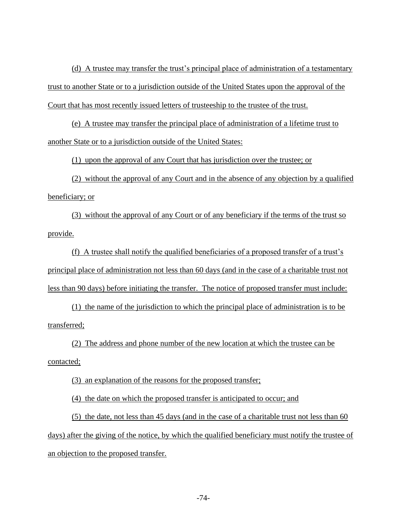(d) A trustee may transfer the trust's principal place of administration of a testamentary trust to another State or to a jurisdiction outside of the United States upon the approval of the Court that has most recently issued letters of trusteeship to the trustee of the trust.

(e) A trustee may transfer the principal place of administration of a lifetime trust to another State or to a jurisdiction outside of the United States:

(1) upon the approval of any Court that has jurisdiction over the trustee; or

(2) without the approval of any Court and in the absence of any objection by a qualified beneficiary; or

(3) without the approval of any Court or of any beneficiary if the terms of the trust so provide.

(f) A trustee shall notify the qualified beneficiaries of a proposed transfer of a trust's principal place of administration not less than 60 days (and in the case of a charitable trust not less than 90 days) before initiating the transfer. The notice of proposed transfer must include:

(1) the name of the jurisdiction to which the principal place of administration is to be transferred;

(2) The address and phone number of the new location at which the trustee can be contacted;

(3) an explanation of the reasons for the proposed transfer;

(4) the date on which the proposed transfer is anticipated to occur; and

(5) the date, not less than 45 days (and in the case of a charitable trust not less than 60 days) after the giving of the notice, by which the qualified beneficiary must notify the trustee of an objection to the proposed transfer.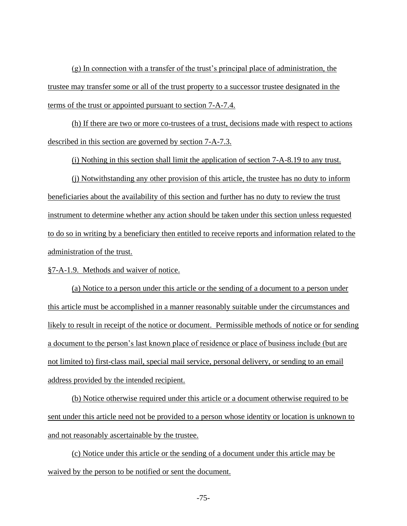(g) In connection with a transfer of the trust's principal place of administration, the trustee may transfer some or all of the trust property to a successor trustee designated in the terms of the trust or appointed pursuant to section 7-A-7.4.

(h) If there are two or more co-trustees of a trust, decisions made with respect to actions described in this section are governed by section 7-A-7.3.

(i) Nothing in this section shall limit the application of section 7-A-8.19 to any trust.

(j) Notwithstanding any other provision of this article, the trustee has no duty to inform beneficiaries about the availability of this section and further has no duty to review the trust instrument to determine whether any action should be taken under this section unless requested to do so in writing by a beneficiary then entitled to receive reports and information related to the administration of the trust.

§7-A-1.9. Methods and waiver of notice.

(a) Notice to a person under this article or the sending of a document to a person under this article must be accomplished in a manner reasonably suitable under the circumstances and likely to result in receipt of the notice or document. Permissible methods of notice or for sending a document to the person's last known place of residence or place of business include (but are not limited to) first-class mail, special mail service, personal delivery, or sending to an email address provided by the intended recipient.

(b) Notice otherwise required under this article or a document otherwise required to be sent under this article need not be provided to a person whose identity or location is unknown to and not reasonably ascertainable by the trustee.

(c) Notice under this article or the sending of a document under this article may be waived by the person to be notified or sent the document.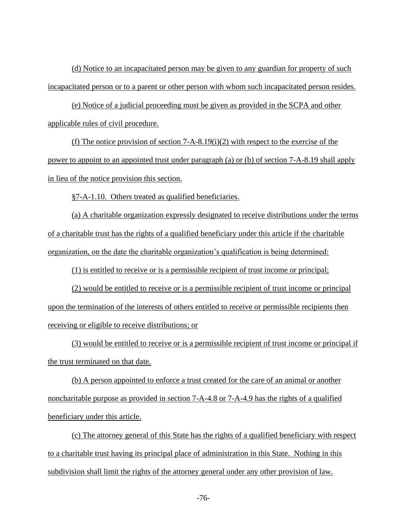(d) Notice to an incapacitated person may be given to any guardian for property of such incapacitated person or to a parent or other person with whom such incapacitated person resides.

(e) Notice of a judicial proceeding must be given as provided in the SCPA and other applicable rules of civil procedure.

(f) The notice provision of section  $7-A-8.19(i)(2)$  with respect to the exercise of the power to appoint to an appointed trust under paragraph (a) or (b) of section 7-A-8.19 shall apply in lieu of the notice provision this section.

§7-A-1.10. Others treated as qualified beneficiaries.

(a) A charitable organization expressly designated to receive distributions under the terms of a charitable trust has the rights of a qualified beneficiary under this article if the charitable organization, on the date the charitable organization's qualification is being determined:

(1) is entitled to receive or is a permissible recipient of trust income or principal;

(2) would be entitled to receive or is a permissible recipient of trust income or principal upon the termination of the interests of others entitled to receive or permissible recipients then receiving or eligible to receive distributions; or

(3) would be entitled to receive or is a permissible recipient of trust income or principal if the trust terminated on that date.

(b) A person appointed to enforce a trust created for the care of an animal or another noncharitable purpose as provided in section 7-A-4.8 or 7-A-4.9 has the rights of a qualified beneficiary under this article.

(c) The attorney general of this State has the rights of a qualified beneficiary with respect to a charitable trust having its principal place of administration in this State. Nothing in this subdivision shall limit the rights of the attorney general under any other provision of law.

-76-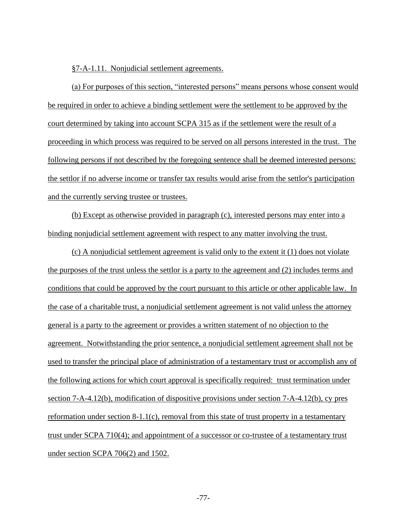§7-A-1.11. Nonjudicial settlement agreements.

(a) For purposes of this section, "interested persons" means persons whose consent would be required in order to achieve a binding settlement were the settlement to be approved by the court determined by taking into account SCPA 315 as if the settlement were the result of a proceeding in which process was required to be served on all persons interested in the trust. The following persons if not described by the foregoing sentence shall be deemed interested persons: the settlor if no adverse income or transfer tax results would arise from the settlor's participation and the currently serving trustee or trustees.

(b) Except as otherwise provided in paragraph (c), interested persons may enter into a binding nonjudicial settlement agreement with respect to any matter involving the trust.

(c) A nonjudicial settlement agreement is valid only to the extent it (1) does not violate the purposes of the trust unless the settlor is a party to the agreement and (2) includes terms and conditions that could be approved by the court pursuant to this article or other applicable law. In the case of a charitable trust, a nonjudicial settlement agreement is not valid unless the attorney general is a party to the agreement or provides a written statement of no objection to the agreement. Notwithstanding the prior sentence, a nonjudicial settlement agreement shall not be used to transfer the principal place of administration of a testamentary trust or accomplish any of the following actions for which court approval is specifically required: trust termination under section 7-A-4.12(b), modification of dispositive provisions under section 7-A-4.12(b), cy pres reformation under section  $8-1.1(c)$ , removal from this state of trust property in a testamentary trust under SCPA 710(4); and appointment of a successor or co-trustee of a testamentary trust under section SCPA 706(2) and 1502.

-77-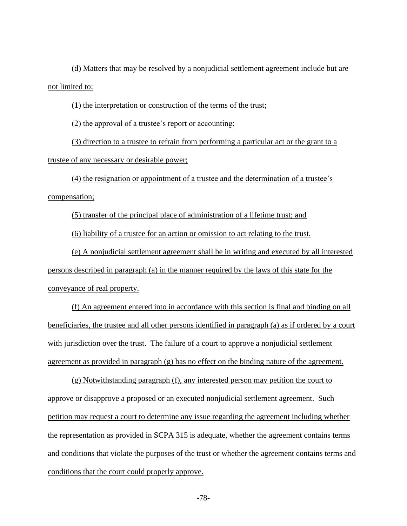(d) Matters that may be resolved by a nonjudicial settlement agreement include but are not limited to:

(1) the interpretation or construction of the terms of the trust;

(2) the approval of a trustee's report or accounting;

(3) direction to a trustee to refrain from performing a particular act or the grant to a trustee of any necessary or desirable power;

(4) the resignation or appointment of a trustee and the determination of a trustee's compensation;

(5) transfer of the principal place of administration of a lifetime trust; and

(6) liability of a trustee for an action or omission to act relating to the trust.

(e) A nonjudicial settlement agreement shall be in writing and executed by all interested persons described in paragraph (a) in the manner required by the laws of this state for the conveyance of real property.

(f) An agreement entered into in accordance with this section is final and binding on all beneficiaries, the trustee and all other persons identified in paragraph (a) as if ordered by a court with jurisdiction over the trust. The failure of a court to approve a nonjudicial settlement agreement as provided in paragraph (g) has no effect on the binding nature of the agreement.

(g) Notwithstanding paragraph (f), any interested person may petition the court to approve or disapprove a proposed or an executed nonjudicial settlement agreement. Such petition may request a court to determine any issue regarding the agreement including whether the representation as provided in SCPA 315 is adequate, whether the agreement contains terms and conditions that violate the purposes of the trust or whether the agreement contains terms and conditions that the court could properly approve.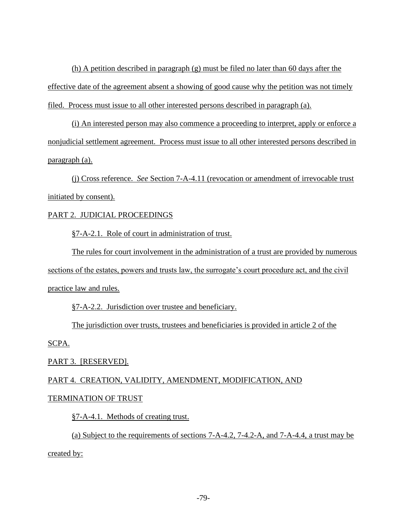(h) A petition described in paragraph (g) must be filed no later than 60 days after the effective date of the agreement absent a showing of good cause why the petition was not timely filed. Process must issue to all other interested persons described in paragraph (a).

(i) An interested person may also commence a proceeding to interpret, apply or enforce a nonjudicial settlement agreement. Process must issue to all other interested persons described in paragraph (a).

(j) Cross reference. *See* Section 7-A-4.11 (revocation or amendment of irrevocable trust initiated by consent).

### PART 2. JUDICIAL PROCEEDINGS

§7-A-2.1. Role of court in administration of trust.

The rules for court involvement in the administration of a trust are provided by numerous sections of the estates, powers and trusts law, the surrogate's court procedure act, and the civil practice law and rules.

§7-A-2.2. Jurisdiction over trustee and beneficiary.

The jurisdiction over trusts, trustees and beneficiaries is provided in article 2 of the SCPA.

PART 3. [RESERVED].

PART 4. CREATION, VALIDITY, AMENDMENT, MODIFICATION, AND

## TERMINATION OF TRUST

§7-A-4.1. Methods of creating trust.

(a) Subject to the requirements of sections 7-A-4.2, 7-4.2-A, and 7-A-4.4, a trust may be created by: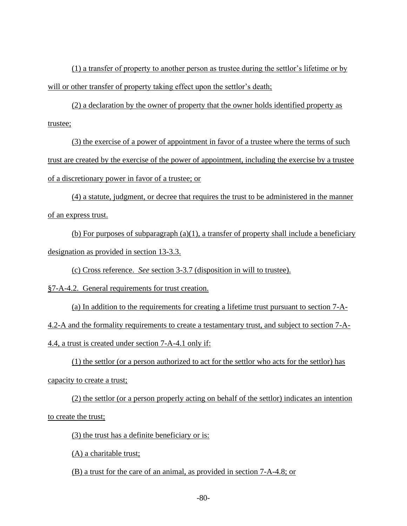(1) a transfer of property to another person as trustee during the settlor's lifetime or by will or other transfer of property taking effect upon the settlor's death;

(2) a declaration by the owner of property that the owner holds identified property as trustee;

(3) the exercise of a power of appointment in favor of a trustee where the terms of such trust are created by the exercise of the power of appointment, including the exercise by a trustee of a discretionary power in favor of a trustee; or

(4) a statute, judgment, or decree that requires the trust to be administered in the manner of an express trust.

(b) For purposes of subparagraph  $(a)(1)$ , a transfer of property shall include a beneficiary designation as provided in section 13-3.3.

(c) Cross reference. *See* section 3-3.7 (disposition in will to trustee).

§7-A-4.2. General requirements for trust creation.

(a) In addition to the requirements for creating a lifetime trust pursuant to section 7-A-

4.2-A and the formality requirements to create a testamentary trust, and subject to section 7-A-

4.4, a trust is created under section 7-A-4.1 only if:

(1) the settlor (or a person authorized to act for the settlor who acts for the settlor) has capacity to create a trust;

(2) the settlor (or a person properly acting on behalf of the settlor) indicates an intention to create the trust;

(3) the trust has a definite beneficiary or is:

(A) a charitable trust;

(B) a trust for the care of an animal, as provided in section 7-A-4.8; or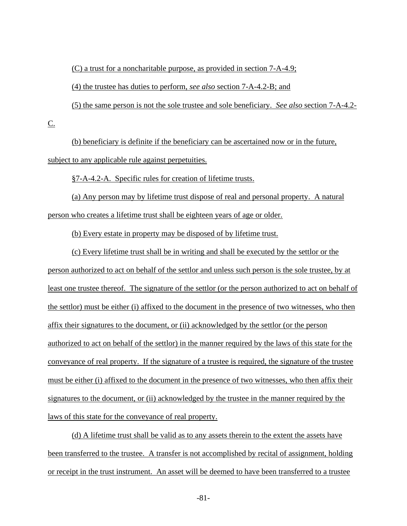(C) a trust for a noncharitable purpose, as provided in section 7-A-4.9; (4) the trustee has duties to perform, *see also* section 7-A-4.2-B; and (5) the same person is not the sole trustee and sole beneficiary. *See also* section 7-A-4.2-

 $C_{\cdot}$ 

(b) beneficiary is definite if the beneficiary can be ascertained now or in the future, subject to any applicable rule against perpetuities.

§7-A-4.2-A. Specific rules for creation of lifetime trusts.

(a) Any person may by lifetime trust dispose of real and personal property. A natural person who creates a lifetime trust shall be eighteen years of age or older.

(b) Every estate in property may be disposed of by lifetime trust.

(c) Every lifetime trust shall be in writing and shall be executed by the settlor or the person authorized to act on behalf of the settlor and unless such person is the sole trustee, by at least one trustee thereof. The signature of the settlor (or the person authorized to act on behalf of the settlor) must be either (i) affixed to the document in the presence of two witnesses, who then affix their signatures to the document, or (ii) acknowledged by the settlor (or the person authorized to act on behalf of the settlor) in the manner required by the laws of this state for the conveyance of real property. If the signature of a trustee is required, the signature of the trustee must be either (i) affixed to the document in the presence of two witnesses, who then affix their signatures to the document, or (ii) acknowledged by the trustee in the manner required by the laws of this state for the conveyance of real property.

(d) A lifetime trust shall be valid as to any assets therein to the extent the assets have been transferred to the trustee. A transfer is not accomplished by recital of assignment, holding or receipt in the trust instrument. An asset will be deemed to have been transferred to a trustee

-81-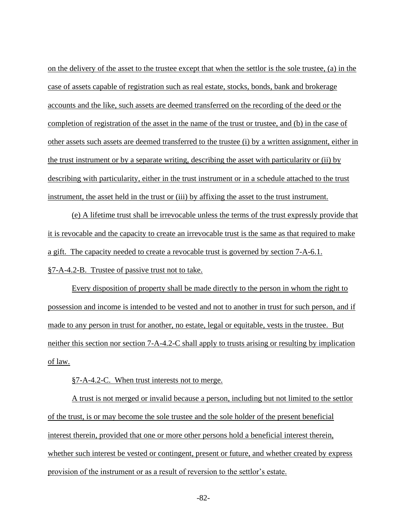on the delivery of the asset to the trustee except that when the settlor is the sole trustee, (a) in the case of assets capable of registration such as real estate, stocks, bonds, bank and brokerage accounts and the like, such assets are deemed transferred on the recording of the deed or the completion of registration of the asset in the name of the trust or trustee, and (b) in the case of other assets such assets are deemed transferred to the trustee (i) by a written assignment, either in the trust instrument or by a separate writing, describing the asset with particularity or (ii) by describing with particularity, either in the trust instrument or in a schedule attached to the trust instrument, the asset held in the trust or (iii) by affixing the asset to the trust instrument.

(e) A lifetime trust shall be irrevocable unless the terms of the trust expressly provide that it is revocable and the capacity to create an irrevocable trust is the same as that required to make a gift. The capacity needed to create a revocable trust is governed by section 7-A-6.1. §7-A-4.2-B. Trustee of passive trust not to take.

Every disposition of property shall be made directly to the person in whom the right to possession and income is intended to be vested and not to another in trust for such person, and if made to any person in trust for another, no estate, legal or equitable, vests in the trustee. But neither this section nor section 7-A-4.2-C shall apply to trusts arising or resulting by implication of law.

§7-A-4.2-C. When trust interests not to merge.

A trust is not merged or invalid because a person, including but not limited to the settlor of the trust, is or may become the sole trustee and the sole holder of the present beneficial interest therein, provided that one or more other persons hold a beneficial interest therein, whether such interest be vested or contingent, present or future, and whether created by express provision of the instrument or as a result of reversion to the settlor's estate.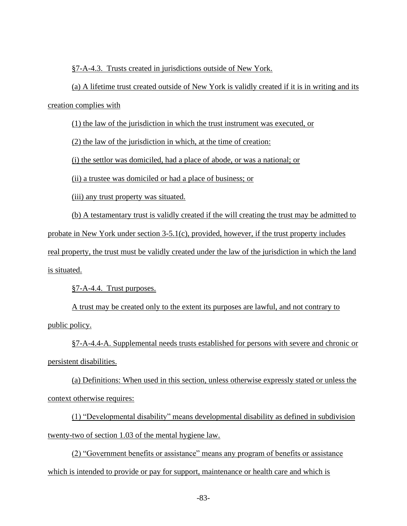#### §7-A-4.3. Trusts created in jurisdictions outside of New York.

(a) A lifetime trust created outside of New York is validly created if it is in writing and its creation complies with

(1) the law of the jurisdiction in which the trust instrument was executed, or

(2) the law of the jurisdiction in which, at the time of creation:

(i) the settlor was domiciled, had a place of abode, or was a national; or

(ii) a trustee was domiciled or had a place of business; or

(iii) any trust property was situated.

(b) A testamentary trust is validly created if the will creating the trust may be admitted to probate in New York under section 3-5.1(c), provided, however, if the trust property includes real property, the trust must be validly created under the law of the jurisdiction in which the land is situated.

§7-A-4.4. Trust purposes.

A trust may be created only to the extent its purposes are lawful, and not contrary to public policy.

§7-A-4.4-A. Supplemental needs trusts established for persons with severe and chronic or persistent disabilities.

(a) Definitions: When used in this section, unless otherwise expressly stated or unless the context otherwise requires:

(1) "Developmental disability" means developmental disability as defined in subdivision twenty-two of section 1.03 of the mental hygiene law.

(2) "Government benefits or assistance" means any program of benefits or assistance which is intended to provide or pay for support, maintenance or health care and which is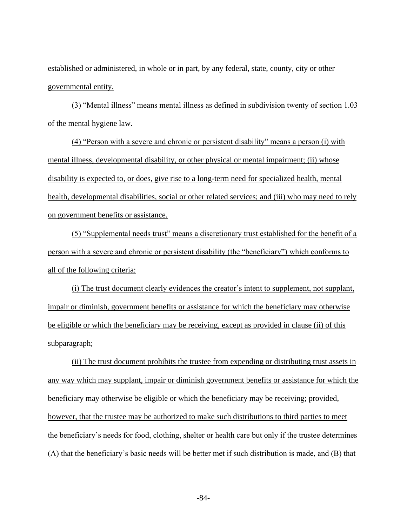established or administered, in whole or in part, by any federal, state, county, city or other governmental entity.

(3) "Mental illness" means mental illness as defined in subdivision twenty of section 1.03 of the mental hygiene law.

(4) "Person with a severe and chronic or persistent disability" means a person (i) with mental illness, developmental disability, or other physical or mental impairment; (ii) whose disability is expected to, or does, give rise to a long-term need for specialized health, mental health, developmental disabilities, social or other related services; and (iii) who may need to rely on government benefits or assistance.

(5) "Supplemental needs trust" means a discretionary trust established for the benefit of a person with a severe and chronic or persistent disability (the "beneficiary") which conforms to all of the following criteria:

(i) The trust document clearly evidences the creator's intent to supplement, not supplant, impair or diminish, government benefits or assistance for which the beneficiary may otherwise be eligible or which the beneficiary may be receiving, except as provided in clause (ii) of this subparagraph;

(ii) The trust document prohibits the trustee from expending or distributing trust assets in any way which may supplant, impair or diminish government benefits or assistance for which the beneficiary may otherwise be eligible or which the beneficiary may be receiving; provided, however, that the trustee may be authorized to make such distributions to third parties to meet the beneficiary's needs for food, clothing, shelter or health care but only if the trustee determines (A) that the beneficiary's basic needs will be better met if such distribution is made, and (B) that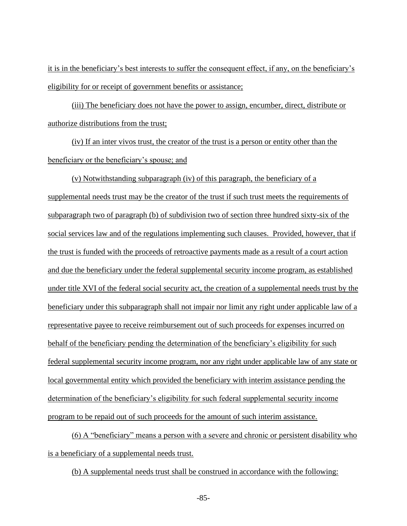it is in the beneficiary's best interests to suffer the consequent effect, if any, on the beneficiary's eligibility for or receipt of government benefits or assistance;

(iii) The beneficiary does not have the power to assign, encumber, direct, distribute or authorize distributions from the trust;

(iv) If an inter vivos trust, the creator of the trust is a person or entity other than the beneficiary or the beneficiary's spouse; and

(v) Notwithstanding subparagraph (iv) of this paragraph, the beneficiary of a supplemental needs trust may be the creator of the trust if such trust meets the requirements of subparagraph two of paragraph (b) of subdivision two of section three hundred sixty-six of the social services law and of the regulations implementing such clauses. Provided, however, that if the trust is funded with the proceeds of retroactive payments made as a result of a court action and due the beneficiary under the federal supplemental security income program, as established under title XVI of the federal social security act, the creation of a supplemental needs trust by the beneficiary under this subparagraph shall not impair nor limit any right under applicable law of a representative payee to receive reimbursement out of such proceeds for expenses incurred on behalf of the beneficiary pending the determination of the beneficiary's eligibility for such federal supplemental security income program, nor any right under applicable law of any state or local governmental entity which provided the beneficiary with interim assistance pending the determination of the beneficiary's eligibility for such federal supplemental security income program to be repaid out of such proceeds for the amount of such interim assistance.

(6) A "beneficiary" means a person with a severe and chronic or persistent disability who is a beneficiary of a supplemental needs trust.

(b) A supplemental needs trust shall be construed in accordance with the following:

-85-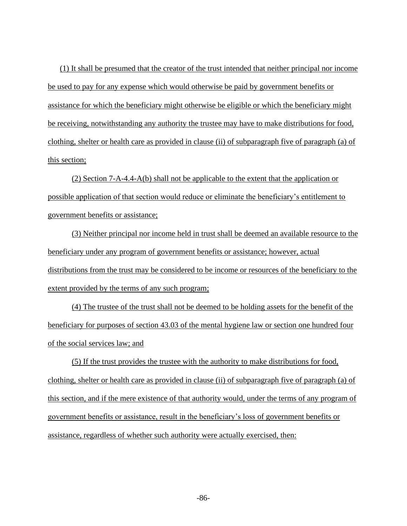(1) It shall be presumed that the creator of the trust intended that neither principal nor income be used to pay for any expense which would otherwise be paid by government benefits or assistance for which the beneficiary might otherwise be eligible or which the beneficiary might be receiving, notwithstanding any authority the trustee may have to make distributions for food, clothing, shelter or health care as provided in clause (ii) of subparagraph five of paragraph (a) of this section;

(2) Section 7-A-4.4-A(b) shall not be applicable to the extent that the application or possible application of that section would reduce or eliminate the beneficiary's entitlement to government benefits or assistance;

(3) Neither principal nor income held in trust shall be deemed an available resource to the beneficiary under any program of government benefits or assistance; however, actual distributions from the trust may be considered to be income or resources of the beneficiary to the extent provided by the terms of any such program;

(4) The trustee of the trust shall not be deemed to be holding assets for the benefit of the beneficiary for purposes of section 43.03 of the mental hygiene law or section one hundred four of the social services law; and

(5) If the trust provides the trustee with the authority to make distributions for food, clothing, shelter or health care as provided in clause (ii) of subparagraph five of paragraph (a) of this section, and if the mere existence of that authority would, under the terms of any program of government benefits or assistance, result in the beneficiary's loss of government benefits or assistance, regardless of whether such authority were actually exercised, then: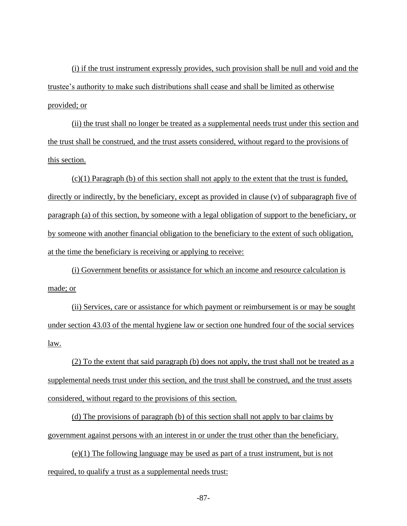(i) if the trust instrument expressly provides, such provision shall be null and void and the trustee's authority to make such distributions shall cease and shall be limited as otherwise provided; or

(ii) the trust shall no longer be treated as a supplemental needs trust under this section and the trust shall be construed, and the trust assets considered, without regard to the provisions of this section.

(c)(1) Paragraph (b) of this section shall not apply to the extent that the trust is funded, directly or indirectly, by the beneficiary, except as provided in clause (v) of subparagraph five of paragraph (a) of this section, by someone with a legal obligation of support to the beneficiary, or by someone with another financial obligation to the beneficiary to the extent of such obligation, at the time the beneficiary is receiving or applying to receive:

(i) Government benefits or assistance for which an income and resource calculation is made; or

(ii) Services, care or assistance for which payment or reimbursement is or may be sought under section 43.03 of the mental hygiene law or section one hundred four of the social services law.

(2) To the extent that said paragraph (b) does not apply, the trust shall not be treated as a supplemental needs trust under this section, and the trust shall be construed, and the trust assets considered, without regard to the provisions of this section.

(d) The provisions of paragraph (b) of this section shall not apply to bar claims by government against persons with an interest in or under the trust other than the beneficiary.

(e)(1) The following language may be used as part of a trust instrument, but is not required, to qualify a trust as a supplemental needs trust: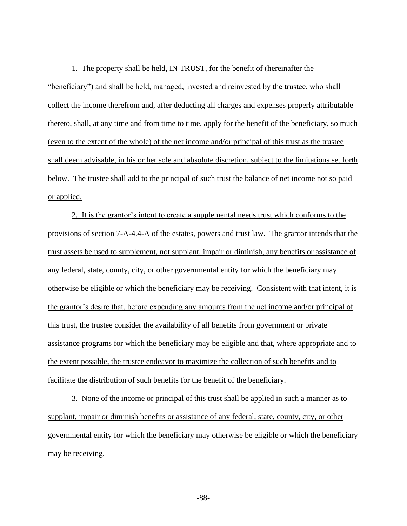1. The property shall be held, IN TRUST, for the benefit of (hereinafter the

"beneficiary") and shall be held, managed, invested and reinvested by the trustee, who shall collect the income therefrom and, after deducting all charges and expenses properly attributable thereto, shall, at any time and from time to time, apply for the benefit of the beneficiary, so much (even to the extent of the whole) of the net income and/or principal of this trust as the trustee shall deem advisable, in his or her sole and absolute discretion, subject to the limitations set forth below. The trustee shall add to the principal of such trust the balance of net income not so paid or applied.

2. It is the grantor's intent to create a supplemental needs trust which conforms to the provisions of section 7-A-4.4-A of the estates, powers and trust law. The grantor intends that the trust assets be used to supplement, not supplant, impair or diminish, any benefits or assistance of any federal, state, county, city, or other governmental entity for which the beneficiary may otherwise be eligible or which the beneficiary may be receiving. Consistent with that intent, it is the grantor's desire that, before expending any amounts from the net income and/or principal of this trust, the trustee consider the availability of all benefits from government or private assistance programs for which the beneficiary may be eligible and that, where appropriate and to the extent possible, the trustee endeavor to maximize the collection of such benefits and to facilitate the distribution of such benefits for the benefit of the beneficiary.

3. None of the income or principal of this trust shall be applied in such a manner as to supplant, impair or diminish benefits or assistance of any federal, state, county, city, or other governmental entity for which the beneficiary may otherwise be eligible or which the beneficiary may be receiving.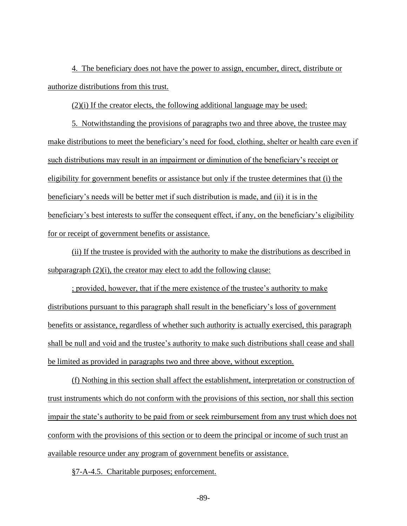4. The beneficiary does not have the power to assign, encumber, direct, distribute or authorize distributions from this trust.

(2)(i) If the creator elects, the following additional language may be used:

5. Notwithstanding the provisions of paragraphs two and three above, the trustee may make distributions to meet the beneficiary's need for food, clothing, shelter or health care even if such distributions may result in an impairment or diminution of the beneficiary's receipt or eligibility for government benefits or assistance but only if the trustee determines that (i) the beneficiary's needs will be better met if such distribution is made, and (ii) it is in the beneficiary's best interests to suffer the consequent effect, if any, on the beneficiary's eligibility for or receipt of government benefits or assistance.

(ii) If the trustee is provided with the authority to make the distributions as described in subparagraph  $(2)(i)$ , the creator may elect to add the following clause:

; provided, however, that if the mere existence of the trustee's authority to make distributions pursuant to this paragraph shall result in the beneficiary's loss of government benefits or assistance, regardless of whether such authority is actually exercised, this paragraph shall be null and void and the trustee's authority to make such distributions shall cease and shall be limited as provided in paragraphs two and three above, without exception.

(f) Nothing in this section shall affect the establishment, interpretation or construction of trust instruments which do not conform with the provisions of this section, nor shall this section impair the state's authority to be paid from or seek reimbursement from any trust which does not conform with the provisions of this section or to deem the principal or income of such trust an available resource under any program of government benefits or assistance.

§7-A-4.5. Charitable purposes; enforcement.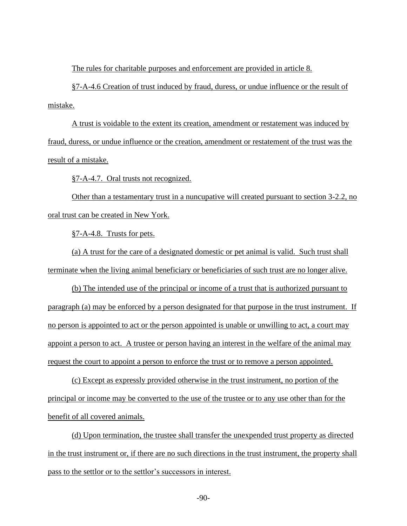The rules for charitable purposes and enforcement are provided in article 8.

§7-A-4.6 Creation of trust induced by fraud, duress, or undue influence or the result of mistake.

A trust is voidable to the extent its creation, amendment or restatement was induced by fraud, duress, or undue influence or the creation, amendment or restatement of the trust was the result of a mistake.

§7-A-4.7. Oral trusts not recognized.

Other than a testamentary trust in a nuncupative will created pursuant to section 3-2.2, no oral trust can be created in New York.

§7-A-4.8. Trusts for pets.

(a) A trust for the care of a designated domestic or pet animal is valid. Such trust shall terminate when the living animal beneficiary or beneficiaries of such trust are no longer alive.

(b) The intended use of the principal or income of a trust that is authorized pursuant to paragraph (a) may be enforced by a person designated for that purpose in the trust instrument. If no person is appointed to act or the person appointed is unable or unwilling to act, a court may appoint a person to act. A trustee or person having an interest in the welfare of the animal may request the court to appoint a person to enforce the trust or to remove a person appointed.

(c) Except as expressly provided otherwise in the trust instrument, no portion of the principal or income may be converted to the use of the trustee or to any use other than for the benefit of all covered animals.

(d) Upon termination, the trustee shall transfer the unexpended trust property as directed in the trust instrument or, if there are no such directions in the trust instrument, the property shall pass to the settlor or to the settlor's successors in interest.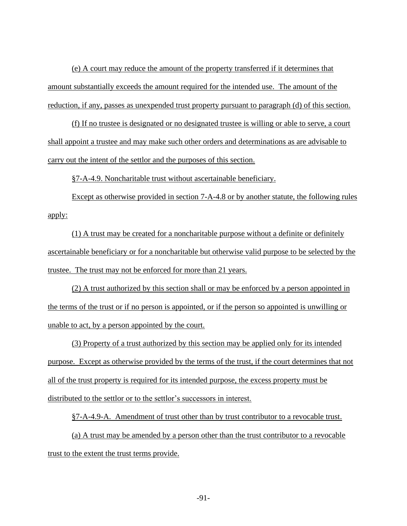(e) A court may reduce the amount of the property transferred if it determines that amount substantially exceeds the amount required for the intended use. The amount of the reduction, if any, passes as unexpended trust property pursuant to paragraph (d) of this section.

(f) If no trustee is designated or no designated trustee is willing or able to serve, a court shall appoint a trustee and may make such other orders and determinations as are advisable to carry out the intent of the settlor and the purposes of this section.

§7-A-4.9. Noncharitable trust without ascertainable beneficiary.

Except as otherwise provided in section 7-A-4.8 or by another statute, the following rules apply:

(1) A trust may be created for a noncharitable purpose without a definite or definitely ascertainable beneficiary or for a noncharitable but otherwise valid purpose to be selected by the trustee. The trust may not be enforced for more than 21 years.

(2) A trust authorized by this section shall or may be enforced by a person appointed in the terms of the trust or if no person is appointed, or if the person so appointed is unwilling or unable to act, by a person appointed by the court.

(3) Property of a trust authorized by this section may be applied only for its intended purpose. Except as otherwise provided by the terms of the trust, if the court determines that not all of the trust property is required for its intended purpose, the excess property must be distributed to the settlor or to the settlor's successors in interest.

§7-A-4.9-A. Amendment of trust other than by trust contributor to a revocable trust.

(a) A trust may be amended by a person other than the trust contributor to a revocable trust to the extent the trust terms provide.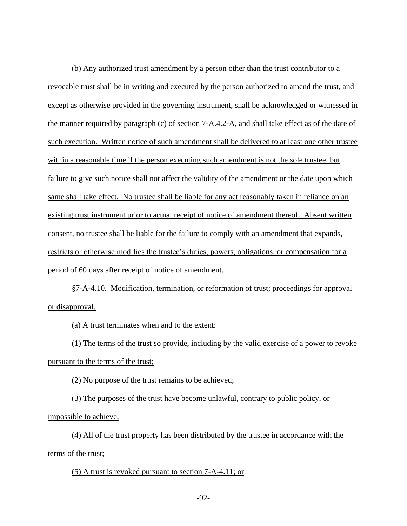(b) Any authorized trust amendment by a person other than the trust contributor to a revocable trust shall be in writing and executed by the person authorized to amend the trust, and except as otherwise provided in the governing instrument, shall be acknowledged or witnessed in the manner required by paragraph (c) of section 7-A.4.2-A, and shall take effect as of the date of such execution. Written notice of such amendment shall be delivered to at least one other trustee within a reasonable time if the person executing such amendment is not the sole trustee, but failure to give such notice shall not affect the validity of the amendment or the date upon which same shall take effect. No trustee shall be liable for any act reasonably taken in reliance on an existing trust instrument prior to actual receipt of notice of amendment thereof. Absent written consent, no trustee shall be liable for the failure to comply with an amendment that expands, restricts or otherwise modifies the trustee's duties, powers, obligations, or compensation for a period of 60 days after receipt of notice of amendment.

§7-A-4.10. Modification, termination, or reformation of trust; proceedings for approval or disapproval.

(a) A trust terminates when and to the extent:

(1) The terms of the trust so provide, including by the valid exercise of a power to revoke pursuant to the terms of the trust;

(2) No purpose of the trust remains to be achieved;

(3) The purposes of the trust have become unlawful, contrary to public policy, or impossible to achieve;

(4) All of the trust property has been distributed by the trustee in accordance with the terms of the trust;

(5) A trust is revoked pursuant to section 7-A-4.11; or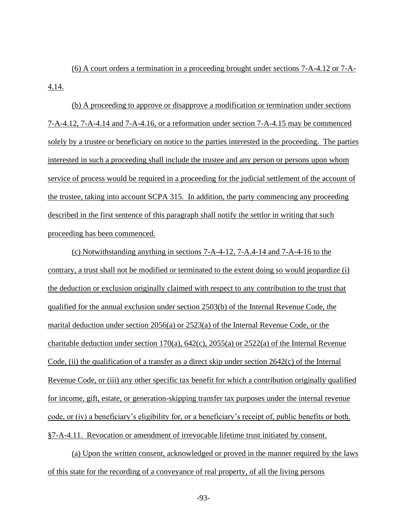(6) A court orders a termination in a proceeding brought under sections 7-A-4.12 or 7-A-4.14.

(b) A proceeding to approve or disapprove a modification or termination under sections 7-A-4.12, 7-A-4.14 and 7-A-4.16, or a reformation under section 7-A-4.15 may be commenced solely by a trustee or beneficiary on notice to the parties interested in the proceeding. The parties interested in such a proceeding shall include the trustee and any person or persons upon whom service of process would be required in a proceeding for the judicial settlement of the account of the trustee, taking into account SCPA 315. In addition, the party commencing any proceeding described in the first sentence of this paragraph shall notify the settlor in writing that such proceeding has been commenced.

(c) Notwithstanding anything in sections 7-A-4-12, 7-A.4-14 and 7-A-4-16 to the contrary, a trust shall not be modified or terminated to the extent doing so would jeopardize (i) the deduction or exclusion originally claimed with respect to any contribution to the trust that qualified for the annual exclusion under section 2503(b) of the Internal Revenue Code, the marital deduction under section 2056(a) or 2523(a) of the Internal Revenue Code, or the charitable deduction under section 170(a), 642(c), 2055(a) or 2522(a) of the Internal Revenue Code, (ii) the qualification of a transfer as a direct skip under section  $2642(c)$  of the Internal Revenue Code, or (iii) any other specific tax benefit for which a contribution originally qualified for income, gift, estate, or generation-skipping transfer tax purposes under the internal revenue code, or (iv) a beneficiary's eligibility for, or a beneficiary's receipt of, public benefits or both. §7-A-4.11. Revocation or amendment of irrevocable lifetime trust initiated by consent.

(a) Upon the written consent, acknowledged or proved in the manner required by the laws of this state for the recording of a conveyance of real property, of all the living persons

-93-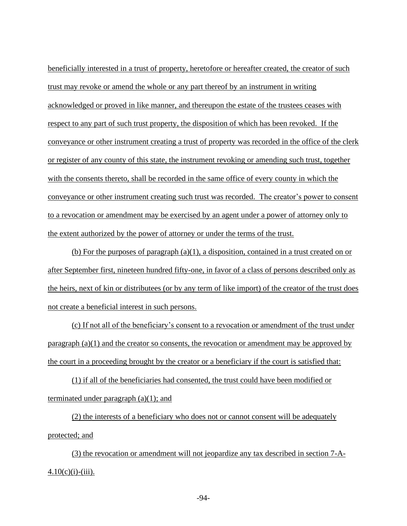beneficially interested in a trust of property, heretofore or hereafter created, the creator of such trust may revoke or amend the whole or any part thereof by an instrument in writing acknowledged or proved in like manner, and thereupon the estate of the trustees ceases with respect to any part of such trust property, the disposition of which has been revoked. If the conveyance or other instrument creating a trust of property was recorded in the office of the clerk or register of any county of this state, the instrument revoking or amending such trust, together with the consents thereto, shall be recorded in the same office of every county in which the conveyance or other instrument creating such trust was recorded. The creator's power to consent to a revocation or amendment may be exercised by an agent under a power of attorney only to the extent authorized by the power of attorney or under the terms of the trust.

(b) For the purposes of paragraph (a)(1), a disposition, contained in a trust created on or after September first, nineteen hundred fifty-one, in favor of a class of persons described only as the heirs, next of kin or distributees (or by any term of like import) of the creator of the trust does not create a beneficial interest in such persons.

(c) If not all of the beneficiary's consent to a revocation or amendment of the trust under paragraph (a)(1) and the creator so consents, the revocation or amendment may be approved by the court in a proceeding brought by the creator or a beneficiary if the court is satisfied that:

(1) if all of the beneficiaries had consented, the trust could have been modified or terminated under paragraph (a)(1); and

(2) the interests of a beneficiary who does not or cannot consent will be adequately protected; and

(3) the revocation or amendment will not jeopardize any tax described in section 7-A- $4.10(c)(i)-(iii)$ .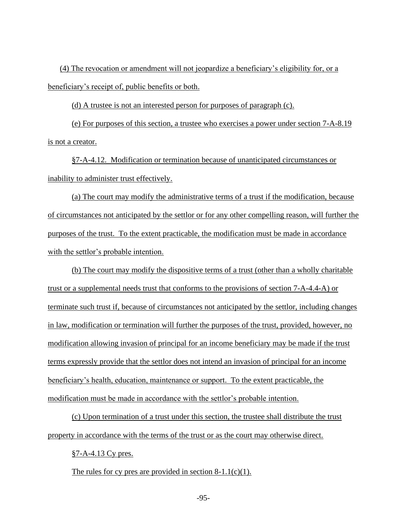(4) The revocation or amendment will not jeopardize a beneficiary's eligibility for, or a beneficiary's receipt of, public benefits or both.

(d) A trustee is not an interested person for purposes of paragraph (c).

(e) For purposes of this section, a trustee who exercises a power under section 7-A-8.19 is not a creator.

§7-A-4.12. Modification or termination because of unanticipated circumstances or inability to administer trust effectively.

(a) The court may modify the administrative terms of a trust if the modification, because of circumstances not anticipated by the settlor or for any other compelling reason, will further the purposes of the trust. To the extent practicable, the modification must be made in accordance with the settlor's probable intention.

(b) The court may modify the dispositive terms of a trust (other than a wholly charitable trust or a supplemental needs trust that conforms to the provisions of section 7-A-4.4-A) or terminate such trust if, because of circumstances not anticipated by the settlor, including changes in law, modification or termination will further the purposes of the trust, provided, however, no modification allowing invasion of principal for an income beneficiary may be made if the trust terms expressly provide that the settlor does not intend an invasion of principal for an income beneficiary's health, education, maintenance or support. To the extent practicable, the modification must be made in accordance with the settlor's probable intention.

(c) Upon termination of a trust under this section, the trustee shall distribute the trust property in accordance with the terms of the trust or as the court may otherwise direct.

§7-A-4.13 Cy pres.

The rules for cy pres are provided in section  $8-1.1(c)(1)$ .

-95-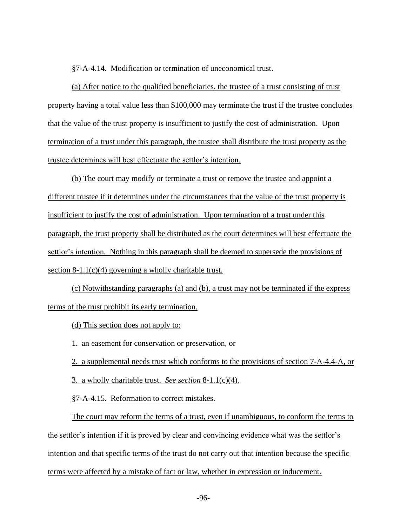§7-A-4.14. Modification or termination of uneconomical trust.

(a) After notice to the qualified beneficiaries, the trustee of a trust consisting of trust property having a total value less than \$100,000 may terminate the trust if the trustee concludes that the value of the trust property is insufficient to justify the cost of administration. Upon termination of a trust under this paragraph, the trustee shall distribute the trust property as the trustee determines will best effectuate the settlor's intention.

(b) The court may modify or terminate a trust or remove the trustee and appoint a different trustee if it determines under the circumstances that the value of the trust property is insufficient to justify the cost of administration. Upon termination of a trust under this paragraph, the trust property shall be distributed as the court determines will best effectuate the settlor's intention. Nothing in this paragraph shall be deemed to supersede the provisions of section 8-1.1(c)(4) governing a wholly charitable trust.

(c) Notwithstanding paragraphs (a) and (b), a trust may not be terminated if the express terms of the trust prohibit its early termination.

(d) This section does not apply to:

1. an easement for conservation or preservation, or

2. a supplemental needs trust which conforms to the provisions of section 7-A-4.4-A, or

3. a wholly charitable trust. *See section* 8-1.1(c)(4).

§7-A-4.15. Reformation to correct mistakes.

The court may reform the terms of a trust, even if unambiguous, to conform the terms to the settlor's intention if it is proved by clear and convincing evidence what was the settlor's intention and that specific terms of the trust do not carry out that intention because the specific terms were affected by a mistake of fact or law, whether in expression or inducement.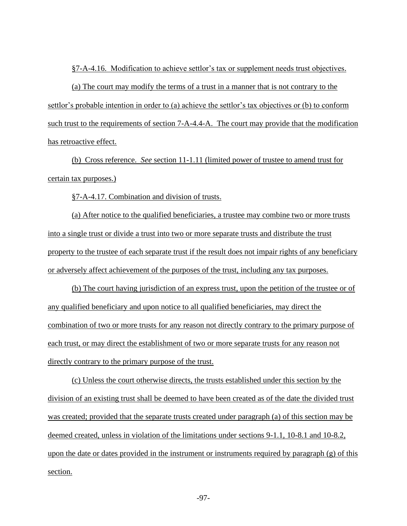§7-A-4.16. Modification to achieve settlor's tax or supplement needs trust objectives.

(a) The court may modify the terms of a trust in a manner that is not contrary to the settlor's probable intention in order to (a) achieve the settlor's tax objectives or (b) to conform such trust to the requirements of section 7-A-4.4-A. The court may provide that the modification has retroactive effect.

(b) Cross reference. *See* section 11-1.11 (limited power of trustee to amend trust for certain tax purposes.)

§7-A-4.17. Combination and division of trusts.

(a) After notice to the qualified beneficiaries, a trustee may combine two or more trusts into a single trust or divide a trust into two or more separate trusts and distribute the trust property to the trustee of each separate trust if the result does not impair rights of any beneficiary or adversely affect achievement of the purposes of the trust, including any tax purposes.

(b) The court having jurisdiction of an express trust, upon the petition of the trustee or of any qualified beneficiary and upon notice to all qualified beneficiaries, may direct the combination of two or more trusts for any reason not directly contrary to the primary purpose of each trust, or may direct the establishment of two or more separate trusts for any reason not directly contrary to the primary purpose of the trust.

(c) Unless the court otherwise directs, the trusts established under this section by the division of an existing trust shall be deemed to have been created as of the date the divided trust was created; provided that the separate trusts created under paragraph (a) of this section may be deemed created, unless in violation of the limitations under sections 9-1.1, 10-8.1 and 10-8.2, upon the date or dates provided in the instrument or instruments required by paragraph (g) of this section.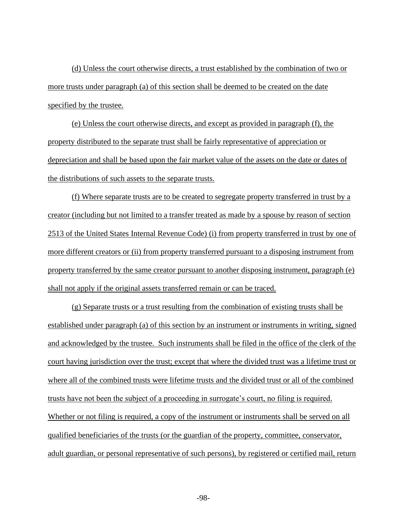(d) Unless the court otherwise directs, a trust established by the combination of two or more trusts under paragraph (a) of this section shall be deemed to be created on the date specified by the trustee.

(e) Unless the court otherwise directs, and except as provided in paragraph (f), the property distributed to the separate trust shall be fairly representative of appreciation or depreciation and shall be based upon the fair market value of the assets on the date or dates of the distributions of such assets to the separate trusts.

(f) Where separate trusts are to be created to segregate property transferred in trust by a creator (including but not limited to a transfer treated as made by a spouse by reason of section 2513 of the United States Internal Revenue Code) (i) from property transferred in trust by one of more different creators or (ii) from property transferred pursuant to a disposing instrument from property transferred by the same creator pursuant to another disposing instrument, paragraph (e) shall not apply if the original assets transferred remain or can be traced.

(g) Separate trusts or a trust resulting from the combination of existing trusts shall be established under paragraph (a) of this section by an instrument or instruments in writing, signed and acknowledged by the trustee. Such instruments shall be filed in the office of the clerk of the court having jurisdiction over the trust; except that where the divided trust was a lifetime trust or where all of the combined trusts were lifetime trusts and the divided trust or all of the combined trusts have not been the subject of a proceeding in surrogate's court, no filing is required. Whether or not filing is required, a copy of the instrument or instruments shall be served on all qualified beneficiaries of the trusts (or the guardian of the property, committee, conservator, adult guardian, or personal representative of such persons), by registered or certified mail, return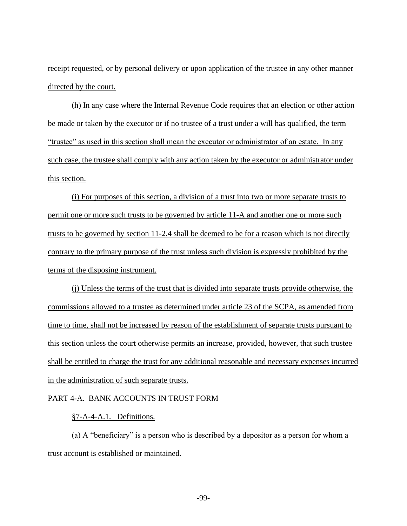receipt requested, or by personal delivery or upon application of the trustee in any other manner directed by the court.

(h) In any case where the Internal Revenue Code requires that an election or other action be made or taken by the executor or if no trustee of a trust under a will has qualified, the term "trustee" as used in this section shall mean the executor or administrator of an estate. In any such case, the trustee shall comply with any action taken by the executor or administrator under this section.

(i) For purposes of this section, a division of a trust into two or more separate trusts to permit one or more such trusts to be governed by article 11-A and another one or more such trusts to be governed by section 11-2.4 shall be deemed to be for a reason which is not directly contrary to the primary purpose of the trust unless such division is expressly prohibited by the terms of the disposing instrument.

(j) Unless the terms of the trust that is divided into separate trusts provide otherwise, the commissions allowed to a trustee as determined under article 23 of the SCPA, as amended from time to time, shall not be increased by reason of the establishment of separate trusts pursuant to this section unless the court otherwise permits an increase, provided, however, that such trustee shall be entitled to charge the trust for any additional reasonable and necessary expenses incurred in the administration of such separate trusts.

#### PART 4-A. BANK ACCOUNTS IN TRUST FORM

§7-A-4-A.1. Definitions.

(a) A "beneficiary" is a person who is described by a depositor as a person for whom a trust account is established or maintained.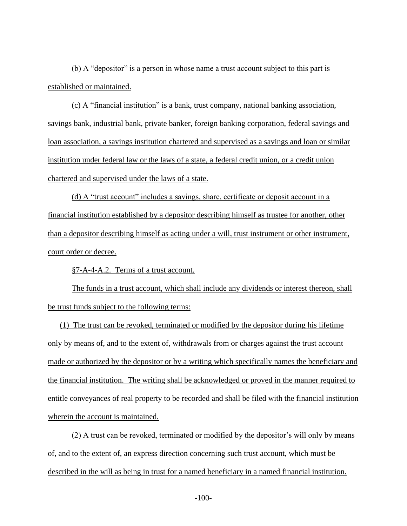(b) A "depositor" is a person in whose name a trust account subject to this part is established or maintained.

(c) A "financial institution" is a bank, trust company, national banking association, savings bank, industrial bank, private banker, foreign banking corporation, federal savings and loan association, a savings institution chartered and supervised as a savings and loan or similar institution under federal law or the laws of a state, a federal credit union, or a credit union chartered and supervised under the laws of a state.

(d) A "trust account" includes a savings, share, certificate or deposit account in a financial institution established by a depositor describing himself as trustee for another, other than a depositor describing himself as acting under a will, trust instrument or other instrument, court order or decree.

§7-A-4-A.2. Terms of a trust account.

The funds in a trust account, which shall include any dividends or interest thereon, shall be trust funds subject to the following terms:

(1) The trust can be revoked, terminated or modified by the depositor during his lifetime only by means of, and to the extent of, withdrawals from or charges against the trust account made or authorized by the depositor or by a writing which specifically names the beneficiary and the financial institution. The writing shall be acknowledged or proved in the manner required to entitle conveyances of real property to be recorded and shall be filed with the financial institution wherein the account is maintained.

(2) A trust can be revoked, terminated or modified by the depositor's will only by means of, and to the extent of, an express direction concerning such trust account, which must be described in the will as being in trust for a named beneficiary in a named financial institution.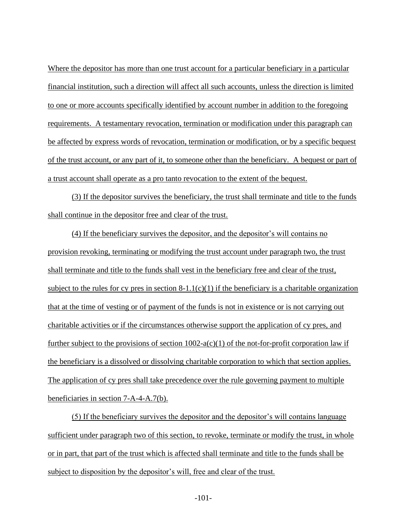Where the depositor has more than one trust account for a particular beneficiary in a particular financial institution, such a direction will affect all such accounts, unless the direction is limited to one or more accounts specifically identified by account number in addition to the foregoing requirements. A testamentary revocation, termination or modification under this paragraph can be affected by express words of revocation, termination or modification, or by a specific bequest of the trust account, or any part of it, to someone other than the beneficiary. A bequest or part of a trust account shall operate as a pro tanto revocation to the extent of the bequest.

(3) If the depositor survives the beneficiary, the trust shall terminate and title to the funds shall continue in the depositor free and clear of the trust.

(4) If the beneficiary survives the depositor, and the depositor's will contains no provision revoking, terminating or modifying the trust account under paragraph two, the trust shall terminate and title to the funds shall vest in the beneficiary free and clear of the trust, subject to the rules for cy pres in section  $8-1.1(c)(1)$  if the beneficiary is a charitable organization that at the time of vesting or of payment of the funds is not in existence or is not carrying out charitable activities or if the circumstances otherwise support the application of cy pres, and further subject to the provisions of section  $1002-a(c)(1)$  of the not-for-profit corporation law if the beneficiary is a dissolved or dissolving charitable corporation to which that section applies. The application of cy pres shall take precedence over the rule governing payment to multiple beneficiaries in section 7-A-4-A.7(b).

(5) If the beneficiary survives the depositor and the depositor's will contains language sufficient under paragraph two of this section, to revoke, terminate or modify the trust, in whole or in part, that part of the trust which is affected shall terminate and title to the funds shall be subject to disposition by the depositor's will, free and clear of the trust.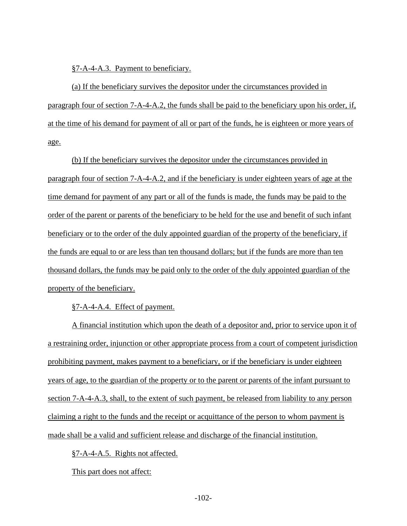§7-A-4-A.3. Payment to beneficiary.

(a) If the beneficiary survives the depositor under the circumstances provided in paragraph four of section 7-A-4-A.2, the funds shall be paid to the beneficiary upon his order, if, at the time of his demand for payment of all or part of the funds, he is eighteen or more years of age.

(b) If the beneficiary survives the depositor under the circumstances provided in paragraph four of section 7-A-4-A.2, and if the beneficiary is under eighteen years of age at the time demand for payment of any part or all of the funds is made, the funds may be paid to the order of the parent or parents of the beneficiary to be held for the use and benefit of such infant beneficiary or to the order of the duly appointed guardian of the property of the beneficiary, if the funds are equal to or are less than ten thousand dollars; but if the funds are more than ten thousand dollars, the funds may be paid only to the order of the duly appointed guardian of the property of the beneficiary.

§7-A-4-A.4. Effect of payment.

A financial institution which upon the death of a depositor and, prior to service upon it of a restraining order, injunction or other appropriate process from a court of competent jurisdiction prohibiting payment, makes payment to a beneficiary, or if the beneficiary is under eighteen years of age, to the guardian of the property or to the parent or parents of the infant pursuant to section 7-A-4-A.3, shall, to the extent of such payment, be released from liability to any person claiming a right to the funds and the receipt or acquittance of the person to whom payment is made shall be a valid and sufficient release and discharge of the financial institution.

§7-A-4-A.5. Rights not affected.

This part does not affect: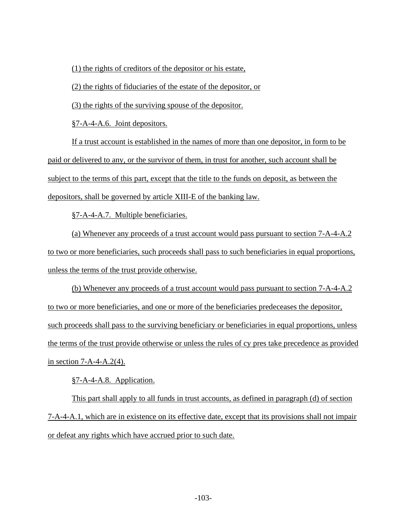(1) the rights of creditors of the depositor or his estate,

(2) the rights of fiduciaries of the estate of the depositor, or

(3) the rights of the surviving spouse of the depositor.

§7-A-4-A.6. Joint depositors.

If a trust account is established in the names of more than one depositor, in form to be paid or delivered to any, or the survivor of them, in trust for another, such account shall be subject to the terms of this part, except that the title to the funds on deposit, as between the depositors, shall be governed by article XIII-E of the banking law.

§7-A-4-A.7. Multiple beneficiaries.

(a) Whenever any proceeds of a trust account would pass pursuant to section 7-A-4-A.2 to two or more beneficiaries, such proceeds shall pass to such beneficiaries in equal proportions, unless the terms of the trust provide otherwise.

(b) Whenever any proceeds of a trust account would pass pursuant to section 7-A-4-A.2 to two or more beneficiaries, and one or more of the beneficiaries predeceases the depositor, such proceeds shall pass to the surviving beneficiary or beneficiaries in equal proportions, unless the terms of the trust provide otherwise or unless the rules of cy pres take precedence as provided in section 7-A-4-A.2(4).

§7-A-4-A.8. Application.

This part shall apply to all funds in trust accounts, as defined in paragraph (d) of section 7-A-4-A.1, which are in existence on its effective date, except that its provisions shall not impair or defeat any rights which have accrued prior to such date.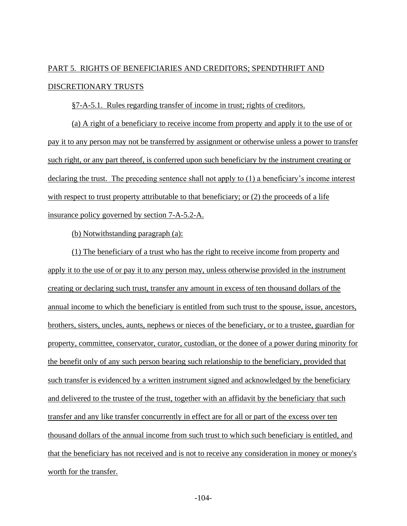# PART 5. RIGHTS OF BENEFICIARIES AND CREDITORS; SPENDTHRIFT AND DISCRETIONARY TRUSTS

§7-A-5.1. Rules regarding transfer of income in trust; rights of creditors.

(a) A right of a beneficiary to receive income from property and apply it to the use of or pay it to any person may not be transferred by assignment or otherwise unless a power to transfer such right, or any part thereof, is conferred upon such beneficiary by the instrument creating or declaring the trust. The preceding sentence shall not apply to (1) a beneficiary's income interest with respect to trust property attributable to that beneficiary; or  $(2)$  the proceeds of a life insurance policy governed by section 7-A-5.2-A.

(b) Notwithstanding paragraph (a):

(1) The beneficiary of a trust who has the right to receive income from property and apply it to the use of or pay it to any person may, unless otherwise provided in the instrument creating or declaring such trust, transfer any amount in excess of ten thousand dollars of the annual income to which the beneficiary is entitled from such trust to the spouse, issue, ancestors, brothers, sisters, uncles, aunts, nephews or nieces of the beneficiary, or to a trustee, guardian for property, committee, conservator, curator, custodian, or the donee of a power during minority for the benefit only of any such person bearing such relationship to the beneficiary, provided that such transfer is evidenced by a written instrument signed and acknowledged by the beneficiary and delivered to the trustee of the trust, together with an affidavit by the beneficiary that such transfer and any like transfer concurrently in effect are for all or part of the excess over ten thousand dollars of the annual income from such trust to which such beneficiary is entitled, and that the beneficiary has not received and is not to receive any consideration in money or money's worth for the transfer.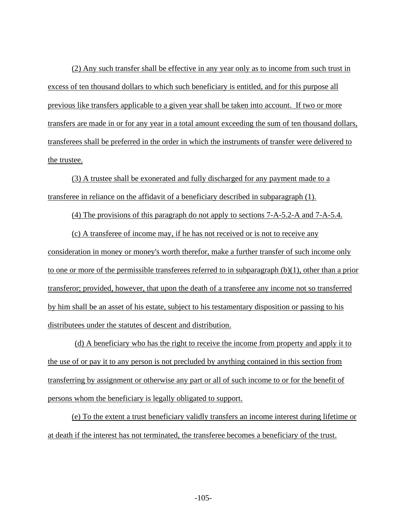(2) Any such transfer shall be effective in any year only as to income from such trust in excess of ten thousand dollars to which such beneficiary is entitled, and for this purpose all previous like transfers applicable to a given year shall be taken into account. If two or more transfers are made in or for any year in a total amount exceeding the sum of ten thousand dollars, transferees shall be preferred in the order in which the instruments of transfer were delivered to the trustee.

(3) A trustee shall be exonerated and fully discharged for any payment made to a transferee in reliance on the affidavit of a beneficiary described in subparagraph (1).

(4) The provisions of this paragraph do not apply to sections 7-A-5.2-A and 7-A-5.4.

(c) A transferee of income may, if he has not received or is not to receive any consideration in money or money's worth therefor, make a further transfer of such income only to one or more of the permissible transferees referred to in subparagraph (b)(1), other than a prior transferor; provided, however, that upon the death of a transferee any income not so transferred by him shall be an asset of his estate, subject to his testamentary disposition or passing to his distributees under the statutes of descent and distribution.

(d) A beneficiary who has the right to receive the income from property and apply it to the use of or pay it to any person is not precluded by anything contained in this section from transferring by assignment or otherwise any part or all of such income to or for the benefit of persons whom the beneficiary is legally obligated to support.

(e) To the extent a trust beneficiary validly transfers an income interest during lifetime or at death if the interest has not terminated, the transferee becomes a beneficiary of the trust.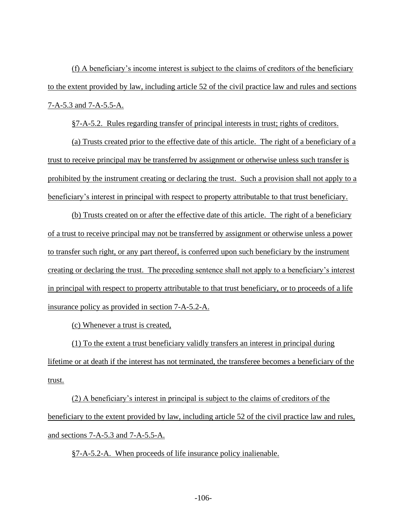(f) A beneficiary's income interest is subject to the claims of creditors of the beneficiary to the extent provided by law, including article 52 of the civil practice law and rules and sections 7-A-5.3 and 7-A-5.5-A.

§7-A-5.2. Rules regarding transfer of principal interests in trust; rights of creditors.

(a) Trusts created prior to the effective date of this article. The right of a beneficiary of a trust to receive principal may be transferred by assignment or otherwise unless such transfer is prohibited by the instrument creating or declaring the trust. Such a provision shall not apply to a beneficiary's interest in principal with respect to property attributable to that trust beneficiary.

(b) Trusts created on or after the effective date of this article. The right of a beneficiary of a trust to receive principal may not be transferred by assignment or otherwise unless a power to transfer such right, or any part thereof, is conferred upon such beneficiary by the instrument creating or declaring the trust. The preceding sentence shall not apply to a beneficiary's interest in principal with respect to property attributable to that trust beneficiary, or to proceeds of a life insurance policy as provided in section 7-A-5.2-A.

(c) Whenever a trust is created,

(1) To the extent a trust beneficiary validly transfers an interest in principal during lifetime or at death if the interest has not terminated, the transferee becomes a beneficiary of the trust.

(2) A beneficiary's interest in principal is subject to the claims of creditors of the beneficiary to the extent provided by law, including article 52 of the civil practice law and rules, and sections 7-A-5.3 and 7-A-5.5-A.

§7-A-5.2-A. When proceeds of life insurance policy inalienable.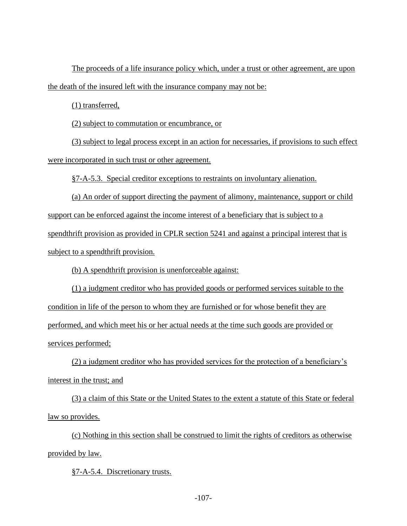The proceeds of a life insurance policy which, under a trust or other agreement, are upon the death of the insured left with the insurance company may not be:

(1) transferred,

(2) subject to commutation or encumbrance, or

(3) subject to legal process except in an action for necessaries, if provisions to such effect were incorporated in such trust or other agreement.

§7-A-5.3. Special creditor exceptions to restraints on involuntary alienation.

(a) An order of support directing the payment of alimony, maintenance, support or child support can be enforced against the income interest of a beneficiary that is subject to a spendthrift provision as provided in CPLR section 5241 and against a principal interest that is subject to a spendthrift provision.

(b) A spendthrift provision is unenforceable against:

(1) a judgment creditor who has provided goods or performed services suitable to the condition in life of the person to whom they are furnished or for whose benefit they are performed, and which meet his or her actual needs at the time such goods are provided or services performed;

(2) a judgment creditor who has provided services for the protection of a beneficiary's interest in the trust; and

(3) a claim of this State or the United States to the extent a statute of this State or federal law so provides.

(c) Nothing in this section shall be construed to limit the rights of creditors as otherwise provided by law.

§7-A-5.4. Discretionary trusts.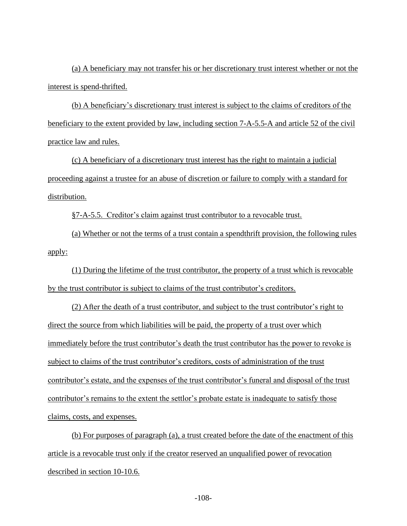(a) A beneficiary may not transfer his or her discretionary trust interest whether or not the interest is spend-thrifted.

(b) A beneficiary's discretionary trust interest is subject to the claims of creditors of the beneficiary to the extent provided by law, including section 7-A-5.5-A and article 52 of the civil practice law and rules.

(c) A beneficiary of a discretionary trust interest has the right to maintain a judicial proceeding against a trustee for an abuse of discretion or failure to comply with a standard for distribution.

§7-A-5.5. Creditor's claim against trust contributor to a revocable trust.

(a) Whether or not the terms of a trust contain a spendthrift provision, the following rules apply:

(1) During the lifetime of the trust contributor, the property of a trust which is revocable by the trust contributor is subject to claims of the trust contributor's creditors.

(2) After the death of a trust contributor, and subject to the trust contributor's right to direct the source from which liabilities will be paid, the property of a trust over which immediately before the trust contributor's death the trust contributor has the power to revoke is subject to claims of the trust contributor's creditors, costs of administration of the trust contributor's estate, and the expenses of the trust contributor's funeral and disposal of the trust contributor's remains to the extent the settlor's probate estate is inadequate to satisfy those claims, costs, and expenses.

(b) For purposes of paragraph (a), a trust created before the date of the enactment of this article is a revocable trust only if the creator reserved an unqualified power of revocation described in section 10-10.6.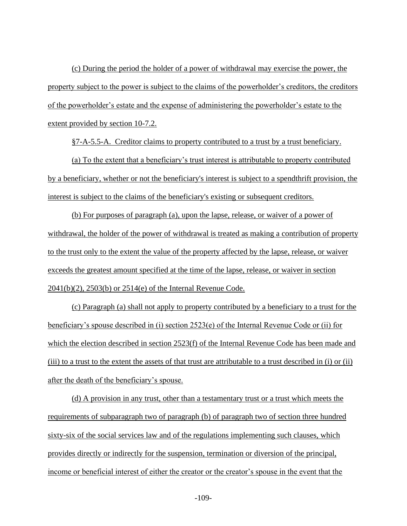(c) During the period the holder of a power of withdrawal may exercise the power, the property subject to the power is subject to the claims of the powerholder's creditors, the creditors of the powerholder's estate and the expense of administering the powerholder's estate to the extent provided by section 10-7.2.

§7-A-5.5-A. Creditor claims to property contributed to a trust by a trust beneficiary.

(a) To the extent that a beneficiary's trust interest is attributable to property contributed by a beneficiary, whether or not the beneficiary's interest is subject to a spendthrift provision, the interest is subject to the claims of the beneficiary's existing or subsequent creditors.

(b) For purposes of paragraph (a), upon the lapse, release, or waiver of a power of withdrawal, the holder of the power of withdrawal is treated as making a contribution of property to the trust only to the extent the value of the property affected by the lapse, release, or waiver exceeds the greatest amount specified at the time of the lapse, release, or waiver in section 2041(b)(2), 2503(b) or 2514(e) of the Internal Revenue Code.

(c) Paragraph (a) shall not apply to property contributed by a beneficiary to a trust for the beneficiary's spouse described in (i) section 2523(e) of the Internal Revenue Code or (ii) for which the election described in section 2523(f) of the Internal Revenue Code has been made and (iii) to a trust to the extent the assets of that trust are attributable to a trust described in (i) or (ii) after the death of the beneficiary's spouse.

(d) A provision in any trust, other than a testamentary trust or a trust which meets the requirements of subparagraph two of paragraph (b) of paragraph two of section three hundred sixty-six of the social services law and of the regulations implementing such clauses, which provides directly or indirectly for the suspension, termination or diversion of the principal, income or beneficial interest of either the creator or the creator's spouse in the event that the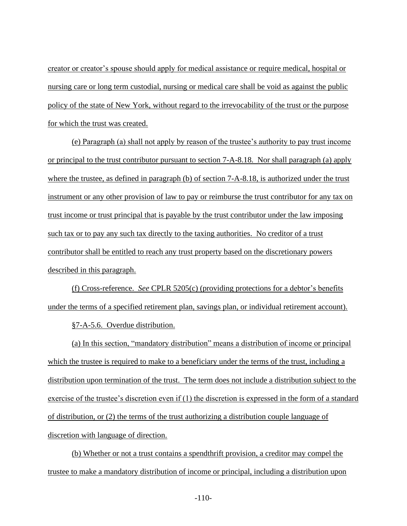creator or creator's spouse should apply for medical assistance or require medical, hospital or nursing care or long term custodial, nursing or medical care shall be void as against the public policy of the state of New York, without regard to the irrevocability of the trust or the purpose for which the trust was created.

(e) Paragraph (a) shall not apply by reason of the trustee's authority to pay trust income or principal to the trust contributor pursuant to section 7-A-8.18. Nor shall paragraph (a) apply where the trustee, as defined in paragraph (b) of section 7-A-8.18, is authorized under the trust instrument or any other provision of law to pay or reimburse the trust contributor for any tax on trust income or trust principal that is payable by the trust contributor under the law imposing such tax or to pay any such tax directly to the taxing authorities. No creditor of a trust contributor shall be entitled to reach any trust property based on the discretionary powers described in this paragraph.

(f) Cross-reference. *See* CPLR 5205(c) (providing protections for a debtor's benefits under the terms of a specified retirement plan, savings plan, or individual retirement account).

§7-A-5.6. Overdue distribution.

(a) In this section, "mandatory distribution" means a distribution of income or principal which the trustee is required to make to a beneficiary under the terms of the trust, including a distribution upon termination of the trust. The term does not include a distribution subject to the exercise of the trustee's discretion even if (1) the discretion is expressed in the form of a standard of distribution, or (2) the terms of the trust authorizing a distribution couple language of discretion with language of direction.

(b) Whether or not a trust contains a spendthrift provision, a creditor may compel the trustee to make a mandatory distribution of income or principal, including a distribution upon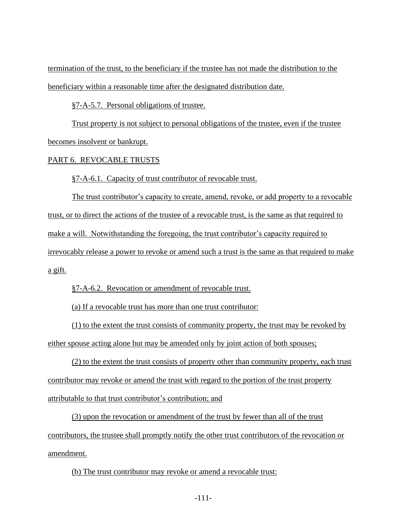termination of the trust, to the beneficiary if the trustee has not made the distribution to the beneficiary within a reasonable time after the designated distribution date.

§7-A-5.7. Personal obligations of trustee.

Trust property is not subject to personal obligations of the trustee, even if the trustee becomes insolvent or bankrupt.

## PART 6. REVOCABLE TRUSTS

§7-A-6.1. Capacity of trust contributor of revocable trust.

The trust contributor's capacity to create, amend, revoke, or add property to a revocable trust, or to direct the actions of the trustee of a revocable trust, is the same as that required to make a will. Notwithstanding the foregoing, the trust contributor's capacity required to irrevocably release a power to revoke or amend such a trust is the same as that required to make a gift.

§7-A-6.2. Revocation or amendment of revocable trust.

(a) If a revocable trust has more than one trust contributor:

(1) to the extent the trust consists of community property, the trust may be revoked by either spouse acting alone but may be amended only by joint action of both spouses;

(2) to the extent the trust consists of property other than community property, each trust contributor may revoke or amend the trust with regard to the portion of the trust property attributable to that trust contributor's contribution; and

(3) upon the revocation or amendment of the trust by fewer than all of the trust contributors, the trustee shall promptly notify the other trust contributors of the revocation or amendment.

(b) The trust contributor may revoke or amend a revocable trust: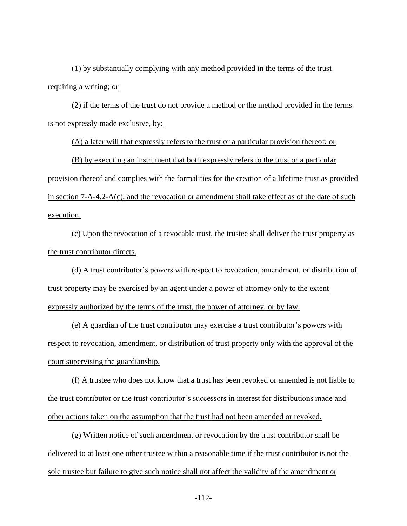(1) by substantially complying with any method provided in the terms of the trust requiring a writing; or

(2) if the terms of the trust do not provide a method or the method provided in the terms is not expressly made exclusive, by:

(A) a later will that expressly refers to the trust or a particular provision thereof; or

(B) by executing an instrument that both expressly refers to the trust or a particular provision thereof and complies with the formalities for the creation of a lifetime trust as provided in section 7-A-4.2-A(c), and the revocation or amendment shall take effect as of the date of such execution.

(c) Upon the revocation of a revocable trust, the trustee shall deliver the trust property as the trust contributor directs.

(d) A trust contributor's powers with respect to revocation, amendment, or distribution of trust property may be exercised by an agent under a power of attorney only to the extent expressly authorized by the terms of the trust, the power of attorney, or by law.

(e) A guardian of the trust contributor may exercise a trust contributor's powers with respect to revocation, amendment, or distribution of trust property only with the approval of the court supervising the guardianship.

(f) A trustee who does not know that a trust has been revoked or amended is not liable to the trust contributor or the trust contributor's successors in interest for distributions made and other actions taken on the assumption that the trust had not been amended or revoked.

(g) Written notice of such amendment or revocation by the trust contributor shall be delivered to at least one other trustee within a reasonable time if the trust contributor is not the sole trustee but failure to give such notice shall not affect the validity of the amendment or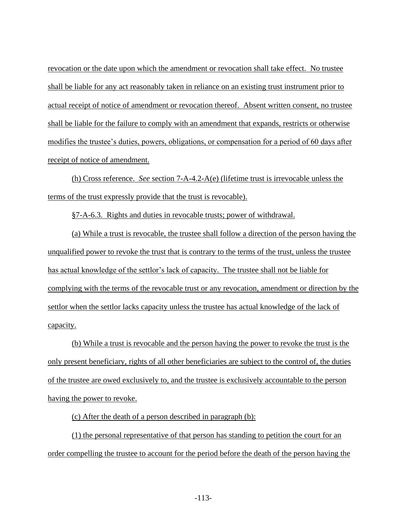revocation or the date upon which the amendment or revocation shall take effect. No trustee shall be liable for any act reasonably taken in reliance on an existing trust instrument prior to actual receipt of notice of amendment or revocation thereof. Absent written consent, no trustee shall be liable for the failure to comply with an amendment that expands, restricts or otherwise modifies the trustee's duties, powers, obligations, or compensation for a period of 60 days after receipt of notice of amendment.

(h) Cross reference. *See* section 7-A-4.2-A(e) (lifetime trust is irrevocable unless the terms of the trust expressly provide that the trust is revocable).

§7-A-6.3. Rights and duties in revocable trusts; power of withdrawal.

(a) While a trust is revocable, the trustee shall follow a direction of the person having the unqualified power to revoke the trust that is contrary to the terms of the trust, unless the trustee has actual knowledge of the settlor's lack of capacity. The trustee shall not be liable for complying with the terms of the revocable trust or any revocation, amendment or direction by the settlor when the settlor lacks capacity unless the trustee has actual knowledge of the lack of capacity.

(b) While a trust is revocable and the person having the power to revoke the trust is the only present beneficiary, rights of all other beneficiaries are subject to the control of, the duties of the trustee are owed exclusively to, and the trustee is exclusively accountable to the person having the power to revoke.

(c) After the death of a person described in paragraph (b):

(1) the personal representative of that person has standing to petition the court for an order compelling the trustee to account for the period before the death of the person having the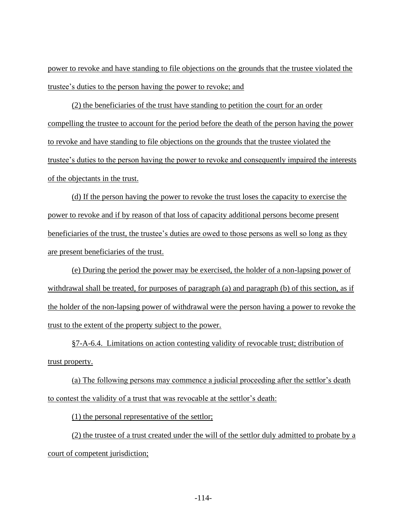power to revoke and have standing to file objections on the grounds that the trustee violated the trustee's duties to the person having the power to revoke; and

(2) the beneficiaries of the trust have standing to petition the court for an order compelling the trustee to account for the period before the death of the person having the power to revoke and have standing to file objections on the grounds that the trustee violated the trustee's duties to the person having the power to revoke and consequently impaired the interests of the objectants in the trust.

(d) If the person having the power to revoke the trust loses the capacity to exercise the power to revoke and if by reason of that loss of capacity additional persons become present beneficiaries of the trust, the trustee's duties are owed to those persons as well so long as they are present beneficiaries of the trust.

(e) During the period the power may be exercised, the holder of a non-lapsing power of withdrawal shall be treated, for purposes of paragraph (a) and paragraph (b) of this section, as if the holder of the non-lapsing power of withdrawal were the person having a power to revoke the trust to the extent of the property subject to the power.

§7-A-6.4. Limitations on action contesting validity of revocable trust; distribution of trust property.

(a) The following persons may commence a judicial proceeding after the settlor's death to contest the validity of a trust that was revocable at the settlor's death:

(1) the personal representative of the settlor;

(2) the trustee of a trust created under the will of the settlor duly admitted to probate by a court of competent jurisdiction;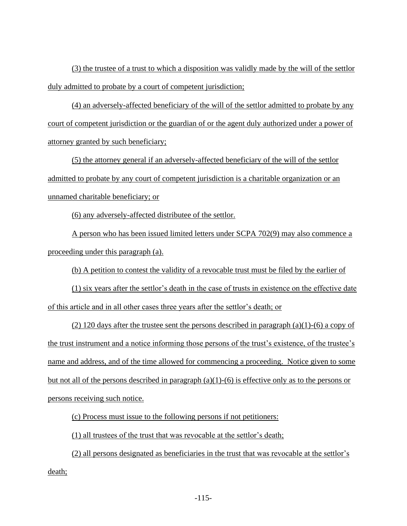(3) the trustee of a trust to which a disposition was validly made by the will of the settlor duly admitted to probate by a court of competent jurisdiction;

(4) an adversely-affected beneficiary of the will of the settlor admitted to probate by any court of competent jurisdiction or the guardian of or the agent duly authorized under a power of attorney granted by such beneficiary;

(5) the attorney general if an adversely-affected beneficiary of the will of the settlor admitted to probate by any court of competent jurisdiction is a charitable organization or an unnamed charitable beneficiary; or

(6) any adversely-affected distributee of the settlor.

A person who has been issued limited letters under SCPA 702(9) may also commence a proceeding under this paragraph (a).

(b) A petition to contest the validity of a revocable trust must be filed by the earlier of

(1) six years after the settlor's death in the case of trusts in existence on the effective date of this article and in all other cases three years after the settlor's death; or

(2) 120 days after the trustee sent the persons described in paragraph (a)(1)-(6) a copy of the trust instrument and a notice informing those persons of the trust's existence, of the trustee's name and address, and of the time allowed for commencing a proceeding. Notice given to some but not all of the persons described in paragraph (a)(1)-(6) is effective only as to the persons or persons receiving such notice.

(c) Process must issue to the following persons if not petitioners:

(1) all trustees of the trust that was revocable at the settlor's death;

(2) all persons designated as beneficiaries in the trust that was revocable at the settlor's death;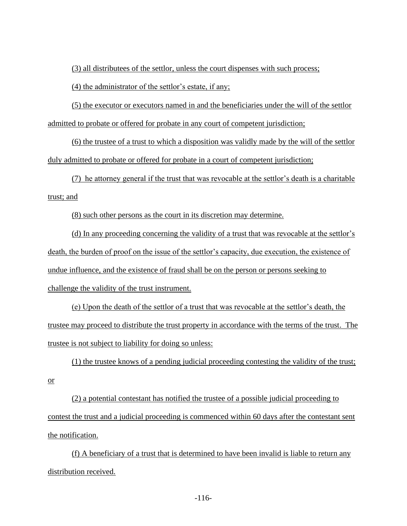(3) all distributees of the settlor, unless the court dispenses with such process;

(4) the administrator of the settlor's estate, if any;

(5) the executor or executors named in and the beneficiaries under the will of the settlor admitted to probate or offered for probate in any court of competent jurisdiction;

(6) the trustee of a trust to which a disposition was validly made by the will of the settlor duly admitted to probate or offered for probate in a court of competent jurisdiction;

(7) he attorney general if the trust that was revocable at the settlor's death is a charitable trust; and

(8) such other persons as the court in its discretion may determine.

(d) In any proceeding concerning the validity of a trust that was revocable at the settlor's death, the burden of proof on the issue of the settlor's capacity, due execution, the existence of undue influence, and the existence of fraud shall be on the person or persons seeking to challenge the validity of the trust instrument.

(e) Upon the death of the settlor of a trust that was revocable at the settlor's death, the trustee may proceed to distribute the trust property in accordance with the terms of the trust. The trustee is not subject to liability for doing so unless:

(1) the trustee knows of a pending judicial proceeding contesting the validity of the trust; or

(2) a potential contestant has notified the trustee of a possible judicial proceeding to contest the trust and a judicial proceeding is commenced within 60 days after the contestant sent the notification.

(f) A beneficiary of a trust that is determined to have been invalid is liable to return any distribution received.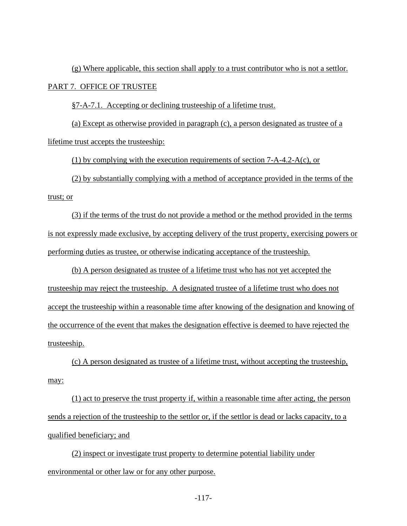(g) Where applicable, this section shall apply to a trust contributor who is not a settlor. PART 7. OFFICE OF TRUSTEE

§7-A-7.1. Accepting or declining trusteeship of a lifetime trust.

(a) Except as otherwise provided in paragraph (c), a person designated as trustee of a lifetime trust accepts the trusteeship:

(1) by complying with the execution requirements of section  $7-A-4.2-A(c)$ , or

(2) by substantially complying with a method of acceptance provided in the terms of the trust; or

(3) if the terms of the trust do not provide a method or the method provided in the terms is not expressly made exclusive, by accepting delivery of the trust property, exercising powers or performing duties as trustee, or otherwise indicating acceptance of the trusteeship.

(b) A person designated as trustee of a lifetime trust who has not yet accepted the trusteeship may reject the trusteeship. A designated trustee of a lifetime trust who does not accept the trusteeship within a reasonable time after knowing of the designation and knowing of the occurrence of the event that makes the designation effective is deemed to have rejected the trusteeship.

(c) A person designated as trustee of a lifetime trust, without accepting the trusteeship, may:

(1) act to preserve the trust property if, within a reasonable time after acting, the person sends a rejection of the trusteeship to the settlor or, if the settlor is dead or lacks capacity, to a qualified beneficiary; and

(2) inspect or investigate trust property to determine potential liability under environmental or other law or for any other purpose.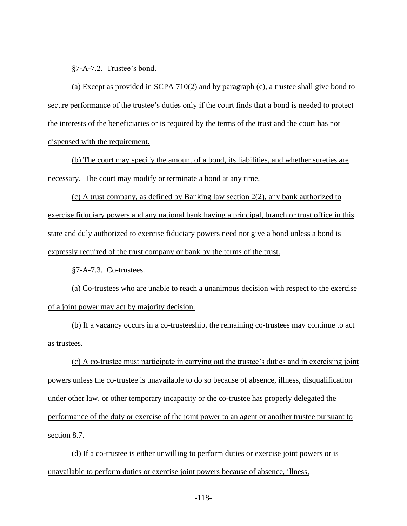§7-A-7.2. Trustee's bond.

(a) Except as provided in SCPA 710(2) and by paragraph (c), a trustee shall give bond to secure performance of the trustee's duties only if the court finds that a bond is needed to protect the interests of the beneficiaries or is required by the terms of the trust and the court has not dispensed with the requirement.

(b) The court may specify the amount of a bond, its liabilities, and whether sureties are necessary. The court may modify or terminate a bond at any time.

(c) A trust company, as defined by Banking law section 2(2), any bank authorized to exercise fiduciary powers and any national bank having a principal, branch or trust office in this state and duly authorized to exercise fiduciary powers need not give a bond unless a bond is expressly required of the trust company or bank by the terms of the trust.

§7-A-7.3. Co-trustees.

(a) Co-trustees who are unable to reach a unanimous decision with respect to the exercise of a joint power may act by majority decision.

(b) If a vacancy occurs in a co-trusteeship, the remaining co-trustees may continue to act as trustees.

(c) A co-trustee must participate in carrying out the trustee's duties and in exercising joint powers unless the co-trustee is unavailable to do so because of absence, illness, disqualification under other law, or other temporary incapacity or the co-trustee has properly delegated the performance of the duty or exercise of the joint power to an agent or another trustee pursuant to section 8.7.

(d) If a co-trustee is either unwilling to perform duties or exercise joint powers or is unavailable to perform duties or exercise joint powers because of absence, illness,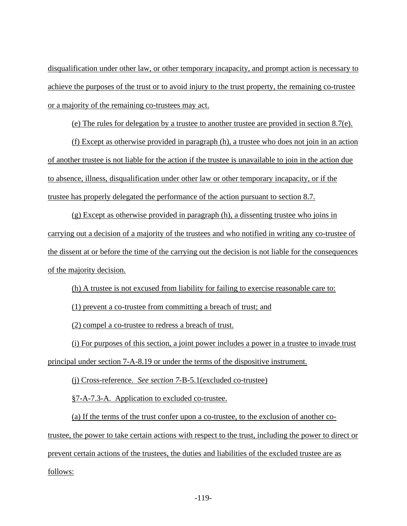disqualification under other law, or other temporary incapacity, and prompt action is necessary to achieve the purposes of the trust or to avoid injury to the trust property, the remaining co-trustee or a majority of the remaining co-trustees may act.

(e) The rules for delegation by a trustee to another trustee are provided in section 8.7(e).

(f) Except as otherwise provided in paragraph (h), a trustee who does not join in an action of another trustee is not liable for the action if the trustee is unavailable to join in the action due to absence, illness, disqualification under other law or other temporary incapacity, or if the trustee has properly delegated the performance of the action pursuant to section 8.7.

(g) Except as otherwise provided in paragraph (h), a dissenting trustee who joins in carrying out a decision of a majority of the trustees and who notified in writing any co-trustee of the dissent at or before the time of the carrying out the decision is not liable for the consequences of the majority decision.

(h) A trustee is not excused from liability for failing to exercise reasonable care to:

(1) prevent a co-trustee from committing a breach of trust; and

(2) compel a co-trustee to redress a breach of trust.

(i) For purposes of this section, a joint power includes a power in a trustee to invade trust principal under section 7-A-8.19 or under the terms of the dispositive instrument.

(j) Cross-reference. *See section 7*-B-5.1(excluded co-trustee)

§7-A-7.3-A. Application to excluded co-trustee.

(a) If the terms of the trust confer upon a co-trustee, to the exclusion of another cotrustee, the power to take certain actions with respect to the trust, including the power to direct or prevent certain actions of the trustees, the duties and liabilities of the excluded trustee are as follows: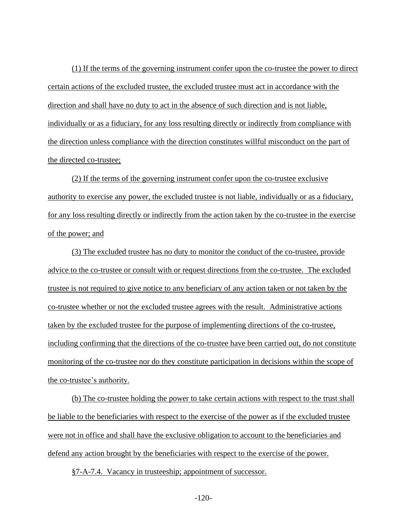(1) If the terms of the governing instrument confer upon the co-trustee the power to direct certain actions of the excluded trustee, the excluded trustee must act in accordance with the direction and shall have no duty to act in the absence of such direction and is not liable, individually or as a fiduciary, for any loss resulting directly or indirectly from compliance with the direction unless compliance with the direction constitutes willful misconduct on the part of the directed co-trustee;

(2) If the terms of the governing instrument confer upon the co-trustee exclusive authority to exercise any power, the excluded trustee is not liable, individually or as a fiduciary, for any loss resulting directly or indirectly from the action taken by the co-trustee in the exercise of the power; and

(3) The excluded trustee has no duty to monitor the conduct of the co-trustee, provide advice to the co-trustee or consult with or request directions from the co-trustee. The excluded trustee is not required to give notice to any beneficiary of any action taken or not taken by the co-trustee whether or not the excluded trustee agrees with the result. Administrative actions taken by the excluded trustee for the purpose of implementing directions of the co-trustee, including confirming that the directions of the co-trustee have been carried out, do not constitute monitoring of the co-trustee nor do they constitute participation in decisions within the scope of the co-trustee's authority.

(b) The co-trustee holding the power to take certain actions with respect to the trust shall be liable to the beneficiaries with respect to the exercise of the power as if the excluded trustee were not in office and shall have the exclusive obligation to account to the beneficiaries and defend any action brought by the beneficiaries with respect to the exercise of the power.

§7-A-7.4. Vacancy in trusteeship; appointment of successor.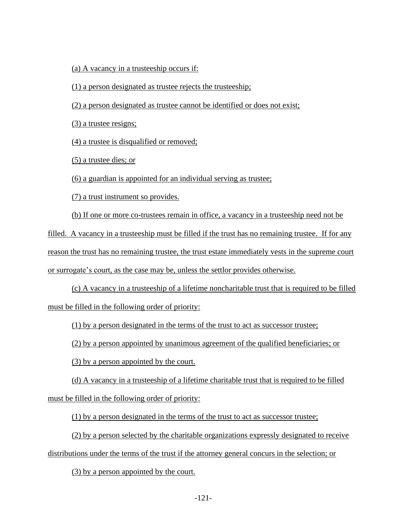(a) A vacancy in a trusteeship occurs if:

(1) a person designated as trustee rejects the trusteeship;

(2) a person designated as trustee cannot be identified or does not exist;

(3) a trustee resigns;

(4) a trustee is disqualified or removed;

(5) a trustee dies; or

(6) a guardian is appointed for an individual serving as trustee;

(7) a trust instrument so provides.

(b) If one or more co-trustees remain in office, a vacancy in a trusteeship need not be

filled. A vacancy in a trusteeship must be filled if the trust has no remaining trustee. If for any reason the trust has no remaining trustee, the trust estate immediately vests in the supreme court or surrogate's court, as the case may be, unless the settlor provides otherwise.

(c) A vacancy in a trusteeship of a lifetime noncharitable trust that is required to be filled must be filled in the following order of priority:

(1) by a person designated in the terms of the trust to act as successor trustee;

(2) by a person appointed by unanimous agreement of the qualified beneficiaries; or

(3) by a person appointed by the court.

(d) A vacancy in a trusteeship of a lifetime charitable trust that is required to be filled must be filled in the following order of priority:

(1) by a person designated in the terms of the trust to act as successor trustee;

(2) by a person selected by the charitable organizations expressly designated to receive distributions under the terms of the trust if the attorney general concurs in the selection; or

(3) by a person appointed by the court.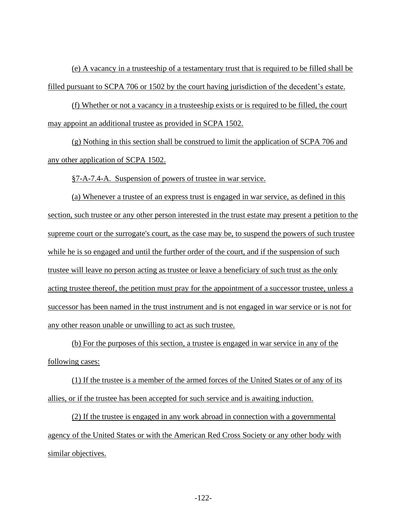(e) A vacancy in a trusteeship of a testamentary trust that is required to be filled shall be filled pursuant to SCPA 706 or 1502 by the court having jurisdiction of the decedent's estate.

(f) Whether or not a vacancy in a trusteeship exists or is required to be filled, the court may appoint an additional trustee as provided in SCPA 1502.

(g) Nothing in this section shall be construed to limit the application of SCPA 706 and any other application of SCPA 1502.

§7-A-7.4-A. Suspension of powers of trustee in war service.

(a) Whenever a trustee of an express trust is engaged in war service, as defined in this section, such trustee or any other person interested in the trust estate may present a petition to the supreme court or the surrogate's court, as the case may be, to suspend the powers of such trustee while he is so engaged and until the further order of the court, and if the suspension of such trustee will leave no person acting as trustee or leave a beneficiary of such trust as the only acting trustee thereof, the petition must pray for the appointment of a successor trustee, unless a successor has been named in the trust instrument and is not engaged in war service or is not for any other reason unable or unwilling to act as such trustee.

(b) For the purposes of this section, a trustee is engaged in war service in any of the following cases:

(1) If the trustee is a member of the armed forces of the United States or of any of its allies, or if the trustee has been accepted for such service and is awaiting induction.

(2) If the trustee is engaged in any work abroad in connection with a governmental agency of the United States or with the American Red Cross Society or any other body with similar objectives.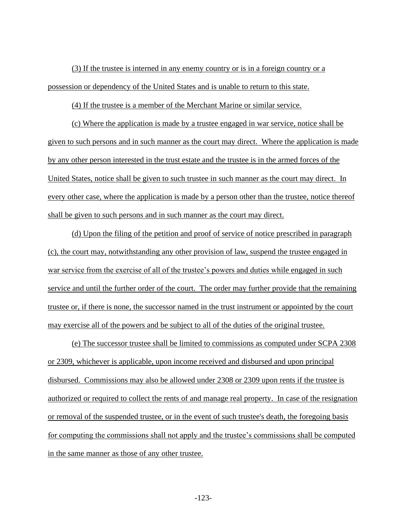(3) If the trustee is interned in any enemy country or is in a foreign country or a possession or dependency of the United States and is unable to return to this state.

(4) If the trustee is a member of the Merchant Marine or similar service.

(c) Where the application is made by a trustee engaged in war service, notice shall be given to such persons and in such manner as the court may direct. Where the application is made by any other person interested in the trust estate and the trustee is in the armed forces of the United States, notice shall be given to such trustee in such manner as the court may direct. In every other case, where the application is made by a person other than the trustee, notice thereof shall be given to such persons and in such manner as the court may direct.

(d) Upon the filing of the petition and proof of service of notice prescribed in paragraph (c), the court may, notwithstanding any other provision of law, suspend the trustee engaged in war service from the exercise of all of the trustee's powers and duties while engaged in such service and until the further order of the court. The order may further provide that the remaining trustee or, if there is none, the successor named in the trust instrument or appointed by the court may exercise all of the powers and be subject to all of the duties of the original trustee.

(e) The successor trustee shall be limited to commissions as computed under SCPA 2308 or 2309, whichever is applicable, upon income received and disbursed and upon principal disbursed. Commissions may also be allowed under 2308 or 2309 upon rents if the trustee is authorized or required to collect the rents of and manage real property. In case of the resignation or removal of the suspended trustee, or in the event of such trustee's death, the foregoing basis for computing the commissions shall not apply and the trustee's commissions shall be computed in the same manner as those of any other trustee.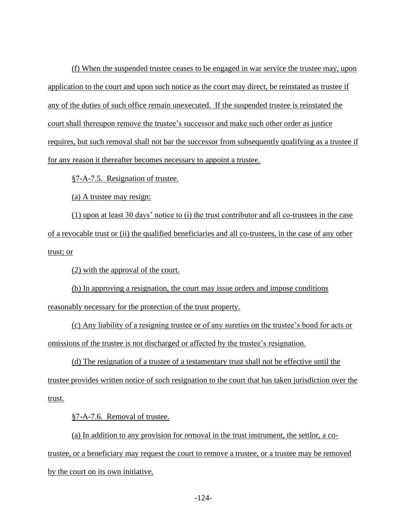(f) When the suspended trustee ceases to be engaged in war service the trustee may, upon application to the court and upon such notice as the court may direct, be reinstated as trustee if any of the duties of such office remain unexecuted. If the suspended trustee is reinstated the court shall thereupon remove the trustee's successor and make such other order as justice requires, but such removal shall not bar the successor from subsequently qualifying as a trustee if for any reason it thereafter becomes necessary to appoint a trustee.

§7-A-7.5. Resignation of trustee.

(a) A trustee may resign:

(1) upon at least 30 days' notice to (i) the trust contributor and all co-trustees in the case of a revocable trust or (ii) the qualified beneficiaries and all co-trustees, in the case of any other trust; or

(2) with the approval of the court.

(b) In approving a resignation, the court may issue orders and impose conditions reasonably necessary for the protection of the trust property.

(c) Any liability of a resigning trustee or of any sureties on the trustee's bond for acts or omissions of the trustee is not discharged or affected by the trustee's resignation.

(d) The resignation of a trustee of a testamentary trust shall not be effective until the trustee provides written notice of such resignation to the court that has taken jurisdiction over the

trust.

§7-A-7.6. Removal of trustee.

(a) In addition to any provision for removal in the trust instrument, the settlor, a co-

trustee, or a beneficiary may request the court to remove a trustee, or a trustee may be removed by the court on its own initiative.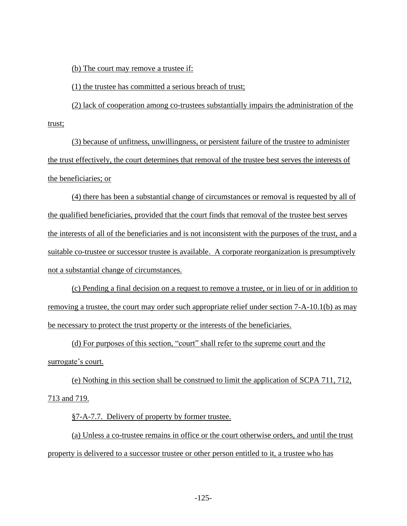(b) The court may remove a trustee if:

(1) the trustee has committed a serious breach of trust;

(2) lack of cooperation among co-trustees substantially impairs the administration of the trust;

(3) because of unfitness, unwillingness, or persistent failure of the trustee to administer the trust effectively, the court determines that removal of the trustee best serves the interests of the beneficiaries; or

(4) there has been a substantial change of circumstances or removal is requested by all of the qualified beneficiaries, provided that the court finds that removal of the trustee best serves the interests of all of the beneficiaries and is not inconsistent with the purposes of the trust, and a suitable co-trustee or successor trustee is available. A corporate reorganization is presumptively not a substantial change of circumstances.

(c) Pending a final decision on a request to remove a trustee, or in lieu of or in addition to removing a trustee, the court may order such appropriate relief under section 7-A-10.1(b) as may be necessary to protect the trust property or the interests of the beneficiaries.

(d) For purposes of this section, "court" shall refer to the supreme court and the surrogate's court.

(e) Nothing in this section shall be construed to limit the application of SCPA 711, 712, 713 and 719.

§7-A-7.7. Delivery of property by former trustee.

(a) Unless a co-trustee remains in office or the court otherwise orders, and until the trust property is delivered to a successor trustee or other person entitled to it, a trustee who has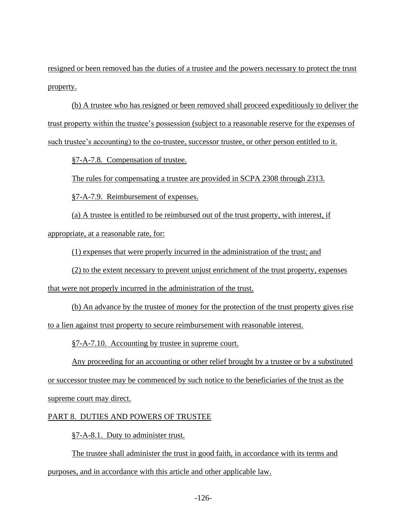resigned or been removed has the duties of a trustee and the powers necessary to protect the trust property.

(b) A trustee who has resigned or been removed shall proceed expeditiously to deliver the trust property within the trustee's possession (subject to a reasonable reserve for the expenses of such trustee's accounting) to the co-trustee, successor trustee, or other person entitled to it.

§7-A-7.8. Compensation of trustee.

The rules for compensating a trustee are provided in SCPA 2308 through 2313.

§7-A-7.9. Reimbursement of expenses.

(a) A trustee is entitled to be reimbursed out of the trust property, with interest, if

appropriate, at a reasonable rate, for:

(1) expenses that were properly incurred in the administration of the trust; and

(2) to the extent necessary to prevent unjust enrichment of the trust property, expenses

that were not properly incurred in the administration of the trust.

(b) An advance by the trustee of money for the protection of the trust property gives rise

to a lien against trust property to secure reimbursement with reasonable interest.

§7-A-7.10. Accounting by trustee in supreme court.

Any proceeding for an accounting or other relief brought by a trustee or by a substituted

or successor trustee may be commenced by such notice to the beneficiaries of the trust as the

supreme court may direct.

## PART 8. DUTIES AND POWERS OF TRUSTEE

§7-A-8.1. Duty to administer trust.

The trustee shall administer the trust in good faith, in accordance with its terms and purposes, and in accordance with this article and other applicable law.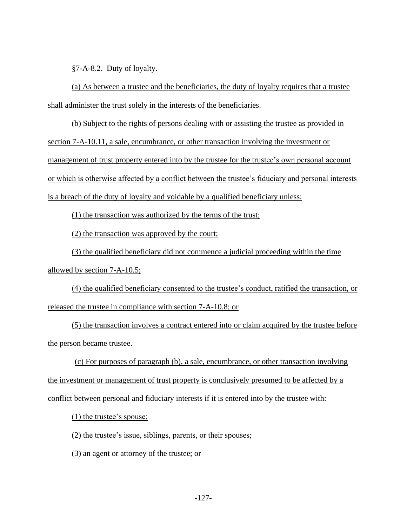§7-A-8.2. Duty of loyalty.

(a) As between a trustee and the beneficiaries, the duty of loyalty requires that a trustee shall administer the trust solely in the interests of the beneficiaries.

(b) Subject to the rights of persons dealing with or assisting the trustee as provided in section 7-A-10.11, a sale, encumbrance, or other transaction involving the investment or management of trust property entered into by the trustee for the trustee's own personal account or which is otherwise affected by a conflict between the trustee's fiduciary and personal interests is a breach of the duty of loyalty and voidable by a qualified beneficiary unless:

(1) the transaction was authorized by the terms of the trust;

(2) the transaction was approved by the court;

(3) the qualified beneficiary did not commence a judicial proceeding within the time allowed by section 7-A-10.5;

(4) the qualified beneficiary consented to the trustee's conduct, ratified the transaction, or released the trustee in compliance with section 7-A-10.8; or

(5) the transaction involves a contract entered into or claim acquired by the trustee before the person became trustee.

(c) For purposes of paragraph (b), a sale, encumbrance, or other transaction involving the investment or management of trust property is conclusively presumed to be affected by a conflict between personal and fiduciary interests if it is entered into by the trustee with:

(1) the trustee's spouse;

(2) the trustee's issue, siblings, parents, or their spouses;

(3) an agent or attorney of the trustee; or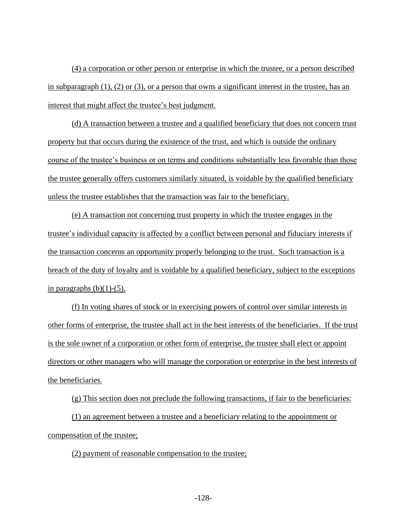(4) a corporation or other person or enterprise in which the trustee, or a person described in subparagraph (1), (2) or (3), or a person that owns a significant interest in the trustee, has an interest that might affect the trustee's best judgment.

(d) A transaction between a trustee and a qualified beneficiary that does not concern trust property but that occurs during the existence of the trust, and which is outside the ordinary course of the trustee's business or on terms and conditions substantially less favorable than those the trustee generally offers customers similarly situated, is voidable by the qualified beneficiary unless the trustee establishes that the transaction was fair to the beneficiary.

(e) A transaction not concerning trust property in which the trustee engages in the trustee's individual capacity is affected by a conflict between personal and fiduciary interests if the transaction concerns an opportunity properly belonging to the trust. Such transaction is a breach of the duty of loyalty and is voidable by a qualified beneficiary, subject to the exceptions in paragraphs  $(b)(1)-(5)$ .

(f) In voting shares of stock or in exercising powers of control over similar interests in other forms of enterprise, the trustee shall act in the best interests of the beneficiaries. If the trust is the sole owner of a corporation or other form of enterprise, the trustee shall elect or appoint directors or other managers who will manage the corporation or enterprise in the best interests of the beneficiaries.

(g) This section does not preclude the following transactions, if fair to the beneficiaries: (1) an agreement between a trustee and a beneficiary relating to the appointment or compensation of the trustee;

(2) payment of reasonable compensation to the trustee;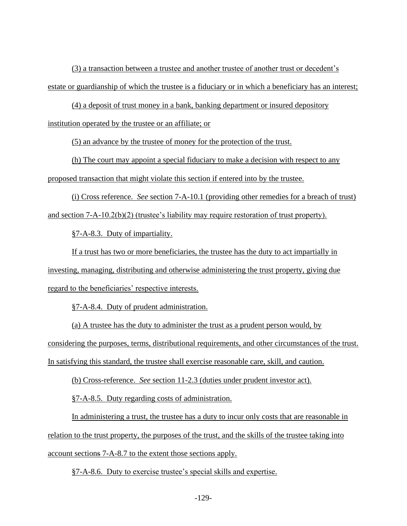(3) a transaction between a trustee and another trustee of another trust or decedent's estate or guardianship of which the trustee is a fiduciary or in which a beneficiary has an interest;

(4) a deposit of trust money in a bank, banking department or insured depository

institution operated by the trustee or an affiliate; or

(5) an advance by the trustee of money for the protection of the trust.

(h) The court may appoint a special fiduciary to make a decision with respect to any proposed transaction that might violate this section if entered into by the trustee.

(i) Cross reference. *See* section 7-A-10.1 (providing other remedies for a breach of trust) and section 7-A-10.2(b)(2) (trustee's liability may require restoration of trust property).

§7-A-8.3. Duty of impartiality.

If a trust has two or more beneficiaries, the trustee has the duty to act impartially in investing, managing, distributing and otherwise administering the trust property, giving due regard to the beneficiaries' respective interests.

§7-A-8.4. Duty of prudent administration.

(a) A trustee has the duty to administer the trust as a prudent person would, by

considering the purposes, terms, distributional requirements, and other circumstances of the trust.

In satisfying this standard, the trustee shall exercise reasonable care, skill, and caution.

(b) Cross-reference. *See* section 11-2.3 (duties under prudent investor act).

§7-A-8.5. Duty regarding costs of administration.

In administering a trust, the trustee has a duty to incur only costs that are reasonable in relation to the trust property, the purposes of the trust, and the skills of the trustee taking into account sections 7-A-8.7 to the extent those sections apply.

§7-A-8.6. Duty to exercise trustee's special skills and expertise.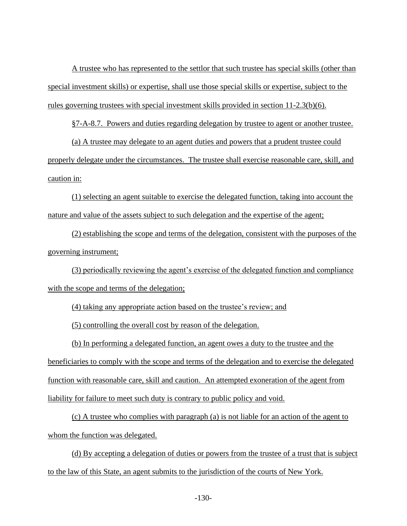A trustee who has represented to the settlor that such trustee has special skills (other than special investment skills) or expertise, shall use those special skills or expertise, subject to the rules governing trustees with special investment skills provided in section 11-2.3(b)(6).

§7-A-8.7. Powers and duties regarding delegation by trustee to agent or another trustee.

(a) A trustee may delegate to an agent duties and powers that a prudent trustee could properly delegate under the circumstances. The trustee shall exercise reasonable care, skill, and caution in:

(1) selecting an agent suitable to exercise the delegated function, taking into account the nature and value of the assets subject to such delegation and the expertise of the agent;

(2) establishing the scope and terms of the delegation, consistent with the purposes of the governing instrument;

(3) periodically reviewing the agent's exercise of the delegated function and compliance with the scope and terms of the delegation;

(4) taking any appropriate action based on the trustee's review; and

(5) controlling the overall cost by reason of the delegation.

(b) In performing a delegated function, an agent owes a duty to the trustee and the beneficiaries to comply with the scope and terms of the delegation and to exercise the delegated function with reasonable care, skill and caution. An attempted exoneration of the agent from liability for failure to meet such duty is contrary to public policy and void.

(c) A trustee who complies with paragraph (a) is not liable for an action of the agent to whom the function was delegated.

(d) By accepting a delegation of duties or powers from the trustee of a trust that is subject to the law of this State, an agent submits to the jurisdiction of the courts of New York.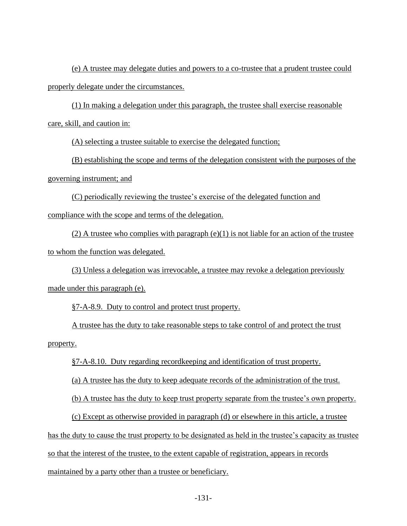(e) A trustee may delegate duties and powers to a co-trustee that a prudent trustee could properly delegate under the circumstances.

(1) In making a delegation under this paragraph, the trustee shall exercise reasonable care, skill, and caution in:

(A) selecting a trustee suitable to exercise the delegated function;

(B) establishing the scope and terms of the delegation consistent with the purposes of the governing instrument; and

(C) periodically reviewing the trustee's exercise of the delegated function and compliance with the scope and terms of the delegation.

(2) A trustee who complies with paragraph  $(e)(1)$  is not liable for an action of the trustee to whom the function was delegated.

(3) Unless a delegation was irrevocable, a trustee may revoke a delegation previously made under this paragraph (e).

§7-A-8.9. Duty to control and protect trust property.

A trustee has the duty to take reasonable steps to take control of and protect the trust property.

§7-A-8.10. Duty regarding recordkeeping and identification of trust property.

(a) A trustee has the duty to keep adequate records of the administration of the trust.

(b) A trustee has the duty to keep trust property separate from the trustee's own property.

(c) Except as otherwise provided in paragraph (d) or elsewhere in this article, a trustee has the duty to cause the trust property to be designated as held in the trustee's capacity as trustee

so that the interest of the trustee, to the extent capable of registration, appears in records

maintained by a party other than a trustee or beneficiary.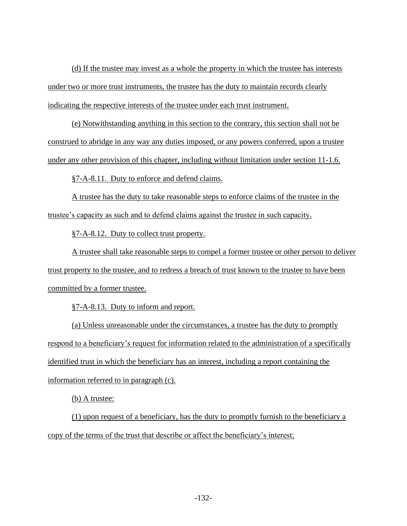(d) If the trustee may invest as a whole the property in which the trustee has interests under two or more trust instruments, the trustee has the duty to maintain records clearly indicating the respective interests of the trustee under each trust instrument.

(e) Notwithstanding anything in this section to the contrary, this section shall not be construed to abridge in any way any duties imposed, or any powers conferred, upon a trustee under any other provision of this chapter, including without limitation under section 11-1.6.

§7-A-8.11. Duty to enforce and defend claims.

A trustee has the duty to take reasonable steps to enforce claims of the trustee in the trustee's capacity as such and to defend claims against the trustee in such capacity.

§7-A-8.12. Duty to collect trust property.

A trustee shall take reasonable steps to compel a former trustee or other person to deliver trust property to the trustee, and to redress a breach of trust known to the trustee to have been committed by a former trustee.

§7-A-8.13. Duty to inform and report.

(a) Unless unreasonable under the circumstances, a trustee has the duty to promptly respond to a beneficiary's request for information related to the administration of a specifically identified trust in which the beneficiary has an interest, including a report containing the information referred to in paragraph (c).

(b) A trustee:

(1) upon request of a beneficiary, has the duty to promptly furnish to the beneficiary a copy of the terms of the trust that describe or affect the beneficiary's interest;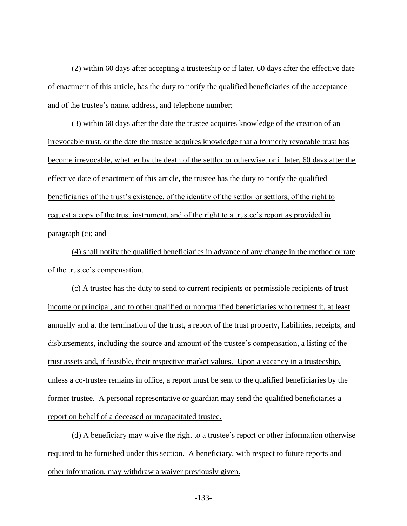(2) within 60 days after accepting a trusteeship or if later, 60 days after the effective date of enactment of this article, has the duty to notify the qualified beneficiaries of the acceptance and of the trustee's name, address, and telephone number;

(3) within 60 days after the date the trustee acquires knowledge of the creation of an irrevocable trust, or the date the trustee acquires knowledge that a formerly revocable trust has become irrevocable, whether by the death of the settlor or otherwise, or if later, 60 days after the effective date of enactment of this article, the trustee has the duty to notify the qualified beneficiaries of the trust's existence, of the identity of the settlor or settlors, of the right to request a copy of the trust instrument, and of the right to a trustee's report as provided in paragraph (c); and

(4) shall notify the qualified beneficiaries in advance of any change in the method or rate of the trustee's compensation.

(c) A trustee has the duty to send to current recipients or permissible recipients of trust income or principal, and to other qualified or nonqualified beneficiaries who request it, at least annually and at the termination of the trust, a report of the trust property, liabilities, receipts, and disbursements, including the source and amount of the trustee's compensation, a listing of the trust assets and, if feasible, their respective market values. Upon a vacancy in a trusteeship, unless a co-trustee remains in office, a report must be sent to the qualified beneficiaries by the former trustee. A personal representative or guardian may send the qualified beneficiaries a report on behalf of a deceased or incapacitated trustee.

(d) A beneficiary may waive the right to a trustee's report or other information otherwise required to be furnished under this section. A beneficiary, with respect to future reports and other information, may withdraw a waiver previously given.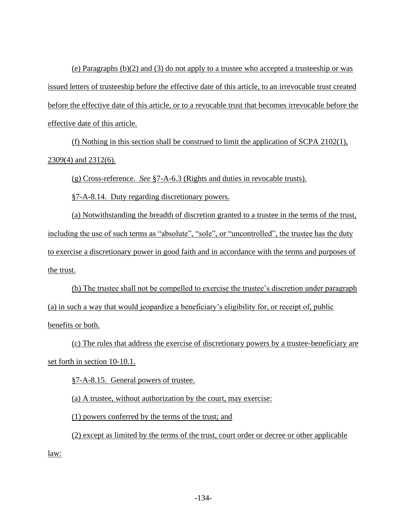(e) Paragraphs (b)(2) and (3) do not apply to a trustee who accepted a trusteeship or was issued letters of trusteeship before the effective date of this article, to an irrevocable trust created before the effective date of this article, or to a revocable trust that becomes irrevocable before the effective date of this article.

(f) Nothing in this section shall be construed to limit the application of SCPA 2102(1), 2309(4) and 2312(6).

(g) Cross-reference. *See* §7-A-6.3 (Rights and duties in revocable trusts).

§7-A-8.14. Duty regarding discretionary powers.

(a) Notwithstanding the breadth of discretion granted to a trustee in the terms of the trust, including the use of such terms as "absolute", "sole", or "uncontrolled", the trustee has the duty to exercise a discretionary power in good faith and in accordance with the terms and purposes of the trust.

(b) The trustee shall not be compelled to exercise the trustee's discretion under paragraph (a) in such a way that would jeopardize a beneficiary's eligibility for, or receipt of, public benefits or both.

(c) The rules that address the exercise of discretionary powers by a trustee-beneficiary are set forth in section 10-10.1.

§7-A-8.15. General powers of trustee.

(a) A trustee, without authorization by the court, may exercise:

(1) powers conferred by the terms of the trust; and

(2) except as limited by the terms of the trust, court order or decree or other applicable law: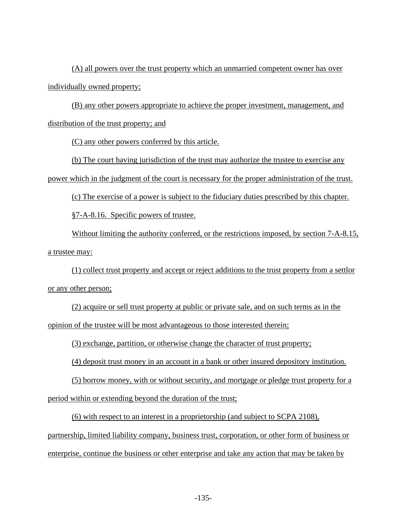(A) all powers over the trust property which an unmarried competent owner has over individually owned property;

(B) any other powers appropriate to achieve the proper investment, management, and distribution of the trust property; and

(C) any other powers conferred by this article.

(b) The court having jurisdiction of the trust may authorize the trustee to exercise any power which in the judgment of the court is necessary for the proper administration of the trust.

(c) The exercise of a power is subject to the fiduciary duties prescribed by this chapter.

§7-A-8.16. Specific powers of trustee.

Without limiting the authority conferred, or the restrictions imposed, by section 7-A-8.15, a trustee may:

(1) collect trust property and accept or reject additions to the trust property from a settlor or any other person;

(2) acquire or sell trust property at public or private sale, and on such terms as in the opinion of the trustee will be most advantageous to those interested therein;

(3) exchange, partition, or otherwise change the character of trust property;

(4) deposit trust money in an account in a bank or other insured depository institution.

(5) borrow money, with or without security, and mortgage or pledge trust property for a period within or extending beyond the duration of the trust;

(6) with respect to an interest in a proprietorship (and subject to SCPA 2108), partnership, limited liability company, business trust, corporation, or other form of business or enterprise, continue the business or other enterprise and take any action that may be taken by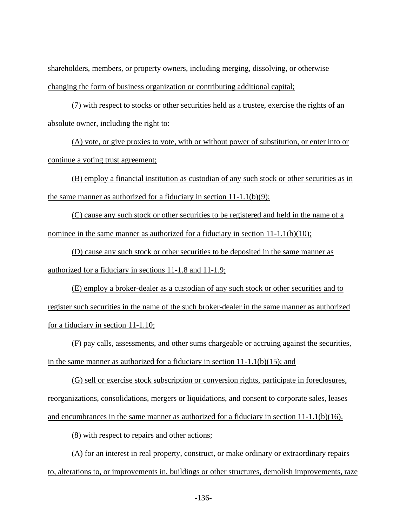shareholders, members, or property owners, including merging, dissolving, or otherwise changing the form of business organization or contributing additional capital;

(7) with respect to stocks or other securities held as a trustee, exercise the rights of an absolute owner, including the right to:

(A) vote, or give proxies to vote, with or without power of substitution, or enter into or continue a voting trust agreement;

(B) employ a financial institution as custodian of any such stock or other securities as in the same manner as authorized for a fiduciary in section  $11-1.1(b)(9)$ ;

(C) cause any such stock or other securities to be registered and held in the name of a nominee in the same manner as authorized for a fiduciary in section 11-1.1(b)(10);

(D) cause any such stock or other securities to be deposited in the same manner as authorized for a fiduciary in sections 11-1.8 and 11-1.9;

(E) employ a broker-dealer as a custodian of any such stock or other securities and to register such securities in the name of the such broker-dealer in the same manner as authorized for a fiduciary in section 11-1.10;

(F) pay calls, assessments, and other sums chargeable or accruing against the securities, in the same manner as authorized for a fiduciary in section 11-1.1(b)(15); and

(G) sell or exercise stock subscription or conversion rights, participate in foreclosures, reorganizations, consolidations, mergers or liquidations, and consent to corporate sales, leases and encumbrances in the same manner as authorized for a fiduciary in section  $11-1.1(b)(16)$ .

(8) with respect to repairs and other actions;

(A) for an interest in real property, construct, or make ordinary or extraordinary repairs to, alterations to, or improvements in, buildings or other structures, demolish improvements, raze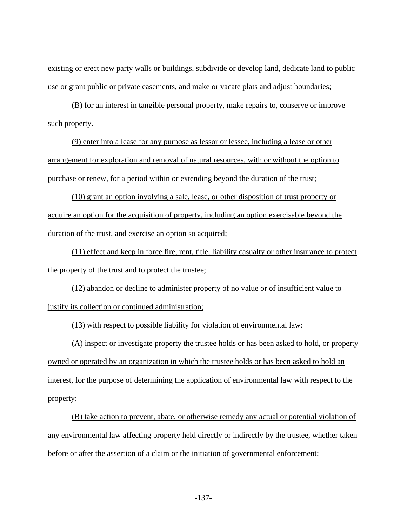existing or erect new party walls or buildings, subdivide or develop land, dedicate land to public use or grant public or private easements, and make or vacate plats and adjust boundaries;

(B) for an interest in tangible personal property, make repairs to, conserve or improve such property.

(9) enter into a lease for any purpose as lessor or lessee, including a lease or other arrangement for exploration and removal of natural resources, with or without the option to purchase or renew, for a period within or extending beyond the duration of the trust;

(10) grant an option involving a sale, lease, or other disposition of trust property or acquire an option for the acquisition of property, including an option exercisable beyond the duration of the trust, and exercise an option so acquired;

(11) effect and keep in force fire, rent, title, liability casualty or other insurance to protect the property of the trust and to protect the trustee;

(12) abandon or decline to administer property of no value or of insufficient value to justify its collection or continued administration;

(13) with respect to possible liability for violation of environmental law:

(A) inspect or investigate property the trustee holds or has been asked to hold, or property owned or operated by an organization in which the trustee holds or has been asked to hold an interest, for the purpose of determining the application of environmental law with respect to the property;

(B) take action to prevent, abate, or otherwise remedy any actual or potential violation of any environmental law affecting property held directly or indirectly by the trustee, whether taken before or after the assertion of a claim or the initiation of governmental enforcement;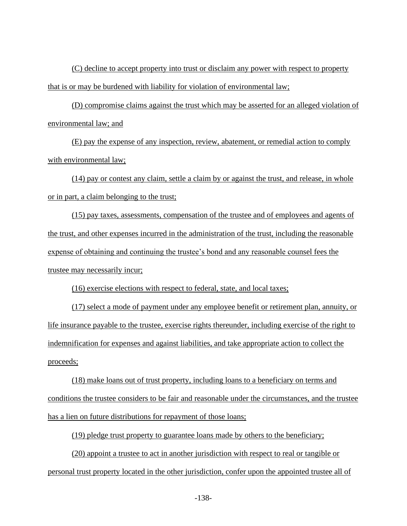(C) decline to accept property into trust or disclaim any power with respect to property that is or may be burdened with liability for violation of environmental law;

(D) compromise claims against the trust which may be asserted for an alleged violation of environmental law; and

(E) pay the expense of any inspection, review, abatement, or remedial action to comply with environmental law;

(14) pay or contest any claim, settle a claim by or against the trust, and release, in whole or in part, a claim belonging to the trust;

(15) pay taxes, assessments, compensation of the trustee and of employees and agents of the trust, and other expenses incurred in the administration of the trust, including the reasonable expense of obtaining and continuing the trustee's bond and any reasonable counsel fees the trustee may necessarily incur;

(16) exercise elections with respect to federal, state, and local taxes;

(17) select a mode of payment under any employee benefit or retirement plan, annuity, or life insurance payable to the trustee, exercise rights thereunder, including exercise of the right to indemnification for expenses and against liabilities, and take appropriate action to collect the proceeds;

(18) make loans out of trust property, including loans to a beneficiary on terms and conditions the trustee considers to be fair and reasonable under the circumstances, and the trustee has a lien on future distributions for repayment of those loans;

(19) pledge trust property to guarantee loans made by others to the beneficiary;

(20) appoint a trustee to act in another jurisdiction with respect to real or tangible or personal trust property located in the other jurisdiction, confer upon the appointed trustee all of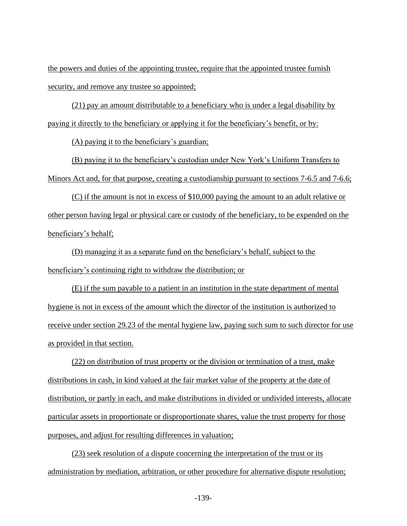the powers and duties of the appointing trustee, require that the appointed trustee furnish security, and remove any trustee so appointed;

(21) pay an amount distributable to a beneficiary who is under a legal disability by paying it directly to the beneficiary or applying it for the beneficiary's benefit, or by:

(A) paying it to the beneficiary's guardian;

(B) paying it to the beneficiary's custodian under New York's Uniform Transfers to Minors Act and, for that purpose, creating a custodianship pursuant to sections 7-6.5 and 7-6.6;

(C) if the amount is not in excess of \$10,000 paying the amount to an adult relative or other person having legal or physical care or custody of the beneficiary, to be expended on the beneficiary's behalf;

(D) managing it as a separate fund on the beneficiary's behalf, subject to the beneficiary's continuing right to withdraw the distribution; or

(E) if the sum payable to a patient in an institution in the state department of mental hygiene is not in excess of the amount which the director of the institution is authorized to receive under section 29.23 of the mental hygiene law, paying such sum to such director for use as provided in that section.

(22) on distribution of trust property or the division or termination of a trust, make distributions in cash, in kind valued at the fair market value of the property at the date of distribution, or partly in each, and make distributions in divided or undivided interests, allocate particular assets in proportionate or disproportionate shares, value the trust property for those purposes, and adjust for resulting differences in valuation;

(23) seek resolution of a dispute concerning the interpretation of the trust or its administration by mediation, arbitration, or other procedure for alternative dispute resolution;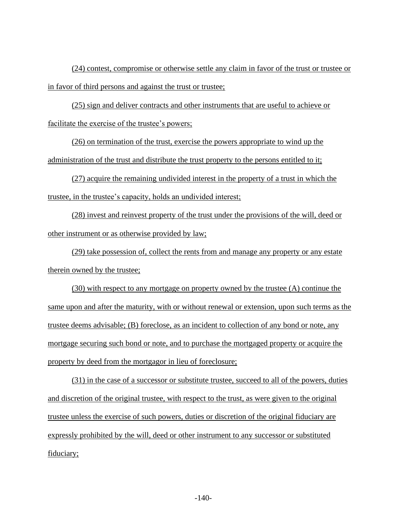(24) contest, compromise or otherwise settle any claim in favor of the trust or trustee or in favor of third persons and against the trust or trustee;

(25) sign and deliver contracts and other instruments that are useful to achieve or facilitate the exercise of the trustee's powers;

(26) on termination of the trust, exercise the powers appropriate to wind up the administration of the trust and distribute the trust property to the persons entitled to it;

(27) acquire the remaining undivided interest in the property of a trust in which the trustee, in the trustee's capacity, holds an undivided interest;

(28) invest and reinvest property of the trust under the provisions of the will, deed or other instrument or as otherwise provided by law;

(29) take possession of, collect the rents from and manage any property or any estate therein owned by the trustee;

(30) with respect to any mortgage on property owned by the trustee (A) continue the same upon and after the maturity, with or without renewal or extension, upon such terms as the trustee deems advisable; (B) foreclose, as an incident to collection of any bond or note, any mortgage securing such bond or note, and to purchase the mortgaged property or acquire the property by deed from the mortgagor in lieu of foreclosure;

(31) in the case of a successor or substitute trustee, succeed to all of the powers, duties and discretion of the original trustee, with respect to the trust, as were given to the original trustee unless the exercise of such powers, duties or discretion of the original fiduciary are expressly prohibited by the will, deed or other instrument to any successor or substituted fiduciary;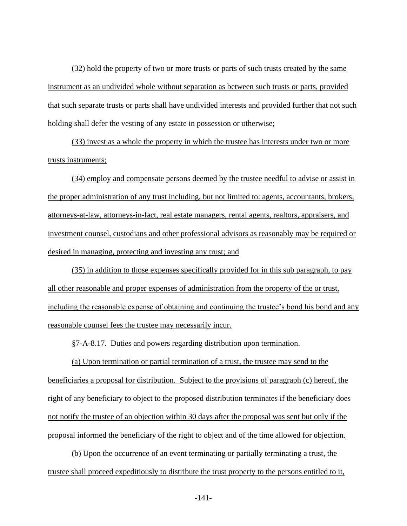(32) hold the property of two or more trusts or parts of such trusts created by the same instrument as an undivided whole without separation as between such trusts or parts, provided that such separate trusts or parts shall have undivided interests and provided further that not such holding shall defer the vesting of any estate in possession or otherwise;

(33) invest as a whole the property in which the trustee has interests under two or more trusts instruments;

(34) employ and compensate persons deemed by the trustee needful to advise or assist in the proper administration of any trust including, but not limited to: agents, accountants, brokers, attorneys-at-law, attorneys-in-fact, real estate managers, rental agents, realtors, appraisers, and investment counsel, custodians and other professional advisors as reasonably may be required or desired in managing, protecting and investing any trust; and

(35) in addition to those expenses specifically provided for in this sub paragraph, to pay all other reasonable and proper expenses of administration from the property of the or trust, including the reasonable expense of obtaining and continuing the trustee's bond his bond and any reasonable counsel fees the trustee may necessarily incur.

§7-A-8.17. Duties and powers regarding distribution upon termination.

(a) Upon termination or partial termination of a trust, the trustee may send to the beneficiaries a proposal for distribution. Subject to the provisions of paragraph (c) hereof, the right of any beneficiary to object to the proposed distribution terminates if the beneficiary does not notify the trustee of an objection within 30 days after the proposal was sent but only if the proposal informed the beneficiary of the right to object and of the time allowed for objection.

(b) Upon the occurrence of an event terminating or partially terminating a trust, the trustee shall proceed expeditiously to distribute the trust property to the persons entitled to it,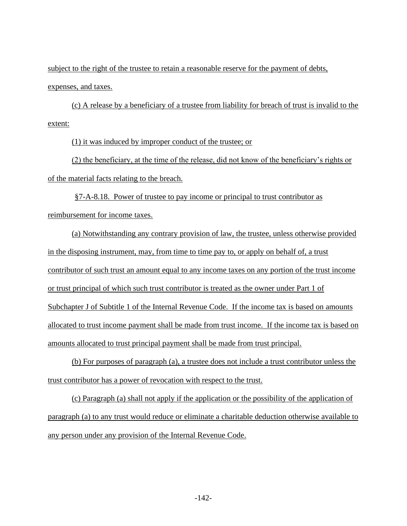subject to the right of the trustee to retain a reasonable reserve for the payment of debts, expenses, and taxes.

(c) A release by a beneficiary of a trustee from liability for breach of trust is invalid to the extent:

(1) it was induced by improper conduct of the trustee; or

(2) the beneficiary, at the time of the release, did not know of the beneficiary's rights or of the material facts relating to the breach.

§7-A-8.18. Power of trustee to pay income or principal to trust contributor as reimbursement for income taxes.

(a) Notwithstanding any contrary provision of law, the trustee, unless otherwise provided in the disposing instrument, may, from time to time pay to, or apply on behalf of, a trust contributor of such trust an amount equal to any income taxes on any portion of the trust income or trust principal of which such trust contributor is treated as the owner under Part 1 of Subchapter J of Subtitle 1 of the Internal Revenue Code. If the income tax is based on amounts allocated to trust income payment shall be made from trust income. If the income tax is based on amounts allocated to trust principal payment shall be made from trust principal.

(b) For purposes of paragraph (a), a trustee does not include a trust contributor unless the trust contributor has a power of revocation with respect to the trust.

(c) Paragraph (a) shall not apply if the application or the possibility of the application of paragraph (a) to any trust would reduce or eliminate a charitable deduction otherwise available to any person under any provision of the Internal Revenue Code.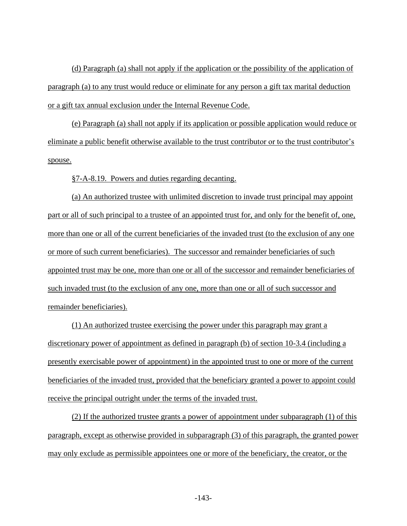(d) Paragraph (a) shall not apply if the application or the possibility of the application of paragraph (a) to any trust would reduce or eliminate for any person a gift tax marital deduction or a gift tax annual exclusion under the Internal Revenue Code.

(e) Paragraph (a) shall not apply if its application or possible application would reduce or eliminate a public benefit otherwise available to the trust contributor or to the trust contributor's spouse.

§7-A-8.19. Powers and duties regarding decanting.

(a) An authorized trustee with unlimited discretion to invade trust principal may appoint part or all of such principal to a trustee of an appointed trust for, and only for the benefit of, one, more than one or all of the current beneficiaries of the invaded trust (to the exclusion of any one or more of such current beneficiaries). The successor and remainder beneficiaries of such appointed trust may be one, more than one or all of the successor and remainder beneficiaries of such invaded trust (to the exclusion of any one, more than one or all of such successor and remainder beneficiaries).

(1) An authorized trustee exercising the power under this paragraph may grant a discretionary power of appointment as defined in paragraph (b) of section 10-3.4 (including a presently exercisable power of appointment) in the appointed trust to one or more of the current beneficiaries of the invaded trust, provided that the beneficiary granted a power to appoint could receive the principal outright under the terms of the invaded trust.

(2) If the authorized trustee grants a power of appointment under subparagraph (1) of this paragraph, except as otherwise provided in subparagraph (3) of this paragraph, the granted power may only exclude as permissible appointees one or more of the beneficiary, the creator, or the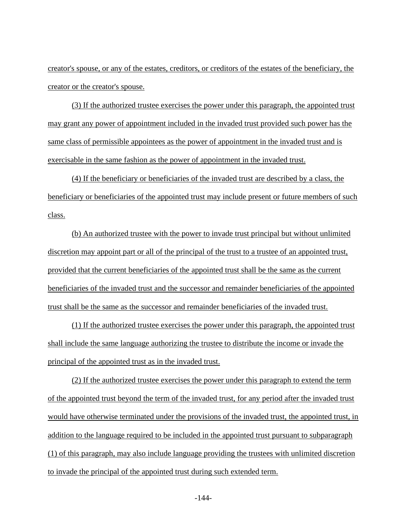creator's spouse, or any of the estates, creditors, or creditors of the estates of the beneficiary, the creator or the creator's spouse.

(3) If the authorized trustee exercises the power under this paragraph, the appointed trust may grant any power of appointment included in the invaded trust provided such power has the same class of permissible appointees as the power of appointment in the invaded trust and is exercisable in the same fashion as the power of appointment in the invaded trust.

(4) If the beneficiary or beneficiaries of the invaded trust are described by a class, the beneficiary or beneficiaries of the appointed trust may include present or future members of such class.

(b) An authorized trustee with the power to invade trust principal but without unlimited discretion may appoint part or all of the principal of the trust to a trustee of an appointed trust, provided that the current beneficiaries of the appointed trust shall be the same as the current beneficiaries of the invaded trust and the successor and remainder beneficiaries of the appointed trust shall be the same as the successor and remainder beneficiaries of the invaded trust.

(1) If the authorized trustee exercises the power under this paragraph, the appointed trust shall include the same language authorizing the trustee to distribute the income or invade the principal of the appointed trust as in the invaded trust.

(2) If the authorized trustee exercises the power under this paragraph to extend the term of the appointed trust beyond the term of the invaded trust, for any period after the invaded trust would have otherwise terminated under the provisions of the invaded trust, the appointed trust, in addition to the language required to be included in the appointed trust pursuant to subparagraph (1) of this paragraph, may also include language providing the trustees with unlimited discretion to invade the principal of the appointed trust during such extended term.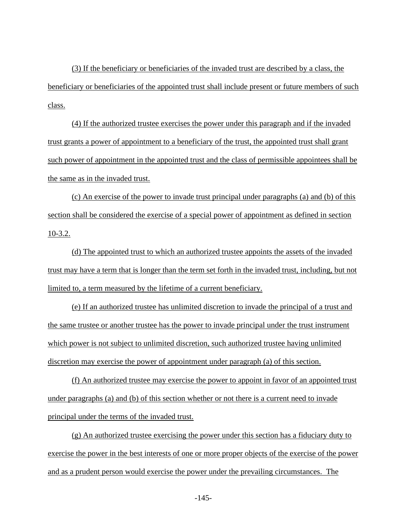(3) If the beneficiary or beneficiaries of the invaded trust are described by a class, the beneficiary or beneficiaries of the appointed trust shall include present or future members of such class.

(4) If the authorized trustee exercises the power under this paragraph and if the invaded trust grants a power of appointment to a beneficiary of the trust, the appointed trust shall grant such power of appointment in the appointed trust and the class of permissible appointees shall be the same as in the invaded trust.

(c) An exercise of the power to invade trust principal under paragraphs (a) and (b) of this section shall be considered the exercise of a special power of appointment as defined in section 10-3.2.

(d) The appointed trust to which an authorized trustee appoints the assets of the invaded trust may have a term that is longer than the term set forth in the invaded trust, including, but not limited to, a term measured by the lifetime of a current beneficiary.

(e) If an authorized trustee has unlimited discretion to invade the principal of a trust and the same trustee or another trustee has the power to invade principal under the trust instrument which power is not subject to unlimited discretion, such authorized trustee having unlimited discretion may exercise the power of appointment under paragraph (a) of this section.

(f) An authorized trustee may exercise the power to appoint in favor of an appointed trust under paragraphs (a) and (b) of this section whether or not there is a current need to invade principal under the terms of the invaded trust.

(g) An authorized trustee exercising the power under this section has a fiduciary duty to exercise the power in the best interests of one or more proper objects of the exercise of the power and as a prudent person would exercise the power under the prevailing circumstances. The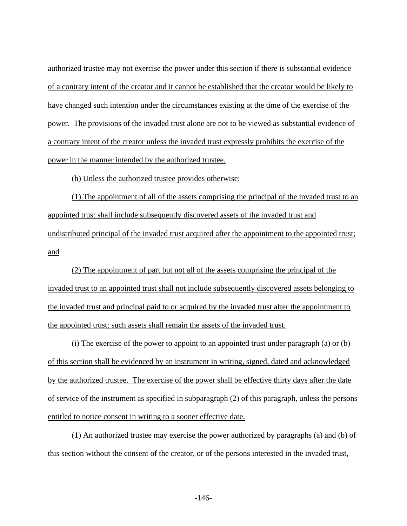authorized trustee may not exercise the power under this section if there is substantial evidence of a contrary intent of the creator and it cannot be established that the creator would be likely to have changed such intention under the circumstances existing at the time of the exercise of the power. The provisions of the invaded trust alone are not to be viewed as substantial evidence of a contrary intent of the creator unless the invaded trust expressly prohibits the exercise of the power in the manner intended by the authorized trustee.

(h) Unless the authorized trustee provides otherwise:

(1) The appointment of all of the assets comprising the principal of the invaded trust to an appointed trust shall include subsequently discovered assets of the invaded trust and undistributed principal of the invaded trust acquired after the appointment to the appointed trust; and

(2) The appointment of part but not all of the assets comprising the principal of the invaded trust to an appointed trust shall not include subsequently discovered assets belonging to the invaded trust and principal paid to or acquired by the invaded trust after the appointment to the appointed trust; such assets shall remain the assets of the invaded trust.

(i) The exercise of the power to appoint to an appointed trust under paragraph (a) or (b) of this section shall be evidenced by an instrument in writing, signed, dated and acknowledged by the authorized trustee. The exercise of the power shall be effective thirty days after the date of service of the instrument as specified in subparagraph (2) of this paragraph, unless the persons entitled to notice consent in writing to a sooner effective date.

(1) An authorized trustee may exercise the power authorized by paragraphs (a) and (b) of this section without the consent of the creator, or of the persons interested in the invaded trust,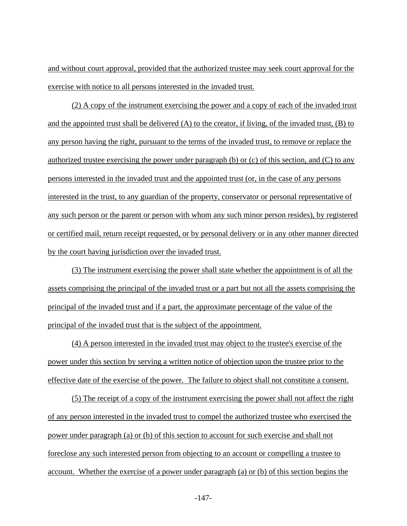and without court approval, provided that the authorized trustee may seek court approval for the exercise with notice to all persons interested in the invaded trust.

(2) A copy of the instrument exercising the power and a copy of each of the invaded trust and the appointed trust shall be delivered (A) to the creator, if living, of the invaded trust, (B) to any person having the right, pursuant to the terms of the invaded trust, to remove or replace the authorized trustee exercising the power under paragraph (b) or (c) of this section, and (C) to any persons interested in the invaded trust and the appointed trust (or, in the case of any persons interested in the trust, to any guardian of the property, conservator or personal representative of any such person or the parent or person with whom any such minor person resides), by registered or certified mail, return receipt requested, or by personal delivery or in any other manner directed by the court having jurisdiction over the invaded trust.

(3) The instrument exercising the power shall state whether the appointment is of all the assets comprising the principal of the invaded trust or a part but not all the assets comprising the principal of the invaded trust and if a part, the approximate percentage of the value of the principal of the invaded trust that is the subject of the appointment.

(4) A person interested in the invaded trust may object to the trustee's exercise of the power under this section by serving a written notice of objection upon the trustee prior to the effective date of the exercise of the power. The failure to object shall not constitute a consent.

(5) The receipt of a copy of the instrument exercising the power shall not affect the right of any person interested in the invaded trust to compel the authorized trustee who exercised the power under paragraph (a) or (b) of this section to account for such exercise and shall not foreclose any such interested person from objecting to an account or compelling a trustee to account. Whether the exercise of a power under paragraph (a) or (b) of this section begins the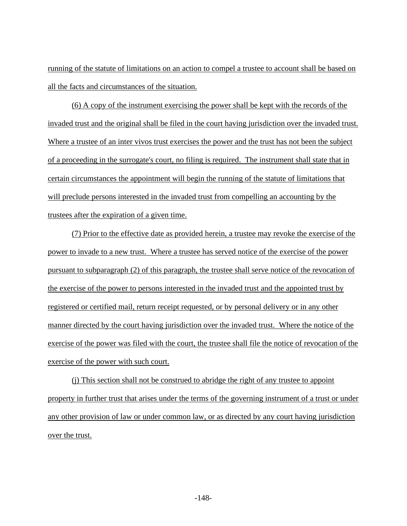running of the statute of limitations on an action to compel a trustee to account shall be based on all the facts and circumstances of the situation.

(6) A copy of the instrument exercising the power shall be kept with the records of the invaded trust and the original shall be filed in the court having jurisdiction over the invaded trust. Where a trustee of an inter vivos trust exercises the power and the trust has not been the subject of a proceeding in the surrogate's court, no filing is required. The instrument shall state that in certain circumstances the appointment will begin the running of the statute of limitations that will preclude persons interested in the invaded trust from compelling an accounting by the trustees after the expiration of a given time.

(7) Prior to the effective date as provided herein, a trustee may revoke the exercise of the power to invade to a new trust. Where a trustee has served notice of the exercise of the power pursuant to subparagraph (2) of this paragraph, the trustee shall serve notice of the revocation of the exercise of the power to persons interested in the invaded trust and the appointed trust by registered or certified mail, return receipt requested, or by personal delivery or in any other manner directed by the court having jurisdiction over the invaded trust. Where the notice of the exercise of the power was filed with the court, the trustee shall file the notice of revocation of the exercise of the power with such court.

(j) This section shall not be construed to abridge the right of any trustee to appoint property in further trust that arises under the terms of the governing instrument of a trust or under any other provision of law or under common law, or as directed by any court having jurisdiction over the trust.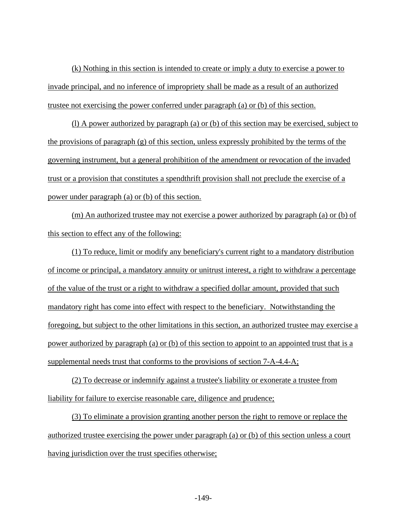(k) Nothing in this section is intended to create or imply a duty to exercise a power to invade principal, and no inference of impropriety shall be made as a result of an authorized trustee not exercising the power conferred under paragraph (a) or (b) of this section.

(l) A power authorized by paragraph (a) or (b) of this section may be exercised, subject to the provisions of paragraph  $(g)$  of this section, unless expressly prohibited by the terms of the governing instrument, but a general prohibition of the amendment or revocation of the invaded trust or a provision that constitutes a spendthrift provision shall not preclude the exercise of a power under paragraph (a) or (b) of this section.

(m) An authorized trustee may not exercise a power authorized by paragraph (a) or (b) of this section to effect any of the following:

(1) To reduce, limit or modify any beneficiary's current right to a mandatory distribution of income or principal, a mandatory annuity or unitrust interest, a right to withdraw a percentage of the value of the trust or a right to withdraw a specified dollar amount, provided that such mandatory right has come into effect with respect to the beneficiary. Notwithstanding the foregoing, but subject to the other limitations in this section, an authorized trustee may exercise a power authorized by paragraph (a) or (b) of this section to appoint to an appointed trust that is a supplemental needs trust that conforms to the provisions of section 7-A-4.4-A;

(2) To decrease or indemnify against a trustee's liability or exonerate a trustee from liability for failure to exercise reasonable care, diligence and prudence;

(3) To eliminate a provision granting another person the right to remove or replace the authorized trustee exercising the power under paragraph (a) or (b) of this section unless a court having jurisdiction over the trust specifies otherwise;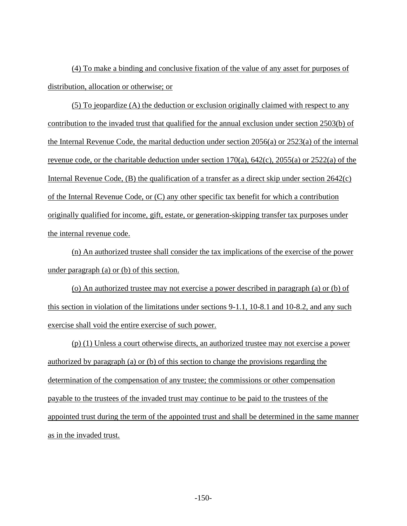(4) To make a binding and conclusive fixation of the value of any asset for purposes of distribution, allocation or otherwise; or

(5) To jeopardize (A) the deduction or exclusion originally claimed with respect to any contribution to the invaded trust that qualified for the annual exclusion under section 2503(b) of the Internal Revenue Code, the marital deduction under section 2056(a) or 2523(a) of the internal revenue code, or the charitable deduction under section 170(a),  $642(c)$ ,  $2055(a)$  or  $2522(a)$  of the Internal Revenue Code, (B) the qualification of a transfer as a direct skip under section 2642(c) of the Internal Revenue Code, or (C) any other specific tax benefit for which a contribution originally qualified for income, gift, estate, or generation-skipping transfer tax purposes under the internal revenue code.

(n) An authorized trustee shall consider the tax implications of the exercise of the power under paragraph (a) or (b) of this section.

(o) An authorized trustee may not exercise a power described in paragraph (a) or (b) of this section in violation of the limitations under sections 9-1.1, 10-8.1 and 10-8.2, and any such exercise shall void the entire exercise of such power.

(p) (1) Unless a court otherwise directs, an authorized trustee may not exercise a power authorized by paragraph (a) or (b) of this section to change the provisions regarding the determination of the compensation of any trustee; the commissions or other compensation payable to the trustees of the invaded trust may continue to be paid to the trustees of the appointed trust during the term of the appointed trust and shall be determined in the same manner as in the invaded trust.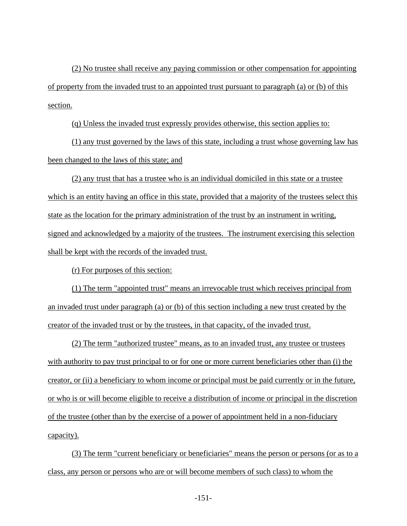(2) No trustee shall receive any paying commission or other compensation for appointing of property from the invaded trust to an appointed trust pursuant to paragraph (a) or (b) of this section.

(q) Unless the invaded trust expressly provides otherwise, this section applies to:

(1) any trust governed by the laws of this state, including a trust whose governing law has been changed to the laws of this state; and

(2) any trust that has a trustee who is an individual domiciled in this state or a trustee which is an entity having an office in this state, provided that a majority of the trustees select this state as the location for the primary administration of the trust by an instrument in writing, signed and acknowledged by a majority of the trustees. The instrument exercising this selection shall be kept with the records of the invaded trust.

(r) For purposes of this section:

(1) The term "appointed trust" means an irrevocable trust which receives principal from an invaded trust under paragraph (a) or (b) of this section including a new trust created by the creator of the invaded trust or by the trustees, in that capacity, of the invaded trust.

(2) The term "authorized trustee" means, as to an invaded trust, any trustee or trustees with authority to pay trust principal to or for one or more current beneficiaries other than (i) the creator, or (ii) a beneficiary to whom income or principal must be paid currently or in the future, or who is or will become eligible to receive a distribution of income or principal in the discretion of the trustee (other than by the exercise of a power of appointment held in a non-fiduciary capacity).

(3) The term "current beneficiary or beneficiaries" means the person or persons (or as to a class, any person or persons who are or will become members of such class) to whom the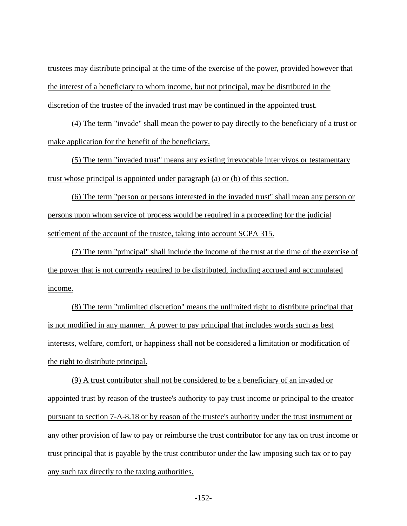trustees may distribute principal at the time of the exercise of the power, provided however that the interest of a beneficiary to whom income, but not principal, may be distributed in the discretion of the trustee of the invaded trust may be continued in the appointed trust.

(4) The term "invade" shall mean the power to pay directly to the beneficiary of a trust or make application for the benefit of the beneficiary.

(5) The term "invaded trust" means any existing irrevocable inter vivos or testamentary trust whose principal is appointed under paragraph (a) or (b) of this section.

(6) The term "person or persons interested in the invaded trust" shall mean any person or persons upon whom service of process would be required in a proceeding for the judicial settlement of the account of the trustee, taking into account SCPA 315.

(7) The term "principal" shall include the income of the trust at the time of the exercise of the power that is not currently required to be distributed, including accrued and accumulated income.

(8) The term "unlimited discretion" means the unlimited right to distribute principal that is not modified in any manner. A power to pay principal that includes words such as best interests, welfare, comfort, or happiness shall not be considered a limitation or modification of the right to distribute principal.

(9) A trust contributor shall not be considered to be a beneficiary of an invaded or appointed trust by reason of the trustee's authority to pay trust income or principal to the creator pursuant to section 7-A-8.18 or by reason of the trustee's authority under the trust instrument or any other provision of law to pay or reimburse the trust contributor for any tax on trust income or trust principal that is payable by the trust contributor under the law imposing such tax or to pay any such tax directly to the taxing authorities.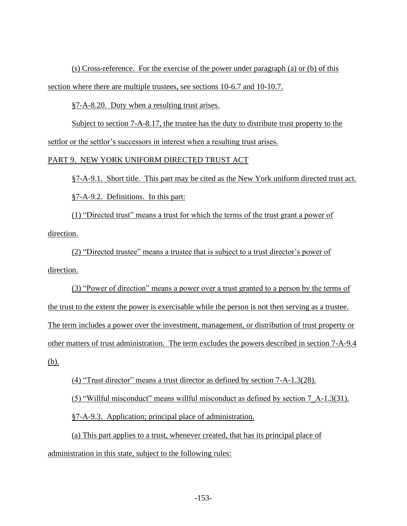(s) Cross-reference. For the exercise of the power under paragraph (a) or (b) of this section where there are multiple trustees, see sections 10-6.7 and 10-10.7.

§7-A-8.20. Duty when a resulting trust arises.

Subject to section 7-A-8.17, the trustee has the duty to distribute trust property to the settlor or the settlor's successors in interest when a resulting trust arises.

## PART 9. NEW YORK UNIFORM DIRECTED TRUST ACT

§7-A-9.1. Short title. This part may be cited as the New York uniform directed trust act.

§7-A-9.2. Definitions. In this part:

(1) "Directed trust" means a trust for which the terms of the trust grant a power of direction.

(2) "Directed trustee" means a trustee that is subject to a trust director's power of direction.

(3) "Power of direction" means a power over a trust granted to a person by the terms of the trust to the extent the power is exercisable while the person is not then serving as a trustee. The term includes a power over the investment, management, or distribution of trust property or other matters of trust administration. The term excludes the powers described in section 7-A-9.4 (b).

(4) "Trust director" means a trust director as defined by section 7-A-1.3(28).

(5) "Willful misconduct" means willful misconduct as defined by section 7\_A-1.3(31).

§7-A-9.3. Application; principal place of administration.

(a) This part applies to a trust, whenever created, that has its principal place of

administration in this state, subject to the following rules: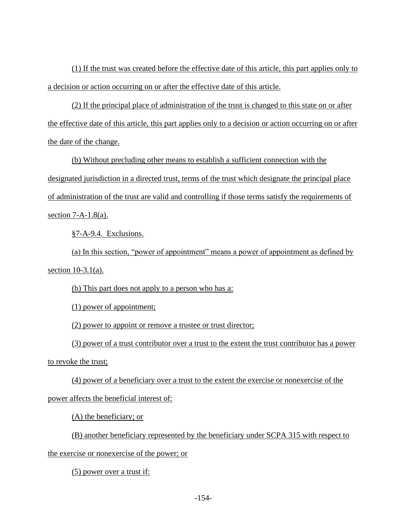(1) If the trust was created before the effective date of this article, this part applies only to a decision or action occurring on or after the effective date of this article.

(2) If the principal place of administration of the trust is changed to this state on or after the effective date of this article, this part applies only to a decision or action occurring on or after the date of the change.

(b) Without precluding other means to establish a sufficient connection with the designated jurisdiction in a directed trust, terms of the trust which designate the principal place of administration of the trust are valid and controlling if those terms satisfy the requirements of section 7-A-1.8(a).

§7-A-9.4. Exclusions.

(a) In this section, "power of appointment" means a power of appointment as defined by section 10-3.1(a).

(b) This part does not apply to a person who has a:

(1) power of appointment;

(2) power to appoint or remove a trustee or trust director;

(3) power of a trust contributor over a trust to the extent the trust contributor has a power to revoke the trust;

(4) power of a beneficiary over a trust to the extent the exercise or nonexercise of the power affects the beneficial interest of:

(A) the beneficiary; or

(B) another beneficiary represented by the beneficiary under SCPA 315 with respect to

the exercise or nonexercise of the power; or

(5) power over a trust if: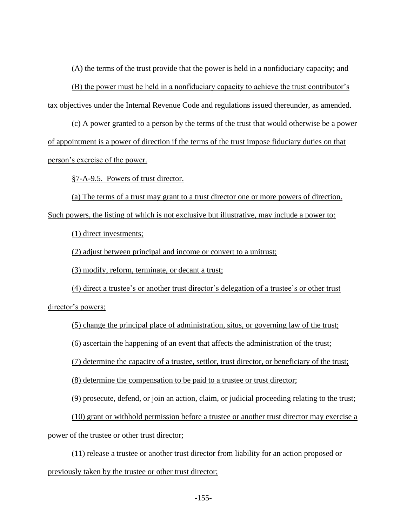(A) the terms of the trust provide that the power is held in a nonfiduciary capacity; and (B) the power must be held in a nonfiduciary capacity to achieve the trust contributor's tax objectives under the Internal Revenue Code and regulations issued thereunder, as amended.

(c) A power granted to a person by the terms of the trust that would otherwise be a power of appointment is a power of direction if the terms of the trust impose fiduciary duties on that person's exercise of the power.

§7-A-9.5. Powers of trust director.

(a) The terms of a trust may grant to a trust director one or more powers of direction. Such powers, the listing of which is not exclusive but illustrative, may include a power to:

(1) direct investments;

(2) adjust between principal and income or convert to a unitrust;

(3) modify, reform, terminate, or decant a trust;

(4) direct a trustee's or another trust director's delegation of a trustee's or other trust

director's powers;

(5) change the principal place of administration, situs, or governing law of the trust;

(6) ascertain the happening of an event that affects the administration of the trust;

(7) determine the capacity of a trustee, settlor, trust director, or beneficiary of the trust;

(8) determine the compensation to be paid to a trustee or trust director;

(9) prosecute, defend, or join an action, claim, or judicial proceeding relating to the trust;

(10) grant or withhold permission before a trustee or another trust director may exercise a power of the trustee or other trust director;

(11) release a trustee or another trust director from liability for an action proposed or previously taken by the trustee or other trust director;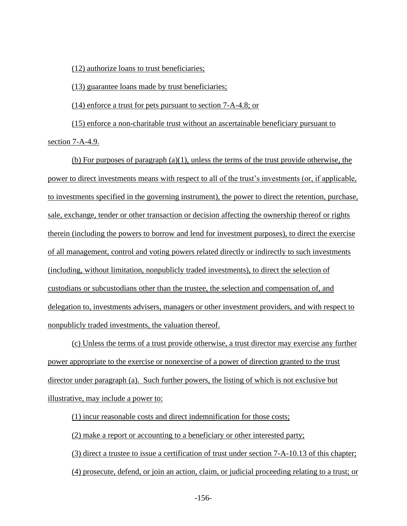(12) authorize loans to trust beneficiaries;

(13) guarantee loans made by trust beneficiaries;

(14) enforce a trust for pets pursuant to section 7-A-4.8; or

(15) enforce a non-charitable trust without an ascertainable beneficiary pursuant to section 7-A-4.9.

(b) For purposes of paragraph  $(a)(1)$ , unless the terms of the trust provide otherwise, the power to direct investments means with respect to all of the trust's investments (or, if applicable, to investments specified in the governing instrument), the power to direct the retention, purchase, sale, exchange, tender or other transaction or decision affecting the ownership thereof or rights therein (including the powers to borrow and lend for investment purposes), to direct the exercise of all management, control and voting powers related directly or indirectly to such investments (including, without limitation, nonpublicly traded investments), to direct the selection of custodians or subcustodians other than the trustee, the selection and compensation of, and delegation to, investments advisers, managers or other investment providers, and with respect to nonpublicly traded investments, the valuation thereof.

(c) Unless the terms of a trust provide otherwise, a trust director may exercise any further power appropriate to the exercise or nonexercise of a power of direction granted to the trust director under paragraph (a). Such further powers, the listing of which is not exclusive but illustrative, may include a power to:

(1) incur reasonable costs and direct indemnification for those costs;

(2) make a report or accounting to a beneficiary or other interested party;

(3) direct a trustee to issue a certification of trust under section 7-A-10.13 of this chapter;

(4) prosecute, defend, or join an action, claim, or judicial proceeding relating to a trust; or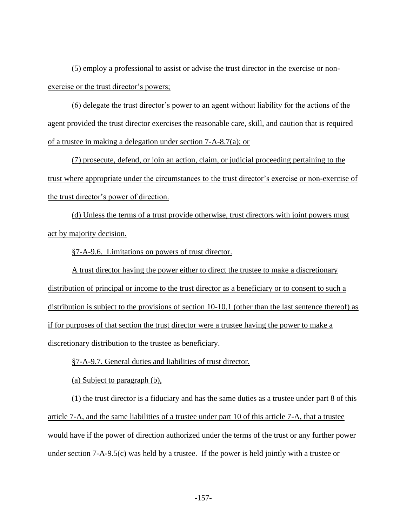(5) employ a professional to assist or advise the trust director in the exercise or nonexercise or the trust director's powers;

(6) delegate the trust director's power to an agent without liability for the actions of the agent provided the trust director exercises the reasonable care, skill, and caution that is required of a trustee in making a delegation under section 7-A-8.7(a); or

(7) prosecute, defend, or join an action, claim, or judicial proceeding pertaining to the trust where appropriate under the circumstances to the trust director's exercise or non-exercise of the trust director's power of direction.

(d) Unless the terms of a trust provide otherwise, trust directors with joint powers must act by majority decision.

§7-A-9.6. Limitations on powers of trust director.

A trust director having the power either to direct the trustee to make a discretionary distribution of principal or income to the trust director as a beneficiary or to consent to such a distribution is subject to the provisions of section 10-10.1 (other than the last sentence thereof) as if for purposes of that section the trust director were a trustee having the power to make a discretionary distribution to the trustee as beneficiary.

§7-A-9.7. General duties and liabilities of trust director.

(a) Subject to paragraph (b),

(1) the trust director is a fiduciary and has the same duties as a trustee under part 8 of this article 7-A, and the same liabilities of a trustee under part 10 of this article 7-A, that a trustee would have if the power of direction authorized under the terms of the trust or any further power under section 7-A-9.5(c) was held by a trustee. If the power is held jointly with a trustee or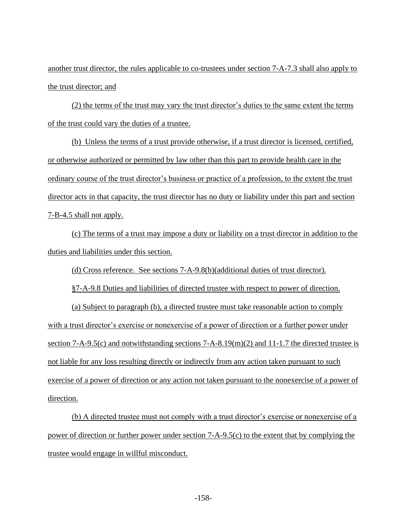another trust director, the rules applicable to co-trustees under section 7-A-7.3 shall also apply to the trust director; and

(2) the terms of the trust may vary the trust director's duties to the same extent the terms of the trust could vary the duties of a trustee.

(b) Unless the terms of a trust provide otherwise, if a trust director is licensed, certified, or otherwise authorized or permitted by law other than this part to provide health care in the ordinary course of the trust director's business or practice of a profession, to the extent the trust director acts in that capacity, the trust director has no duty or liability under this part and section 7-B-4.5 shall not apply.

(c) The terms of a trust may impose a duty or liability on a trust director in addition to the duties and liabilities under this section.

(d) Cross reference. See sections 7-A-9.8(b)(additional duties of trust director).

§7-A-9.8 Duties and liabilities of directed trustee with respect to power of direction.

(a) Subject to paragraph (b), a directed trustee must take reasonable action to comply with a trust director's exercise or nonexercise of a power of direction or a further power under section 7-A-9.5(c) and notwithstanding sections 7-A-8.19(m)(2) and 11-1.7 the directed trustee is not liable for any loss resulting directly or indirectly from any action taken pursuant to such exercise of a power of direction or any action not taken pursuant to the nonexercise of a power of direction.

(b) A directed trustee must not comply with a trust director's exercise or nonexercise of a power of direction or further power under section 7-A-9.5(c) to the extent that by complying the trustee would engage in willful misconduct.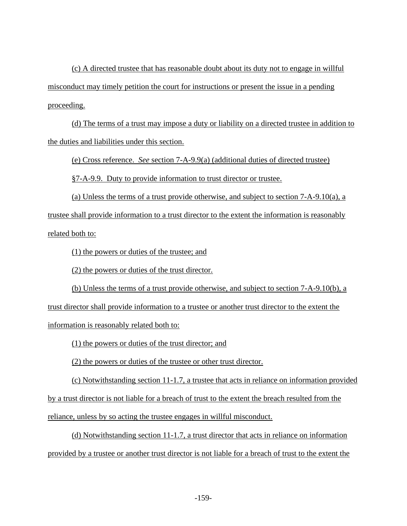(c) A directed trustee that has reasonable doubt about its duty not to engage in willful misconduct may timely petition the court for instructions or present the issue in a pending proceeding.

(d) The terms of a trust may impose a duty or liability on a directed trustee in addition to the duties and liabilities under this section.

(e) Cross reference. *See* section 7-A-9.9(a) (additional duties of directed trustee)

§7-A-9.9. Duty to provide information to trust director or trustee.

(a) Unless the terms of a trust provide otherwise, and subject to section 7-A-9.10(a), a trustee shall provide information to a trust director to the extent the information is reasonably related both to:

(1) the powers or duties of the trustee; and

(2) the powers or duties of the trust director.

(b) Unless the terms of a trust provide otherwise, and subject to section 7-A-9.10(b), a trust director shall provide information to a trustee or another trust director to the extent the information is reasonably related both to:

(1) the powers or duties of the trust director; and

(2) the powers or duties of the trustee or other trust director.

(c) Notwithstanding section 11-1.7, a trustee that acts in reliance on information provided by a trust director is not liable for a breach of trust to the extent the breach resulted from the reliance, unless by so acting the trustee engages in willful misconduct.

(d) Notwithstanding section 11-1.7, a trust director that acts in reliance on information provided by a trustee or another trust director is not liable for a breach of trust to the extent the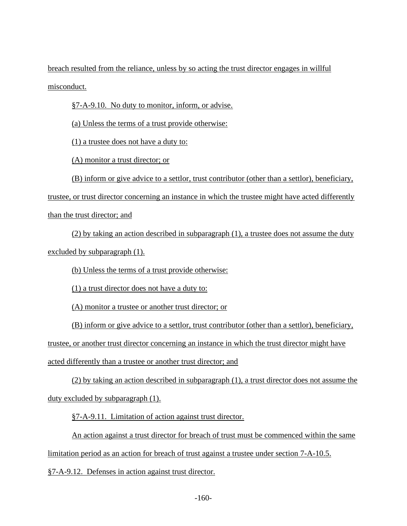breach resulted from the reliance, unless by so acting the trust director engages in willful misconduct.

§7-A-9.10. No duty to monitor, inform, or advise.

(a) Unless the terms of a trust provide otherwise:

(1) a trustee does not have a duty to:

(A) monitor a trust director; or

(B) inform or give advice to a settlor, trust contributor (other than a settlor), beneficiary, trustee, or trust director concerning an instance in which the trustee might have acted differently

than the trust director; and

(2) by taking an action described in subparagraph (1), a trustee does not assume the duty excluded by subparagraph (1).

(b) Unless the terms of a trust provide otherwise:

(1) a trust director does not have a duty to:

(A) monitor a trustee or another trust director; or

(B) inform or give advice to a settlor, trust contributor (other than a settlor), beneficiary,

trustee, or another trust director concerning an instance in which the trust director might have

acted differently than a trustee or another trust director; and

(2) by taking an action described in subparagraph (1), a trust director does not assume the duty excluded by subparagraph (1).

§7-A-9.11. Limitation of action against trust director.

An action against a trust director for breach of trust must be commenced within the same

limitation period as an action for breach of trust against a trustee under section 7-A-10.5.

§7-A-9.12. Defenses in action against trust director.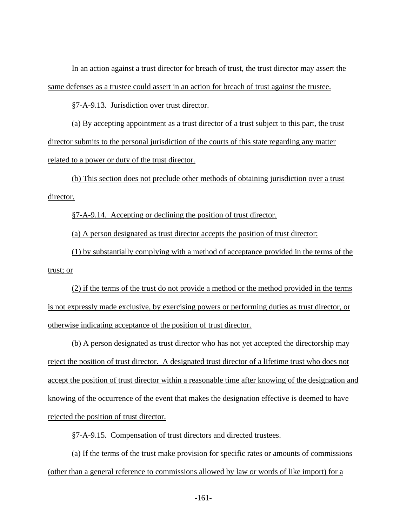In an action against a trust director for breach of trust, the trust director may assert the same defenses as a trustee could assert in an action for breach of trust against the trustee.

§7-A-9.13. Jurisdiction over trust director.

(a) By accepting appointment as a trust director of a trust subject to this part, the trust director submits to the personal jurisdiction of the courts of this state regarding any matter related to a power or duty of the trust director.

(b) This section does not preclude other methods of obtaining jurisdiction over a trust director.

§7-A-9.14. Accepting or declining the position of trust director.

(a) A person designated as trust director accepts the position of trust director:

(1) by substantially complying with a method of acceptance provided in the terms of the trust; or

(2) if the terms of the trust do not provide a method or the method provided in the terms is not expressly made exclusive, by exercising powers or performing duties as trust director, or otherwise indicating acceptance of the position of trust director.

(b) A person designated as trust director who has not yet accepted the directorship may reject the position of trust director. A designated trust director of a lifetime trust who does not accept the position of trust director within a reasonable time after knowing of the designation and knowing of the occurrence of the event that makes the designation effective is deemed to have rejected the position of trust director.

§7-A-9.15. Compensation of trust directors and directed trustees.

(a) If the terms of the trust make provision for specific rates or amounts of commissions (other than a general reference to commissions allowed by law or words of like import) for a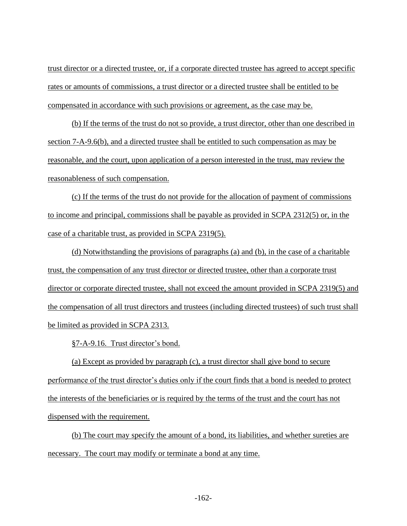trust director or a directed trustee, or, if a corporate directed trustee has agreed to accept specific rates or amounts of commissions, a trust director or a directed trustee shall be entitled to be compensated in accordance with such provisions or agreement, as the case may be.

(b) If the terms of the trust do not so provide, a trust director, other than one described in section 7-A-9.6(b), and a directed trustee shall be entitled to such compensation as may be reasonable, and the court, upon application of a person interested in the trust, may review the reasonableness of such compensation.

(c) If the terms of the trust do not provide for the allocation of payment of commissions to income and principal, commissions shall be payable as provided in SCPA 2312(5) or, in the case of a charitable trust, as provided in SCPA 2319(5).

(d) Notwithstanding the provisions of paragraphs (a) and (b), in the case of a charitable trust, the compensation of any trust director or directed trustee, other than a corporate trust director or corporate directed trustee, shall not exceed the amount provided in SCPA 2319(5) and the compensation of all trust directors and trustees (including directed trustees) of such trust shall be limited as provided in SCPA 2313.

§7-A-9.16. Trust director's bond.

(a) Except as provided by paragraph (c), a trust director shall give bond to secure performance of the trust director's duties only if the court finds that a bond is needed to protect the interests of the beneficiaries or is required by the terms of the trust and the court has not dispensed with the requirement.

(b) The court may specify the amount of a bond, its liabilities, and whether sureties are necessary. The court may modify or terminate a bond at any time.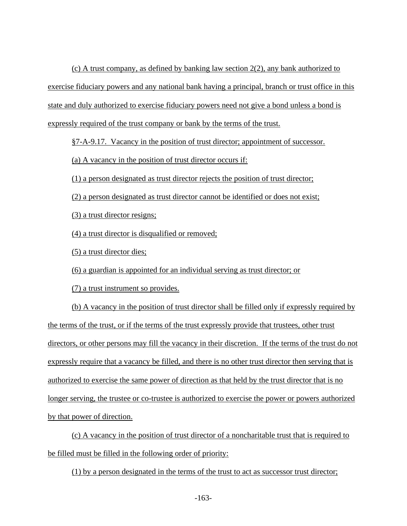(c) A trust company, as defined by banking law section 2(2), any bank authorized to exercise fiduciary powers and any national bank having a principal, branch or trust office in this state and duly authorized to exercise fiduciary powers need not give a bond unless a bond is expressly required of the trust company or bank by the terms of the trust.

§7-A-9.17. Vacancy in the position of trust director; appointment of successor.

(a) A vacancy in the position of trust director occurs if:

(1) a person designated as trust director rejects the position of trust director;

(2) a person designated as trust director cannot be identified or does not exist;

(3) a trust director resigns;

(4) a trust director is disqualified or removed;

(5) a trust director dies;

(6) a guardian is appointed for an individual serving as trust director; or

(7) a trust instrument so provides.

(b) A vacancy in the position of trust director shall be filled only if expressly required by the terms of the trust, or if the terms of the trust expressly provide that trustees, other trust directors, or other persons may fill the vacancy in their discretion. If the terms of the trust do not expressly require that a vacancy be filled, and there is no other trust director then serving that is authorized to exercise the same power of direction as that held by the trust director that is no longer serving, the trustee or co-trustee is authorized to exercise the power or powers authorized by that power of direction.

(c) A vacancy in the position of trust director of a noncharitable trust that is required to be filled must be filled in the following order of priority:

(1) by a person designated in the terms of the trust to act as successor trust director;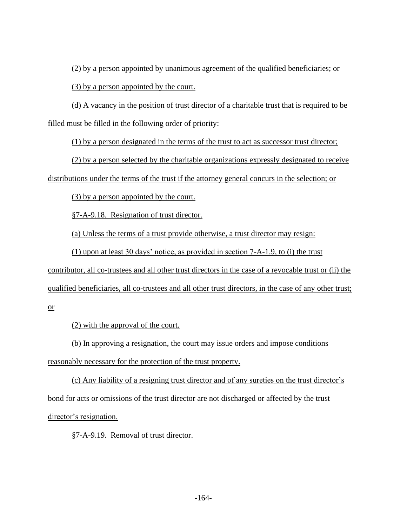(2) by a person appointed by unanimous agreement of the qualified beneficiaries; or (3) by a person appointed by the court.

(d) A vacancy in the position of trust director of a charitable trust that is required to be

filled must be filled in the following order of priority:

(1) by a person designated in the terms of the trust to act as successor trust director;

(2) by a person selected by the charitable organizations expressly designated to receive

distributions under the terms of the trust if the attorney general concurs in the selection; or

(3) by a person appointed by the court.

§7-A-9.18. Resignation of trust director.

(a) Unless the terms of a trust provide otherwise, a trust director may resign:

(1) upon at least 30 days' notice, as provided in section 7-A-1.9, to (i) the trust

contributor, all co-trustees and all other trust directors in the case of a revocable trust or (ii) the

qualified beneficiaries, all co-trustees and all other trust directors, in the case of any other trust;

or

(2) with the approval of the court.

(b) In approving a resignation, the court may issue orders and impose conditions reasonably necessary for the protection of the trust property.

(c) Any liability of a resigning trust director and of any sureties on the trust director's bond for acts or omissions of the trust director are not discharged or affected by the trust director's resignation.

§7-A-9.19. Removal of trust director.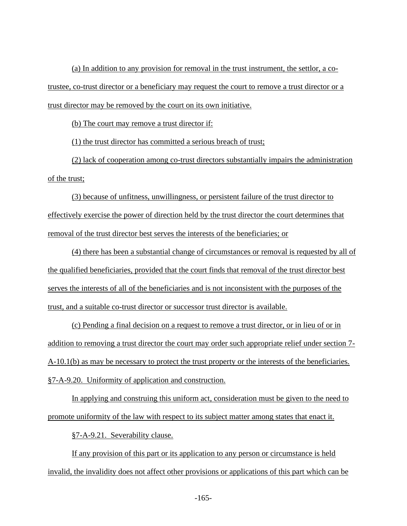(a) In addition to any provision for removal in the trust instrument, the settlor, a cotrustee, co-trust director or a beneficiary may request the court to remove a trust director or a trust director may be removed by the court on its own initiative.

(b) The court may remove a trust director if:

(1) the trust director has committed a serious breach of trust;

(2) lack of cooperation among co-trust directors substantially impairs the administration of the trust;

(3) because of unfitness, unwillingness, or persistent failure of the trust director to effectively exercise the power of direction held by the trust director the court determines that removal of the trust director best serves the interests of the beneficiaries; or

(4) there has been a substantial change of circumstances or removal is requested by all of the qualified beneficiaries, provided that the court finds that removal of the trust director best serves the interests of all of the beneficiaries and is not inconsistent with the purposes of the trust, and a suitable co-trust director or successor trust director is available.

(c) Pending a final decision on a request to remove a trust director, or in lieu of or in addition to removing a trust director the court may order such appropriate relief under section 7- A-10.1(b) as may be necessary to protect the trust property or the interests of the beneficiaries. §7-A-9.20. Uniformity of application and construction.

In applying and construing this uniform act, consideration must be given to the need to promote uniformity of the law with respect to its subject matter among states that enact it.

§7-A-9.21. Severability clause.

If any provision of this part or its application to any person or circumstance is held invalid, the invalidity does not affect other provisions or applications of this part which can be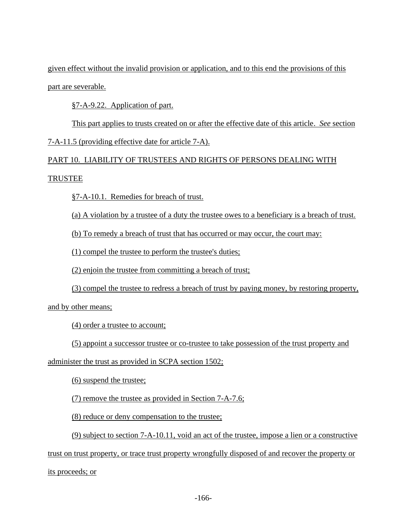given effect without the invalid provision or application, and to this end the provisions of this part are severable.

§7-A-9.22. Application of part.

This part applies to trusts created on or after the effective date of this article. *See* section 7-A-11.5 (providing effective date for article 7-A).

PART 10. LIABILITY OF TRUSTEES AND RIGHTS OF PERSONS DEALING WITH TRUSTEE

§7-A-10.1. Remedies for breach of trust.

(a) A violation by a trustee of a duty the trustee owes to a beneficiary is a breach of trust.

(b) To remedy a breach of trust that has occurred or may occur, the court may:

(1) compel the trustee to perform the trustee's duties;

(2) enjoin the trustee from committing a breach of trust;

(3) compel the trustee to redress a breach of trust by paying money, by restoring property,

and by other means;

(4) order a trustee to account;

(5) appoint a successor trustee or co-trustee to take possession of the trust property and

administer the trust as provided in SCPA section 1502;

(6) suspend the trustee;

(7) remove the trustee as provided in Section 7-A-7.6;

(8) reduce or deny compensation to the trustee;

(9) subject to section 7-A-10.11, void an act of the trustee, impose a lien or a constructive

trust on trust property, or trace trust property wrongfully disposed of and recover the property or

its proceeds; or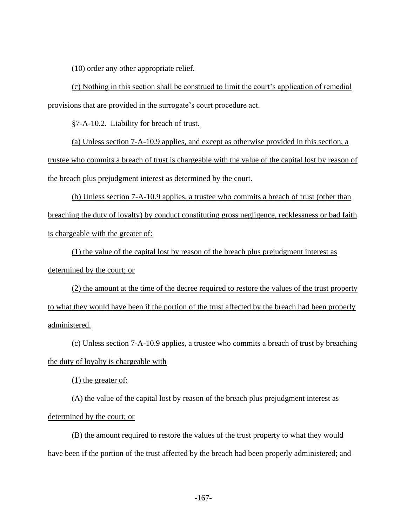(10) order any other appropriate relief.

(c) Nothing in this section shall be construed to limit the court's application of remedial provisions that are provided in the surrogate's court procedure act.

§7-A-10.2. Liability for breach of trust.

(a) Unless section 7-A-10.9 applies, and except as otherwise provided in this section, a trustee who commits a breach of trust is chargeable with the value of the capital lost by reason of the breach plus prejudgment interest as determined by the court.

(b) Unless section 7-A-10.9 applies, a trustee who commits a breach of trust (other than breaching the duty of loyalty) by conduct constituting gross negligence, recklessness or bad faith is chargeable with the greater of:

(1) the value of the capital lost by reason of the breach plus prejudgment interest as determined by the court; or

(2) the amount at the time of the decree required to restore the values of the trust property to what they would have been if the portion of the trust affected by the breach had been properly administered.

(c) Unless section 7-A-10.9 applies, a trustee who commits a breach of trust by breaching the duty of loyalty is chargeable with

(1) the greater of:

(A) the value of the capital lost by reason of the breach plus prejudgment interest as determined by the court; or

(B) the amount required to restore the values of the trust property to what they would have been if the portion of the trust affected by the breach had been properly administered; and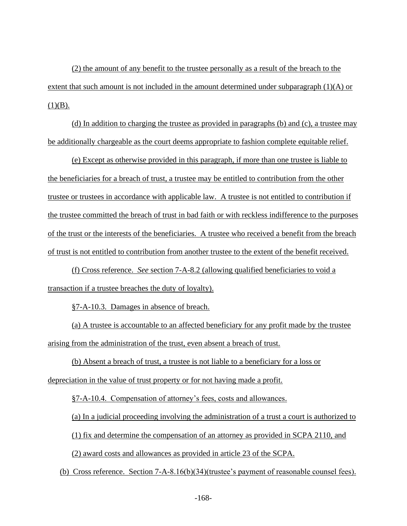(2) the amount of any benefit to the trustee personally as a result of the breach to the extent that such amount is not included in the amount determined under subparagraph  $(1)(A)$  or  $(1)(B)$ .

(d) In addition to charging the trustee as provided in paragraphs (b) and (c), a trustee may be additionally chargeable as the court deems appropriate to fashion complete equitable relief.

(e) Except as otherwise provided in this paragraph, if more than one trustee is liable to the beneficiaries for a breach of trust, a trustee may be entitled to contribution from the other trustee or trustees in accordance with applicable law. A trustee is not entitled to contribution if the trustee committed the breach of trust in bad faith or with reckless indifference to the purposes of the trust or the interests of the beneficiaries. A trustee who received a benefit from the breach of trust is not entitled to contribution from another trustee to the extent of the benefit received.

(f) Cross reference. *See* section 7-A-8.2 (allowing qualified beneficiaries to void a transaction if a trustee breaches the duty of loyalty).

§7-A-10.3. Damages in absence of breach.

(a) A trustee is accountable to an affected beneficiary for any profit made by the trustee arising from the administration of the trust, even absent a breach of trust.

(b) Absent a breach of trust, a trustee is not liable to a beneficiary for a loss or depreciation in the value of trust property or for not having made a profit.

§7-A-10.4. Compensation of attorney's fees, costs and allowances.

(a) In a judicial proceeding involving the administration of a trust a court is authorized to

(1) fix and determine the compensation of an attorney as provided in SCPA 2110, and

(2) award costs and allowances as provided in article 23 of the SCPA.

(b) Cross reference. Section 7-A-8.16(b)(34)(trustee's payment of reasonable counsel fees).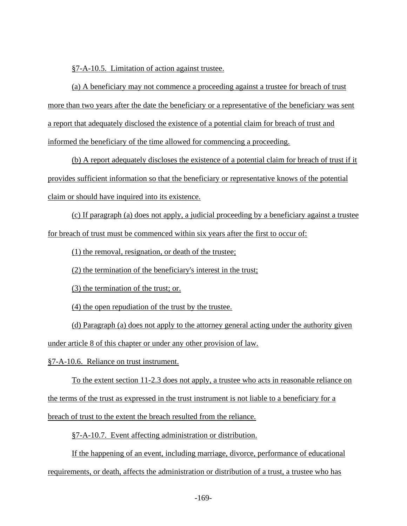§7-A-10.5. Limitation of action against trustee.

(a) A beneficiary may not commence a proceeding against a trustee for breach of trust more than two years after the date the beneficiary or a representative of the beneficiary was sent a report that adequately disclosed the existence of a potential claim for breach of trust and informed the beneficiary of the time allowed for commencing a proceeding.

(b) A report adequately discloses the existence of a potential claim for breach of trust if it provides sufficient information so that the beneficiary or representative knows of the potential claim or should have inquired into its existence.

(c) If paragraph (a) does not apply, a judicial proceeding by a beneficiary against a trustee for breach of trust must be commenced within six years after the first to occur of:

(1) the removal, resignation, or death of the trustee;

(2) the termination of the beneficiary's interest in the trust;

(3) the termination of the trust; or.

(4) the open repudiation of the trust by the trustee.

(d) Paragraph (a) does not apply to the attorney general acting under the authority given under article 8 of this chapter or under any other provision of law.

§7-A-10.6. Reliance on trust instrument.

To the extent section 11-2.3 does not apply, a trustee who acts in reasonable reliance on the terms of the trust as expressed in the trust instrument is not liable to a beneficiary for a breach of trust to the extent the breach resulted from the reliance.

§7-A-10.7. Event affecting administration or distribution.

If the happening of an event, including marriage, divorce, performance of educational requirements, or death, affects the administration or distribution of a trust, a trustee who has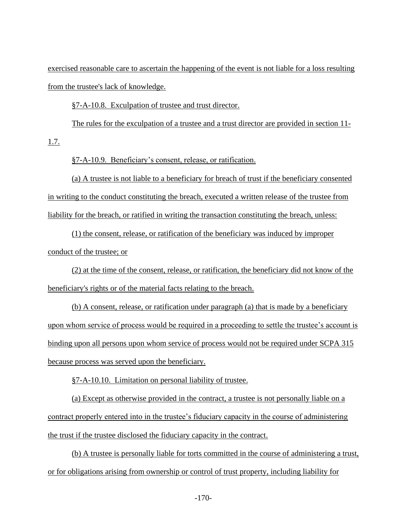exercised reasonable care to ascertain the happening of the event is not liable for a loss resulting from the trustee's lack of knowledge.

§7-A-10.8. Exculpation of trustee and trust director.

The rules for the exculpation of a trustee and a trust director are provided in section 11-1.7.

§7-A-10.9. Beneficiary's consent, release, or ratification.

(a) A trustee is not liable to a beneficiary for breach of trust if the beneficiary consented in writing to the conduct constituting the breach, executed a written release of the trustee from liability for the breach, or ratified in writing the transaction constituting the breach, unless:

(1) the consent, release, or ratification of the beneficiary was induced by improper conduct of the trustee; or

(2) at the time of the consent, release, or ratification, the beneficiary did not know of the beneficiary's rights or of the material facts relating to the breach.

(b) A consent, release, or ratification under paragraph (a) that is made by a beneficiary upon whom service of process would be required in a proceeding to settle the trustee's account is binding upon all persons upon whom service of process would not be required under SCPA 315 because process was served upon the beneficiary.

§7-A-10.10. Limitation on personal liability of trustee.

(a) Except as otherwise provided in the contract, a trustee is not personally liable on a contract properly entered into in the trustee's fiduciary capacity in the course of administering the trust if the trustee disclosed the fiduciary capacity in the contract.

(b) A trustee is personally liable for torts committed in the course of administering a trust, or for obligations arising from ownership or control of trust property, including liability for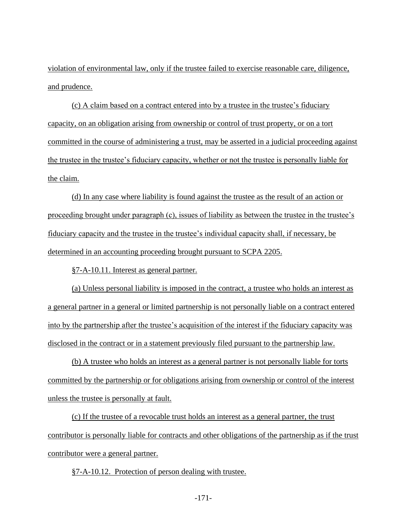violation of environmental law, only if the trustee failed to exercise reasonable care, diligence, and prudence.

(c) A claim based on a contract entered into by a trustee in the trustee's fiduciary capacity, on an obligation arising from ownership or control of trust property, or on a tort committed in the course of administering a trust, may be asserted in a judicial proceeding against the trustee in the trustee's fiduciary capacity, whether or not the trustee is personally liable for the claim.

(d) In any case where liability is found against the trustee as the result of an action or proceeding brought under paragraph (c), issues of liability as between the trustee in the trustee's fiduciary capacity and the trustee in the trustee's individual capacity shall, if necessary, be determined in an accounting proceeding brought pursuant to SCPA 2205.

§7-A-10.11. Interest as general partner.

(a) Unless personal liability is imposed in the contract, a trustee who holds an interest as a general partner in a general or limited partnership is not personally liable on a contract entered into by the partnership after the trustee's acquisition of the interest if the fiduciary capacity was disclosed in the contract or in a statement previously filed pursuant to the partnership law.

(b) A trustee who holds an interest as a general partner is not personally liable for torts committed by the partnership or for obligations arising from ownership or control of the interest unless the trustee is personally at fault.

(c) If the trustee of a revocable trust holds an interest as a general partner, the trust contributor is personally liable for contracts and other obligations of the partnership as if the trust contributor were a general partner.

§7-A-10.12. Protection of person dealing with trustee.

-171-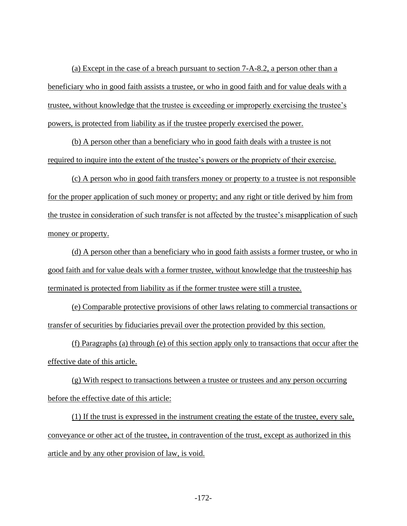(a) Except in the case of a breach pursuant to section 7-A-8.2, a person other than a beneficiary who in good faith assists a trustee, or who in good faith and for value deals with a trustee, without knowledge that the trustee is exceeding or improperly exercising the trustee's powers, is protected from liability as if the trustee properly exercised the power.

(b) A person other than a beneficiary who in good faith deals with a trustee is not required to inquire into the extent of the trustee's powers or the propriety of their exercise.

(c) A person who in good faith transfers money or property to a trustee is not responsible for the proper application of such money or property; and any right or title derived by him from the trustee in consideration of such transfer is not affected by the trustee's misapplication of such money or property.

(d) A person other than a beneficiary who in good faith assists a former trustee, or who in good faith and for value deals with a former trustee, without knowledge that the trusteeship has terminated is protected from liability as if the former trustee were still a trustee.

(e) Comparable protective provisions of other laws relating to commercial transactions or transfer of securities by fiduciaries prevail over the protection provided by this section.

(f) Paragraphs (a) through (e) of this section apply only to transactions that occur after the effective date of this article.

(g) With respect to transactions between a trustee or trustees and any person occurring before the effective date of this article:

(1) If the trust is expressed in the instrument creating the estate of the trustee, every sale, conveyance or other act of the trustee, in contravention of the trust, except as authorized in this article and by any other provision of law, is void.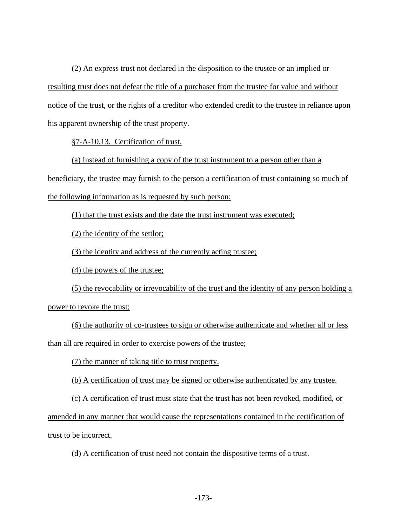(2) An express trust not declared in the disposition to the trustee or an implied or resulting trust does not defeat the title of a purchaser from the trustee for value and without notice of the trust, or the rights of a creditor who extended credit to the trustee in reliance upon his apparent ownership of the trust property.

§7-A-10.13. Certification of trust.

(a) Instead of furnishing a copy of the trust instrument to a person other than a beneficiary, the trustee may furnish to the person a certification of trust containing so much of the following information as is requested by such person:

(1) that the trust exists and the date the trust instrument was executed;

(2) the identity of the settlor;

(3) the identity and address of the currently acting trustee;

(4) the powers of the trustee;

(5) the revocability or irrevocability of the trust and the identity of any person holding a power to revoke the trust;

(6) the authority of co-trustees to sign or otherwise authenticate and whether all or less than all are required in order to exercise powers of the trustee;

(7) the manner of taking title to trust property.

(b) A certification of trust may be signed or otherwise authenticated by any trustee.

(c) A certification of trust must state that the trust has not been revoked, modified, or amended in any manner that would cause the representations contained in the certification of trust to be incorrect.

(d) A certification of trust need not contain the dispositive terms of a trust.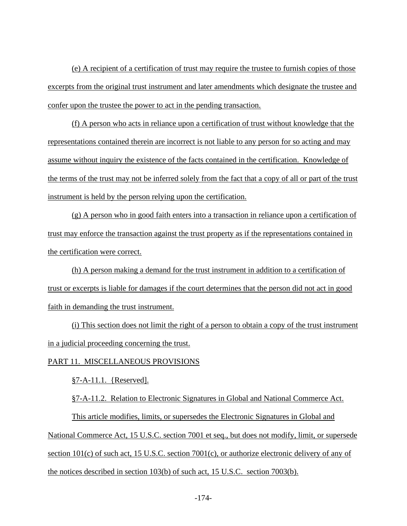(e) A recipient of a certification of trust may require the trustee to furnish copies of those excerpts from the original trust instrument and later amendments which designate the trustee and confer upon the trustee the power to act in the pending transaction.

(f) A person who acts in reliance upon a certification of trust without knowledge that the representations contained therein are incorrect is not liable to any person for so acting and may assume without inquiry the existence of the facts contained in the certification. Knowledge of the terms of the trust may not be inferred solely from the fact that a copy of all or part of the trust instrument is held by the person relying upon the certification.

(g) A person who in good faith enters into a transaction in reliance upon a certification of trust may enforce the transaction against the trust property as if the representations contained in the certification were correct.

(h) A person making a demand for the trust instrument in addition to a certification of trust or excerpts is liable for damages if the court determines that the person did not act in good faith in demanding the trust instrument.

(i) This section does not limit the right of a person to obtain a copy of the trust instrument in a judicial proceeding concerning the trust.

#### PART 11. MISCELLANEOUS PROVISIONS

§7-A-11.1. {Reserved].

§7-A-11.2. Relation to Electronic Signatures in Global and National Commerce Act.

This article modifies, limits, or supersedes the Electronic Signatures in Global and National Commerce Act, 15 U.S.C. section 7001 et seq., but does not modify, limit, or supersede section 101(c) of such act, 15 U.S.C. section 7001(c), or authorize electronic delivery of any of the notices described in section 103(b) of such act, 15 U.S.C. section 7003(b).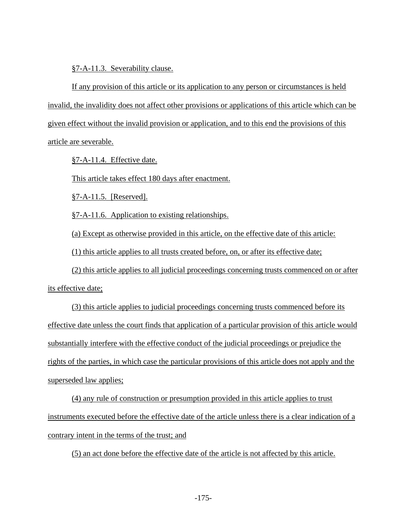§7-A-11.3. Severability clause.

If any provision of this article or its application to any person or circumstances is held invalid, the invalidity does not affect other provisions or applications of this article which can be given effect without the invalid provision or application, and to this end the provisions of this article are severable.

§7-A-11.4. Effective date.

This article takes effect 180 days after enactment.

§7-A-11.5. [Reserved].

§7-A-11.6. Application to existing relationships.

(a) Except as otherwise provided in this article, on the effective date of this article:

(1) this article applies to all trusts created before, on, or after its effective date;

(2) this article applies to all judicial proceedings concerning trusts commenced on or after

its effective date;

(3) this article applies to judicial proceedings concerning trusts commenced before its effective date unless the court finds that application of a particular provision of this article would substantially interfere with the effective conduct of the judicial proceedings or prejudice the rights of the parties, in which case the particular provisions of this article does not apply and the superseded law applies;

(4) any rule of construction or presumption provided in this article applies to trust instruments executed before the effective date of the article unless there is a clear indication of a contrary intent in the terms of the trust; and

(5) an act done before the effective date of the article is not affected by this article.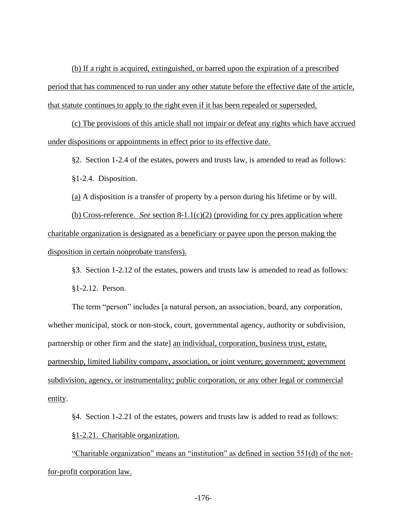(b) If a right is acquired, extinguished, or barred upon the expiration of a prescribed period that has commenced to run under any other statute before the effective date of the article, that statute continues to apply to the right even if it has been repealed or superseded.

(c) The provisions of this article shall not impair or defeat any rights which have accrued under dispositions or appointments in effect prior to its effective date.

§2. Section 1-2.4 of the estates, powers and trusts law, is amended to read as follows:

§1-2.4. Disposition.

(a) A disposition is a transfer of property by a person during his lifetime or by will.

(b) Cross-reference. *See* section 8-1.1(c)(2) (providing for cy pres application where charitable organization is designated as a beneficiary or payee upon the person making the disposition in certain nonprobate transfers).

§3. Section 1-2.12 of the estates, powers and trusts law is amended to read as follows:

§1-2.12. Person.

The term "person" includes [a natural person, an association, board, any corporation, whether municipal, stock or non-stock, court, governmental agency, authority or subdivision, partnership or other firm and the state] an individual, corporation, business trust, estate, partnership, limited liability company, association, or joint venture; government; government subdivision, agency, or instrumentality; public corporation, or any other legal or commercial entity.

§4. Section 1-2.21 of the estates, powers and trusts law is added to read as follows:

§1-2.21. Charitable organization.

"Charitable organization" means an "institution" as defined in section 551(d) of the notfor-profit corporation law.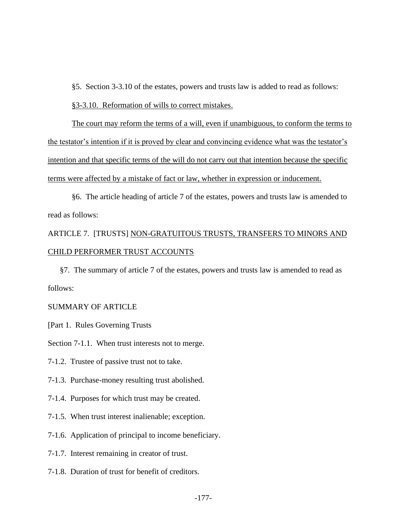§5. Section 3-3.10 of the estates, powers and trusts law is added to read as follows:

§3-3.10. Reformation of wills to correct mistakes.

The court may reform the terms of a will, even if unambiguous, to conform the terms to the testator's intention if it is proved by clear and convincing evidence what was the testator's intention and that specific terms of the will do not carry out that intention because the specific terms were affected by a mistake of fact or law, whether in expression or inducement.

§6. The article heading of article 7 of the estates, powers and trusts law is amended to read as follows:

# ARTICLE 7. [TRUSTS] NON-GRATUITOUS TRUSTS, TRANSFERS TO MINORS AND CHILD PERFORMER TRUST ACCOUNTS

§7. The summary of article 7 of the estates, powers and trusts law is amended to read as follows:

## SUMMARY OF ARTICLE

[Part 1. Rules Governing Trust[s](http://codes.findlaw.com/ny/estates-powers-and-trusts-law/#!tid=ND4E4C8F501EC409FAE40AA56792F93D1)

Section 7-1.1. When trust interests not to merge.

7-1.2. Trustee of passive trust not to take.

7-1.3. Purchase-money resulting trust abolished.

7-1.4. Purposes for which trust may be created.

7-1.5. When trust interest inalienable; exception.

7-1.6. Application of principal to income beneficiary.

7-1.7. Interest remaining in creator of trust.

7-1.8. Duration of trust for benefit of creditors.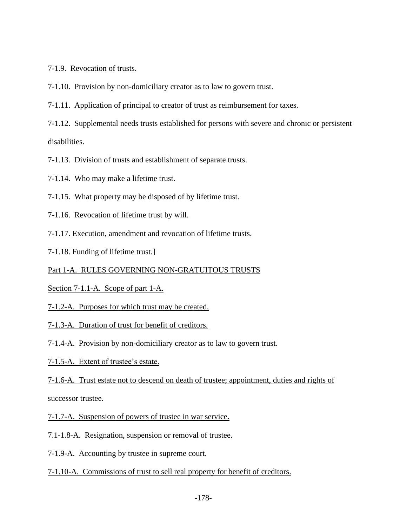7-1.9. Revocation of trusts.

- 7-1.10. Provision by non-domiciliary creator as to law to govern trust.
- 7-1.11. Application of principal to creator of trust as reimbursement for taxes.
- 7-1.12. Supplemental needs trusts established for persons with severe and chronic or persistent disabilities.
- 7-1.13. Division of trusts and establishment of separate trusts.
- 7-1.14. Who may make a lifetime trust.
- 7-1.15. What property may be disposed of by lifetime trust.
- 7-1.16. Revocation of lifetime trust by will.
- 7-1.17. Execution, amendment and revocation of lifetime trusts.
- 7-1.18. Funding of lifetime trust.]

## Part 1-A. RULES GOVERNING NON-GRATUITOUS TRUSTS

- Section 7-1.1-A. Scope of part 1-A.
- 7-1.2-A. Purposes for which trust may be created.
- 7-1.3-A. Duration of trust for benefit of creditors.

7-1.4-A. Provision by non-domiciliary creator as to law to govern trust.

7-1.5-A. Extent of trustee's estate.

7-1.6-A. Trust estate not to descend on death of trustee; appointment, duties and rights of

#### successor trustee.

- 7-1.7-A. Suspension of powers of trustee in war service.
- 7.1-1.8-A. Resignation, suspension or removal of trustee.

7-1.9-A. Accounting by trustee in supreme court.

7-1.10-A. Commissions of trust to sell real property for benefit of creditors.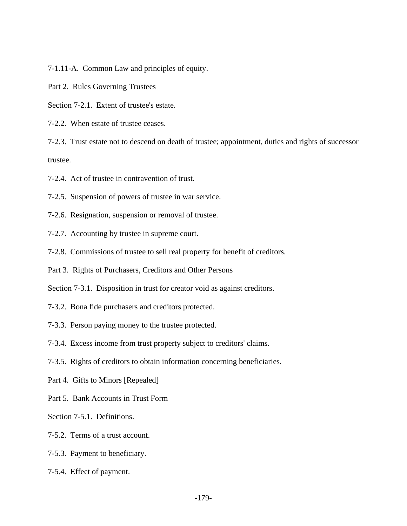#### 7-1.11-A. Common Law and principles of equity.

Part 2. Rules Governing Trustees

Section 7-2.1. Extent of trustee's estate.

7-2.2. When estate of trustee ceases.

7-2.3. Trust estate not to descend on death of trustee; appointment, duties and rights of successor trustee.

7-2.4. Act of trustee in contravention of trust.

7-2.5. Suspension of powers of trustee in war service.

7-2.6. Resignation, suspension or removal of trustee.

7-2.7. Accounting by trustee in supreme court.

7-2.8. Commissions of trustee to sell real property for benefit of creditors.

Part 3. Rights of Purchasers, Creditors and Other Persons

Section 7-3.1. Disposition in trust for creator void as against creditors.

- 7-3.2. Bona fide purchasers and creditors protected.
- 7-3.3. Person paying money to the trustee protected.
- 7-3.4. Excess income from trust property subject to creditors' claims.
- 7-3.5. Rights of creditors to obtain information concerning beneficiaries.
- Part 4. Gifts to Minors [Repealed]
- Part 5. Bank Accounts in Trust Form

Section 7-5.1. Definitions.

- 7-5.2. Terms of a trust account.
- 7-5.3. Payment to beneficiary.
- 7-5.4. Effect of payment.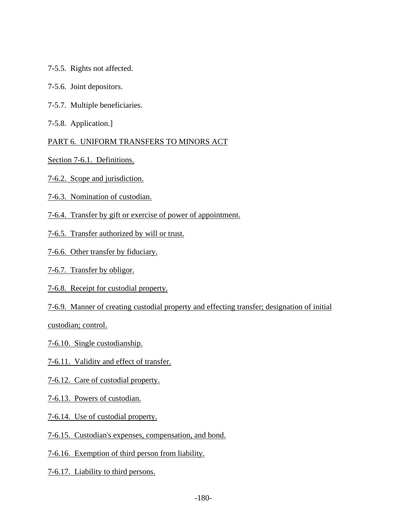- 7-5.5. Rights not affected.
- 7-5.6. Joint depositors.
- 7-5.7. Multiple beneficiaries.
- 7-5.8. Application.]

PART 6. UNIFORM TRANSFERS TO MINORS ACT

- Section 7-6.1. Definitions.
- 7-6.2. Scope and jurisdiction.
- 7-6.3. Nomination of custodian.
- 7-6.4. Transfer by gift or exercise of power of appointment.
- 7-6.5. Transfer authorized by will or trust.
- 7-6.6. Other transfer by fiduciary.
- 7-6.7. Transfer by obligor.
- 7-6.8. Receipt for custodial property.
- 7-6.9. Manner of creating custodial property and effecting transfer; designation of initial

custodian; control.

- 7-6.10. Single custodianship.
- 7-6.11. Validity and effect of transfer.
- 7-6.12. Care of custodial property.
- 7-6.13. Powers of custodian.
- 7-6.14. Use of custodial property.
- 7-6.15. Custodian's expenses, compensation, and bond.
- 7-6.16. Exemption of third person from liability.
- 7-6.17. Liability to third persons.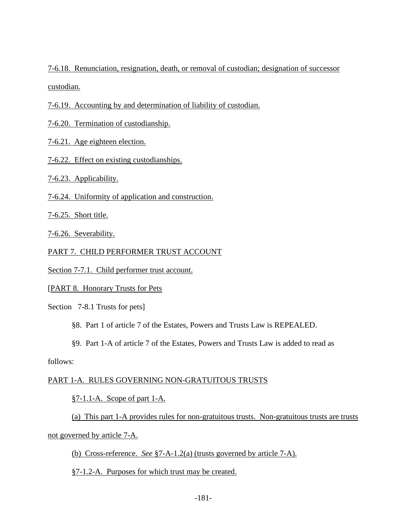7-6.18. Renunciation, resignation, death, or removal of custodian; designation of successor custodian.

- 7-6.19. Accounting by and determination of liability of custodian.
- 7-6.20. Termination of custodianship.
- 7-6.21. Age eighteen election.
- 7-6.22. Effect on existing custodianships.

7-6.23. Applicability.

7-6.24. Uniformity of application and construction.

7-6.25. Short title.

7-6.26. Severability.

## PART 7. CHILD PERFORMER TRUST ACCOUNT

Section 7-7.1. Child performer trust account.

## [PART 8. Honorary Trusts for Pets

Section 7-8.1 Trusts for pets]

§8. Part 1 of article 7 of the Estates, Powers and Trusts Law is REPEALED.

§9. Part 1-A of article 7 of the Estates, Powers and Trusts Law is added to read as

follows:

## PART 1-A. RULES GOVERNING NON-GRATUITOUS TRUSTS

§7-1.1-A. Scope of part 1-A.

(a) This part 1-A provides rules for non-gratuitous trusts. Non-gratuitous trusts are trusts not governed by article 7-A.

(b) Cross-reference. *See* §7-A-1.2(a) (trusts governed by article 7-A).

§7-1.2-A. Purposes for which trust may be created.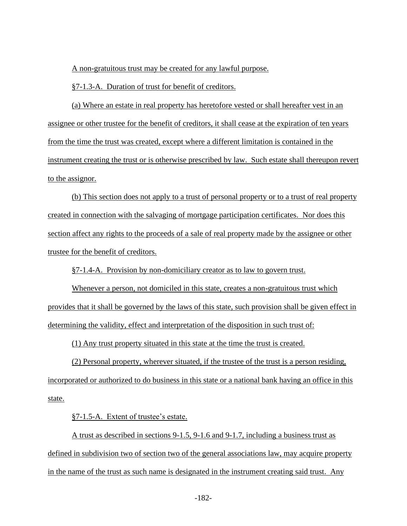A non-gratuitous trust may be created for any lawful purpose.

§7-1.3-A. Duration of trust for benefit of creditors.

(a) Where an estate in real property has heretofore vested or shall hereafter vest in an assignee or other trustee for the benefit of creditors, it shall cease at the expiration of ten years from the time the trust was created, except where a different limitation is contained in the instrument creating the trust or is otherwise prescribed by law. Such estate shall thereupon revert to the assignor.

(b) This section does not apply to a trust of personal property or to a trust of real property created in connection with the salvaging of mortgage participation certificates. Nor does this section affect any rights to the proceeds of a sale of real property made by the assignee or other trustee for the benefit of creditors.

§7-1.4-A. Provision by non-domiciliary creator as to law to govern trust.

Whenever a person, not domiciled in this state, creates a non-gratuitous trust which provides that it shall be governed by the laws of this state, such provision shall be given effect in determining the validity, effect and interpretation of the disposition in such trust of:

(1) Any trust property situated in this state at the time the trust is created.

(2) Personal property, wherever situated, if the trustee of the trust is a person residing, incorporated or authorized to do business in this state or a national bank having an office in this state.

§7-1.5-A. Extent of trustee's estate.

A trust as described in sections 9-1.5, 9-1.6 and 9-1.7, including a business trust as defined in subdivision two of section two of the general associations law, may acquire property in the name of the trust as such name is designated in the instrument creating said trust. Any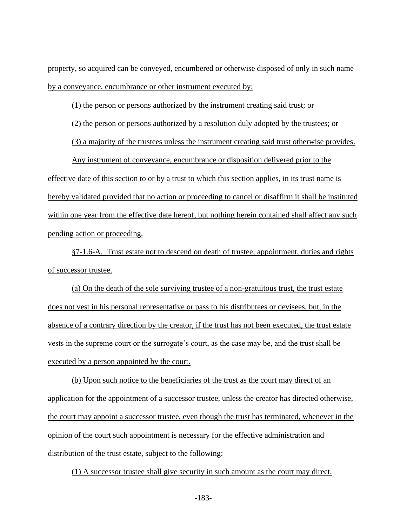property, so acquired can be conveyed, encumbered or otherwise disposed of only in such name by a conveyance, encumbrance or other instrument executed by:

(1) the person or persons authorized by the instrument creating said trust; or

(2) the person or persons authorized by a resolution duly adopted by the trustees; or

(3) a majority of the trustees unless the instrument creating said trust otherwise provides.

Any instrument of conveyance, encumbrance or disposition delivered prior to the effective date of this section to or by a trust to which this section applies, in its trust name is hereby validated provided that no action or proceeding to cancel or disaffirm it shall be instituted within one year from the effective date hereof, but nothing herein contained shall affect any such pending action or proceeding.

§7-1.6-A. Trust estate not to descend on death of trustee; appointment, duties and rights of successor trustee.

(a) On the death of the sole surviving trustee of a non-gratuitous trust, the trust estate does not vest in his personal representative or pass to his distributees or devisees, but, in the absence of a contrary direction by the creator, if the trust has not been executed, the trust estate vests in the supreme court or the surrogate's court, as the case may be, and the trust shall be executed by a person appointed by the court.

(b) Upon such notice to the beneficiaries of the trust as the court may direct of an application for the appointment of a successor trustee, unless the creator has directed otherwise, the court may appoint a successor trustee, even though the trust has terminated, whenever in the opinion of the court such appointment is necessary for the effective administration and distribution of the trust estate, subject to the following:

(1) A successor trustee shall give security in such amount as the court may direct.

-183-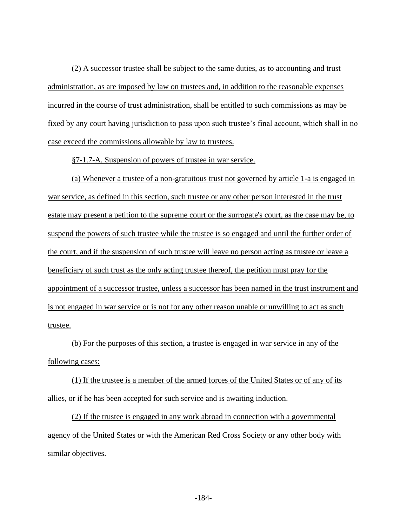(2) A successor trustee shall be subject to the same duties, as to accounting and trust administration, as are imposed by law on trustees and, in addition to the reasonable expenses incurred in the course of trust administration, shall be entitled to such commissions as may be fixed by any court having jurisdiction to pass upon such trustee's final account, which shall in no case exceed the commissions allowable by law to trustees.

§7-1.7-A. Suspension of powers of trustee in war service.

(a) Whenever a trustee of a non-gratuitous trust not governed by article 1-a is engaged in war service, as defined in this section, such trustee or any other person interested in the trust estate may present a petition to the supreme court or the surrogate's court, as the case may be, to suspend the powers of such trustee while the trustee is so engaged and until the further order of the court, and if the suspension of such trustee will leave no person acting as trustee or leave a beneficiary of such trust as the only acting trustee thereof, the petition must pray for the appointment of a successor trustee, unless a successor has been named in the trust instrument and is not engaged in war service or is not for any other reason unable or unwilling to act as such trustee.

(b) For the purposes of this section, a trustee is engaged in war service in any of the following cases:

(1) If the trustee is a member of the armed forces of the United States or of any of its allies, or if he has been accepted for such service and is awaiting induction.

(2) If the trustee is engaged in any work abroad in connection with a governmental agency of the United States or with the American Red Cross Society or any other body with similar objectives.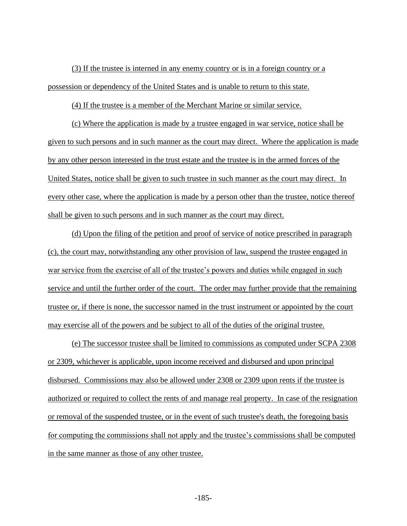(3) If the trustee is interned in any enemy country or is in a foreign country or a possession or dependency of the United States and is unable to return to this state.

(4) If the trustee is a member of the Merchant Marine or similar service.

(c) Where the application is made by a trustee engaged in war service, notice shall be given to such persons and in such manner as the court may direct. Where the application is made by any other person interested in the trust estate and the trustee is in the armed forces of the United States, notice shall be given to such trustee in such manner as the court may direct. In every other case, where the application is made by a person other than the trustee, notice thereof shall be given to such persons and in such manner as the court may direct.

(d) Upon the filing of the petition and proof of service of notice prescribed in paragraph (c), the court may, notwithstanding any other provision of law, suspend the trustee engaged in war service from the exercise of all of the trustee's powers and duties while engaged in such service and until the further order of the court. The order may further provide that the remaining trustee or, if there is none, the successor named in the trust instrument or appointed by the court may exercise all of the powers and be subject to all of the duties of the original trustee.

(e) The successor trustee shall be limited to commissions as computed under SCPA 2308 or 2309, whichever is applicable, upon income received and disbursed and upon principal disbursed. Commissions may also be allowed under 2308 or 2309 upon rents if the trustee is authorized or required to collect the rents of and manage real property. In case of the resignation or removal of the suspended trustee, or in the event of such trustee's death, the foregoing basis for computing the commissions shall not apply and the trustee's commissions shall be computed in the same manner as those of any other trustee.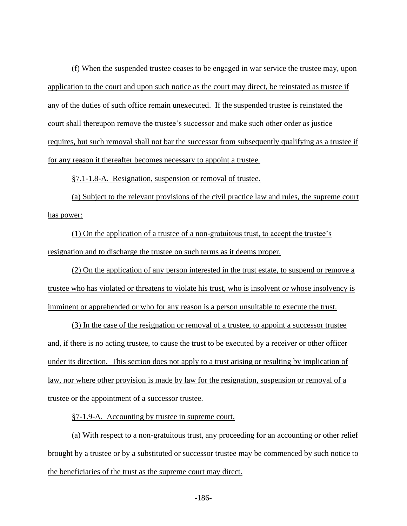(f) When the suspended trustee ceases to be engaged in war service the trustee may, upon application to the court and upon such notice as the court may direct, be reinstated as trustee if any of the duties of such office remain unexecuted. If the suspended trustee is reinstated the court shall thereupon remove the trustee's successor and make such other order as justice requires, but such removal shall not bar the successor from subsequently qualifying as a trustee if for any reason it thereafter becomes necessary to appoint a trustee.

§7.1-1.8-A. Resignation, suspension or removal of trustee.

(a) Subject to the relevant provisions of the civil practice law and rules, the supreme court has power:

(1) On the application of a trustee of a non-gratuitous trust, to accept the trustee's resignation and to discharge the trustee on such terms as it deems proper.

(2) On the application of any person interested in the trust estate, to suspend or remove a trustee who has violated or threatens to violate his trust, who is insolvent or whose insolvency is imminent or apprehended or who for any reason is a person unsuitable to execute the trust.

(3) In the case of the resignation or removal of a trustee, to appoint a successor trustee and, if there is no acting trustee, to cause the trust to be executed by a receiver or other officer under its direction. This section does not apply to a trust arising or resulting by implication of law, nor where other provision is made by law for the resignation, suspension or removal of a trustee or the appointment of a successor trustee.

§7-1.9-A. Accounting by trustee in supreme court.

(a) With respect to a non-gratuitous trust, any proceeding for an accounting or other relief brought by a trustee or by a substituted or successor trustee may be commenced by such notice to the beneficiaries of the trust as the supreme court may direct.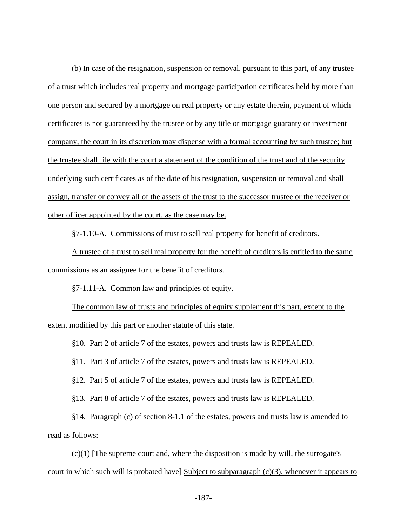(b) In case of the resignation, suspension or removal, pursuant to this part, of any trustee of a trust which includes real property and mortgage participation certificates held by more than one person and secured by a mortgage on real property or any estate therein, payment of which certificates is not guaranteed by the trustee or by any title or mortgage guaranty or investment company, the court in its discretion may dispense with a formal accounting by such trustee; but the trustee shall file with the court a statement of the condition of the trust and of the security underlying such certificates as of the date of his resignation, suspension or removal and shall assign, transfer or convey all of the assets of the trust to the successor trustee or the receiver or other officer appointed by the court, as the case may be.

§7-1.10-A. Commissions of trust to sell real property for benefit of creditors.

A trustee of a trust to sell real property for the benefit of creditors is entitled to the same commissions as an assignee for the benefit of creditors.

§7-1.11-A. Common law and principles of equity.

The common law of trusts and principles of equity supplement this part, except to the extent modified by this part or another statute of this state.

§10. Part 2 of article 7 of the estates, powers and trusts law is REPEALED.

§11. Part 3 of article 7 of the estates, powers and trusts law is REPEALED.

§12. Part 5 of article 7 of the estates, powers and trusts law is REPEALED.

§13. Part 8 of article 7 of the estates, powers and trusts law is REPEALED.

§14. Paragraph (c) of section 8-1.1 of the estates, powers and trusts law is amended to read as follows:

(c)(1) [The supreme court and, where the disposition is made by will, the surrogate's court in which such will is probated have] Subject to subparagraph  $(c)(3)$ , whenever it appears to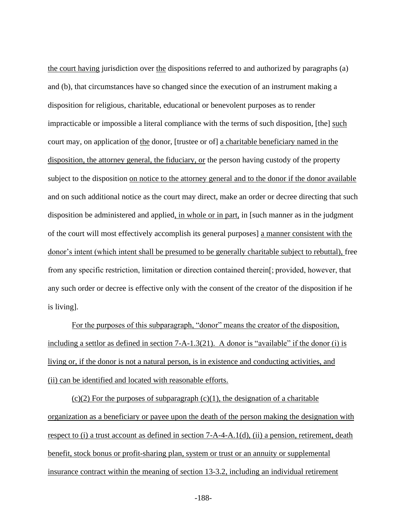the court having jurisdiction over the dispositions referred to and authorized by paragraphs (a) and (b), that circumstances have so changed since the execution of an instrument making a disposition for religious, charitable, educational or benevolent purposes as to render impracticable or impossible a literal compliance with the terms of such disposition, [the] such court may, on application of the donor, [trustee or of] a charitable beneficiary named in the disposition, the attorney general, the fiduciary, or the person having custody of the property subject to the disposition on notice to the attorney general and to the donor if the donor available and on such additional notice as the court may direct, make an order or decree directing that such disposition be administered and applied, in whole or in part, in [such manner as in the judgment of the court will most effectively accomplish its general purposes] a manner consistent with the donor's intent (which intent shall be presumed to be generally charitable subject to rebuttal), free from any specific restriction, limitation or direction contained therein[; provided, however, that any such order or decree is effective only with the consent of the creator of the disposition if he is living].

For the purposes of this subparagraph, "donor" means the creator of the disposition, including a settlor as defined in section 7-A-1.3(21). A donor is "available" if the donor (i) is living or, if the donor is not a natural person, is in existence and conducting activities, and (ii) can be identified and located with reasonable efforts.

 $(c)(2)$  For the purposes of subparagraph  $(c)(1)$ , the designation of a charitable organization as a beneficiary or payee upon the death of the person making the designation with respect to (i) a trust account as defined in section 7-A-4-A.1(d), (ii) a pension, retirement, death benefit, stock bonus or profit-sharing plan, system or trust or an annuity or supplemental insurance contract within the meaning of section 13-3.2, including an individual retirement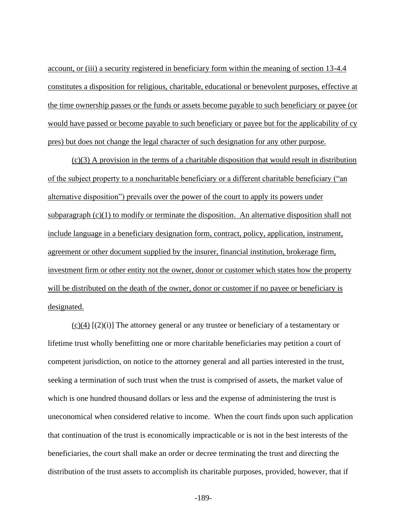account, or (iii) a security registered in beneficiary form within the meaning of section 13-4.4 constitutes a disposition for religious, charitable, educational or benevolent purposes, effective at the time ownership passes or the funds or assets become payable to such beneficiary or payee (or would have passed or become payable to such beneficiary or payee but for the applicability of cy pres) but does not change the legal character of such designation for any other purpose.

(c)(3) A provision in the terms of a charitable disposition that would result in distribution of the subject property to a noncharitable beneficiary or a different charitable beneficiary ("an alternative disposition") prevails over the power of the court to apply its powers under subparagraph  $(c)(1)$  to modify or terminate the disposition. An alternative disposition shall not include language in a beneficiary designation form, contract, policy, application, instrument, agreement or other document supplied by the insurer, financial institution, brokerage firm, investment firm or other entity not the owner, donor or customer which states how the property will be distributed on the death of the owner, donor or customer if no payee or beneficiary is designated.

 $(c)(4)$   $[(2)(i)]$  The attorney general or any trustee or beneficiary of a testamentary or lifetime trust wholly benefitting one or more charitable beneficiaries may petition a court of competent jurisdiction, on notice to the attorney general and all parties interested in the trust, seeking a termination of such trust when the trust is comprised of assets, the market value of which is one hundred thousand dollars or less and the expense of administering the trust is uneconomical when considered relative to income. When the court finds upon such application that continuation of the trust is economically impracticable or is not in the best interests of the beneficiaries, the court shall make an order or decree terminating the trust and directing the distribution of the trust assets to accomplish its charitable purposes, provided, however, that if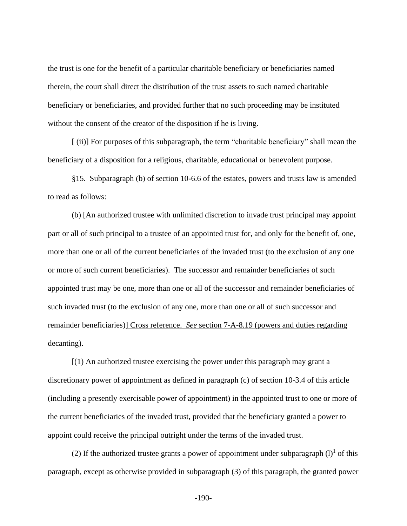the trust is one for the benefit of a particular charitable beneficiary or beneficiaries named therein, the court shall direct the distribution of the trust assets to such named charitable beneficiary or beneficiaries, and provided further that no such proceeding may be instituted without the consent of the creator of the disposition if he is living.

**[** (ii)] For purposes of this subparagraph, the term "charitable beneficiary" shall mean the beneficiary of a disposition for a religious, charitable, educational or benevolent purpose.

§15. Subparagraph (b) of section 10-6.6 of the estates, powers and trusts law is amended to read as follows:

(b) [An authorized trustee with unlimited discretion to invade trust principal may appoint part or all of such principal to a trustee of an appointed trust for, and only for the benefit of, one, more than one or all of the current beneficiaries of the invaded trust (to the exclusion of any one or more of such current beneficiaries). The successor and remainder beneficiaries of such appointed trust may be one, more than one or all of the successor and remainder beneficiaries of such invaded trust (to the exclusion of any one, more than one or all of such successor and remainder beneficiaries)] Cross reference. *See* section 7-A-8.19 (powers and duties regarding decanting).

 $[(1)$  An authorized trustee exercising the power under this paragraph may grant a discretionary power of appointment as defined in paragraph (c) of section 10-3.4 of this article (including a presently exercisable power of appointment) in the appointed trust to one or more of the current beneficiaries of the invaded trust, provided that the beneficiary granted a power to appoint could receive the principal outright under the terms of the invaded trust.

(2) If the authorized trustee grants a power of appointment under subparagraph  $(l)^{1}$  of this paragraph, except as otherwise provided in subparagraph (3) of this paragraph, the granted power

-190-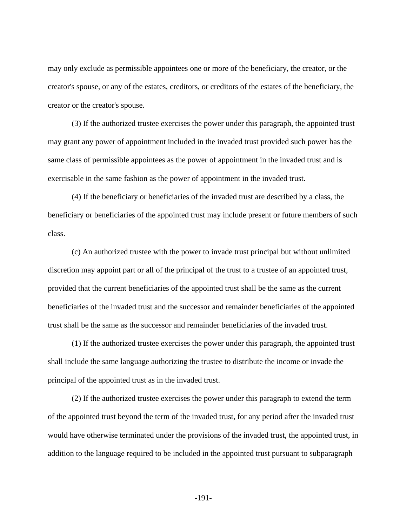may only exclude as permissible appointees one or more of the beneficiary, the creator, or the creator's spouse, or any of the estates, creditors, or creditors of the estates of the beneficiary, the creator or the creator's spouse.

(3) If the authorized trustee exercises the power under this paragraph, the appointed trust may grant any power of appointment included in the invaded trust provided such power has the same class of permissible appointees as the power of appointment in the invaded trust and is exercisable in the same fashion as the power of appointment in the invaded trust.

(4) If the beneficiary or beneficiaries of the invaded trust are described by a class, the beneficiary or beneficiaries of the appointed trust may include present or future members of such class.

(c) An authorized trustee with the power to invade trust principal but without unlimited discretion may appoint part or all of the principal of the trust to a trustee of an appointed trust, provided that the current beneficiaries of the appointed trust shall be the same as the current beneficiaries of the invaded trust and the successor and remainder beneficiaries of the appointed trust shall be the same as the successor and remainder beneficiaries of the invaded trust.

(1) If the authorized trustee exercises the power under this paragraph, the appointed trust shall include the same language authorizing the trustee to distribute the income or invade the principal of the appointed trust as in the invaded trust.

(2) If the authorized trustee exercises the power under this paragraph to extend the term of the appointed trust beyond the term of the invaded trust, for any period after the invaded trust would have otherwise terminated under the provisions of the invaded trust, the appointed trust, in addition to the language required to be included in the appointed trust pursuant to subparagraph

-191-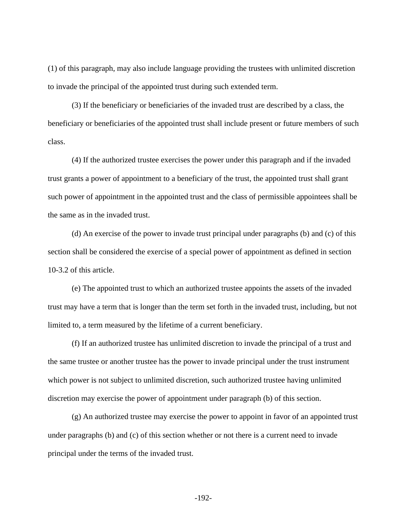(1) of this paragraph, may also include language providing the trustees with unlimited discretion to invade the principal of the appointed trust during such extended term.

(3) If the beneficiary or beneficiaries of the invaded trust are described by a class, the beneficiary or beneficiaries of the appointed trust shall include present or future members of such class.

(4) If the authorized trustee exercises the power under this paragraph and if the invaded trust grants a power of appointment to a beneficiary of the trust, the appointed trust shall grant such power of appointment in the appointed trust and the class of permissible appointees shall be the same as in the invaded trust.

(d) An exercise of the power to invade trust principal under paragraphs (b) and (c) of this section shall be considered the exercise of a special power of appointment as defined in section 10-3.2 of this article.

(e) The appointed trust to which an authorized trustee appoints the assets of the invaded trust may have a term that is longer than the term set forth in the invaded trust, including, but not limited to, a term measured by the lifetime of a current beneficiary.

(f) If an authorized trustee has unlimited discretion to invade the principal of a trust and the same trustee or another trustee has the power to invade principal under the trust instrument which power is not subject to unlimited discretion, such authorized trustee having unlimited discretion may exercise the power of appointment under paragraph (b) of this section.

(g) An authorized trustee may exercise the power to appoint in favor of an appointed trust under paragraphs (b) and (c) of this section whether or not there is a current need to invade principal under the terms of the invaded trust.

-192-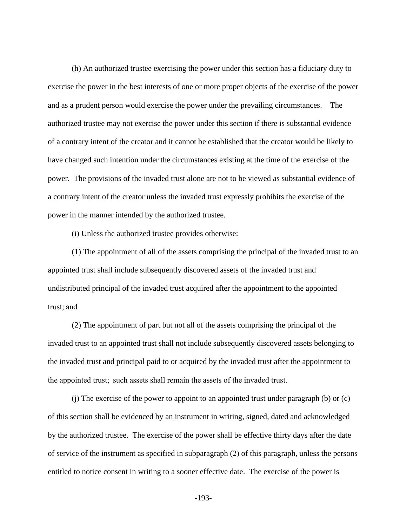(h) An authorized trustee exercising the power under this section has a fiduciary duty to exercise the power in the best interests of one or more proper objects of the exercise of the power and as a prudent person would exercise the power under the prevailing circumstances. The authorized trustee may not exercise the power under this section if there is substantial evidence of a contrary intent of the creator and it cannot be established that the creator would be likely to have changed such intention under the circumstances existing at the time of the exercise of the power. The provisions of the invaded trust alone are not to be viewed as substantial evidence of a contrary intent of the creator unless the invaded trust expressly prohibits the exercise of the power in the manner intended by the authorized trustee.

(i) Unless the authorized trustee provides otherwise:

(1) The appointment of all of the assets comprising the principal of the invaded trust to an appointed trust shall include subsequently discovered assets of the invaded trust and undistributed principal of the invaded trust acquired after the appointment to the appointed trust; and

(2) The appointment of part but not all of the assets comprising the principal of the invaded trust to an appointed trust shall not include subsequently discovered assets belonging to the invaded trust and principal paid to or acquired by the invaded trust after the appointment to the appointed trust;  such assets shall remain the assets of the invaded trust.

(j) The exercise of the power to appoint to an appointed trust under paragraph (b) or (c) of this section shall be evidenced by an instrument in writing, signed, dated and acknowledged by the authorized trustee. The exercise of the power shall be effective thirty days after the date of service of the instrument as specified in subparagraph (2) of this paragraph, unless the persons entitled to notice consent in writing to a sooner effective date. The exercise of the power is

-193-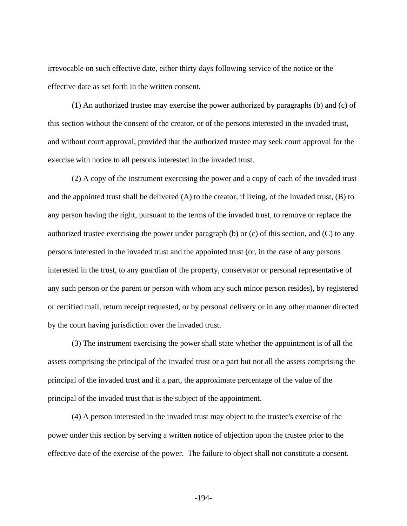irrevocable on such effective date, either thirty days following service of the notice or the effective date as set forth in the written consent.

(1) An authorized trustee may exercise the power authorized by paragraphs (b) and (c) of this section without the consent of the creator, or of the persons interested in the invaded trust, and without court approval, provided that the authorized trustee may seek court approval for the exercise with notice to all persons interested in the invaded trust.

(2) A copy of the instrument exercising the power and a copy of each of the invaded trust and the appointed trust shall be delivered (A) to the creator, if living, of the invaded trust, (B) to any person having the right, pursuant to the terms of the invaded trust, to remove or replace the authorized trustee exercising the power under paragraph (b) or (c) of this section, and (C) to any persons interested in the invaded trust and the appointed trust (or, in the case of any persons interested in the trust, to any guardian of the property, conservator or personal representative of any such person or the parent or person with whom any such minor person resides), by registered or certified mail, return receipt requested, or by personal delivery or in any other manner directed by the court having jurisdiction over the invaded trust.

(3) The instrument exercising the power shall state whether the appointment is of all the assets comprising the principal of the invaded trust or a part but not all the assets comprising the principal of the invaded trust and if a part, the approximate percentage of the value of the principal of the invaded trust that is the subject of the appointment.

(4) A person interested in the invaded trust may object to the trustee's exercise of the power under this section by serving a written notice of objection upon the trustee prior to the effective date of the exercise of the power. The failure to object shall not constitute a consent.

-194-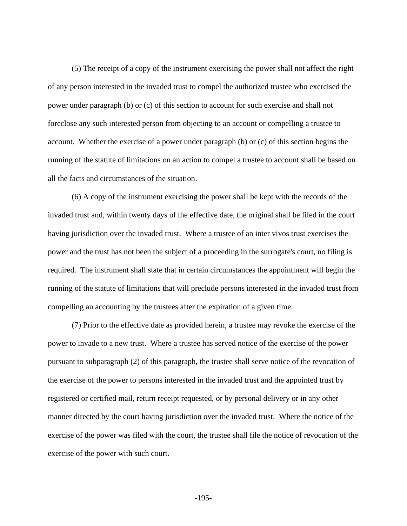(5) The receipt of a copy of the instrument exercising the power shall not affect the right of any person interested in the invaded trust to compel the authorized trustee who exercised the power under paragraph (b) or (c) of this section to account for such exercise and shall not foreclose any such interested person from objecting to an account or compelling a trustee to account. Whether the exercise of a power under paragraph (b) or (c) of this section begins the running of the statute of limitations on an action to compel a trustee to account shall be based on all the facts and circumstances of the situation.

(6) A copy of the instrument exercising the power shall be kept with the records of the invaded trust and, within twenty days of the effective date, the original shall be filed in the court having jurisdiction over the invaded trust. Where a trustee of an inter vivos trust exercises the power and the trust has not been the subject of a proceeding in the surrogate's court, no filing is required. The instrument shall state that in certain circumstances the appointment will begin the running of the statute of limitations that will preclude persons interested in the invaded trust from compelling an accounting by the trustees after the expiration of a given time.

(7) Prior to the effective date as provided herein, a trustee may revoke the exercise of the power to invade to a new trust. Where a trustee has served notice of the exercise of the power pursuant to subparagraph (2) of this paragraph, the trustee shall serve notice of the revocation of the exercise of the power to persons interested in the invaded trust and the appointed trust by registered or certified mail, return receipt requested, or by personal delivery or in any other manner directed by the court having jurisdiction over the invaded trust. Where the notice of the exercise of the power was filed with the court, the trustee shall file the notice of revocation of the exercise of the power with such court.

-195-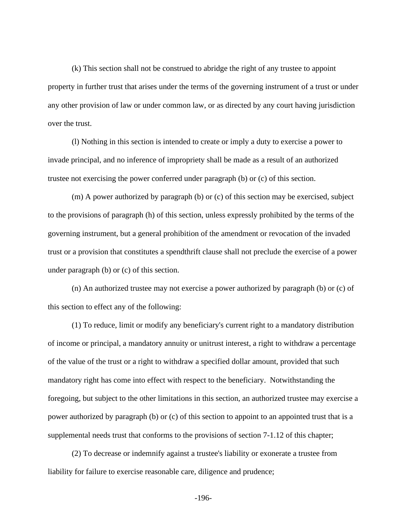(k) This section shall not be construed to abridge the right of any trustee to appoint property in further trust that arises under the terms of the governing instrument of a trust or under any other provision of law or under common law, or as directed by any court having jurisdiction over the trust.

(l) Nothing in this section is intended to create or imply a duty to exercise a power to invade principal, and no inference of impropriety shall be made as a result of an authorized trustee not exercising the power conferred under paragraph (b) or (c) of this section.

(m) A power authorized by paragraph (b) or (c) of this section may be exercised, subject to the provisions of paragraph (h) of this section, unless expressly prohibited by the terms of the governing instrument, but a general prohibition of the amendment or revocation of the invaded trust or a provision that constitutes a spendthrift clause shall not preclude the exercise of a power under paragraph (b) or (c) of this section.

(n) An authorized trustee may not exercise a power authorized by paragraph (b) or (c) of this section to effect any of the following:

(1) To reduce, limit or modify any beneficiary's current right to a mandatory distribution of income or principal, a mandatory annuity or unitrust interest, a right to withdraw a percentage of the value of the trust or a right to withdraw a specified dollar amount, provided that such mandatory right has come into effect with respect to the beneficiary. Notwithstanding the foregoing, but subject to the other limitations in this section, an authorized trustee may exercise a power authorized by paragraph (b) or (c) of this section to appoint to an appointed trust that is a supplemental needs trust that conforms to the provisions of section 7-1.12 of this chapter;

(2) To decrease or indemnify against a trustee's liability or exonerate a trustee from liability for failure to exercise reasonable care, diligence and prudence;

-196-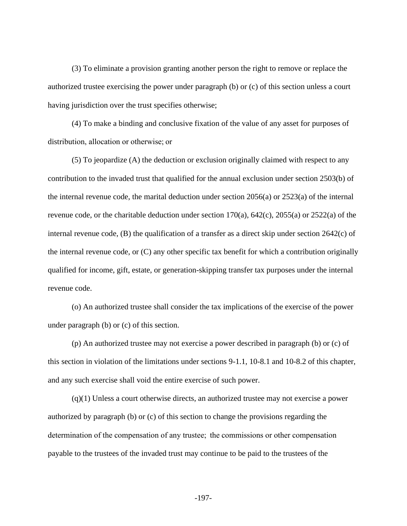(3) To eliminate a provision granting another person the right to remove or replace the authorized trustee exercising the power under paragraph (b) or (c) of this section unless a court having jurisdiction over the trust specifies otherwise;

(4) To make a binding and conclusive fixation of the value of any asset for purposes of distribution, allocation or otherwise; or

(5) To jeopardize (A) the deduction or exclusion originally claimed with respect to any contribution to the invaded trust that qualified for the annual exclusion under section 2503(b) of the internal revenue code, the marital deduction under section 2056(a) or 2523(a) of the internal revenue code, or the charitable deduction under section 170(a), 642(c), 2055(a) or 2522(a) of the internal revenue code, (B) the qualification of a transfer as a direct skip under section 2642(c) of the internal revenue code, or (C) any other specific tax benefit for which a contribution originally qualified for income, gift, estate, or generation-skipping transfer tax purposes under the internal revenue code.

(o) An authorized trustee shall consider the tax implications of the exercise of the power under paragraph (b) or (c) of this section.

(p) An authorized trustee may not exercise a power described in paragraph (b) or (c) of this section in violation of the limitations under sections 9-1.1, 10-8.1 and 10-8.2 of this chapter, and any such exercise shall void the entire exercise of such power.

(q)(1) Unless a court otherwise directs, an authorized trustee may not exercise a power authorized by paragraph (b) or (c) of this section to change the provisions regarding the determination of the compensation of any trustee;  the commissions or other compensation payable to the trustees of the invaded trust may continue to be paid to the trustees of the

-197-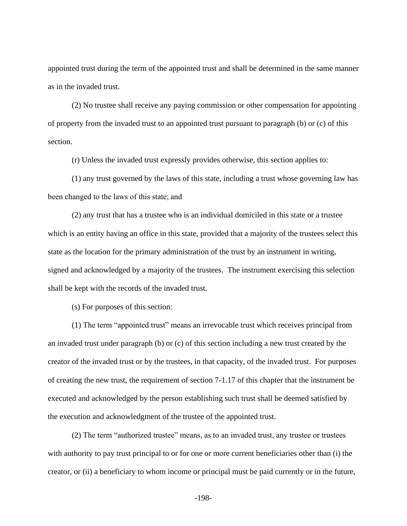appointed trust during the term of the appointed trust and shall be determined in the same manner as in the invaded trust.

(2) No trustee shall receive any paying commission or other compensation for appointing of property from the invaded trust to an appointed trust pursuant to paragraph (b) or (c) of this section.

(r) Unless the invaded trust expressly provides otherwise, this section applies to:

(1) any trust governed by the laws of this state, including a trust whose governing law has been changed to the laws of this state; and

(2) any trust that has a trustee who is an individual domiciled in this state or a trustee which is an entity having an office in this state, provided that a majority of the trustees select this state as the location for the primary administration of the trust by an instrument in writing, signed and acknowledged by a majority of the trustees. The instrument exercising this selection shall be kept with the records of the invaded trust.

(s) For purposes of this section:

(1) The term "appointed trust" means an irrevocable trust which receives principal from an invaded trust under paragraph (b) or (c) of this section including a new trust created by the creator of the invaded trust or by the trustees, in that capacity, of the invaded trust. For purposes of creating the new trust, the requirement of section 7-1.17 of this chapter that the instrument be executed and acknowledged by the person establishing such trust shall be deemed satisfied by the execution and acknowledgment of the trustee of the appointed trust.

(2) The term "authorized trustee" means, as to an invaded trust, any trustee or trustees with authority to pay trust principal to or for one or more current beneficiaries other than (i) the creator, or (ii) a beneficiary to whom income or principal must be paid currently or in the future,

-198-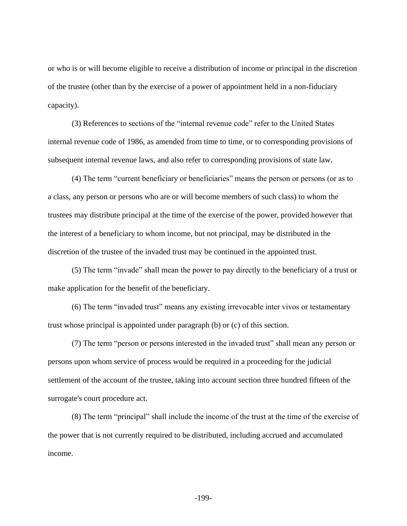or who is or will become eligible to receive a distribution of income or principal in the discretion of the trustee (other than by the exercise of a power of appointment held in a non-fiduciary capacity).

(3) References to sections of the "internal revenue code" refer to the United States internal revenue code of 1986, as amended from time to time, or to corresponding provisions of subsequent internal revenue laws, and also refer to corresponding provisions of state law.

(4) The term "current beneficiary or beneficiaries" means the person or persons (or as to a class, any person or persons who are or will become members of such class) to whom the trustees may distribute principal at the time of the exercise of the power, provided however that the interest of a beneficiary to whom income, but not principal, may be distributed in the discretion of the trustee of the invaded trust may be continued in the appointed trust.

(5) The term "invade" shall mean the power to pay directly to the beneficiary of a trust or make application for the benefit of the beneficiary.

(6) The term "invaded trust" means any existing irrevocable inter vivos or testamentary trust whose principal is appointed under paragraph (b) or (c) of this section.

(7) The term "person or persons interested in the invaded trust" shall mean any person or persons upon whom service of process would be required in a proceeding for the judicial settlement of the account of the trustee, taking into account section three hundred fifteen of the surrogate's court procedure act.

(8) The term "principal" shall include the income of the trust at the time of the exercise of the power that is not currently required to be distributed, including accrued and accumulated income.

-199-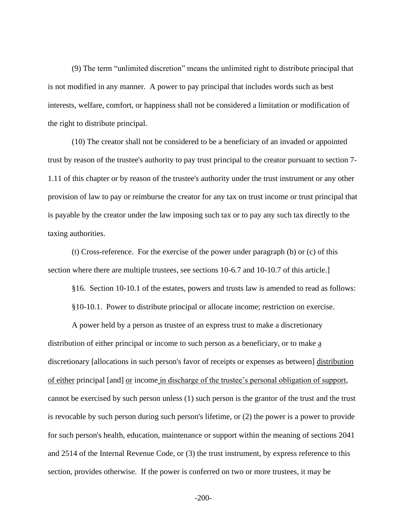(9) The term "unlimited discretion" means the unlimited right to distribute principal that is not modified in any manner. A power to pay principal that includes words such as best interests, welfare, comfort, or happiness shall not be considered a limitation or modification of the right to distribute principal.

(10) The creator shall not be considered to be a beneficiary of an invaded or appointed trust by reason of the trustee's authority to pay trust principal to the creator pursuant to section 7- 1.11 of this chapter or by reason of the trustee's authority under the trust instrument or any other provision of law to pay or reimburse the creator for any tax on trust income or trust principal that is payable by the creator under the law imposing such tax or to pay any such tax directly to the taxing authorities.

(t) Cross-reference. For the exercise of the power under paragraph (b) or (c) of this section where there are multiple trustees, see sections 10-6.7 and 10-10.7 of this article.

§16. Section 10-10.1 of the estates, powers and trusts law is amended to read as follows:

§10-10.1. Power to distribute principal or allocate income; restriction on exercise.

A power held by a person as trustee of an express trust to make a discretionary distribution of either principal or income to such person as a beneficiary, or to make a discretionary [allocations in such person's favor of receipts or expenses as between] distribution of either principal [and] or income in discharge of the trustee's personal obligation of support, cannot be exercised by such person unless (1) such person is the grantor of the trust and the trust is revocable by such person during such person's lifetime, or (2) the power is a power to provide for such person's health, education, maintenance or support within the meaning of sections 2041 and 2514 of the Internal Revenue Code, or (3) the trust instrument, by express reference to this section, provides otherwise. If the power is conferred on two or more trustees, it may be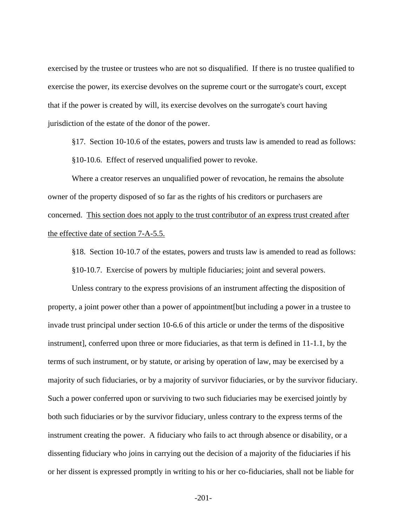exercised by the trustee or trustees who are not so disqualified. If there is no trustee qualified to exercise the power, its exercise devolves on the supreme court or the surrogate's court, except that if the power is created by will, its exercise devolves on the surrogate's court having jurisdiction of the estate of the donor of the power.

§17. Section 10-10.6 of the estates, powers and trusts law is amended to read as follows:

§10-10.6. Effect of reserved unqualified power to revoke.

Where a creator reserves an unqualified power of revocation, he remains the absolute owner of the property disposed of so far as the rights of his creditors or purchasers are concerned. This section does not apply to the trust contributor of an express trust created after the effective date of section 7-A-5.5.

§18. Section 10-10.7 of the estates, powers and trusts law is amended to read as follows: §10-10.7. Exercise of powers by multiple fiduciaries; joint and several powers.

Unless contrary to the express provisions of an instrument affecting the disposition of property, a joint power other than a power of appointment[but including a power in a trustee to invade trust principal under section 10-6.6 of this article or under the terms of the dispositive instrument], conferred upon three or more fiduciaries, as that term is defined in 11-1.1, by the terms of such instrument, or by statute, or arising by operation of law, may be exercised by a majority of such fiduciaries, or by a majority of survivor fiduciaries, or by the survivor fiduciary. Such a power conferred upon or surviving to two such fiduciaries may be exercised jointly by both such fiduciaries or by the survivor fiduciary, unless contrary to the express terms of the instrument creating the power. A fiduciary who fails to act through absence or disability, or a dissenting fiduciary who joins in carrying out the decision of a majority of the fiduciaries if his or her dissent is expressed promptly in writing to his or her co-fiduciaries, shall not be liable for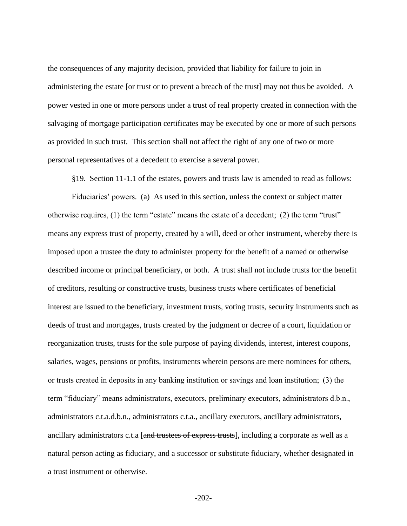the consequences of any majority decision, provided that liability for failure to join in administering the estate [or trust or to prevent a breach of the trust] may not thus be avoided. A power vested in one or more persons under a trust of real property created in connection with the salvaging of mortgage participation certificates may be executed by one or more of such persons as provided in such trust. This section shall not affect the right of any one of two or more personal representatives of a decedent to exercise a several power.

§19. Section 11-1.1 of the estates, powers and trusts law is amended to read as follows:

Fiduciaries' powers. (a) As used in this section, unless the context or subject matter otherwise requires, (1) the term "estate" means the estate of a decedent;  (2) the term "trust" means any express trust of property, created by a will, deed or other instrument, whereby there is imposed upon a trustee the duty to administer property for the benefit of a named or otherwise described income or principal beneficiary, or both. A trust shall not include trusts for the benefit of creditors, resulting or constructive trusts, business trusts where certificates of beneficial interest are issued to the beneficiary, investment trusts, voting trusts, security instruments such as deeds of trust and mortgages, trusts created by the judgment or decree of a court, liquidation or reorganization trusts, trusts for the sole purpose of paying dividends, interest, interest coupons, salaries, wages, pensions or profits, instruments wherein persons are mere nominees for others, or trusts created in deposits in any banking institution or savings and loan institution;  (3) the term "fiduciary" means administrators, executors, preliminary executors, administrators d.b.n., administrators c.t.a.d.b.n., administrators c.t.a., ancillary executors, ancillary administrators, ancillary administrators c.t.a [and trustees of express trusts], including a corporate as well as a natural person acting as fiduciary, and a successor or substitute fiduciary, whether designated in a trust instrument or otherwise.

-202-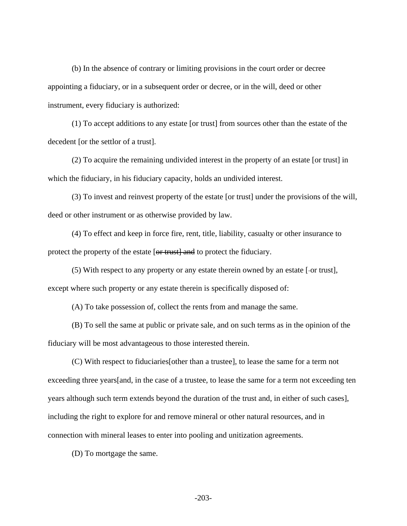(b) In the absence of contrary or limiting provisions in the court order or decree appointing a fiduciary, or in a subsequent order or decree, or in the will, deed or other instrument, every fiduciary is authorized:

(1) To accept additions to any estate [or trust] from sources other than the estate of the decedent [or the settlor of a trust].

(2) To acquire the remaining undivided interest in the property of an estate [or trust] in which the fiduciary, in his fiduciary capacity, holds an undivided interest.

(3) To invest and reinvest property of the estate [or trust] under the provisions of the will, deed or other instrument or as otherwise provided by law.

(4) To effect and keep in force fire, rent, title, liability, casualty or other insurance to protect the property of the estate [or trust] and to protect the fiduciary.

(5) With respect to any property or any estate therein owned by an estate [-or trust], except where such property or any estate therein is specifically disposed of:

(A) To take possession of, collect the rents from and manage the same.

(B) To sell the same at public or private sale, and on such terms as in the opinion of the fiduciary will be most advantageous to those interested therein.

(C) With respect to fiduciaries[other than a trustee], to lease the same for a term not exceeding three years[and, in the case of a trustee, to lease the same for a term not exceeding ten years although such term extends beyond the duration of the trust and, in either of such cases], including the right to explore for and remove mineral or other natural resources, and in connection with mineral leases to enter into pooling and unitization agreements.

(D) To mortgage the same.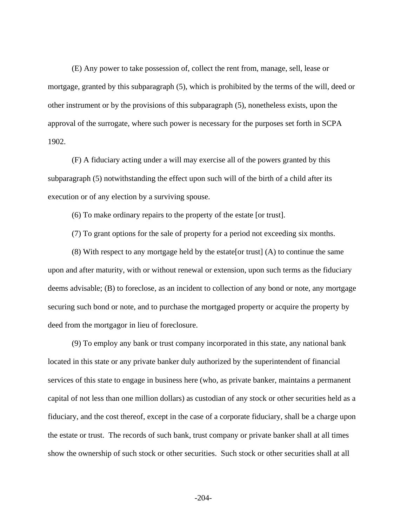(E) Any power to take possession of, collect the rent from, manage, sell, lease or mortgage, granted by this subparagraph (5), which is prohibited by the terms of the will, deed or other instrument or by the provisions of this subparagraph (5), nonetheless exists, upon the approval of the surrogate, where such power is necessary for the purposes set forth in SCPA 1902.

(F) A fiduciary acting under a will may exercise all of the powers granted by this subparagraph (5) notwithstanding the effect upon such will of the birth of a child after its execution or of any election by a surviving spouse.

(6) To make ordinary repairs to the property of the estate [or trust].

(7) To grant options for the sale of property for a period not exceeding six months.

(8) With respect to any mortgage held by the estate[or trust] (A) to continue the same upon and after maturity, with or without renewal or extension, upon such terms as the fiduciary deems advisable; (B) to foreclose, as an incident to collection of any bond or note, any mortgage securing such bond or note, and to purchase the mortgaged property or acquire the property by deed from the mortgagor in lieu of foreclosure.

(9) To employ any bank or trust company incorporated in this state, any national bank located in this state or any private banker duly authorized by the superintendent of financial services of this state to engage in business here (who, as private banker, maintains a permanent capital of not less than one million dollars) as custodian of any stock or other securities held as a fiduciary, and the cost thereof, except in the case of a corporate fiduciary, shall be a charge upon the estate or trust. The records of such bank, trust company or private banker shall at all times show the ownership of such stock or other securities. Such stock or other securities shall at all

-204-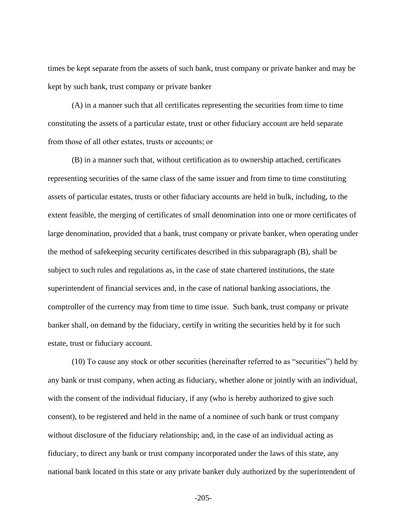times be kept separate from the assets of such bank, trust company or private banker and may be kept by such bank, trust company or private banker

(A) in a manner such that all certificates representing the securities from time to time constituting the assets of a particular estate, trust or other fiduciary account are held separate from those of all other estates, trusts or accounts; or

(B) in a manner such that, without certification as to ownership attached, certificates representing securities of the same class of the same issuer and from time to time constituting assets of particular estates, trusts or other fiduciary accounts are held in bulk, including, to the extent feasible, the merging of certificates of small denomination into one or more certificates of large denomination, provided that a bank, trust company or private banker, when operating under the method of safekeeping security certificates described in this subparagraph (B), shall be subject to such rules and regulations as, in the case of state chartered institutions, the state superintendent of financial services and, in the case of national banking associations, the comptroller of the currency may from time to time issue. Such bank, trust company or private banker shall, on demand by the fiduciary, certify in writing the securities held by it for such estate, trust or fiduciary account.

(10) To cause any stock or other securities (hereinafter referred to as "securities") held by any bank or trust company, when acting as fiduciary, whether alone or jointly with an individual, with the consent of the individual fiduciary, if any (who is hereby authorized to give such consent), to be registered and held in the name of a nominee of such bank or trust company without disclosure of the fiduciary relationship; and, in the case of an individual acting as fiduciary, to direct any bank or trust company incorporated under the laws of this state, any national bank located in this state or any private banker duly authorized by the superintendent of

-205-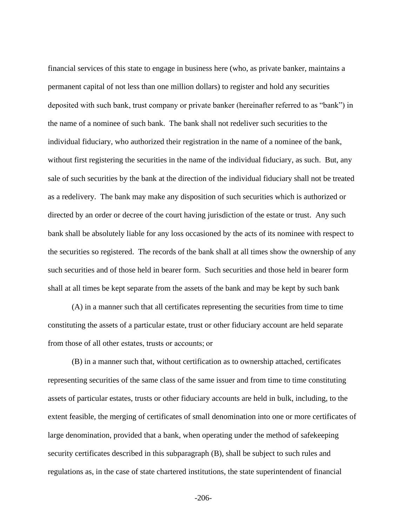financial services of this state to engage in business here (who, as private banker, maintains a permanent capital of not less than one million dollars) to register and hold any securities deposited with such bank, trust company or private banker (hereinafter referred to as "bank") in the name of a nominee of such bank. The bank shall not redeliver such securities to the individual fiduciary, who authorized their registration in the name of a nominee of the bank, without first registering the securities in the name of the individual fiduciary, as such. But, any sale of such securities by the bank at the direction of the individual fiduciary shall not be treated as a redelivery. The bank may make any disposition of such securities which is authorized or directed by an order or decree of the court having jurisdiction of the estate or trust. Any such bank shall be absolutely liable for any loss occasioned by the acts of its nominee with respect to the securities so registered. The records of the bank shall at all times show the ownership of any such securities and of those held in bearer form. Such securities and those held in bearer form shall at all times be kept separate from the assets of the bank and may be kept by such bank

(A) in a manner such that all certificates representing the securities from time to time constituting the assets of a particular estate, trust or other fiduciary account are held separate from those of all other estates, trusts or accounts; or

(B) in a manner such that, without certification as to ownership attached, certificates representing securities of the same class of the same issuer and from time to time constituting assets of particular estates, trusts or other fiduciary accounts are held in bulk, including, to the extent feasible, the merging of certificates of small denomination into one or more certificates of large denomination, provided that a bank, when operating under the method of safekeeping security certificates described in this subparagraph (B), shall be subject to such rules and regulations as, in the case of state chartered institutions, the state superintendent of financial

-206-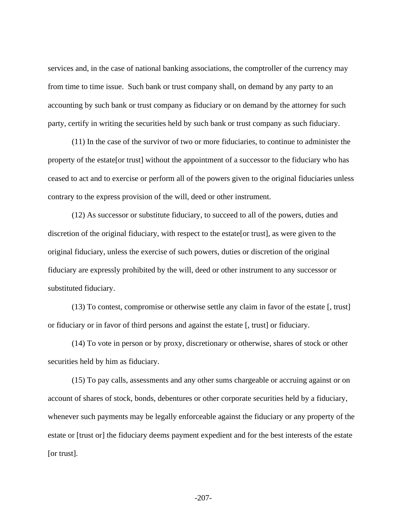services and, in the case of national banking associations, the comptroller of the currency may from time to time issue. Such bank or trust company shall, on demand by any party to an accounting by such bank or trust company as fiduciary or on demand by the attorney for such party, certify in writing the securities held by such bank or trust company as such fiduciary.

(11) In the case of the survivor of two or more fiduciaries, to continue to administer the property of the estate[or trust] without the appointment of a successor to the fiduciary who has ceased to act and to exercise or perform all of the powers given to the original fiduciaries unless contrary to the express provision of the will, deed or other instrument.

(12) As successor or substitute fiduciary, to succeed to all of the powers, duties and discretion of the original fiduciary, with respect to the estate[or trust], as were given to the original fiduciary, unless the exercise of such powers, duties or discretion of the original fiduciary are expressly prohibited by the will, deed or other instrument to any successor or substituted fiduciary.

(13) To contest, compromise or otherwise settle any claim in favor of the estate [, trust] or fiduciary or in favor of third persons and against the estate [, trust] or fiduciary.

(14) To vote in person or by proxy, discretionary or otherwise, shares of stock or other securities held by him as fiduciary.

(15) To pay calls, assessments and any other sums chargeable or accruing against or on account of shares of stock, bonds, debentures or other corporate securities held by a fiduciary, whenever such payments may be legally enforceable against the fiduciary or any property of the estate or [trust or] the fiduciary deems payment expedient and for the best interests of the estate [or trust].

-207-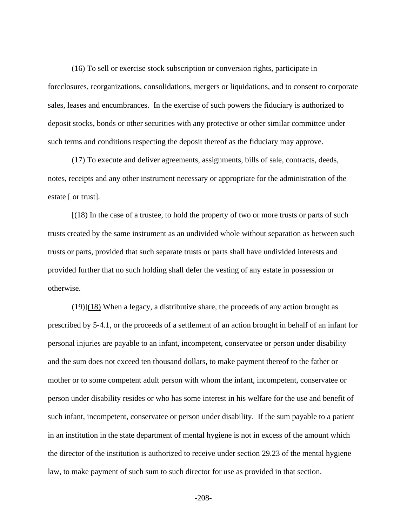(16) To sell or exercise stock subscription or conversion rights, participate in foreclosures, reorganizations, consolidations, mergers or liquidations, and to consent to corporate sales, leases and encumbrances. In the exercise of such powers the fiduciary is authorized to deposit stocks, bonds or other securities with any protective or other similar committee under such terms and conditions respecting the deposit thereof as the fiduciary may approve.

(17) To execute and deliver agreements, assignments, bills of sale, contracts, deeds, notes, receipts and any other instrument necessary or appropriate for the administration of the estate [ or trust].

 $[(18)$  In the case of a trustee, to hold the property of two or more trusts or parts of such trusts created by the same instrument as an undivided whole without separation as between such trusts or parts, provided that such separate trusts or parts shall have undivided interests and provided further that no such holding shall defer the vesting of any estate in possession or otherwise.

 $(19)$  $(18)$  When a legacy, a distributive share, the proceeds of any action brought as prescribed by 5-4.1, or the proceeds of a settlement of an action brought in behalf of an infant for personal injuries are payable to an infant, incompetent, conservatee or person under disability and the sum does not exceed ten thousand dollars, to make payment thereof to the father or mother or to some competent adult person with whom the infant, incompetent, conservatee or person under disability resides or who has some interest in his welfare for the use and benefit of such infant, incompetent, conservatee or person under disability. If the sum payable to a patient in an institution in the state department of mental hygiene is not in excess of the amount which the director of the institution is authorized to receive under section 29.23 of the mental hygiene law, to make payment of such sum to such director for use as provided in that section.

-208-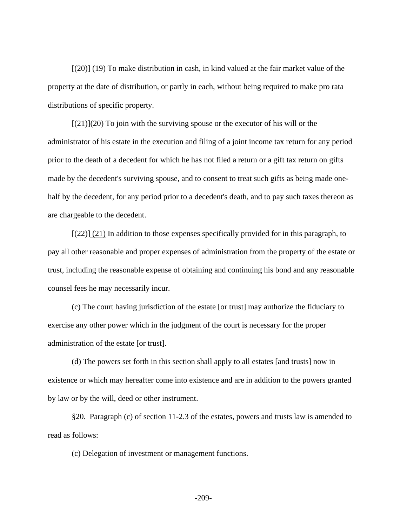[(20)] (19) To make distribution in cash, in kind valued at the fair market value of the property at the date of distribution, or partly in each, without being required to make pro rata distributions of specific property.

 $[(21)](20)$  To join with the surviving spouse or the executor of his will or the administrator of his estate in the execution and filing of a joint income tax return for any period prior to the death of a decedent for which he has not filed a return or a gift tax return on gifts made by the decedent's surviving spouse, and to consent to treat such gifts as being made onehalf by the decedent, for any period prior to a decedent's death, and to pay such taxes thereon as are chargeable to the decedent.

 $[(22)]$  (21) In addition to those expenses specifically provided for in this paragraph, to pay all other reasonable and proper expenses of administration from the property of the estate or trust, including the reasonable expense of obtaining and continuing his bond and any reasonable counsel fees he may necessarily incur.

(c) The court having jurisdiction of the estate [or trust] may authorize the fiduciary to exercise any other power which in the judgment of the court is necessary for the proper administration of the estate [or trust].

(d) The powers set forth in this section shall apply to all estates [and trusts] now in existence or which may hereafter come into existence and are in addition to the powers granted by law or by the will, deed or other instrument.

§20. Paragraph (c) of section 11-2.3 of the estates, powers and trusts law is amended to read as follows:

(c) Delegation of investment or management functions.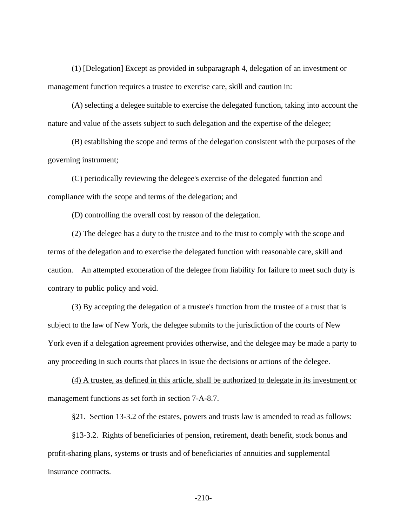(1) [Delegation] Except as provided in subparagraph 4, delegation of an investment or management function requires a trustee to exercise care, skill and caution in:

(A) selecting a delegee suitable to exercise the delegated function, taking into account the nature and value of the assets subject to such delegation and the expertise of the delegee;

(B) establishing the scope and terms of the delegation consistent with the purposes of the governing instrument;

(C) periodically reviewing the delegee's exercise of the delegated function and compliance with the scope and terms of the delegation; and

(D) controlling the overall cost by reason of the delegation.

(2) The delegee has a duty to the trustee and to the trust to comply with the scope and terms of the delegation and to exercise the delegated function with reasonable care, skill and caution. An attempted exoneration of the delegee from liability for failure to meet such duty is contrary to public policy and void.

(3) By accepting the delegation of a trustee's function from the trustee of a trust that is subject to the law of New York, the delegee submits to the jurisdiction of the courts of New York even if a delegation agreement provides otherwise, and the delegee may be made a party to any proceeding in such courts that places in issue the decisions or actions of the delegee.

(4) A trustee, as defined in this article, shall be authorized to delegate in its investment or management functions as set forth in section 7-A-8.7.

§21. Section 13-3.2 of the estates, powers and trusts law is amended to read as follows:

§13-3.2. Rights of beneficiaries of pension, retirement, death benefit, stock bonus and profit-sharing plans, systems or trusts and of beneficiaries of annuities and supplemental insurance contracts.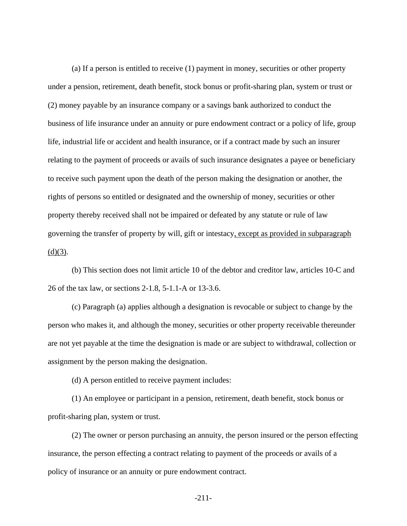(a) If a person is entitled to receive (1) payment in money, securities or other property under a pension, retirement, death benefit, stock bonus or profit-sharing plan, system or trust or (2) money payable by an insurance company or a savings bank authorized to conduct the business of life insurance under an annuity or pure endowment contract or a policy of life, group life, industrial life or accident and health insurance, or if a contract made by such an insurer relating to the payment of proceeds or avails of such insurance designates a payee or beneficiary to receive such payment upon the death of the person making the designation or another, the rights of persons so entitled or designated and the ownership of money, securities or other property thereby received shall not be impaired or defeated by any statute or rule of law governing the transfer of property by will, gift or intestacy, except as provided in subparagraph  $(d)(3)$ .

(b) This section does not limit article 10 of the debtor and creditor law, articles 10-C and 26 of the tax law, or sections 2-1.8, 5-1.1-A or 13-3.6.

(c) Paragraph (a) applies although a designation is revocable or subject to change by the person who makes it, and although the money, securities or other property receivable thereunder are not yet payable at the time the designation is made or are subject to withdrawal, collection or assignment by the person making the designation.

(d) A person entitled to receive payment includes:

(1) An employee or participant in a pension, retirement, death benefit, stock bonus or profit-sharing plan, system or trust.

(2) The owner or person purchasing an annuity, the person insured or the person effecting insurance, the person effecting a contract relating to payment of the proceeds or avails of a policy of insurance or an annuity or pure endowment contract.

-211-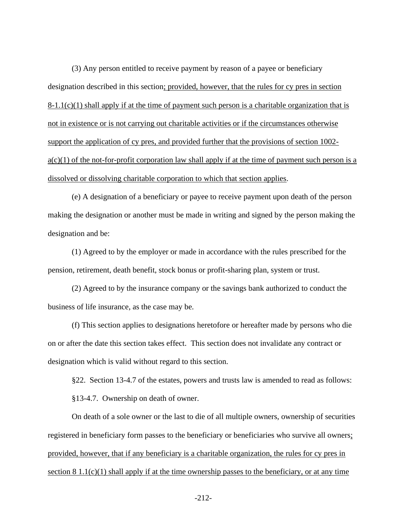(3) Any person entitled to receive payment by reason of a payee or beneficiary designation described in this section; provided, however, that the rules for cy pres in section  $8-1.1(c)(1)$  shall apply if at the time of payment such person is a charitable organization that is not in existence or is not carrying out charitable activities or if the circumstances otherwise support the application of cy pres, and provided further that the provisions of section 1002  $a(c)(1)$  of the not-for-profit corporation law shall apply if at the time of payment such person is a dissolved or dissolving charitable corporation to which that section applies.

(e) A designation of a beneficiary or payee to receive payment upon death of the person making the designation or another must be made in writing and signed by the person making the designation and be:

(1) Agreed to by the employer or made in accordance with the rules prescribed for the pension, retirement, death benefit, stock bonus or profit-sharing plan, system or trust.

(2) Agreed to by the insurance company or the savings bank authorized to conduct the business of life insurance, as the case may be.

(f) This section applies to designations heretofore or hereafter made by persons who die on or after the date this section takes effect. This section does not invalidate any contract or designation which is valid without regard to this section.

§22. Section 13-4.7 of the estates, powers and trusts law is amended to read as follows: §13-4.7. Ownership on death of owner.

On death of a sole owner or the last to die of all multiple owners, ownership of securities registered in beneficiary form passes to the beneficiary or beneficiaries who survive all owners; provided, however, that if any beneficiary is a charitable organization, the rules for cy pres in section  $8\ 1.1(c)(1)$  shall apply if at the time ownership passes to the beneficiary, or at any time

-212-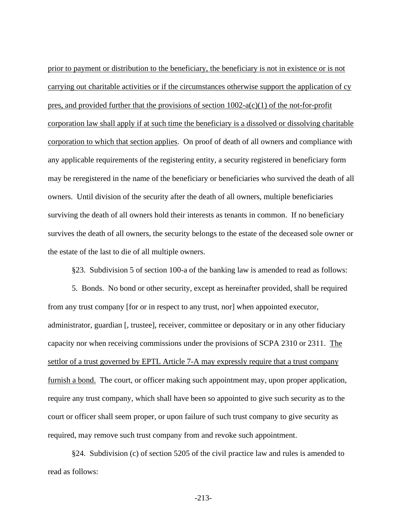prior to payment or distribution to the beneficiary, the beneficiary is not in existence or is not carrying out charitable activities or if the circumstances otherwise support the application of cy pres, and provided further that the provisions of section 1002-a(c)(1) of the not-for-profit corporation law shall apply if at such time the beneficiary is a dissolved or dissolving charitable corporation to which that section applies. On proof of death of all owners and compliance with any applicable requirements of the registering entity, a security registered in beneficiary form may be reregistered in the name of the beneficiary or beneficiaries who survived the death of all owners. Until division of the security after the death of all owners, multiple beneficiaries surviving the death of all owners hold their interests as tenants in common. If no beneficiary survives the death of all owners, the security belongs to the estate of the deceased sole owner or the estate of the last to die of all multiple owners.

§23. Subdivision 5 of section 100-a of the banking law is amended to read as follows:

5. Bonds. No bond or other security, except as hereinafter provided, shall be required from any trust company [for or in respect to any trust, nor] when appointed executor, administrator, guardian [, trustee], receiver, committee or depositary or in any other fiduciary capacity nor when receiving commissions under the provisions of SCPA 2310 or 2311. The settlor of a trust governed by EPTL Article 7-A may expressly require that a trust company furnish a bond. The court, or officer making such appointment may, upon proper application, require any trust company, which shall have been so appointed to give such security as to the court or officer shall seem proper, or upon failure of such trust company to give security as required, may remove such trust company from and revoke such appointment.

§24. Subdivision (c) of section 5205 of the civil practice law and rules is amended to read as follows:

-213-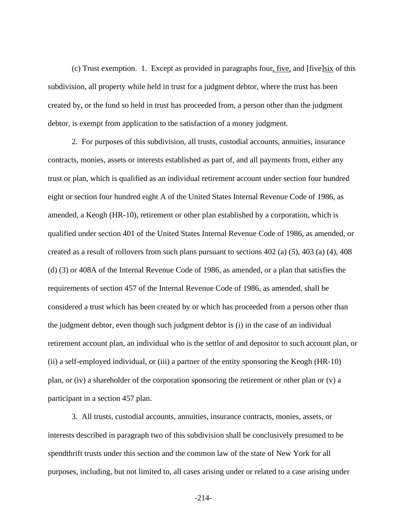(c) Trust exemption. 1. Except as provided in paragraphs four, five, and  $[five]$  six of this subdivision, all property while held in trust for a judgment debtor, where the trust has been created by, or the fund so held in trust has proceeded from, a person other than the judgment debtor, is exempt from application to the satisfaction of a money judgment.

2. For purposes of this subdivision, all trusts, custodial accounts, annuities, insurance contracts, monies, assets or interests established as part of, and all payments from, either any trust or plan, which is qualified as an individual retirement account under section four hundred eight or section four hundred eight A of the United States Internal Revenue Code of 1986, as amended, a Keogh (HR-10), retirement or other plan established by a corporation, which is qualified under section 401 of the United States Internal Revenue Code of 1986, as amended, or created as a result of rollovers from such plans pursuant to sections 402 (a) (5), 403 (a) (4), 408 (d) (3) or 408A of the Internal Revenue Code of 1986, as amended, or a plan that satisfies the requirements of section 457 of the Internal Revenue Code of 1986, as amended, shall be considered a trust which has been created by or which has proceeded from a person other than the judgment debtor, even though such judgment debtor is (i) in the case of an individual retirement account plan, an individual who is the settlor of and depositor to such account plan, or (ii) a self-employed individual, or (iii) a partner of the entity sponsoring the Keogh (HR-10) plan, or (iv) a shareholder of the corporation sponsoring the retirement or other plan or (v) a participant in a section 457 plan.

3. All trusts, custodial accounts, annuities, insurance contracts, monies, assets, or interests described in paragraph two of this subdivision shall be conclusively presumed to be spendthrift trusts under this section and the common law of the state of New York for all purposes, including, but not limited to, all cases arising under or related to a case arising under

-214-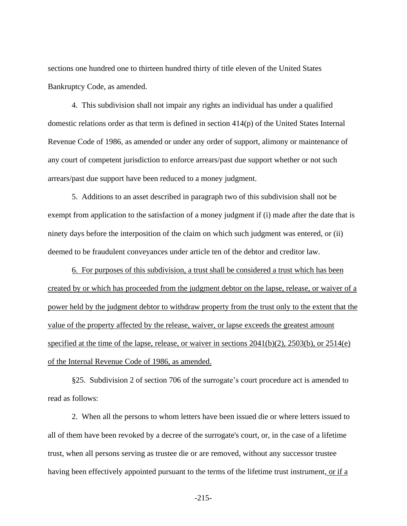sections one hundred one to thirteen hundred thirty of title eleven of the United States Bankruptcy Code, as amended.

4. This subdivision shall not impair any rights an individual has under a qualified domestic relations order as that term is defined in section 414(p) of the United States Internal Revenue Code of 1986, as amended or under any order of support, alimony or maintenance of any court of competent jurisdiction to enforce arrears/past due support whether or not such arrears/past due support have been reduced to a money judgment.

5. Additions to an asset described in paragraph two of this subdivision shall not be exempt from application to the satisfaction of a money judgment if (i) made after the date that is ninety days before the interposition of the claim on which such judgment was entered, or (ii) deemed to be fraudulent conveyances under article ten of the debtor and creditor law.

6. For purposes of this subdivision, a trust shall be considered a trust which has been created by or which has proceeded from the judgment debtor on the lapse, release, or waiver of a power held by the judgment debtor to withdraw property from the trust only to the extent that the value of the property affected by the release, waiver, or lapse exceeds the greatest amount specified at the time of the lapse, release, or waiver in sections 2041(b)(2), 2503(b), or 2514(e) of the Internal Revenue Code of 1986, as amended.

§25. Subdivision 2 of section 706 of the surrogate's court procedure act is amended to read as follows:

2. When all the persons to whom letters have been issued die or where letters issued to all of them have been revoked by a decree of the surrogate's court, or, in the case of a lifetime trust, when all persons serving as trustee die or are removed, without any successor trustee having been effectively appointed pursuant to the terms of the lifetime trust instrument, or if a

-215-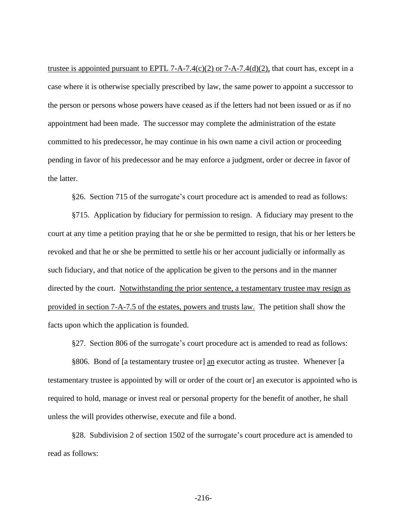trustee is appointed pursuant to EPTL 7-A-7.4(c)(2) or 7-A-7.4(d)(2), that court has, except in a case where it is otherwise specially prescribed by law, the same power to appoint a successor to the person or persons whose powers have ceased as if the letters had not been issued or as if no appointment had been made. The successor may complete the administration of the estate committed to his predecessor, he may continue in his own name a civil action or proceeding pending in favor of his predecessor and he may enforce a judgment, order or decree in favor of the latter.

§26. Section 715 of the surrogate's court procedure act is amended to read as follows:

§715. Application by fiduciary for permission to resign. A fiduciary may present to the court at any time a petition praying that he or she be permitted to resign, that his or her letters be revoked and that he or she be permitted to settle his or her account judicially or informally as such fiduciary, and that notice of the application be given to the persons and in the manner directed by the court. Notwithstanding the prior sentence, a testamentary trustee may resign as provided in section 7-A-7.5 of the estates, powers and trusts law. The petition shall show the facts upon which the application is founded.

§27. Section 806 of the surrogate's court procedure act is amended to read as follows:

§806. Bond of [a testamentary trustee or] an executor acting as trustee. Whenever [a testamentary trustee is appointed by will or order of the court or] an executor is appointed who is required to hold, manage or invest real or personal property for the benefit of another, he shall unless the will provides otherwise, execute and file a bond.

§28. Subdivision 2 of section 1502 of the surrogate's court procedure act is amended to read as follows:

-216-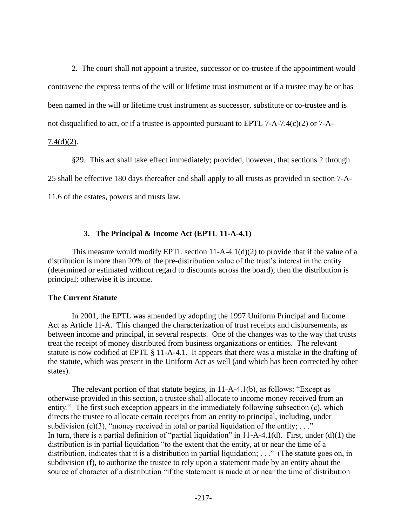2. The court shall not appoint a trustee, successor or co-trustee if the appointment would contravene the express terms of the will or lifetime trust instrument or if a trustee may be or has been named in the will or lifetime trust instrument as successor, substitute or co-trustee and is not disqualified to act, or if a trustee is appointed pursuant to EPTL 7-A-7.4(c)(2) or 7-A-

 $7.4(d)(2)$ .

§29. This act shall take effect immediately; provided, however, that sections 2 through 25 shall be effective 180 days thereafter and shall apply to all trusts as provided in section 7-A-

11.6 of the estates, powers and trusts law.

# **3. The Principal & Income Act (EPTL 11-A-4.1)**

This measure would modify EPTL section  $11-A-4.1(d)(2)$  to provide that if the value of a distribution is more than 20% of the pre-distribution value of the trust's interest in the entity (determined or estimated without regard to discounts across the board), then the distribution is principal; otherwise it is income.

## **The Current Statute**

In 2001, the EPTL was amended by adopting the 1997 Uniform Principal and Income Act as Article 11-A. This changed the characterization of trust receipts and disbursements, as between income and principal, in several respects. One of the changes was to the way that trusts treat the receipt of money distributed from business organizations or entities. The relevant statute is now codified at EPTL § 11-A-4.1. It appears that there was a mistake in the drafting of the statute, which was present in the Uniform Act as well (and which has been corrected by other states).

The relevant portion of that statute begins, in 11-A-4.1(b), as follows: "Except as otherwise provided in this section, a trustee shall allocate to income money received from an entity." The first such exception appears in the immediately following subsection (c), which directs the trustee to allocate certain receipts from an entity to principal, including, under subdivision (c)(3), "money received in total or partial liquidation of the entity;  $\dots$ " In turn, there is a partial definition of "partial liquidation" in 11-A-4.1(d). First, under (d)(1) the distribution is in partial liquidation "to the extent that the entity, at or near the time of a distribution, indicates that it is a distribution in partial liquidation; . . ." (The statute goes on, in subdivision (f), to authorize the trustee to rely upon a statement made by an entity about the source of character of a distribution "if the statement is made at or near the time of distribution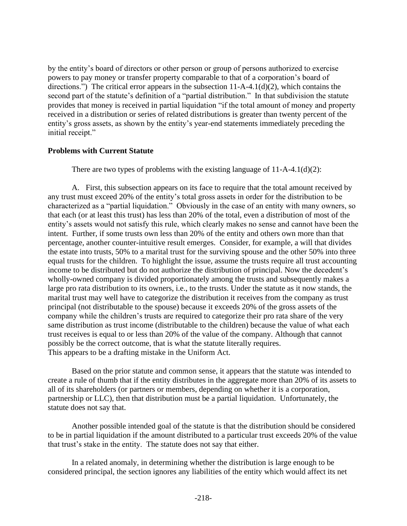by the entity's board of directors or other person or group of persons authorized to exercise powers to pay money or transfer property comparable to that of a corporation's board of directions.") The critical error appears in the subsection 11-A-4.1(d)(2), which contains the second part of the statute's definition of a "partial distribution." In that subdivision the statute provides that money is received in partial liquidation "if the total amount of money and property received in a distribution or series of related distributions is greater than twenty percent of the entity's gross assets, as shown by the entity's year-end statements immediately preceding the initial receipt."

## **Problems with Current Statute**

There are two types of problems with the existing language of  $11-A-4.1(d)(2)$ :

A. First, this subsection appears on its face to require that the total amount received by any trust must exceed 20% of the entity's total gross assets in order for the distribution to be characterized as a "partial liquidation." Obviously in the case of an entity with many owners, so that each (or at least this trust) has less than 20% of the total, even a distribution of most of the entity's assets would not satisfy this rule, which clearly makes no sense and cannot have been the intent. Further, if some trusts own less than 20% of the entity and others own more than that percentage, another counter-intuitive result emerges. Consider, for example, a will that divides the estate into trusts, 50% to a marital trust for the surviving spouse and the other 50% into three equal trusts for the children. To highlight the issue, assume the trusts require all trust accounting income to be distributed but do not authorize the distribution of principal. Now the decedent's wholly-owned company is divided proportionately among the trusts and subsequently makes a large pro rata distribution to its owners, i.e., to the trusts. Under the statute as it now stands, the marital trust may well have to categorize the distribution it receives from the company as trust principal (not distributable to the spouse) because it exceeds 20% of the gross assets of the company while the children's trusts are required to categorize their pro rata share of the very same distribution as trust income (distributable to the children) because the value of what each trust receives is equal to or less than 20% of the value of the company. Although that cannot possibly be the correct outcome, that is what the statute literally requires. This appears to be a drafting mistake in the Uniform Act.

Based on the prior statute and common sense, it appears that the statute was intended to create a rule of thumb that if the entity distributes in the aggregate more than 20% of its assets to all of its shareholders (or partners or members, depending on whether it is a corporation, partnership or LLC), then that distribution must be a partial liquidation. Unfortunately, the statute does not say that.

Another possible intended goal of the statute is that the distribution should be considered to be in partial liquidation if the amount distributed to a particular trust exceeds 20% of the value that trust's stake in the entity. The statute does not say that either.

In a related anomaly, in determining whether the distribution is large enough to be considered principal, the section ignores any liabilities of the entity which would affect its net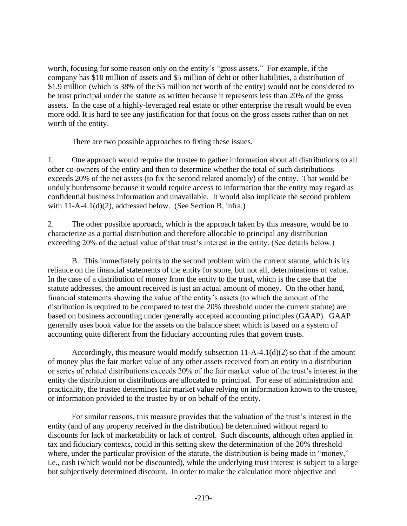worth, focusing for some reason only on the entity's "gross assets." For example, if the company has \$10 million of assets and \$5 million of debt or other liabilities, a distribution of \$1.9 million (which is 38% of the \$5 million net worth of the entity) would not be considered to be trust principal under the statute as written because it represents less than 20% of the gross assets. In the case of a highly-leveraged real estate or other enterprise the result would be even more odd. It is hard to see any justification for that focus on the gross assets rather than on net worth of the entity.

There are two possible approaches to fixing these issues.

1. One approach would require the trustee to gather information about all distributions to all other co-owners of the entity and then to determine whether the total of such distributions exceeds 20% of the net assets (to fix the second related anomaly) of the entity. That would be unduly burdensome because it would require access to information that the entity may regard as confidential business information and unavailable. It would also implicate the second problem with 11-A-4.1(d)(2), addressed below. (See Section B, infra.)

2. The other possible approach, which is the approach taken by this measure, would be to characterize as a partial distribution and therefore allocable to principal any distribution exceeding 20% of the actual value of that trust's interest in the entity. (See details below.)

B. This immediately points to the second problem with the current statute, which is its reliance on the financial statements of the entity for some, but not all, determinations of value. In the case of a distribution of money from the entity to the trust, which is the case that the statute addresses, the amount received is just an actual amount of money. On the other hand, financial statements showing the value of the entity's assets (to which the amount of the distribution is required to be compared to test the 20% threshold under the current statute) are based on business accounting under generally accepted accounting principles (GAAP). GAAP generally uses book value for the assets on the balance sheet which is based on a system of accounting quite different from the fiduciary accounting rules that govern trusts.

Accordingly, this measure would modify subsection 11-A-4.1(d)(2) so that if the amount of money plus the fair market value of any other assets received from an entity in a distribution or series of related distributions exceeds 20% of the fair market value of the trust's interest in the entity the distribution or distributions are allocated to principal. For ease of administration and practicality, the trustee determines fair market value relying on information known to the trustee, or information provided to the trustee by or on behalf of the entity.

For similar reasons, this measure provides that the valuation of the trust's interest in the entity (and of any property received in the distribution) be determined without regard to discounts for lack of marketability or lack of control. Such discounts, although often applied in tax and fiduciary contexts, could in this setting skew the determination of the 20% threshold where, under the particular provision of the statute, the distribution is being made in "money," i.e., cash (which would not be discounted), while the underlying trust interest is subject to a large but subjectively determined discount. In order to make the calculation more objective and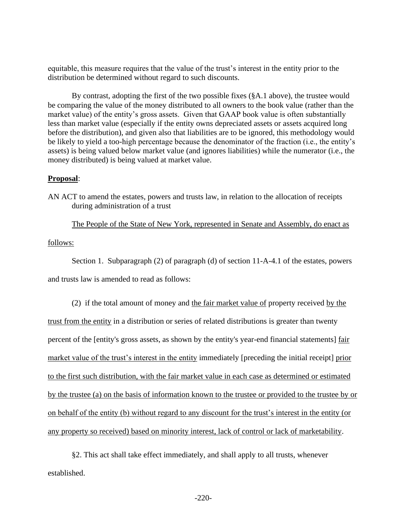equitable, this measure requires that the value of the trust's interest in the entity prior to the distribution be determined without regard to such discounts.

By contrast, adopting the first of the two possible fixes (§A.1 above), the trustee would be comparing the value of the money distributed to all owners to the book value (rather than the market value) of the entity's gross assets. Given that GAAP book value is often substantially less than market value (especially if the entity owns depreciated assets or assets acquired long before the distribution), and given also that liabilities are to be ignored, this methodology would be likely to yield a too-high percentage because the denominator of the fraction (i.e., the entity's assets) is being valued below market value (and ignores liabilities) while the numerator (i.e., the money distributed) is being valued at market value.

#### **Proposal**:

AN ACT to amend the estates, powers and trusts law, in relation to the allocation of receipts during administration of a trust

The People of the State of New York, represented in Senate and Assembly, do enact as

follows:

Section 1. Subparagraph (2) of paragraph (d) of section 11-A-4.1 of the estates, powers and trusts law is amended to read as follows:

(2) if the total amount of money and the fair market value of property received by the trust from the entity in a distribution or series of related distributions is greater than twenty percent of the [entity's gross assets, as shown by the entity's year-end financial statements] <u>fair</u> market value of the trust's interest in the entity immediately [preceding the initial receipt] prior to the first such distribution, with the fair market value in each case as determined or estimated by the trustee (a) on the basis of information known to the trustee or provided to the trustee by or on behalf of the entity (b) without regard to any discount for the trust's interest in the entity (or any property so received) based on minority interest, lack of control or lack of marketability.

§2. This act shall take effect immediately, and shall apply to all trusts, whenever established.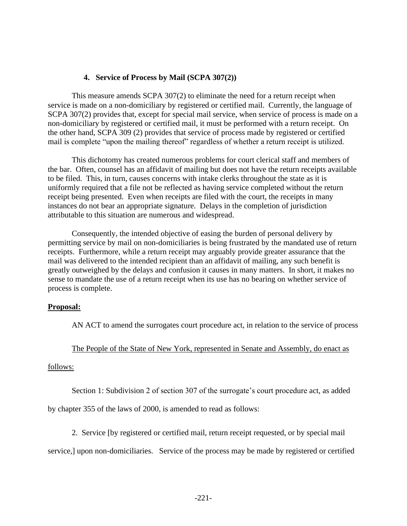#### **4. Service of Process by Mail (SCPA 307(2))**

This measure amends SCPA 307(2) to eliminate the need for a return receipt when service is made on a non-domiciliary by registered or certified mail. Currently, the language of SCPA 307(2) provides that, except for special mail service, when service of process is made on a non-domiciliary by registered or certified mail, it must be performed with a return receipt. On the other hand, SCPA 309 (2) provides that service of process made by registered or certified mail is complete "upon the mailing thereof" regardless of whether a return receipt is utilized.

This dichotomy has created numerous problems for court clerical staff and members of the bar. Often, counsel has an affidavit of mailing but does not have the return receipts available to be filed. This, in turn, causes concerns with intake clerks throughout the state as it is uniformly required that a file not be reflected as having service completed without the return receipt being presented. Even when receipts are filed with the court, the receipts in many instances do not bear an appropriate signature. Delays in the completion of jurisdiction attributable to this situation are numerous and widespread.

Consequently, the intended objective of easing the burden of personal delivery by permitting service by mail on non-domiciliaries is being frustrated by the mandated use of return receipts. Furthermore, while a return receipt may arguably provide greater assurance that the mail was delivered to the intended recipient than an affidavit of mailing, any such benefit is greatly outweighed by the delays and confusion it causes in many matters. In short, it makes no sense to mandate the use of a return receipt when its use has no bearing on whether service of process is complete.

#### **Proposal:**

AN ACT to amend the surrogates court procedure act, in relation to the service of process

#### The People of the State of New York, represented in Senate and Assembly, do enact as

#### follows:

Section 1: Subdivision 2 of section 307 of the surrogate's court procedure act, as added

by chapter 355 of the laws of 2000, is amended to read as follows:

2. Service [by registered or certified mail, return receipt requested, or by special mail

service,] upon non-domiciliaries. Service of the process may be made by registered or certified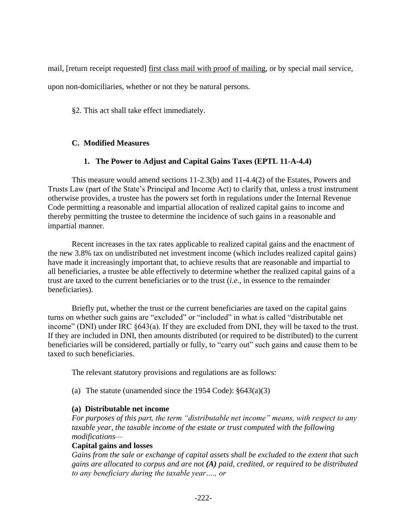mail, [return receipt requested] first class mail with proof of mailing, or by special mail service, upon non-domiciliaries, whether or not they be natural persons.

§2. This act shall take effect immediately.

# **C. Modified Measures**

# **1. The Power to Adjust and Capital Gains Taxes (EPTL 11-A-4.4)**

This measure would amend sections 11-2.3(b) and 11-4.4(2) of the Estates, Powers and Trusts Law (part of the State's Principal and Income Act) to clarify that, unless a trust instrument otherwise provides, a trustee has the powers set forth in regulations under the Internal Revenue Code permitting a reasonable and impartial allocation of realized capital gains to income and thereby permitting the trustee to determine the incidence of such gains in a reasonable and impartial manner.

Recent increases in the tax rates applicable to realized capital gains and the enactment of the new 3.8% tax on undistributed net investment income (which includes realized capital gains) have made it increasingly important that, to achieve results that are reasonable and impartial to all beneficiaries, a trustee be able effectively to determine whether the realized capital gains of a trust are taxed to the current beneficiaries or to the trust (*i.e.*, in essence to the remainder beneficiaries).

Briefly put, whether the trust or the current beneficiaries are taxed on the capital gains turns on whether such gains are "excluded" or "included" in what is called "distributable net income" (DNI) under IRC §643(a). If they are excluded from DNI, they will be taxed to the trust. If they are included in DNI, then amounts distributed (or required to be distributed) to the current beneficiaries will be considered, partially or fully, to "carry out" such gains and cause them to be taxed to such beneficiaries.

The relevant statutory provisions and regulations are as follows:

(a) The statute (unamended since the 1954 Code):  $§643(a)(3)$ 

## **(a) Distributable net income**

*For purposes of this part, the term "distributable net income" means, with respect to any taxable year, the taxable income of the estate or trust computed with the following modifications—*

# **Capital gains and losses**

*Gains from the sale or exchange of capital assets shall be excluded to the extent that such gains are allocated to corpus and are not (A) paid, credited, or required to be distributed to any beneficiary during the taxable year…., or*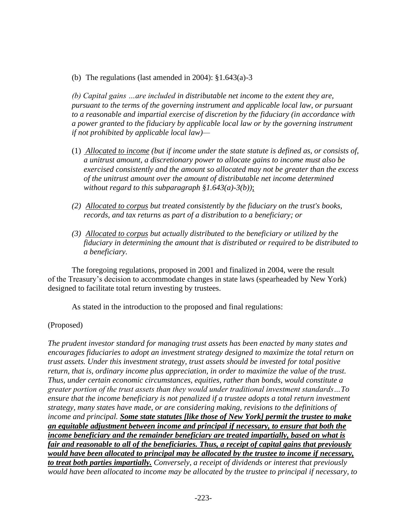(b) The regulations (last amended in 2004):  $\S1.643(a) - 3$ 

*(b) Capital gains …are included in distributable net income to the extent they are, pursuant to the terms of the governing instrument and applicable local law, or pursuant to a reasonable and impartial exercise of discretion by the fiduciary (in accordance with a power granted to the fiduciary by applicable local law or by the governing instrument if not prohibited by applicable local law)—*

- (1) *Allocated to income (but if income under the state statute is defined as, or consists of, a unitrust amount, a discretionary power to allocate gains to income must also be exercised consistently and the amount so allocated may not be greater than the excess of the unitrust amount over the amount of distributable net income determined without regard to this subparagraph §1.643(a)-3(b))*;
- *(2) Allocated to corpus but treated consistently by the fiduciary on the trust's books, records, and tax returns as part of a distribution to a beneficiary; or*
- *(3) Allocated to corpus but actually distributed to the beneficiary or utilized by the fiduciary in determining the amount that is distributed or required to be distributed to a beneficiary.*

The foregoing regulations, proposed in 2001 and finalized in 2004, were the result of the Treasury's decision to accommodate changes in state laws (spearheaded by New York) designed to facilitate total return investing by trustees.

As stated in the introduction to the proposed and final regulations:

# (Proposed)

*The prudent investor standard for managing trust assets has been enacted by many states and encourages fiduciaries to adopt an investment strategy designed to maximize the total return on trust assets. Under this investment strategy, trust assets should be invested for total positive return, that is, ordinary income plus appreciation, in order to maximize the value of the trust. Thus, under certain economic circumstances, equities, rather than bonds, would constitute a greater portion of the trust assets than they would under traditional investment standards…To ensure that the income beneficiary is not penalized if a trustee adopts a total return investment strategy, many states have made, or are considering making, revisions to the definitions of income and principal. Some state statutes [like those of New York] permit the trustee to make an equitable adjustment between income and principal if necessary, to ensure that both the income beneficiary and the remainder beneficiary are treated impartially, based on what is fair and reasonable to all of the beneficiaries. Thus, a receipt of capital gains that previously would have been allocated to principal may be allocated by the trustee to income if necessary, to treat both parties impartially. Conversely, a receipt of dividends or interest that previously would have been allocated to income may be allocated by the trustee to principal if necessary, to*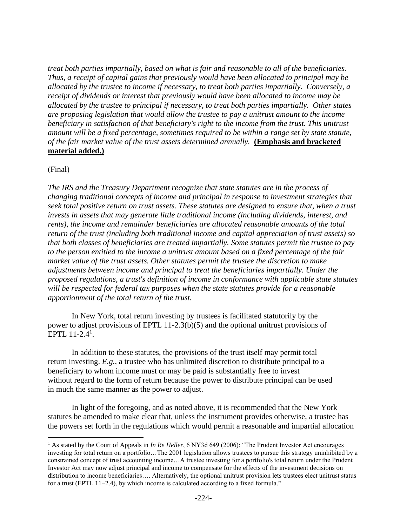*treat both parties impartially, based on what is fair and reasonable to all of the beneficiaries. Thus, a receipt of capital gains that previously would have been allocated to principal may be allocated by the trustee to income if necessary, to treat both parties impartially. Conversely, a receipt of dividends or interest that previously would have been allocated to income may be allocated by the trustee to principal if necessary, to treat both parties impartially. Other states are proposing legislation that would allow the trustee to pay a unitrust amount to the income beneficiary in satisfaction of that beneficiary's right to the income from the trust. This unitrust amount will be a fixed percentage, sometimes required to be within a range set by state statute, of the fair market value of the trust assets determined annually.* **(Emphasis and bracketed material added.)**

## (Final)

*The IRS and the Treasury Department recognize that state statutes are in the process of changing traditional concepts of income and principal in response to investment strategies that seek total positive return on trust assets. These statutes are designed to ensure that, when a trust invests in assets that may generate little traditional income (including dividends, interest, and rents), the income and remainder beneficiaries are allocated reasonable amounts of the total return of the trust (including both traditional income and capital appreciation of trust assets) so that both classes of beneficiaries are treated impartially. Some statutes permit the trustee to pay to the person entitled to the income a unitrust amount based on a fixed percentage of the fair market value of the trust assets. Other statutes permit the trustee the discretion to make adjustments between income and principal to treat the beneficiaries impartially. Under the proposed regulations, a trust's definition of income in conformance with applicable state statutes will be respected for federal tax purposes when the state statutes provide for a reasonable apportionment of the total return of the trust.*

In New York, total return investing by trustees is facilitated statutorily by the power to adjust provisions of EPTL 11-2.3(b)(5) and the optional unitrust provisions of EPTL  $11-2.4$ <sup>1</sup>.

In addition to these statutes, the provisions of the trust itself may permit total return investing. *E.g.*, a trustee who has unlimited discretion to distribute principal to a beneficiary to whom income must or may be paid is substantially free to invest without regard to the form of return because the power to distribute principal can be used in much the same manner as the power to adjust.

In light of the foregoing, and as noted above, it is recommended that the New York statutes be amended to make clear that, unless the instrument provides otherwise, a trustee has the powers set forth in the regulations which would permit a reasonable and impartial allocation

<sup>&</sup>lt;sup>1</sup> As stated by the Court of Appeals in *In Re Heller*, 6 NY3d 649 (2006): "The Prudent Investor Act encourages investing for total return on a portfolio…The 2001 legislation allows trustees to pursue this strategy uninhibited by a constrained concept of trust accounting income…A trustee investing for a portfolio's total return under the Prudent Investor Act may now adjust principal and income to compensate for the effects of the investment decisions on distribution to income beneficiaries…. Alternatively, the optional unitrust provision lets trustees elect unitrust status for a trust (EPTL 11–2.4), by which income is calculated according to a fixed formula."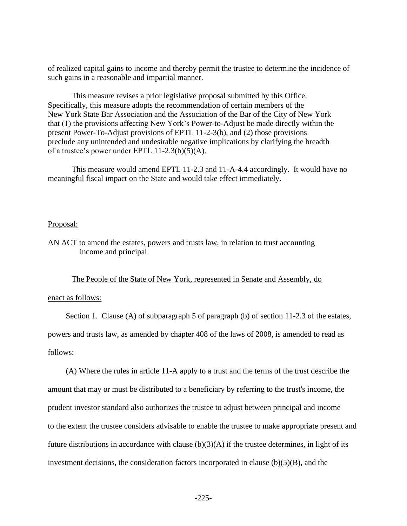of realized capital gains to income and thereby permit the trustee to determine the incidence of such gains in a reasonable and impartial manner.

This measure revises a prior legislative proposal submitted by this Office. Specifically, this measure adopts the recommendation of certain members of the New York State Bar Association and the Association of the Bar of the City of New York that (1) the provisions affecting New York's Power-to-Adjust be made directly within the present Power-To-Adjust provisions of EPTL 11-2-3(b), and (2) those provisions preclude any unintended and undesirable negative implications by clarifying the breadth of a trustee's power under EPTL 11-2.3(b)(5)(A).

This measure would amend EPTL 11-2.3 and 11-A-4.4 accordingly. It would have no meaningful fiscal impact on the State and would take effect immediately.

#### Proposal:

AN ACT to amend the estates, powers and trusts law, in relation to trust accounting income and principal

The People of the State of New York, represented in Senate and Assembly, do

#### enact as follows:

Section 1. Clause (A) of subparagraph 5 of paragraph (b) of section 11-2.3 of the estates, powers and trusts law, as amended by chapter 408 of the laws of 2008, is amended to read as follows:

 (A) Where the rules in article 11-A apply to a trust and the terms of the trust describe the amount that may or must be distributed to a beneficiary by referring to the trust's income, the prudent investor standard also authorizes the trustee to adjust between principal and income to the extent the trustee considers advisable to enable the trustee to make appropriate present and future distributions in accordance with clause  $(b)(3)(A)$  if the trustee determines, in light of its investment decisions, the consideration factors incorporated in clause  $(b)(5)(B)$ , and the

-225-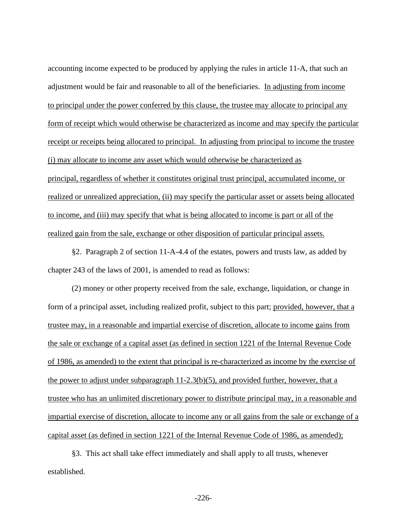accounting income expected to be produced by applying the rules in article 11-A, that such an adjustment would be fair and reasonable to all of the beneficiaries. In adjusting from income to principal under the power conferred by this clause, the trustee may allocate to principal any form of receipt which would otherwise be characterized as income and may specify the particular receipt or receipts being allocated to principal. In adjusting from principal to income the trustee (i) may allocate to income any asset which would otherwise be characterized as principal, regardless of whether it constitutes original trust principal, accumulated income, or realized or unrealized appreciation, (ii) may specify the particular asset or assets being allocated to income, and (iii) may specify that what is being allocated to income is part or all of the realized gain from the sale, exchange or other disposition of particular principal assets.

 §2. Paragraph 2 of section 11-A-4.4 of the estates, powers and trusts law, as added by chapter 243 of the laws of 2001, is amended to read as follows:

(2) money or other property received from the sale, exchange, liquidation, or change in form of a principal asset, including realized profit, subject to this part; provided, however, that a trustee may, in a reasonable and impartial exercise of discretion, allocate to income gains from the sale or exchange of a capital asset (as defined in section 1221 of the Internal Revenue Code of 1986, as amended) to the extent that principal is re-characterized as income by the exercise of the power to adjust under subparagraph 11-2.3(b)(5), and provided further, however, that a trustee who has an unlimited discretionary power to distribute principal may, in a reasonable and impartial exercise of discretion, allocate to income any or all gains from the sale or exchange of a capital asset (as defined in section 1221 of the Internal Revenue Code of 1986, as amended);

 §3. This act shall take effect immediately and shall apply to all trusts, whenever established.

-226-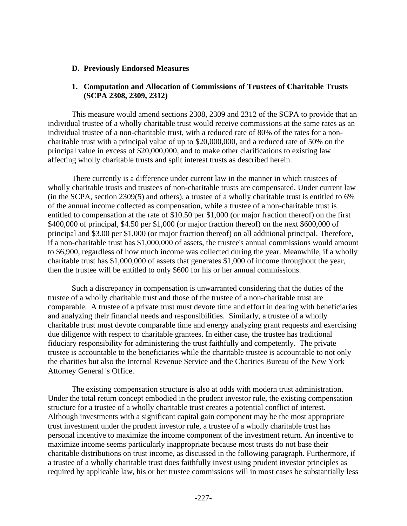## **D. Previously Endorsed Measures**

## **1. Computation and Allocation of Commissions of Trustees of Charitable Trusts (SCPA 2308, 2309, 2312)**

This measure would amend sections 2308, 2309 and 2312 of the SCPA to provide that an individual trustee of a wholly charitable trust would receive commissions at the same rates as an individual trustee of a non-charitable trust, with a reduced rate of 80% of the rates for a noncharitable trust with a principal value of up to \$20,000,000, and a reduced rate of 50% on the principal value in excess of \$20,000,000, and to make other clarifications to existing law affecting wholly charitable trusts and split interest trusts as described herein.

There currently is a difference under current law in the manner in which trustees of wholly charitable trusts and trustees of non-charitable trusts are compensated. Under current law (in the SCPA, section 2309(5) and others), a trustee of a wholly charitable trust is entitled to 6% of the annual income collected as compensation, while a trustee of a non-charitable trust is entitled to compensation at the rate of \$10.50 per \$1,000 (or major fraction thereof) on the first \$400,000 of principal, \$4.50 per \$1,000 (or major fraction thereof) on the next \$600,000 of principal and \$3.00 per \$1,000 (or major fraction thereof) on all additional principal. Therefore, if a non-charitable trust has \$1,000,000 of assets, the trustee's annual commissions would amount to \$6,900, regardless of how much income was collected during the year. Meanwhile, if a wholly charitable trust has \$1,000,000 of assets that generates \$1,000 of income throughout the year, then the trustee will be entitled to only \$600 for his or her annual commissions.

Such a discrepancy in compensation is unwarranted considering that the duties of the trustee of a wholly charitable trust and those of the trustee of a non-charitable trust are comparable. A trustee of a private trust must devote time and effort in dealing with beneficiaries and analyzing their financial needs and responsibilities. Similarly, a trustee of a wholly charitable trust must devote comparable time and energy analyzing grant requests and exercising due diligence with respect to charitable grantees. In either case, the trustee has traditional fiduciary responsibility for administering the trust faithfully and competently. The private trustee is accountable to the beneficiaries while the charitable trustee is accountable to not only the charities but also the Internal Revenue Service and the Charities Bureau of the New York Attorney General 's Office.

The existing compensation structure is also at odds with modern trust administration. Under the total return concept embodied in the prudent investor rule, the existing compensation structure for a trustee of a wholly charitable trust creates a potential conflict of interest. Although investments with a significant capital gain component may be the most appropriate trust investment under the prudent investor rule, a trustee of a wholly charitable trust has personal incentive to maximize the income component of the investment return. An incentive to maximize income seems particularly inappropriate because most trusts do not base their charitable distributions on trust income, as discussed in the following paragraph. Furthermore, if a trustee of a wholly charitable trust does faithfully invest using prudent investor principles as required by applicable law, his or her trustee commissions will in most cases be substantially less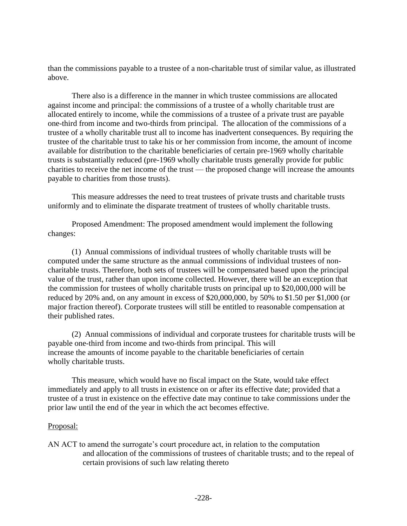than the commissions payable to a trustee of a non-charitable trust of similar value, as illustrated above.

There also is a difference in the manner in which trustee commissions are allocated against income and principal: the commissions of a trustee of a wholly charitable trust are allocated entirely to income, while the commissions of a trustee of a private trust are payable one-third from income and two-thirds from principal. The allocation of the commissions of a trustee of a wholly charitable trust all to income has inadvertent consequences. By requiring the trustee of the charitable trust to take his or her commission from income, the amount of income available for distribution to the charitable beneficiaries of certain pre-1969 wholly charitable trusts is substantially reduced (pre-1969 wholly charitable trusts generally provide for public charities to receive the net income of the trust — the proposed change will increase the amounts payable to charities from those trusts).

This measure addresses the need to treat trustees of private trusts and charitable trusts uniformly and to eliminate the disparate treatment of trustees of wholly charitable trusts.

Proposed Amendment: The proposed amendment would implement the following changes:

(1) Annual commissions of individual trustees of wholly charitable trusts will be computed under the same structure as the annual commissions of individual trustees of noncharitable trusts. Therefore, both sets of trustees will be compensated based upon the principal value of the trust, rather than upon income collected. However, there will be an exception that the commission for trustees of wholly charitable trusts on principal up to \$20,000,000 will be reduced by 20% and, on any amount in excess of \$20,000,000, by 50% to \$1.50 per \$1,000 (or major fraction thereof). Corporate trustees will still be entitled to reasonable compensation at their published rates.

(2) Annual commissions of individual and corporate trustees for charitable trusts will be payable one-third from income and two-thirds from principal. This will increase the amounts of income payable to the charitable beneficiaries of certain wholly charitable trusts.

This measure, which would have no fiscal impact on the State, would take effect immediately and apply to all trusts in existence on or after its effective date; provided that a trustee of a trust in existence on the effective date may continue to take commissions under the prior law until the end of the year in which the act becomes effective.

## Proposal:

AN ACT to amend the surrogate's court procedure act, in relation to the computation and allocation of the commissions of trustees of charitable trusts; and to the repeal of certain provisions of such law relating thereto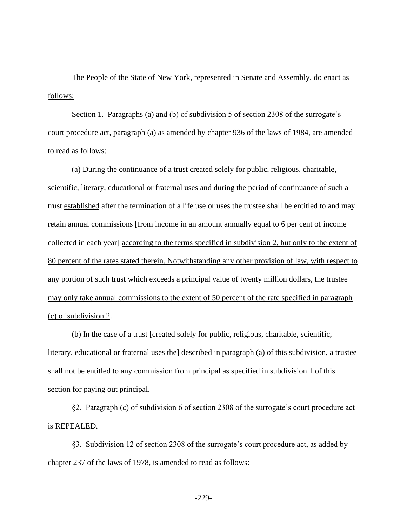The People of the State of New York, represented in Senate and Assembly, do enact as follows:

Section 1. Paragraphs (a) and (b) of subdivision 5 of section 2308 of the surrogate's court procedure act, paragraph (a) as amended by chapter 936 of the laws of 1984, are amended to read as follows:

(a) During the continuance of a trust created solely for public, religious, charitable, scientific, literary, educational or fraternal uses and during the period of continuance of such a trust established after the termination of a life use or uses the trustee shall be entitled to and may retain annual commissions [from income in an amount annually equal to 6 per cent of income collected in each year] according to the terms specified in subdivision 2, but only to the extent of 80 percent of the rates stated therein. Notwithstanding any other provision of law, with respect to any portion of such trust which exceeds a principal value of twenty million dollars, the trustee may only take annual commissions to the extent of 50 percent of the rate specified in paragraph (c) of subdivision 2.

(b) In the case of a trust [created solely for public, religious, charitable, scientific, literary, educational or fraternal uses the] described in paragraph (a) of this subdivision, a trustee shall not be entitled to any commission from principal as specified in subdivision 1 of this section for paying out principal.

§2. Paragraph (c) of subdivision 6 of section 2308 of the surrogate's court procedure act is REPEALED.

§3. Subdivision 12 of section 2308 of the surrogate's court procedure act, as added by chapter 237 of the laws of 1978, is amended to read as follows: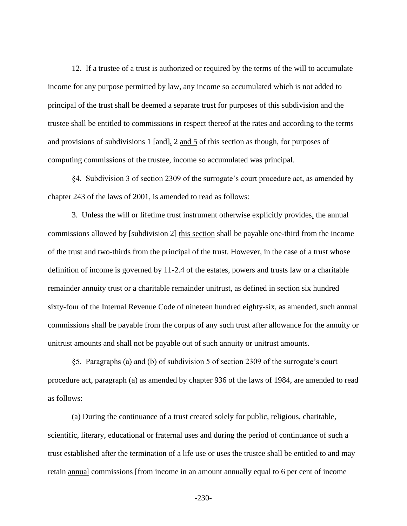12. If a trustee of a trust is authorized or required by the terms of the will to accumulate income for any purpose permitted by law, any income so accumulated which is not added to principal of the trust shall be deemed a separate trust for purposes of this subdivision and the trustee shall be entitled to commissions in respect thereof at the rates and according to the terms and provisions of subdivisions 1 [and], 2 and 5 of this section as though, for purposes of computing commissions of the trustee, income so accumulated was principal.

§4. Subdivision 3 of section 2309 of the surrogate's court procedure act, as amended by chapter 243 of the laws of 2001, is amended to read as follows:

3. Unless the will or lifetime trust instrument otherwise explicitly provides, the annual commissions allowed by [subdivision 2] this section shall be payable one-third from the income of the trust and two-thirds from the principal of the trust. However, in the case of a trust whose definition of income is governed by 11-2.4 of the estates, powers and trusts law or a charitable remainder annuity trust or a charitable remainder unitrust, as defined in section six hundred sixty-four of the Internal Revenue Code of nineteen hundred eighty-six, as amended, such annual commissions shall be payable from the corpus of any such trust after allowance for the annuity or unitrust amounts and shall not be payable out of such annuity or unitrust amounts.

§5. Paragraphs (a) and (b) of subdivision 5 of section 2309 of the surrogate's court procedure act, paragraph (a) as amended by chapter 936 of the laws of 1984, are amended to read as follows:

(a) During the continuance of a trust created solely for public, religious, charitable, scientific, literary, educational or fraternal uses and during the period of continuance of such a trust established after the termination of a life use or uses the trustee shall be entitled to and may retain annual commissions [from income in an amount annually equal to 6 per cent of income

-230-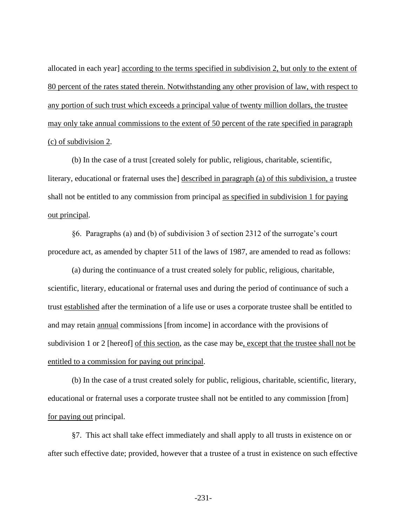allocated in each year] according to the terms specified in subdivision 2, but only to the extent of 80 percent of the rates stated therein. Notwithstanding any other provision of law, with respect to any portion of such trust which exceeds a principal value of twenty million dollars, the trustee may only take annual commissions to the extent of 50 percent of the rate specified in paragraph (c) of subdivision 2.

(b) In the case of a trust [created solely for public, religious, charitable, scientific, literary, educational or fraternal uses the] described in paragraph (a) of this subdivision, a trustee shall not be entitled to any commission from principal as specified in subdivision 1 for paying out principal.

§6. Paragraphs (a) and (b) of subdivision 3 of section 2312 of the surrogate's court procedure act, as amended by chapter 511 of the laws of 1987, are amended to read as follows:

(a) during the continuance of a trust created solely for public, religious, charitable, scientific, literary, educational or fraternal uses and during the period of continuance of such a trust established after the termination of a life use or uses a corporate trustee shall be entitled to and may retain annual commissions [from income] in accordance with the provisions of subdivision 1 or 2 [hereof] of this section, as the case may be, except that the trustee shall not be entitled to a commission for paying out principal.

(b) In the case of a trust created solely for public, religious, charitable, scientific, literary, educational or fraternal uses a corporate trustee shall not be entitled to any commission [from] for paying out principal.

§7. This act shall take effect immediately and shall apply to all trusts in existence on or after such effective date; provided, however that a trustee of a trust in existence on such effective

-231-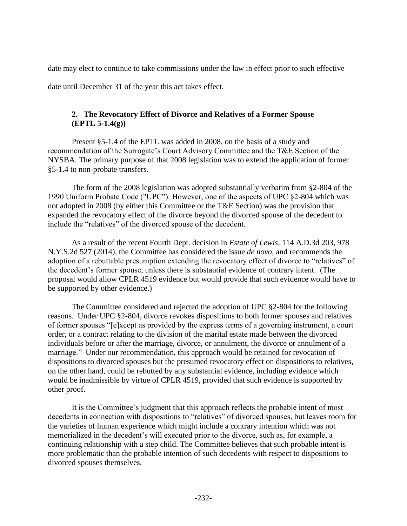date may elect to continue to take commissions under the law in effect prior to such effective

date until December 31 of the year this act takes effect.

# **2. The Revocatory Effect of Divorce and Relatives of a Former Spouse (EPTL 5-1.4(g))**

Present §5-1.4 of the EPTL was added in 2008, on the basis of a study and recommendation of the Surrogate's Court Advisory Committee and the T&E Section of the NYSBA. The primary purpose of that 2008 legislation was to extend the application of former §5-1.4 to non-probate transfers.

The form of the 2008 legislation was adopted substantially verbatim from §2-804 of the 1990 Uniform Probate Code ("UPC"). However, one of the aspects of UPC §2-804 which was not adopted in 2008 (by either this Committee or the T&E Section) was the provision that expanded the revocatory effect of the divorce beyond the divorced spouse of the decedent to include the "relatives" of the divorced spouse of the decedent.

As a result of the recent Fourth Dept. decision in *Estate of Lewis*, 114 A.D.3d 203, 978 N.Y.S.2d 527 (2014), the Committee has considered the issue *de novo*, and recommends the adoption of a rebuttable presumption extending the revocatory effect of divorce to "relatives" of the decedent's former spouse, unless there is substantial evidence of contrary intent. (The proposal would allow CPLR 4519 evidence but would provide that such evidence would have to be supported by other evidence.)

The Committee considered and rejected the adoption of UPC §2-804 for the following reasons. Under UPC §2-804, divorce revokes dispositions to both former spouses and relatives of former spouses "[e]xcept as provided by the express terms of a governing instrument, a court order, or a contract relating to the division of the marital estate made between the divorced individuals before or after the marriage, divorce, or annulment, the divorce or annulment of a marriage." Under our recommendation, this approach would be retained for revocation of dispositions to divorced spouses but the presumed revocatory effect on dispositions to relatives, on the other hand, could be rebutted by any substantial evidence, including evidence which would be inadmissible by virtue of CPLR 4519, provided that such evidence is supported by other proof.

It is the Committee's judgment that this approach reflects the probable intent of most decedents in connection with dispositions to "relatives" of divorced spouses, but leaves room for the varieties of human experience which might include a contrary intention which was not memorialized in the decedent's will executed prior to the divorce, such as, for example, a continuing relationship with a step child. The Committee believes that such probable intent is more problematic than the probable intention of such decedents with respect to dispositions to divorced spouses themselves.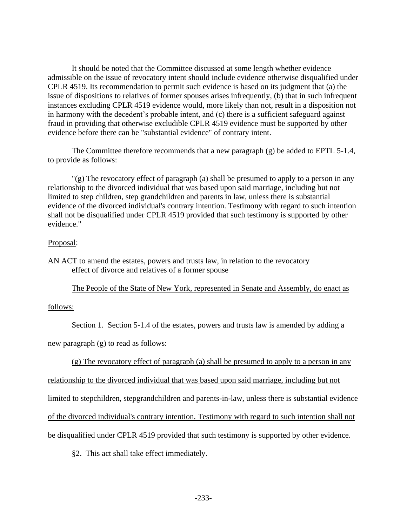It should be noted that the Committee discussed at some length whether evidence admissible on the issue of revocatory intent should include evidence otherwise disqualified under CPLR 4519. Its recommendation to permit such evidence is based on its judgment that (a) the issue of dispositions to relatives of former spouses arises infrequently, (b) that in such infrequent instances excluding CPLR 4519 evidence would, more likely than not, result in a disposition not in harmony with the decedent's probable intent, and (c) there is a sufficient safeguard against fraud in providing that otherwise excludible CPLR 4519 evidence must be supported by other evidence before there can be "substantial evidence" of contrary intent.

The Committee therefore recommends that a new paragraph  $(g)$  be added to EPTL 5-1.4, to provide as follows:

"(g) The revocatory effect of paragraph (a) shall be presumed to apply to a person in any relationship to the divorced individual that was based upon said marriage, including but not limited to step children, step grandchildren and parents in law, unless there is substantial evidence of the divorced individual's contrary intention. Testimony with regard to such intention shall not be disqualified under CPLR 4519 provided that such testimony is supported by other evidence."

#### Proposal:

AN ACT to amend the estates, powers and trusts law, in relation to the revocatory effect of divorce and relatives of a former spouse

#### The People of the State of New York, represented in Senate and Assembly, do enact as

## follows:

Section 1. Section 5-1.4 of the estates, powers and trusts law is amended by adding a

new paragraph (g) to read as follows:

(g) The revocatory effect of paragraph (a) shall be presumed to apply to a person in any

relationship to the divorced individual that was based upon said marriage, including but not

limited to stepchildren, stepgrandchildren and parents-in-law, unless there is substantial evidence

of the divorced individual's contrary intention. Testimony with regard to such intention shall not

be disqualified under CPLR 4519 provided that such testimony is supported by other evidence.

§2. This act shall take effect immediately.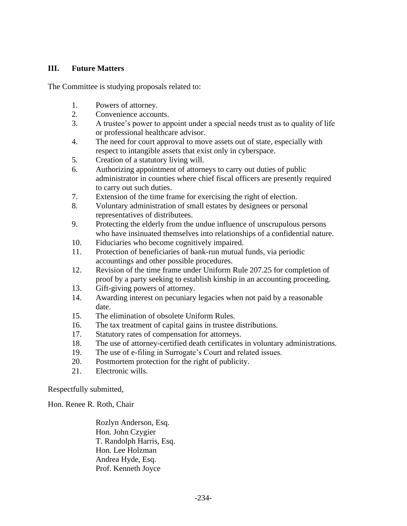# **III. Future Matters**

The Committee is studying proposals related to:

- 1. Powers of attorney.
- 2. Convenience accounts.
- 3. A trustee's power to appoint under a special needs trust as to quality of life or professional healthcare advisor.
- 4. The need for court approval to move assets out of state, especially with respect to intangible assets that exist only in cyberspace.
- 5. Creation of a statutory living will.
- 6. Authorizing appointment of attorneys to carry out duties of public administrator in counties where chief fiscal officers are presently required to carry out such duties.
- 7. Extension of the time frame for exercising the right of election.
- 8. Voluntary administration of small estates by designees or personal representatives of distributees.
- 9. Protecting the elderly from the undue influence of unscrupulous persons who have insinuated themselves into relationships of a confidential nature.
- 10. Fiduciaries who become cognitively impaired.
- 11. Protection of beneficiaries of bank-run mutual funds, via periodic accountings and other possible procedures.
- 12. Revision of the time frame under Uniform Rule 207.25 for completion of proof by a party seeking to establish kinship in an accounting proceeding.
- 13. Gift-giving powers of attorney.
- 14. Awarding interest on pecuniary legacies when not paid by a reasonable date.
- 15. The elimination of obsolete Uniform Rules.
- 16. The tax treatment of capital gains in trustee distributions.
- 17. Statutory rates of compensation for attorneys.
- 18. The use of attorney-certified death certificates in voluntary administrations.
- 19. The use of e-filing in Surrogate's Court and related issues.
- 20. Postmortem protection for the right of publicity.
- 21. Electronic wills.

Respectfully submitted,

Hon. Renee R. Roth, Chair

Rozlyn Anderson, Esq. Hon. John Czygier T. Randolph Harris, Esq. Hon. Lee Holzman Andrea Hyde, Esq. Prof. Kenneth Joyce